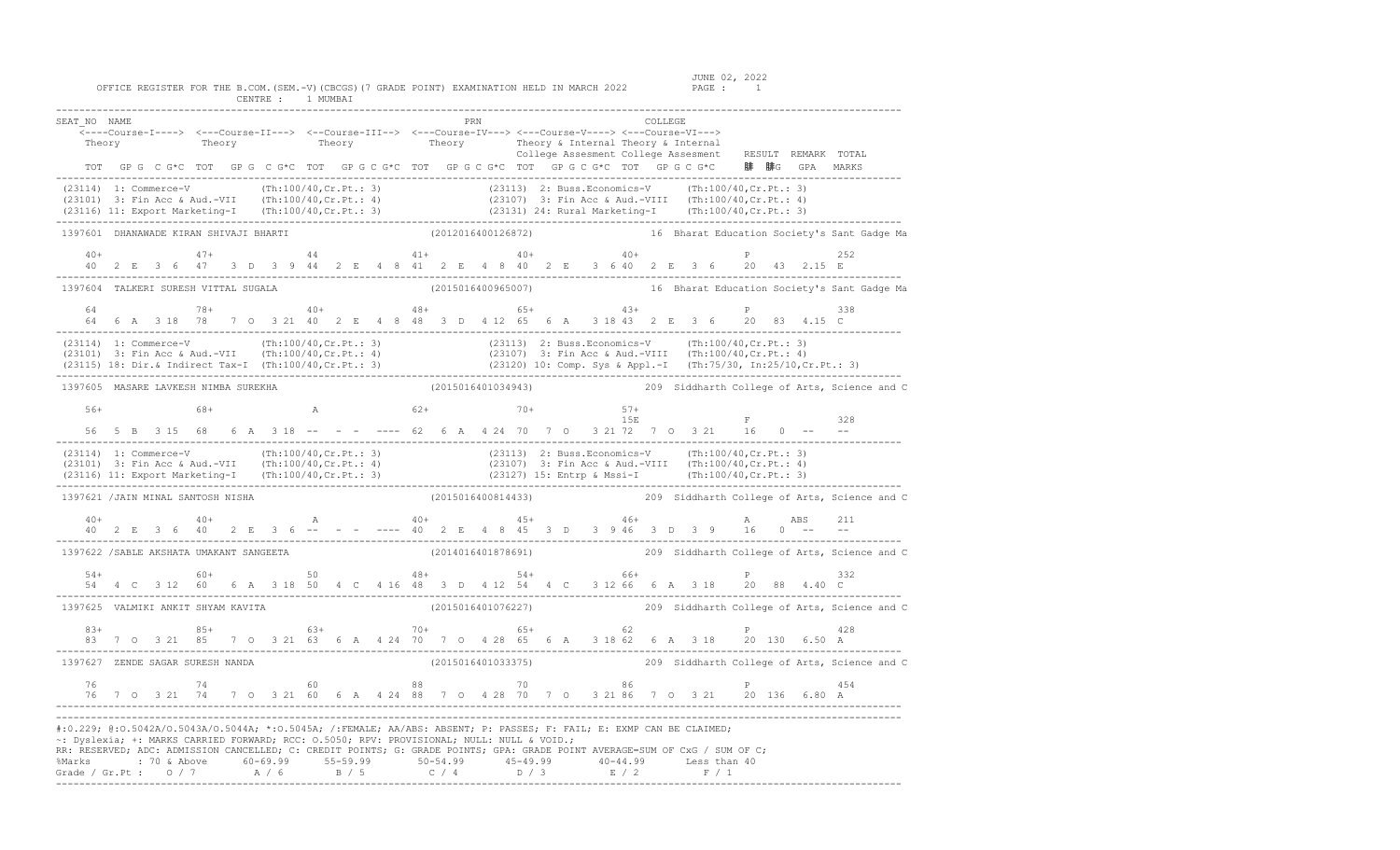| SEAT NO NAME                                                                                                                                                                                                                                                                                                                                                                                                                                                                                  |  |  |  |  |  |  |  |  |  |                    |  |  |  | <---Course-I----> <---Course-II---> <--Course-III--> <---Course-IV---> <---Course-V----> <---Course-VI---> |  |                                                                                                                         |                                                                                                                                                                                                                                                                                                                                         |
|-----------------------------------------------------------------------------------------------------------------------------------------------------------------------------------------------------------------------------------------------------------------------------------------------------------------------------------------------------------------------------------------------------------------------------------------------------------------------------------------------|--|--|--|--|--|--|--|--|--|--------------------|--|--|--|------------------------------------------------------------------------------------------------------------|--|-------------------------------------------------------------------------------------------------------------------------|-----------------------------------------------------------------------------------------------------------------------------------------------------------------------------------------------------------------------------------------------------------------------------------------------------------------------------------------|
|                                                                                                                                                                                                                                                                                                                                                                                                                                                                                               |  |  |  |  |  |  |  |  |  |                    |  |  |  |                                                                                                            |  |                                                                                                                         | Theory Theory of Theory Theory of Theory of Theory of Theory and Theory of Theory Theory Theory Theory of Theory Theory College Assessment College Assessment RESULT REMARK TOTAL                                                                                                                                                       |
|                                                                                                                                                                                                                                                                                                                                                                                                                                                                                               |  |  |  |  |  |  |  |  |  |                    |  |  |  |                                                                                                            |  | TOT GPG C G*C TOT GPG C G*C TOT GPG C G*C TOT GPG C G*C TOT GPG C G*C TOT GPG C G*C 腓 腓G GPA MARKS                      |                                                                                                                                                                                                                                                                                                                                         |
|                                                                                                                                                                                                                                                                                                                                                                                                                                                                                               |  |  |  |  |  |  |  |  |  |                    |  |  |  |                                                                                                            |  |                                                                                                                         | (23114) 1: Commerce-V (Th:100/40, Cr. Pt.: 3) (23113) 2: Buss. Economics-V (Th:100/40, Cr. Pt.: 3)<br>(23101) 3: Fin Acc & Aud.-VII (Th:100/40, Cr. Pt.: 4) (23107) 3: Fin Acc & Aud.-VIII (Th:100/40, Cr. Pt.: 4)<br>(23116) 11: E                                                                                                     |
| 1397601 DHANAWADE KIRAN SHIVAJI BHARTI                                                                                                                                                                                                                                                                                                                                                                                                                                                        |  |  |  |  |  |  |  |  |  |                    |  |  |  |                                                                                                            |  |                                                                                                                         | (2012016400126872) 16 Bharat Education Society's Sant Gadge Ma                                                                                                                                                                                                                                                                          |
|                                                                                                                                                                                                                                                                                                                                                                                                                                                                                               |  |  |  |  |  |  |  |  |  |                    |  |  |  |                                                                                                            |  | $P$ 252                                                                                                                 |                                                                                                                                                                                                                                                                                                                                         |
| 1397604 TALKERI SURESH VITTAL SUGALA                                                                                                                                                                                                                                                                                                                                                                                                                                                          |  |  |  |  |  |  |  |  |  |                    |  |  |  |                                                                                                            |  |                                                                                                                         | (2015016400965007) 16 Bharat Education Society's Sant Gadge Ma                                                                                                                                                                                                                                                                          |
|                                                                                                                                                                                                                                                                                                                                                                                                                                                                                               |  |  |  |  |  |  |  |  |  |                    |  |  |  |                                                                                                            |  | P 338                                                                                                                   |                                                                                                                                                                                                                                                                                                                                         |
|                                                                                                                                                                                                                                                                                                                                                                                                                                                                                               |  |  |  |  |  |  |  |  |  |                    |  |  |  |                                                                                                            |  |                                                                                                                         | $(23114) \t1: Commerce-V \t(Th:100/40, Cr.Pt.: 3) \t(23113) \t2: Buss.Economics-V \t(Th:100/40,Cr.Pt.: 3) \t(23101) \t3: Fin Acc & Aud.-VII \t(Th:100/40,Cr.Pt.: 4) \t(23107) \t3: Fin Acc & Aud.-VIII \t(Th:100/40,Cr.Pt.: 4) \t(23115) \t18: Dir & Indirect Tax-I \t(Th:100/40,Cr.Pt.: 3) \t(23120) \t10: Comp. Sys & Appl.-I \t(Th:$ |
| 1397605 MASARE LAVKESH NIMBA SUREKHA                                                                                                                                                                                                                                                                                                                                                                                                                                                          |  |  |  |  |  |  |  |  |  |                    |  |  |  |                                                                                                            |  |                                                                                                                         | (2015016401034943) 209 Siddharth College of Arts, Science and C                                                                                                                                                                                                                                                                         |
|                                                                                                                                                                                                                                                                                                                                                                                                                                                                                               |  |  |  |  |  |  |  |  |  |                    |  |  |  |                                                                                                            |  | $56+$ 68+ A 62+ 70+ 57+ 15E F 328<br>56 5 B 3 15 68 6 A 3 18 -- - - ---- 62 6 A 4 24 70 7 0 3 21 72 7 0 3 21 16 0 -- -- |                                                                                                                                                                                                                                                                                                                                         |
|                                                                                                                                                                                                                                                                                                                                                                                                                                                                                               |  |  |  |  |  |  |  |  |  |                    |  |  |  |                                                                                                            |  |                                                                                                                         |                                                                                                                                                                                                                                                                                                                                         |
| (23114) 1: Commerce-V (Th:100/40, Cr. Pt.: 3) (23113) 2: Buss. Economics-V (Th:100/40, Cr. Pt.: 3)<br>(23101) 3: Fin Acc & Aud.-VII (Th:100/40, Cr. Pt.: 4) (23107) 3: Fin Acc & Aud.-VIII (Th:100/40, Cr. Pt.: 4)<br>(23116) 11: E                                                                                                                                                                                                                                                           |  |  |  |  |  |  |  |  |  |                    |  |  |  |                                                                                                            |  |                                                                                                                         |                                                                                                                                                                                                                                                                                                                                         |
| 1397621 /JAIN MINAL SANTOSH NISHA                                                                                                                                                                                                                                                                                                                                                                                                                                                             |  |  |  |  |  |  |  |  |  | (2015016400814433) |  |  |  |                                                                                                            |  |                                                                                                                         | 209 Siddharth College of Arts, Science and C                                                                                                                                                                                                                                                                                            |
|                                                                                                                                                                                                                                                                                                                                                                                                                                                                                               |  |  |  |  |  |  |  |  |  |                    |  |  |  |                                                                                                            |  |                                                                                                                         | 211                                                                                                                                                                                                                                                                                                                                     |
| 1397622 / SABLE AKSHATA UMAKANT SANGEETA                                                                                                                                                                                                                                                                                                                                                                                                                                                      |  |  |  |  |  |  |  |  |  |                    |  |  |  |                                                                                                            |  |                                                                                                                         | (2014016401878691) 209 Siddharth College of Arts, Science and C                                                                                                                                                                                                                                                                         |
|                                                                                                                                                                                                                                                                                                                                                                                                                                                                                               |  |  |  |  |  |  |  |  |  |                    |  |  |  |                                                                                                            |  |                                                                                                                         |                                                                                                                                                                                                                                                                                                                                         |
| 1397625 VALMIKI ANKIT SHYAM KAVITA                                                                                                                                                                                                                                                                                                                                                                                                                                                            |  |  |  |  |  |  |  |  |  |                    |  |  |  |                                                                                                            |  |                                                                                                                         | (2015016401076227) 209 Siddharth College of Arts, Science and C                                                                                                                                                                                                                                                                         |
|                                                                                                                                                                                                                                                                                                                                                                                                                                                                                               |  |  |  |  |  |  |  |  |  |                    |  |  |  |                                                                                                            |  |                                                                                                                         |                                                                                                                                                                                                                                                                                                                                         |
| 1397627 ZENDE SAGAR SURESH NANDA                                                                                                                                                                                                                                                                                                                                                                                                                                                              |  |  |  |  |  |  |  |  |  |                    |  |  |  |                                                                                                            |  |                                                                                                                         | (2015016401033375) 209 Siddharth College of Arts, Science and C                                                                                                                                                                                                                                                                         |
|                                                                                                                                                                                                                                                                                                                                                                                                                                                                                               |  |  |  |  |  |  |  |  |  |                    |  |  |  |                                                                                                            |  |                                                                                                                         |                                                                                                                                                                                                                                                                                                                                         |
| #:0.229; @:0.5042A/0.5043A/0.5044A; *:0.5045A; /:FEMALE; AA/ABS: ABSENT; P: PASSES; F: FAIL; E: EXMP CAN BE CLAIMED;<br>~: Dyslexia; +: MARKS CARRIED FORWARD; RCC: 0.5050; RPV: PROVISIONAL; NULL: NULL & VOID.;<br>RR: RESERVED; ADC: ADMISSION CANCELLED; C: CREDIT POINTS; G: GRADE POINTS; GPA: GRADE POINT AVERAGE=SUM OF CxG / SUM OF C;<br>%Marks : 70 & Above 60-69.99 55-59.99 50-54.99 45-49.99 40-44.99 Less than 40<br>Grade / Gr.Pt : 0 / 7 A / 6 B / 5 C / 4 D / 3 E / 2 F / 1 |  |  |  |  |  |  |  |  |  |                    |  |  |  |                                                                                                            |  |                                                                                                                         |                                                                                                                                                                                                                                                                                                                                         |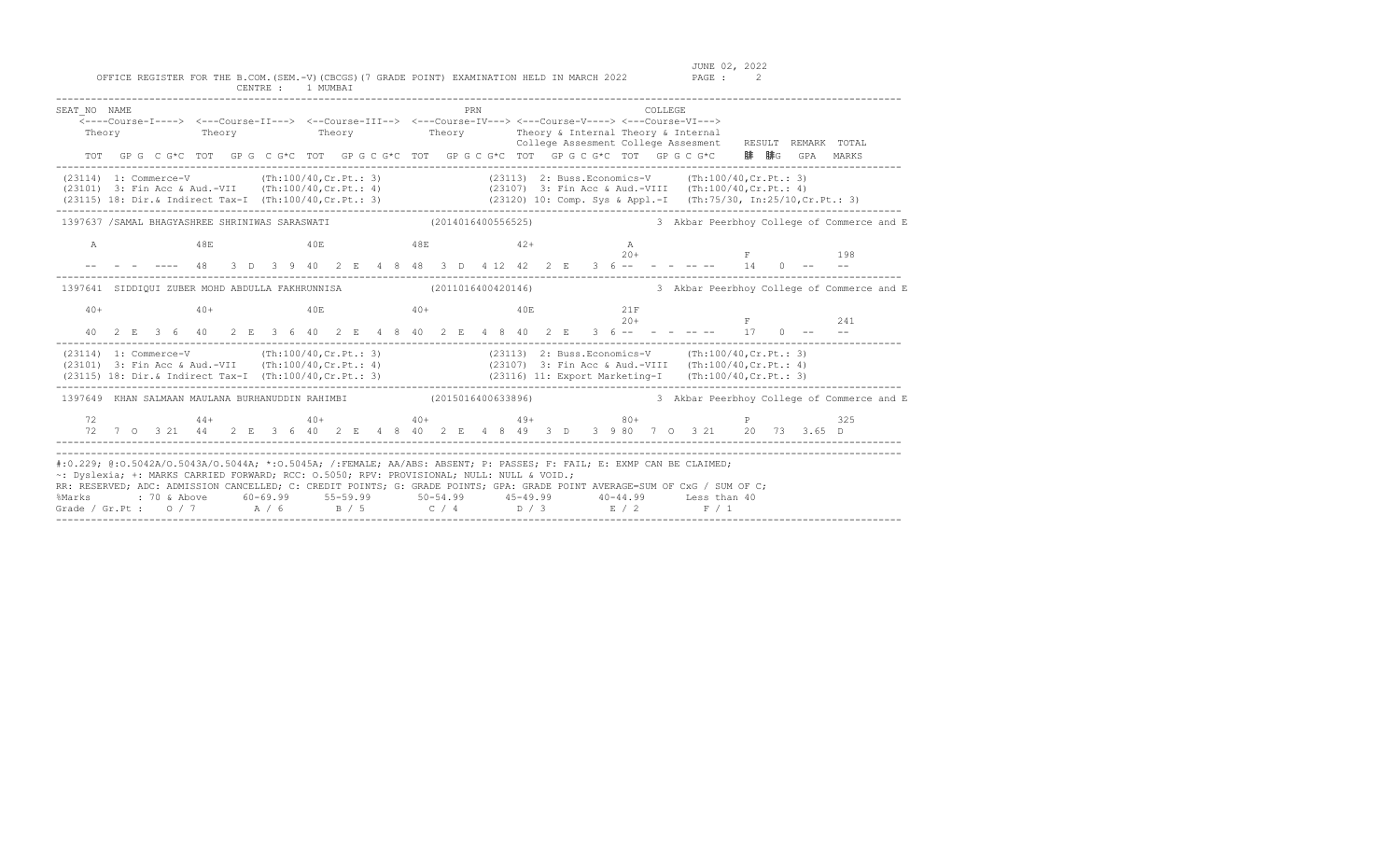| SEAT NO NAME<br><----Course-I----> <---Course-II---> <--Course-III--> <---Course-IV---> <---Course-V----> <---Course-VI--->                                                                                                                                                                                                                                                                                             |  |  |                |  |  | Theory Theory Theory Theory Theory Theory Theory & Internal Theory & Internal                                  |           |  |  | PRN |       |  |  |              | COLLEGE |  |       |  | College Assesment College Assesment RESULT REMARK TOTAL<br>TOT GPG CG*C TOT GPG CG*C TOT GPG CG*C TOT GPG CG*C TOT GPG CG*C TOT GPG CG*C 腓腓G GPA MARKS                                                                                                                                       |                                            |
|-------------------------------------------------------------------------------------------------------------------------------------------------------------------------------------------------------------------------------------------------------------------------------------------------------------------------------------------------------------------------------------------------------------------------|--|--|----------------|--|--|----------------------------------------------------------------------------------------------------------------|-----------|--|--|-----|-------|--|--|--------------|---------|--|-------|--|----------------------------------------------------------------------------------------------------------------------------------------------------------------------------------------------------------------------------------------------------------------------------------------------|--------------------------------------------|
| (23114) 1: Commerce-V (Th:100/40, Cr. Pt.: 3) (23113) 2: Buss.Economics-V (Th:100/40, Cr. Pt.: 3)<br>(23101) 3: Fin Acc & Aud.-VII (Th:100/40, Cr. Pt.: 4) (23107) 3: Fin Acc & Aud.-VIII (Th:100/40, Cr. Pt.: 4)<br>(23115) 18: Dir. & Indirect Tax-I (Th:100/40, Cr. Pt.: 3) (23120) 10: Comp. Sys & Appl.-I (Th:75/30, In:25/10, Cr. Pt.: 3)                                                                         |  |  |                |  |  |                                                                                                                |           |  |  |     |       |  |  |              |         |  |       |  |                                                                                                                                                                                                                                                                                              |                                            |
| 1397637 / SAMAL BHAGYASHREE SHRINIWAS SARASWATI (2014016400556525)                                                                                                                                                                                                                                                                                                                                                      |  |  |                |  |  |                                                                                                                |           |  |  |     |       |  |  |              |         |  |       |  |                                                                                                                                                                                                                                                                                              | 3 Akbar Peerbhoy College of Commerce and E |
| $\mathbb{A}$                                                                                                                                                                                                                                                                                                                                                                                                            |  |  | 48E            |  |  | $40E$ $48E$                                                                                                    |           |  |  |     | $42+$ |  |  | A            |         |  | $20+$ |  | 198<br>3 D 3 9 40 2 E 4 8 48 3 D 4 12 42 2 E 3 6 -- - - - -- - 14 0 -- --                                                                                                                                                                                                                    |                                            |
| 1397641 SIDDIQUI ZUBER MOHD ABDULLA FAKHRUNNISA (2011016400420146)                                                                                                                                                                                                                                                                                                                                                      |  |  |                |  |  |                                                                                                                |           |  |  |     |       |  |  |              |         |  |       |  |                                                                                                                                                                                                                                                                                              | 3 Akbar Peerbhoy College of Commerce and E |
| $40+$                                                                                                                                                                                                                                                                                                                                                                                                                   |  |  | $40+$          |  |  | 40E                                                                                                            | $40+$ 40E |  |  |     |       |  |  | 21F<br>$20+$ |         |  |       |  | $F$ 241<br>40 2 E 3 6 40 2 E 3 6 40 2 E 4 8 40 2 E 4 8 40 2 E 3 6 -- - - - - - - 17 0 -- --                                                                                                                                                                                                  |                                            |
| (23114) 1: Commerce-V (Th:100/40, Cr. Pt.: 3) (23113) 2: Buss. Economics-V (Th:100/40, Cr. Pt.: 3)<br>(23101) 3: Fin Acc & Aud.-VII (Th:100/40, Cr. Pt.: 4) (23107) 3: Fin Acc & Aud.-VIII (Th:100/40, Cr. Pt.: 4)<br>(23115) 18: Dir. & Indirect Tax-I (Th:100/40, Cr. Pt.: 3) (23116) 11: Export Marketing-I (Th:100/40, Cr. Pt.: 3)                                                                                  |  |  |                |  |  |                                                                                                                |           |  |  |     |       |  |  |              |         |  |       |  |                                                                                                                                                                                                                                                                                              |                                            |
| 1397649 KHAN SALMAAN MAULANA BURHANUDDIN RAHIMBI (2015016400633896) 3 Akbar Peerbhoy College of Commerce and E                                                                                                                                                                                                                                                                                                          |  |  |                |  |  |                                                                                                                |           |  |  |     |       |  |  |              |         |  |       |  |                                                                                                                                                                                                                                                                                              |                                            |
| 72                                                                                                                                                                                                                                                                                                                                                                                                                      |  |  | 72 7 0 3 21 44 |  |  |                                                                                                                |           |  |  |     |       |  |  |              |         |  |       |  | $44+$<br>$40+$<br>$40+$<br>$40+$<br>$40+$<br>$49+$<br>$49+$<br>$40+$<br>$49+$<br>$49+$<br>$49+$<br>$49+$<br>$49+$<br>$49+$<br>$49+$<br>$49+$<br>$49+$<br>$49+$<br>$49+$<br>$49+$<br>$49+$<br>$49+$<br>$49+$<br>$49+$<br>$49+$<br>$49+$<br>$49+$<br>$49+$<br>$49+$<br>$49+$<br>$49+$<br>$49+$ |                                            |
| #:0.229; @:0.5042A/0.5043A/0.5044A; *:0.5045A; /:FEMALE; AA/ABS: ABSENT; P: PASSES; F: FAIL; E: EXMP CAN BE CLAIMED;<br>~: Dyslexia; +: MARKS CARRIED FORWARD; RCC: 0.5050; RPV: PROVISIONAL; NULL: NULL & VOID.;<br>RR: RESERVED; ADC: ADMISSION CANCELLED; C: CREDIT POINTS; G: GRADE POINTS; GPA: GRADE POINT AVERAGE=SUM OF CxG / SUM OF C;<br>%Marks<br>Grade / Gr. Pt : $0/7$ $A/6$ $B/5$ $C/4$ $D/3$ $E/2$ $F/1$ |  |  |                |  |  | : 70 & Above        60-69.99        55-59.99        50-54.99        45-49.99        40-44.99      Less than 40 |           |  |  |     |       |  |  |              |         |  |       |  |                                                                                                                                                                                                                                                                                              |                                            |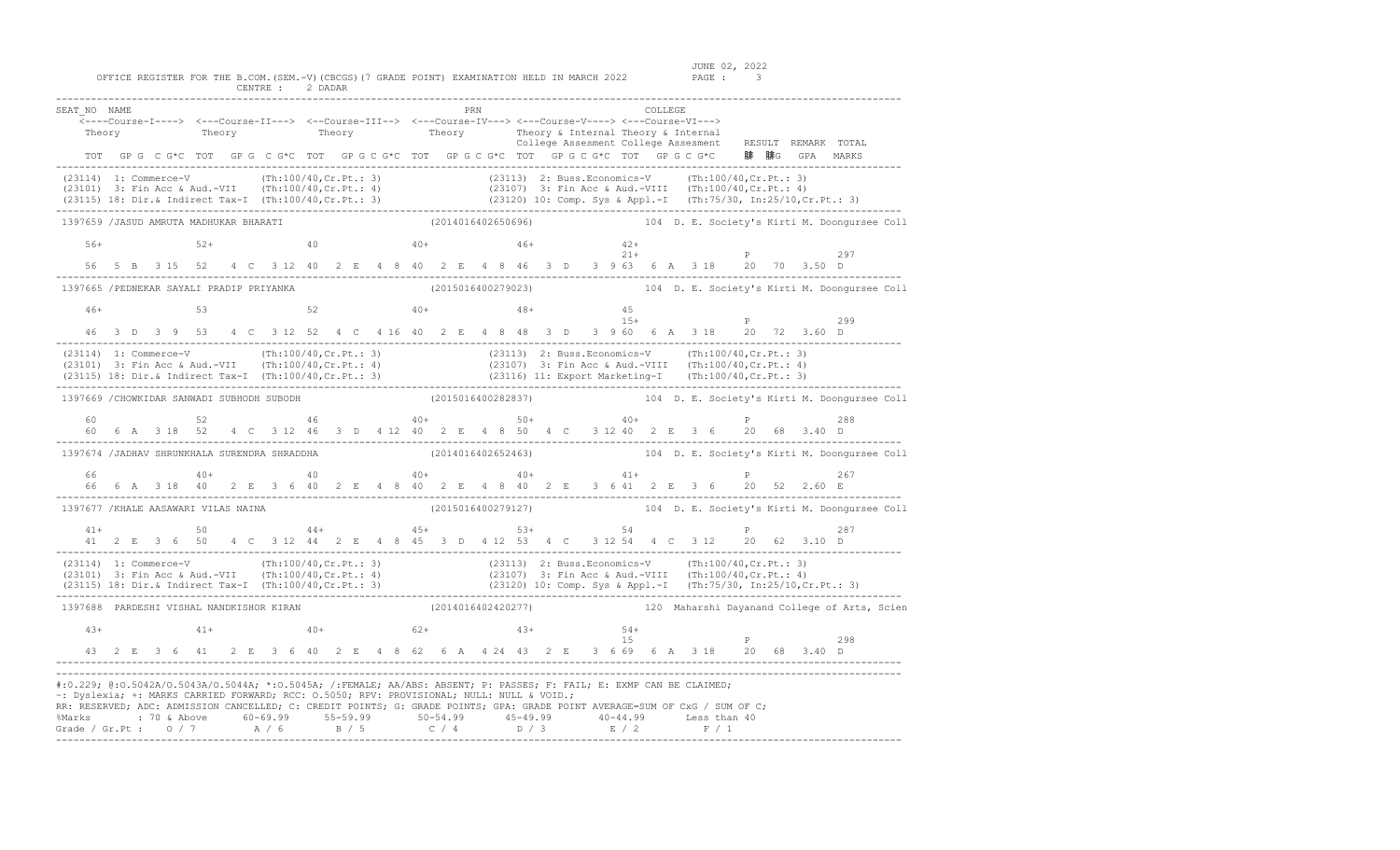| SEAT NO NAME                                                                                                                                                                                                                                                                                                                                                                                                                                                                                  |  |  |  | <----Course-I----> <---Course-II---> <--Course-III--> <---Course-IV---> <---Course-V----> <---Course-VI--->                                        |  |  |  | PRN |  |  |  |    | COLLEGE |  |  |              |  | -----Course-i-----> ----Course ii > - Course ii > ------ -<br>Theory Theory Theory Theory Theory Theory Sullege Assessment College Assessment RESULT REMARK TOTAL                                                                    |
|-----------------------------------------------------------------------------------------------------------------------------------------------------------------------------------------------------------------------------------------------------------------------------------------------------------------------------------------------------------------------------------------------------------------------------------------------------------------------------------------------|--|--|--|----------------------------------------------------------------------------------------------------------------------------------------------------|--|--|--|-----|--|--|--|----|---------|--|--|--------------|--|--------------------------------------------------------------------------------------------------------------------------------------------------------------------------------------------------------------------------------------|
|                                                                                                                                                                                                                                                                                                                                                                                                                                                                                               |  |  |  |                                                                                                                                                    |  |  |  |     |  |  |  |    |         |  |  |              |  | (23114) 1: Commerce-V (Th:100/40,Cr.Pt.: 3) (23113) 2: Buss.Economics-V (Th:100/40,Cr.Pt.: 3)<br>(23101) 3: Fin Acc & Aud.-VII (Th:100/40,Cr.Pt.: 4) (23107) 3: Fin Acc & Aud.-VIII (Th:100/40,Cr.Pt.: 4)<br>(23115) 18: Dir.& Indi  |
| 1397659 /JASUD AMRUTA MADHUKAR BHARATI                                                                                                                                                                                                                                                                                                                                                                                                                                                        |  |  |  |                                                                                                                                                    |  |  |  |     |  |  |  |    |         |  |  |              |  | (2014016402650696) (2014016402650696) (2014016402650696) (2014016402650696)                                                                                                                                                          |
| $56+$                                                                                                                                                                                                                                                                                                                                                                                                                                                                                         |  |  |  | $52+$ $40$ $40+$ $46+$ $42+$ $42+$ $21+$                                                                                                           |  |  |  |     |  |  |  |    |         |  |  |              |  |                                                                                                                                                                                                                                      |
|                                                                                                                                                                                                                                                                                                                                                                                                                                                                                               |  |  |  | 56 5 B 3 15 52 4 C 3 12 40 2 E 4 8 40 2 E 4 8 46 3 D 3 9 63 6 A 3 18 20 70 3.50 D                                                                  |  |  |  |     |  |  |  |    |         |  |  | $21+$ P 297  |  |                                                                                                                                                                                                                                      |
| 1397665 /PEDNEKAR SAYALI PRADIP PRIYANKA                                                                                                                                                                                                                                                                                                                                                                                                                                                      |  |  |  |                                                                                                                                                    |  |  |  |     |  |  |  |    |         |  |  |              |  | (2015016400279023) 104 D. E. Society's Kirti M. Doongursee Coll                                                                                                                                                                      |
|                                                                                                                                                                                                                                                                                                                                                                                                                                                                                               |  |  |  |                                                                                                                                                    |  |  |  |     |  |  |  |    |         |  |  |              |  |                                                                                                                                                                                                                                      |
|                                                                                                                                                                                                                                                                                                                                                                                                                                                                                               |  |  |  |                                                                                                                                                    |  |  |  |     |  |  |  |    |         |  |  |              |  | 299                                                                                                                                                                                                                                  |
| (23114) 1: Commerce-V (Th:100/40,Cr.Pt.: 3) (23113) 2: Buss.Economics-V (Th:100/40,Cr.Pt.: 3)<br>(23101) 3: Fin Acc & Aud.-VII (Th:100/40,Cr.Pt.: 4) (23107) 3: Fin Acc & Aud.-VIII (Th:100/40,Cr.Pt.: 4)<br>(23115) 18: Dir.& Indi                                                                                                                                                                                                                                                           |  |  |  |                                                                                                                                                    |  |  |  |     |  |  |  |    |         |  |  |              |  |                                                                                                                                                                                                                                      |
|                                                                                                                                                                                                                                                                                                                                                                                                                                                                                               |  |  |  |                                                                                                                                                    |  |  |  |     |  |  |  |    |         |  |  |              |  | 1397669 /CHOWKIDAR SANWADI SUBHODH SUBODH (2015016400282837) 104 D. E. Society's Kirti M. Doongursee Coll                                                                                                                            |
| 60.                                                                                                                                                                                                                                                                                                                                                                                                                                                                                           |  |  |  | $52$ 46 40 + 50 + 50 + 40 +<br>60  6  A  3  18  52  4  C  3  12  46  3  D  4  12  40  2  E  4  8  50  4  C  3  12  40  2  E  3  6  20  68  3.40  D |  |  |  |     |  |  |  |    |         |  |  | $\mathbf{P}$ |  | 288                                                                                                                                                                                                                                  |
| 1397674 /JADHAV SHRUNKHALA SURENDRA SHRADDHA                                                                                                                                                                                                                                                                                                                                                                                                                                                  |  |  |  |                                                                                                                                                    |  |  |  |     |  |  |  |    |         |  |  |              |  |                                                                                                                                                                                                                                      |
| 66                                                                                                                                                                                                                                                                                                                                                                                                                                                                                            |  |  |  | $40+$ $40+$ $40+$ $40+$ $41+$<br>66 6 A 318 40 2 E 3 6 40 2 E 4 8 40 2 E 4 8 40 2 E 3 6 41 2 E 3 6 20 52 2.60 E                                    |  |  |  |     |  |  |  |    |         |  |  | P 267        |  |                                                                                                                                                                                                                                      |
| 1397677 /KHALE AASAWARI VILAS NAINA                                                                                                                                                                                                                                                                                                                                                                                                                                                           |  |  |  |                                                                                                                                                    |  |  |  |     |  |  |  |    |         |  |  |              |  | (2015016400279127) 104 D. E. Society's Kirti M. Doongursee Coll                                                                                                                                                                      |
|                                                                                                                                                                                                                                                                                                                                                                                                                                                                                               |  |  |  | $41+$ 50 50 44+ 45+ 53+ 54 54 P 287<br>41 2 E 3 6 50 4 C 3 12 44 2 E 4 8 45 3 D 4 12 53 4 C 3 12 54 4 C 3 12 20 62 3.10 D                          |  |  |  |     |  |  |  |    |         |  |  |              |  |                                                                                                                                                                                                                                      |
|                                                                                                                                                                                                                                                                                                                                                                                                                                                                                               |  |  |  |                                                                                                                                                    |  |  |  |     |  |  |  |    |         |  |  |              |  | (23114) 1: Commerce-V (Th:100/40,Cr.Pt.: 3) (23113) 2: Buss.Economics-V (Th:100/40,Cr.Pt.: 3)<br>(23101) 3: Fin Acc & Aud.-VII (Th:100/40,Cr.Pt.: 4) (23107) 3: Fin Acc & Aud.-VIII (Th:100/40,Cr.Pt.: 4)<br>(23115) 18: Dir.& Indir |
|                                                                                                                                                                                                                                                                                                                                                                                                                                                                                               |  |  |  |                                                                                                                                                    |  |  |  |     |  |  |  |    |         |  |  |              |  | 1397688 PARDESHI VISHAL NANDKISHOR KIRAN (2014016402420277) 120 Maharshi Dayanand College of Arts, Scien                                                                                                                             |
|                                                                                                                                                                                                                                                                                                                                                                                                                                                                                               |  |  |  | $43+$ $41+$ $40+$ $62+$ $43+$ $54+$                                                                                                                |  |  |  |     |  |  |  | 15 |         |  |  | $\mathbf{P}$ |  | 298                                                                                                                                                                                                                                  |
|                                                                                                                                                                                                                                                                                                                                                                                                                                                                                               |  |  |  | 43 2 E 3 6 41 2 E 3 6 40 2 E 4 8 62 6 A 4 24 43 2 E 3 6 69 6 A 3 18 20 68 3.40 D                                                                   |  |  |  |     |  |  |  |    |         |  |  |              |  |                                                                                                                                                                                                                                      |
| #:0.229; @:0.5042A/0.5043A/0.5044A; *:0.5045A; /:FEMALE; AA/ABS: ABSENT; P: PASSES; F: FAIL; E: EXMP CAN BE CLAIMED;<br>~: Dyslexia; +: MARKS CARRIED FORWARD; RCC: 0.5050; RPV: PROVISIONAL; NULL: NULL & VOID.;<br>RR: RESERVED; ADC: ADMISSION CANCELLED; C: CREDIT POINTS; G: GRADE POINTS; GPA: GRADE POINT AVERAGE=SUM OF CxG / SUM OF C;<br>%Marks : 70 & Above 60-69.99 55-59.99 50-54.99 45-49.99 40-44.99 Less than 40<br>Grade / Gr.Pt : 0 / 7 A / 6 B / 5 C / 4 D / 3 E / 2 F / 1 |  |  |  |                                                                                                                                                    |  |  |  |     |  |  |  |    |         |  |  |              |  |                                                                                                                                                                                                                                      |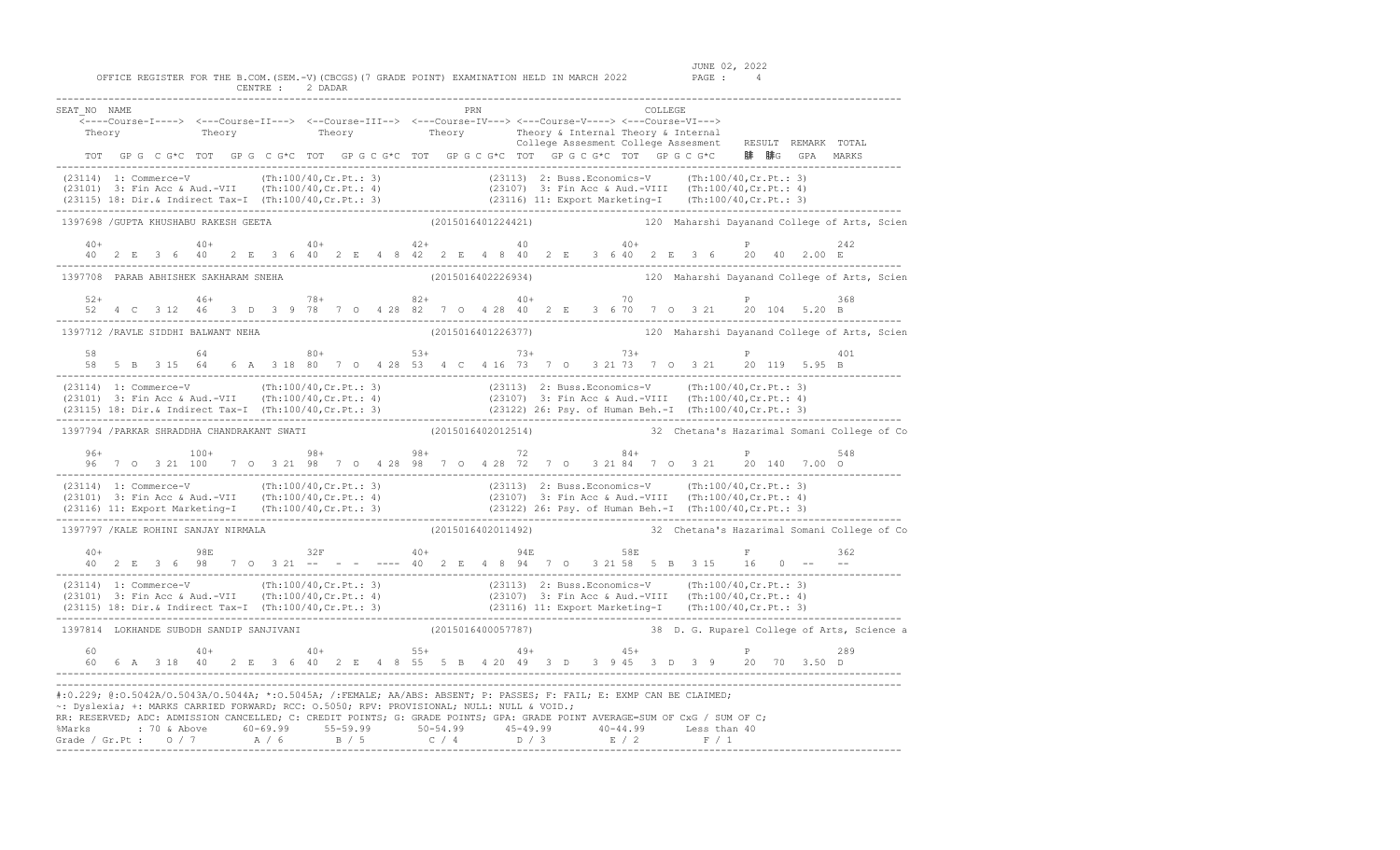| SEAT NO NAME                                                                                                                                                                                                                                                                                                                                                                                                                                                                                   |  |  |  |    |  |  |  |  |  |                                                            |  | PRN |                    |  |  |  |       | COLLEGE | <---Course-I----> <---Course-II---> <--Course-III--> <---Course-IV---> <---Course-V----> <---Course-VI---> |  |  | Theory (Theory of Theory Theory Theory & Internal Theory & Internal Theory (Theory Theory Theory Theory Theory<br>Theory Theory Theory Theory (College Assesment College Assesment RESULT REMARK TOTAL          |  |
|------------------------------------------------------------------------------------------------------------------------------------------------------------------------------------------------------------------------------------------------------------------------------------------------------------------------------------------------------------------------------------------------------------------------------------------------------------------------------------------------|--|--|--|----|--|--|--|--|--|------------------------------------------------------------|--|-----|--------------------|--|--|--|-------|---------|------------------------------------------------------------------------------------------------------------|--|--|-----------------------------------------------------------------------------------------------------------------------------------------------------------------------------------------------------------------|--|
|                                                                                                                                                                                                                                                                                                                                                                                                                                                                                                |  |  |  |    |  |  |  |  |  |                                                            |  |     |                    |  |  |  |       |         | TOT GPG CG*C TOT GPG CG*C TOT GPG CG*C TOT GPG CG*C TOT GPG CG*C TOT GPG CG*C 腓 腓G GPA MARKS               |  |  |                                                                                                                                                                                                                 |  |
| (23114) 1: Commerce-V (Th:100/40,Cr.Pt.: 3) (23113) 2: Buss.Economics-V (Th:100/40,Cr.Pt.: 3)<br>(23101) 3: Fin Acc & Aud.-VII (Th:100/40,Cr.Pt.: 4) (23107) 3: Fin Acc & Aud.-VIII (Th:100/40,Cr.Pt.: 4)<br>(23115) 18: Dir.& Indir                                                                                                                                                                                                                                                           |  |  |  |    |  |  |  |  |  |                                                            |  |     |                    |  |  |  |       |         |                                                                                                            |  |  |                                                                                                                                                                                                                 |  |
| 1397698 /GUPTA KHUSHABU RAKESH GEETA (2015016401224421) 120 Maharshi Dayanand College of Arts, Scien                                                                                                                                                                                                                                                                                                                                                                                           |  |  |  |    |  |  |  |  |  |                                                            |  |     |                    |  |  |  |       |         |                                                                                                            |  |  |                                                                                                                                                                                                                 |  |
| $40+$                                                                                                                                                                                                                                                                                                                                                                                                                                                                                          |  |  |  |    |  |  |  |  |  | $40+$ $42+$ $42+$ $40$<br>-------------------------------- |  |     |                    |  |  |  | $40+$ |         | 40 2 E 3 6 40 2 E 3 6 40 2 E 4 8 42 2 E 4 8 40 2 E 3 6 40 2 E 3 6 20 40 2.00 E                             |  |  | 2.42                                                                                                                                                                                                            |  |
| 1397708 PARAB ABHISHEK SAKHARAM SNEHA                                                                                                                                                                                                                                                                                                                                                                                                                                                          |  |  |  |    |  |  |  |  |  |                                                            |  |     | (2015016402226934) |  |  |  |       |         |                                                                                                            |  |  | 120 Maharshi Dayanand College of Arts, Scien                                                                                                                                                                    |  |
| $52+$                                                                                                                                                                                                                                                                                                                                                                                                                                                                                          |  |  |  |    |  |  |  |  |  |                                                            |  |     |                    |  |  |  |       |         |                                                                                                            |  |  | 368                                                                                                                                                                                                             |  |
| 1397712 / RAVLE SIDDHI BALWANT NEHA                                                                                                                                                                                                                                                                                                                                                                                                                                                            |  |  |  |    |  |  |  |  |  |                                                            |  |     | (2015016401226377) |  |  |  |       |         |                                                                                                            |  |  | 120 Maharshi Dayanand College of Arts, Scien                                                                                                                                                                    |  |
| 58                                                                                                                                                                                                                                                                                                                                                                                                                                                                                             |  |  |  | 64 |  |  |  |  |  | $80+$ 53+                                                  |  |     |                    |  |  |  |       |         | $73+$ $73+$<br>58 5 B 3 15 64 6 A 3 18 80 7 0 4 28 53 4 C 4 16 73 7 0 3 21 73 7 0 3 21 20 119 5.95 B       |  |  | 401                                                                                                                                                                                                             |  |
| (23114) 1: Commerce-V (Th:100/40,Cr.Pt.: 3) (23113) 2: Buss.Economics-V (Th:100/40,Cr.Pt.: 3)<br>(23101) 3: Fin Acc & Aud.-VII (Th:100/40,Cr.Pt.: 4) (23107) 3: Fin Acc & Aud.-VIII (Th:100/40,Cr.Pt.: 4)<br>(23115) 18: Dir.& Indi                                                                                                                                                                                                                                                            |  |  |  |    |  |  |  |  |  |                                                            |  |     |                    |  |  |  |       |         |                                                                                                            |  |  |                                                                                                                                                                                                                 |  |
| 1397794 / PARKAR SHRADDHA CHANDRAKANT SWATI                                                                                                                                                                                                                                                                                                                                                                                                                                                    |  |  |  |    |  |  |  |  |  |                                                            |  |     |                    |  |  |  |       |         |                                                                                                            |  |  | (2015016402012514) 32 Chetana's Hazarimal Somani College of Co                                                                                                                                                  |  |
|                                                                                                                                                                                                                                                                                                                                                                                                                                                                                                |  |  |  |    |  |  |  |  |  |                                                            |  |     |                    |  |  |  |       |         | 96+<br>96 7 0 3 21 100 7 0 3 21 98 7 0 4 28 98 7 0 4 28 72 7 0 3 21 84 7 0 3 21 20 140 7.00 0              |  |  | 548                                                                                                                                                                                                             |  |
| (23114) 1: Commerce-V (Th:100/40,Cr.Pt.: 3) (23113) 2: Buss.Economics-V (Th:100/40,Cr.Pt.: 3)<br>(23101) 3: Fin Acc & Aud.-VII (Th:100/40,Cr.Pt.: 4) (23107) 3: Fin Acc & Aud.-VIII (Th:100/40,Cr.Pt.: 4)<br>(23116) 11: Export Mark                                                                                                                                                                                                                                                           |  |  |  |    |  |  |  |  |  |                                                            |  |     |                    |  |  |  |       |         |                                                                                                            |  |  |                                                                                                                                                                                                                 |  |
| 1397797 / KALE ROHINI SANJAY NIRMALA                                                                                                                                                                                                                                                                                                                                                                                                                                                           |  |  |  |    |  |  |  |  |  |                                                            |  |     |                    |  |  |  |       |         |                                                                                                            |  |  |                                                                                                                                                                                                                 |  |
|                                                                                                                                                                                                                                                                                                                                                                                                                                                                                                |  |  |  |    |  |  |  |  |  |                                                            |  |     |                    |  |  |  |       |         | ____________________________________                                                                       |  |  | 1797 / KALE ROHINI SANJAY NIRMALA (2015016402011492)<br>98 32 2 2 3 6 98 7 0 3 21 --- ----- 40 2 6 4 8 94 7 0 3 21 58 5 8 3 15 16 0 -----<br>98 7 0 3 21 --- ---- 40 2 6 4 8 94 7 0 3 21 58 5 8 3 15 16 0 ----- |  |
| $(23114) 1: Commerce-V (Th:100/40, Cr.Pt.: 3) (23113) 2: Buss.Economics-V (Th:100/40, Cr.Pt.: 3) (23101) 3: Fin Acc & Aud.-VII (Th:100/40, Cr.Pt.: 4) (23107) 3: Fin Acc & Aud.-VIII (Th:100/40, Cr.Pt.: 4) (23115) 18: Dir.S. Indirect Tax-I (Th:100/40, Cr.Pt.: 3) (23116) 11: Expert Marketing-I (Th:100/40, Cr.Pt.: 3) (23117) (Th:100/40, Cr.P$                                                                                                                                           |  |  |  |    |  |  |  |  |  |                                                            |  |     |                    |  |  |  |       |         |                                                                                                            |  |  |                                                                                                                                                                                                                 |  |
| 1397814 LOKHANDE SUBODH SANDIP SANJIVANI                                                                                                                                                                                                                                                                                                                                                                                                                                                       |  |  |  |    |  |  |  |  |  |                                                            |  |     |                    |  |  |  |       |         |                                                                                                            |  |  | (2015016400057787) 38 D. G. Ruparel College of Arts, Science a                                                                                                                                                  |  |
|                                                                                                                                                                                                                                                                                                                                                                                                                                                                                                |  |  |  |    |  |  |  |  |  |                                                            |  |     |                    |  |  |  |       |         |                                                                                                            |  |  | 289                                                                                                                                                                                                             |  |
| #:0.229; @:0.5042A/0.5043A/0.5044A; *:0.5045A; /:FEMALE; AA/ABS: ABSENT; P: PASSES; F: FAIL; E: EXMP CAN BE CLAIMED;<br>~: Dyslexia; +: MARKS CARRIED FORWARD; RCC: 0.5050; RPV: PROVISIONAL; NULL: NULL & VOID.;<br>RR: RESERVED; ADC: ADMISSION CANCELLED; C: CREDIT POINTS; G: GRADE POINTS; GPA: GRADE POINT AVERAGE=SUM OF CxG / SUM OF C;<br>% Marks : 70 & Above 60-69.99 55-59.99 50-54.99 45-49.99 40-44.99 Less than 40<br>Grade / Gr.Pt : 0 / 7 A / 6 B / 5 C / 4 D / 3 E / 2 F / 1 |  |  |  |    |  |  |  |  |  |                                                            |  |     |                    |  |  |  |       |         |                                                                                                            |  |  |                                                                                                                                                                                                                 |  |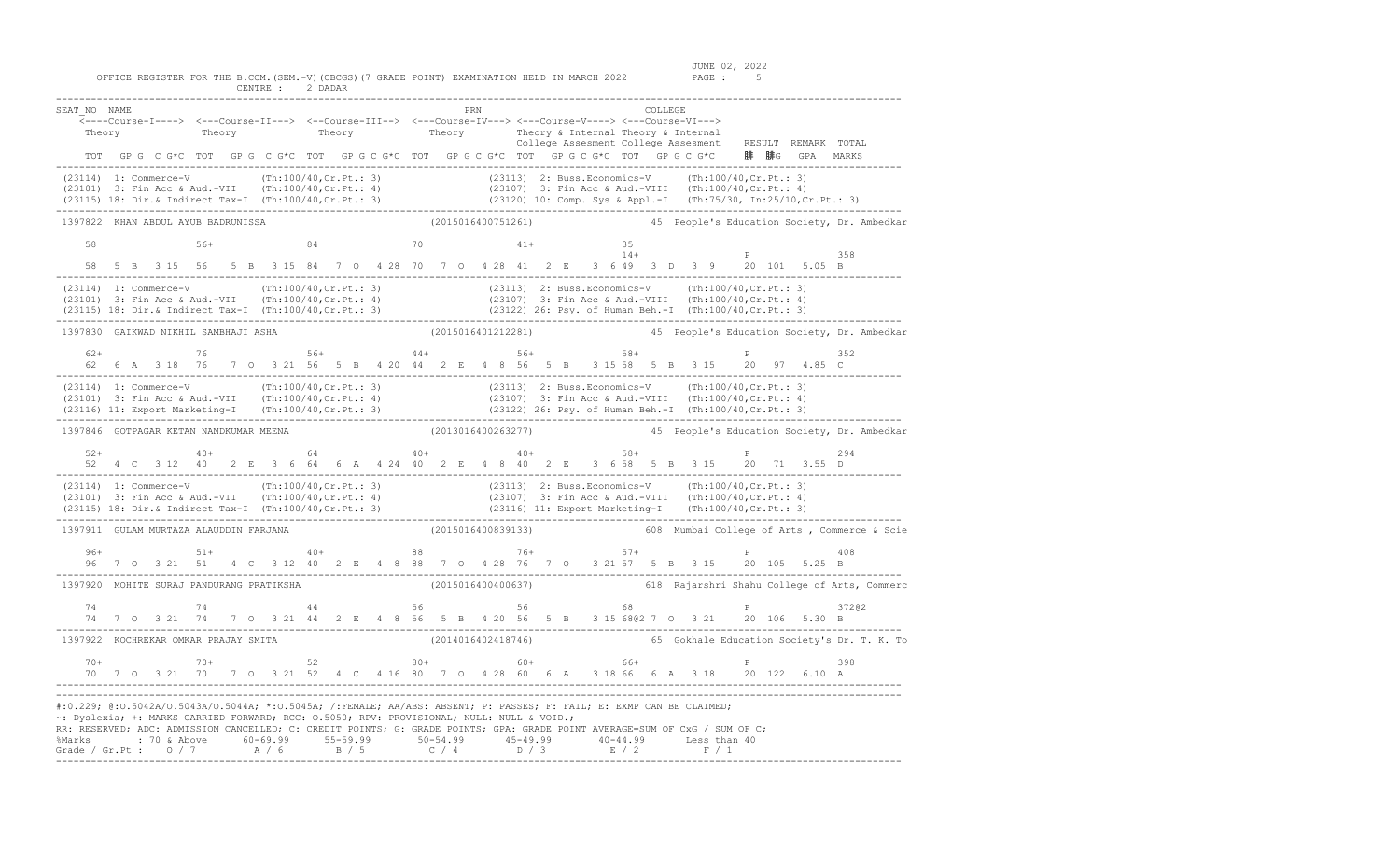| SEAT NO NAME                                                                                                                                                                                                                                                                                                                                                                                                                                                                                  |  |  |  |    |  |  |    |  |  |  |                            |                    | PRN |  |    |  |  |                | COLLEGE |       |  |    |   |                                                                                                                                                                                     |       |                                                                |
|-----------------------------------------------------------------------------------------------------------------------------------------------------------------------------------------------------------------------------------------------------------------------------------------------------------------------------------------------------------------------------------------------------------------------------------------------------------------------------------------------|--|--|--|----|--|--|----|--|--|--|----------------------------|--------------------|-----|--|----|--|--|----------------|---------|-------|--|----|---|-------------------------------------------------------------------------------------------------------------------------------------------------------------------------------------|-------|----------------------------------------------------------------|
| <----Course-I----> <---Course-II---> <--Course-III--> <---Course-IV---> <---Course-V----> <---Course-VI--->                                                                                                                                                                                                                                                                                                                                                                                   |  |  |  |    |  |  |    |  |  |  |                            |                    |     |  |    |  |  |                |         |       |  |    |   |                                                                                                                                                                                     |       |                                                                |
|                                                                                                                                                                                                                                                                                                                                                                                                                                                                                               |  |  |  |    |  |  |    |  |  |  |                            |                    |     |  |    |  |  |                |         |       |  |    |   | Theory (Theory Theory Theory Subsection of Theory Subsection of Theory Subsection of Theory Theory (Theory Theory Theory College Assessment College Assessment RESULT REMARK TOTAL  |       |                                                                |
|                                                                                                                                                                                                                                                                                                                                                                                                                                                                                               |  |  |  |    |  |  |    |  |  |  |                            |                    |     |  |    |  |  |                |         |       |  |    |   | TOT GPG CG*C TOT GPG CG*C TOT GPG CG*C TOT GPG CG*C TOT GPG CG*C TOT GPG CG*C 腓 腓G GPA MARKS                                                                                        |       |                                                                |
| (23114) 1: Commerce-V (Th:100/40, Cr. Pt.: 3) (23113) 2: Buss. Economics-V (Th:100/40, Cr. Pt.: 3)<br>(23101) 3: Fin Acc & Aud.-VII (Th:100/40, Cr. Pt.: 4) (23107) 3: Fin Acc & Aud.-VIII (Th:100/40, Cr. Pt.: 4)<br>(23115) 18: D                                                                                                                                                                                                                                                           |  |  |  |    |  |  |    |  |  |  |                            |                    |     |  |    |  |  |                |         |       |  |    |   |                                                                                                                                                                                     |       |                                                                |
| 1397822 KHAN ABDUL AYUB BADRUNISSA                                                                                                                                                                                                                                                                                                                                                                                                                                                            |  |  |  |    |  |  |    |  |  |  |                            |                    |     |  |    |  |  |                |         |       |  |    |   |                                                                                                                                                                                     |       | (2015016400751261) 45 People's Education Society, Dr. Ambedkar |
| 58                                                                                                                                                                                                                                                                                                                                                                                                                                                                                            |  |  |  |    |  |  |    |  |  |  | $56+$ 84 70 41+            |                    |     |  |    |  |  | 35             |         |       |  |    |   |                                                                                                                                                                                     |       |                                                                |
|                                                                                                                                                                                                                                                                                                                                                                                                                                                                                               |  |  |  |    |  |  |    |  |  |  |                            |                    |     |  |    |  |  |                |         | $14+$ |  |    | P | 58 5 B 3 15 56 5 B 3 15 84 7 O 4 28 70 7 O 4 28 41 2 E 3 6 49 3 D 3 9 20 101 5.05 B                                                                                                 | 358   |                                                                |
| (23114) 1: Commerce-V (Th:100/40,Cr.Pt.: 3) (23113) 2: Buss.Economics-V (Th:100/40,Cr.Pt.: 3)<br>(23101) 3: Fin Acc & Aud.-VII (Th:100/40,Cr.Pt.: 4) (23107) 3: Fin Acc & Aud.-VIII (Th:100/40,Cr.Pt.: 4)<br>(23115) 18: Dir.& Indi                                                                                                                                                                                                                                                           |  |  |  |    |  |  |    |  |  |  | _______________________    |                    |     |  |    |  |  |                |         |       |  |    |   |                                                                                                                                                                                     |       |                                                                |
| 1397830 GAIKWAD NIKHIL SAMBHAJI ASHA                                                                                                                                                                                                                                                                                                                                                                                                                                                          |  |  |  |    |  |  |    |  |  |  |                            |                    |     |  |    |  |  |                |         |       |  |    |   |                                                                                                                                                                                     |       | (2015016401212281) 45 People's Education Society, Dr. Ambedkar |
| $62+$                                                                                                                                                                                                                                                                                                                                                                                                                                                                                         |  |  |  |    |  |  |    |  |  |  | $76$ 56+ 56+ $44+$ 56+ 58+ |                    |     |  |    |  |  |                |         |       |  |    |   | 62  6  A  3  18  76  7  0  3  21  56  5  B  4  20  44  2  E  4  8  56  5  B  315  58  5  B  315  20  97  4.85  C                                                                    | 352   |                                                                |
| (23114) 1: Commerce-V (Th:100/40,Cr.Pt.: 3) (23113) 2: Buss.Economics-V (Th:100/40,Cr.Pt.: 3)<br>(23101) 3: Fin Acc & Aud.-VII (Th:100/40,Cr.Pt.: 4) (23107) 3: Fin Acc & Aud.-VIII (Th:100/40,Cr.Pt.: 4)<br>(23116) 11: Export Mark                                                                                                                                                                                                                                                          |  |  |  |    |  |  |    |  |  |  |                            |                    |     |  |    |  |  |                |         |       |  |    |   |                                                                                                                                                                                     |       |                                                                |
| 1397846 GOTPAGAR KETAN NANDKUMAR MEENA                                                                                                                                                                                                                                                                                                                                                                                                                                                        |  |  |  |    |  |  |    |  |  |  |                            |                    |     |  |    |  |  |                |         |       |  |    |   |                                                                                                                                                                                     |       | (2013016400263277) 45 People's Education Society, Dr. Ambedkar |
| $52+$ $40+$ $64$ $40+$ $40+$ $58+$                                                                                                                                                                                                                                                                                                                                                                                                                                                            |  |  |  |    |  |  |    |  |  |  |                            |                    |     |  |    |  |  |                |         |       |  |    |   | P 294<br>52 4 C 3 12 40 2 E 3 6 64 6 A 4 24 40 2 E 4 8 40 2 E 3 6 58 5 B 3 15 20 71 3.55 D                                                                                          |       |                                                                |
| (23114) 1: Commerce-V (Th:100/40,Cr.Pt.: 3) (23113) 2: Buss.Economics-V (Th:100/40,Cr.Pt.: 3)<br>(23101) 3: Fin Acc & Aud.-VII (Th:100/40,Cr.Pt.: 4) (23107) 3: Fin Acc & Aud.-VIII (Th:100/40,Cr.Pt.: 4)<br>(23115) 18: Dir.& Indi                                                                                                                                                                                                                                                           |  |  |  |    |  |  |    |  |  |  |                            |                    |     |  |    |  |  |                |         |       |  |    |   |                                                                                                                                                                                     |       |                                                                |
| 1397911 GULAM MURTAZA ALAUDDIN FARJANA                                                                                                                                                                                                                                                                                                                                                                                                                                                        |  |  |  |    |  |  |    |  |  |  | (2015016400839133)         |                    |     |  |    |  |  |                |         |       |  |    |   |                                                                                                                                                                                     |       | 608 Mumbai College of Arts, Commerce & Scie                    |
| $96+$                                                                                                                                                                                                                                                                                                                                                                                                                                                                                         |  |  |  |    |  |  |    |  |  |  |                            |                    |     |  |    |  |  |                |         |       |  |    |   | 96+<br>96 7 0 3 21 51 4 C 3 12 40 2 E 4 8 88 7 0 4 28 76 7 0 3 21 57 5 B 3 15 20 105 5.25 B<br>96 7 0 3 21 51 4 C 3 12 40 2 E 4 8 88 7 0 4 28 76 7 0 3 21 57 5 B 3 15 20 105 5.25 B |       |                                                                |
| 1397920 MOHITE SURAJ PANDURANG PRATIKSHA                                                                                                                                                                                                                                                                                                                                                                                                                                                      |  |  |  |    |  |  |    |  |  |  |                            | (2015016400400637) |     |  |    |  |  |                |         |       |  |    |   |                                                                                                                                                                                     |       | 618 Rajarshri Shahu College of Arts, Commerc                   |
| 74                                                                                                                                                                                                                                                                                                                                                                                                                                                                                            |  |  |  | 74 |  |  | 44 |  |  |  | 56                         |                    |     |  | 56 |  |  |                |         | 68    |  | P. |   | 74 7 0 3 21 74 7 0 3 21 44 2 E 4 8 56 5 B 4 20 56 5 B 3 15 680 2 7 0 3 21 20 106 5.30 B                                                                                             | 37202 |                                                                |
| 1397922 KOCHREKAR OMKAR PRAJAY SMITA                                                                                                                                                                                                                                                                                                                                                                                                                                                          |  |  |  |    |  |  |    |  |  |  |                            |                    |     |  |    |  |  |                |         |       |  |    |   |                                                                                                                                                                                     |       | (2014016402418746) 65 Gokhale Education Society's Dr. T. K. To |
|                                                                                                                                                                                                                                                                                                                                                                                                                                                                                               |  |  |  |    |  |  |    |  |  |  |                            |                    |     |  |    |  |  |                |         |       |  |    |   |                                                                                                                                                                                     | 398   |                                                                |
| $70+$<br>$70+$<br>$70-3$<br>$71-7$<br>$70-3$<br>$71-7$<br>$70-3$<br>$71-7$<br>$71-7$<br>$71-7$<br>$71-7$<br>$71-7$<br>$71-7$<br>$71-7$<br>$71-7$<br>$71-7$<br>$71-7$<br>$71-7$<br>$71-7$<br>$71-7$<br>$71-7$<br>$71-7$<br>$71-7$<br>$71-7$<br>$71-7$<br>$71-7$<br>$71-7$<br>$71-7$<br>                                                                                                                                                                                                        |  |  |  |    |  |  |    |  |  |  |                            |                    |     |  |    |  |  |                |         |       |  |    |   |                                                                                                                                                                                     |       |                                                                |
| #:0.229; @:0.5042A/0.5043A/0.5044A; *:0.5045A; /:FEMALE; AA/ABS: ABSENT; P: PASSES; F: FAIL; E: EXMP CAN BE CLAIMED;<br>~: Dyslexia; +: MARKS CARRIED FORWARD; RCC: 0.5050; RPV: PROVISIONAL; NULL: NULL & VOID.;<br>RR: RESERVED; ADC: ADMISSION CANCELLED; C: CREDIT POINTS; G: GRADE POINTS; GPA: GRADE POINT AVERAGE=SUM OF CxG / SUM OF C;<br>%Marks : 70 & Above 60-69.99 55-59.99 50-54.99 45-49.99 40-44.99 Less than 40<br>Grade / Gr.Pt : 0 / 7 A / 6 B / 5 C / 4 D / 3 E / 2 F / 1 |  |  |  |    |  |  |    |  |  |  |                            |                    |     |  |    |  |  | -------------- |         |       |  |    |   |                                                                                                                                                                                     |       |                                                                |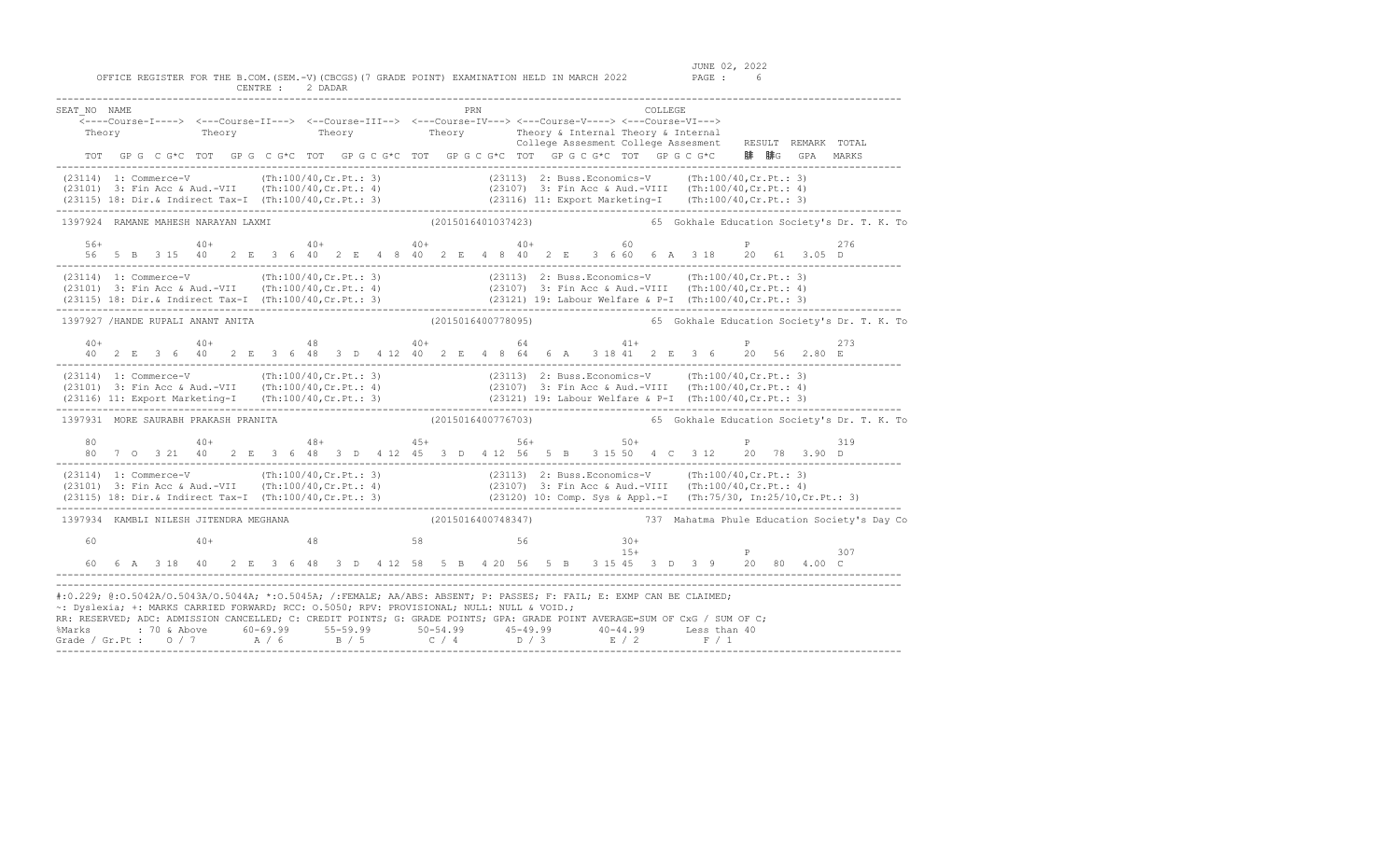OFFICE REGISTER FOR THE B.COM. (SEM.-V) (CBCGS) (7 GRADE POINT) EXAMINATION HELD IN MARCH 2022 CENTRE : 2 DADAR

| SEAT NO NAME<br>Theory                                                                                                                                                                                                                                                                                                                                                                                                                                                                        |  |  |       |  |  |  |  |  | PRN |  |  |  | COLLEGE | Theory Theory Theory Theory Theory & Internal Theory & Internal<br>College Assesment College Assesment                                                                                                                        |  |                                                                                                                     | College Assesment College Assesment RESULT REMARK TOTAL                                                                                                                                                                                                                                                                                   |
|-----------------------------------------------------------------------------------------------------------------------------------------------------------------------------------------------------------------------------------------------------------------------------------------------------------------------------------------------------------------------------------------------------------------------------------------------------------------------------------------------|--|--|-------|--|--|--|--|--|-----|--|--|--|---------|-------------------------------------------------------------------------------------------------------------------------------------------------------------------------------------------------------------------------------|--|---------------------------------------------------------------------------------------------------------------------|-------------------------------------------------------------------------------------------------------------------------------------------------------------------------------------------------------------------------------------------------------------------------------------------------------------------------------------------|
|                                                                                                                                                                                                                                                                                                                                                                                                                                                                                               |  |  |       |  |  |  |  |  |     |  |  |  |         |                                                                                                                                                                                                                               |  | TOT GPG CG*C TOT GPG CG*C TOT GPG CG*C TOT GPG CG*C TOT GPG CG*C TOT GPG CG*C 腓腓G GPA MARKS                         |                                                                                                                                                                                                                                                                                                                                           |
| (23114) 1: Commerce-V (Th:100/40,Cr.Pt.: 3) (23113) 2: Buss.Economics-V (Th:100/40,Cr.Pt.: 3)<br>(23101) 3: Fin Acc & Aud.-VII (Th:100/40,Cr.Pt.: 4) (23107) 3: Fin Acc & Aud.-VIII (Th:100/40,Cr.Pt.: 4)<br>(23115) 18: Dir.& In                                                                                                                                                                                                                                                             |  |  |       |  |  |  |  |  |     |  |  |  |         |                                                                                                                                                                                                                               |  |                                                                                                                     |                                                                                                                                                                                                                                                                                                                                           |
| 1397924 RAMANE MAHESH NARAYAN LAXMI                                                                                                                                                                                                                                                                                                                                                                                                                                                           |  |  |       |  |  |  |  |  |     |  |  |  |         |                                                                                                                                                                                                                               |  |                                                                                                                     | (2015016401037423) 65 Gokhale Education Society's Dr. T. K. To                                                                                                                                                                                                                                                                            |
|                                                                                                                                                                                                                                                                                                                                                                                                                                                                                               |  |  |       |  |  |  |  |  |     |  |  |  |         | $56+$ $40+$ $40+$ $40+$ $40+$ $40+$ $40+$ $40+$ $40+$ $40+$ $40+$ $40+$ $40+$ $40+$ $40+$ $40+$ $40+$ $40+$ $40+$ $40+$ $40+$ $40+$ $40+$ $40+$ $40+$ $40+$ $40+$ $40+$ $40+$ $40+$ $40+$ $40+$ $40+$ $40+$ $40+$ $40+$ $40+$ |  | P<br>56 5 B 3 15 40 2 E 3 6 40 2 E 4 8 40 2 E 4 8 40 2 E 3 6 60 6 A 3 18 20 61 3.05 D                               | 276                                                                                                                                                                                                                                                                                                                                       |
|                                                                                                                                                                                                                                                                                                                                                                                                                                                                                               |  |  |       |  |  |  |  |  |     |  |  |  |         |                                                                                                                                                                                                                               |  |                                                                                                                     | (23114) 1: Commerce-V (Th:100/40,Cr.Pt.: 3) (23113) 2: Buss.Economics-V (Th:100/40,Cr.Pt.: 3)<br>(23101) 3: Fin Acc & Aud.-VII (Th:100/40,Cr.Pt.: 4) (23107) 3: Fin Acc & Aud.-VIII (Th:100/40,Cr.Pt.: 4)<br>(23115) 18: Dir.& Indi                                                                                                       |
| 1397927 /HANDE RUPALI ANANT ANITA                                                                                                                                                                                                                                                                                                                                                                                                                                                             |  |  |       |  |  |  |  |  |     |  |  |  |         |                                                                                                                                                                                                                               |  |                                                                                                                     | (2015016400778095) 65 Gokhale Education Society's Dr. T. K. To                                                                                                                                                                                                                                                                            |
|                                                                                                                                                                                                                                                                                                                                                                                                                                                                                               |  |  |       |  |  |  |  |  |     |  |  |  |         |                                                                                                                                                                                                                               |  |                                                                                                                     | 273                                                                                                                                                                                                                                                                                                                                       |
|                                                                                                                                                                                                                                                                                                                                                                                                                                                                                               |  |  |       |  |  |  |  |  |     |  |  |  |         |                                                                                                                                                                                                                               |  |                                                                                                                     | $(23114) 1: Commerce-V (Th:100/40, Cr.Pt.: 3) (23113) 2: Buss.Economics-V (Th:100/40,Cr.Pt.: 3) (23101) 3: Fin Acc & Aud.-VII (Th:100/40,Cr.Pt.: 4) (23101) 3: Fin Acc & Aud.-VIII (Th:100/40,Cr.Pt.: 4) (23116) 11: Export Marketing-I (Th:100/40,Cr.Pt.: 3) (23121) 19: Labor Welfare & P-I (Th:100/40,Cr.Pt.: 3) (2312) (2312) (2312)$ |
| 1397931 MORE SAURABH PRAKASH PRANITA                                                                                                                                                                                                                                                                                                                                                                                                                                                          |  |  |       |  |  |  |  |  |     |  |  |  |         |                                                                                                                                                                                                                               |  |                                                                                                                     | (2015016400776703)   65 Gokhale Education Society's Dr. T. K. To                                                                                                                                                                                                                                                                          |
| 80                                                                                                                                                                                                                                                                                                                                                                                                                                                                                            |  |  |       |  |  |  |  |  |     |  |  |  |         | $40+$ $48+$ $45+$ $56+$ $50+$                                                                                                                                                                                                 |  | 80 7 0 3 21 40 2 E 3 6 48 3 D 4 12 45 3 D 4 12 56 5 B 3 15 50 4 C 3 12 20 78 3.90 D                                 | 319                                                                                                                                                                                                                                                                                                                                       |
|                                                                                                                                                                                                                                                                                                                                                                                                                                                                                               |  |  |       |  |  |  |  |  |     |  |  |  |         |                                                                                                                                                                                                                               |  |                                                                                                                     | (23114) 1: Commerce-V (Th:100/40,Cr.Pt.: 3) (23113) 2: Buss.Economics-V (Th:100/40,Cr.Pt.: 3)<br>(23101) 3: Fin Acc & Aud.-VII (Th:100/40,Cr.Pt.: 4) (23107) 3: Fin Acc & Aud.-VIII (Th:100/40,Cr.Pt.: 4)<br>(23115) 18: Dir.& Indir                                                                                                      |
| 1397934 KAMBLI NILESH JITENDRA MEGHANA                                                                                                                                                                                                                                                                                                                                                                                                                                                        |  |  |       |  |  |  |  |  |     |  |  |  |         |                                                                                                                                                                                                                               |  |                                                                                                                     |                                                                                                                                                                                                                                                                                                                                           |
| 60                                                                                                                                                                                                                                                                                                                                                                                                                                                                                            |  |  | $40+$ |  |  |  |  |  |     |  |  |  |         |                                                                                                                                                                                                                               |  | $48$ 58 56 30+<br>15+ P                                                                                             | 307                                                                                                                                                                                                                                                                                                                                       |
|                                                                                                                                                                                                                                                                                                                                                                                                                                                                                               |  |  |       |  |  |  |  |  |     |  |  |  |         |                                                                                                                                                                                                                               |  | 60  6  A  3  18  40  2  E  3  6  48  3  D  4  12  58  5  B  4  20  56  5  B  3  15  45  3  D  3  9  20  80  4.00  C |                                                                                                                                                                                                                                                                                                                                           |
| #:0.229; @:0.5042A/0.5043A/0.5044A; *:0.5045A; /:FEMALE; AA/ABS: ABSENT; P: PASSES; F: FAIL; E: EXMP CAN BE CLAIMED;<br>~: Dyslexia; +: MARKS CARRIED FORWARD; RCC: 0.5050; RPV: PROVISIONAL; NULL: NULL & VOID.;<br>RR: RESERVED; ADC: ADMISSION CANCELLED; C: CREDIT POINTS; G: GRADE POINTS; GPA: GRADE POINT AVERAGE=SUM OF CxG / SUM OF C;<br>%Marks : 70 & Above 60-69.99 55-59.99 50-54.99 45-49.99 40-44.99 Less than 40<br>Grade / Gr.Pt : $0/7$ $A/6$ $B/5$ $C/4$ $D/3$ $E/2$ $F/1$ |  |  |       |  |  |  |  |  |     |  |  |  |         |                                                                                                                                                                                                                               |  |                                                                                                                     |                                                                                                                                                                                                                                                                                                                                           |

-------------------------------------------------------------------------------------------------------------------------------------------------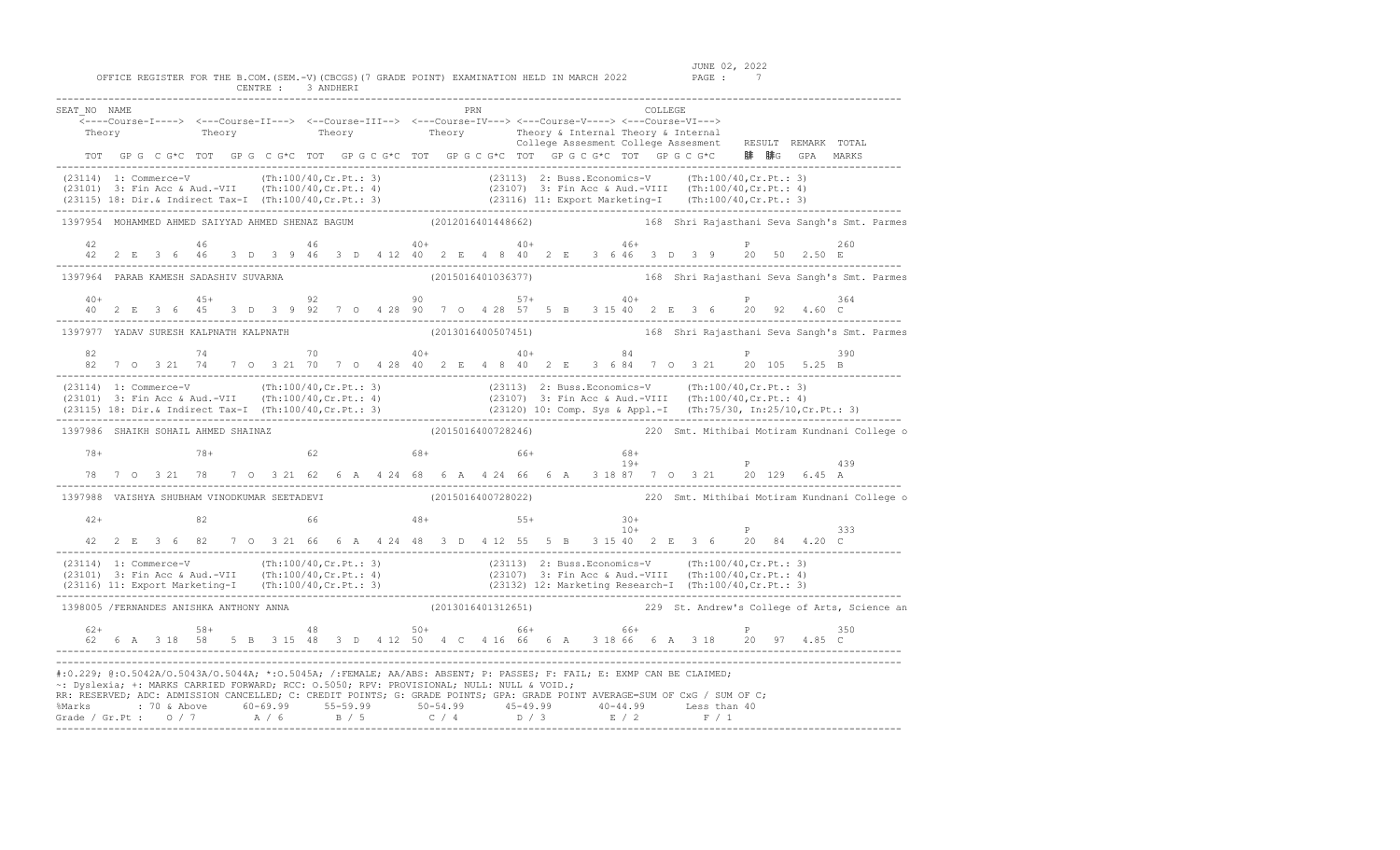| SEAT NO NAME<br>Theory                                                                                                                                                                                                                                                                                                                                                                                                                                                                        |  |  | <----Course-I----> <---Course-II---> <--Course-III--> <--Course-IV---> <---Course-V----> <---Course-VI---><br>Theory Theory Theory Theory Theory & Internal Theory & Internal |  |  |  |  |  |  | PRN |  |  |                                 |              | COLLEGE |  |                                      | College Assesment College Assesment RESULT REMARK TOTAL<br>TOT GP G C G*C TOT GP G C G*C TOT GP G C G*C TOT GP G C G*C TOT GP G C G*C TOT GP G C G*C 腓 腓G GPA MARKS                                           |     |  |
|-----------------------------------------------------------------------------------------------------------------------------------------------------------------------------------------------------------------------------------------------------------------------------------------------------------------------------------------------------------------------------------------------------------------------------------------------------------------------------------------------|--|--|-------------------------------------------------------------------------------------------------------------------------------------------------------------------------------|--|--|--|--|--|--|-----|--|--|---------------------------------|--------------|---------|--|--------------------------------------|---------------------------------------------------------------------------------------------------------------------------------------------------------------------------------------------------------------|-----|--|
| (23114) 1: Commerce-V (Th:100/40,Cr.Pt.: 3) (23113) 2: Buss.Economics-V (Th:100/40,Cr.Pt.: 3)<br>(23101) 3: Fin Acc & Aud.-VII (Th:100/40,Cr.Pt.: 4) (23107) 3: Fin Acc & Aud.-VIII (Th:100/40,Cr.Pt.: 4)<br>(23115) 18: Dir.& Indi                                                                                                                                                                                                                                                           |  |  |                                                                                                                                                                               |  |  |  |  |  |  |     |  |  |                                 |              |         |  |                                      |                                                                                                                                                                                                               |     |  |
| 1397954 MOHAMMED AHMED SAIYYAD AHMED SHENAZ BAGUM (2012016401448662)                                                                                                                                                                                                                                                                                                                                                                                                                          |  |  |                                                                                                                                                                               |  |  |  |  |  |  |     |  |  |                                 |              |         |  |                                      | 168 Shri Rajasthani Seva Sangh's Smt. Parmes                                                                                                                                                                  |     |  |
| 42                                                                                                                                                                                                                                                                                                                                                                                                                                                                                            |  |  | 46                                                                                                                                                                            |  |  |  |  |  |  |     |  |  | $46 + 40 + 40 + 40 + 40 + 46 +$ |              |         |  | P                                    | 42  2  E  3  6  46  3  D  3  9  46  3  D  4  12  40  2  E  4  8  40  2  E  3  6  46  3  D  3  9  20  50  2.50  E                                                                                              | 260 |  |
| 1397964 PARAB KAMESH SADASHIV SUVARNA                                                                                                                                                                                                                                                                                                                                                                                                                                                         |  |  |                                                                                                                                                                               |  |  |  |  |  |  |     |  |  |                                 |              |         |  |                                      | (2015016401036377) 168 Shri Rajasthani Seva Sangh's Smt. Parmes                                                                                                                                               |     |  |
|                                                                                                                                                                                                                                                                                                                                                                                                                                                                                               |  |  |                                                                                                                                                                               |  |  |  |  |  |  |     |  |  |                                 |              |         |  |                                      |                                                                                                                                                                                                               | 364 |  |
| ------------<br>1397977 YADAV SURESH KALPNATH KALPNATH                                                                                                                                                                                                                                                                                                                                                                                                                                        |  |  |                                                                                                                                                                               |  |  |  |  |  |  |     |  |  |                                 |              |         |  |                                      | (2013016400507451) 168 Shri Rajasthani Seva Sangh's Smt. Parmes                                                                                                                                               |     |  |
|                                                                                                                                                                                                                                                                                                                                                                                                                                                                                               |  |  |                                                                                                                                                                               |  |  |  |  |  |  |     |  |  |                                 |              |         |  |                                      | P 390                                                                                                                                                                                                         |     |  |
| (23114) 1: Commerce-V (Th:100/40,Cr.Pt.: 3) (23113) 2: Buss.Economics-V (Th:100/40,Cr.Pt.: 3)<br>(23101) 3: Fin Acc & Aud.-VII (Th:100/40,Cr.Pt.: 4) (23107) 3: Fin Acc & Aud.-VIII (Th:100/40,Cr.Pt.: 4)<br>(23115) 18: Dir.& Indir                                                                                                                                                                                                                                                          |  |  |                                                                                                                                                                               |  |  |  |  |  |  |     |  |  |                                 |              |         |  |                                      |                                                                                                                                                                                                               |     |  |
| 1397986 SHAIKH SOHAIL AHMED SHAINAZ                                                                                                                                                                                                                                                                                                                                                                                                                                                           |  |  |                                                                                                                                                                               |  |  |  |  |  |  |     |  |  |                                 |              |         |  |                                      | (2015016400728246)                                   220 Smt. Mithibai Motiram Kundnani College o                                                                                                             |     |  |
| 78+                                                                                                                                                                                                                                                                                                                                                                                                                                                                                           |  |  | $78+$ 62 68+ 68+ 66+                                                                                                                                                          |  |  |  |  |  |  |     |  |  |                                 | 68+<br>$19+$ |         |  | $\mathbb P$ . The set of $\mathbb P$ | 78 7 0 3 21 78 7 0 3 21 62 6 A 4 24 68 6 A 4 24 66 6 A 3 18 87 7 0 3 21 20 129 6.45 A                                                                                                                         | 439 |  |
| 1397988 VAISHYA SHUBHAM VINODKUMAR SEETADEVI (2015016400728022) 220 Smt. Mithibai Motiram Kundnani College o                                                                                                                                                                                                                                                                                                                                                                                  |  |  |                                                                                                                                                                               |  |  |  |  |  |  |     |  |  |                                 |              |         |  |                                      |                                                                                                                                                                                                               |     |  |
| $42+$                                                                                                                                                                                                                                                                                                                                                                                                                                                                                         |  |  | 82                                                                                                                                                                            |  |  |  |  |  |  |     |  |  | $66$ $48+$ $55+$ $30+$          | $10+$        |         |  | P                                    |                                                                                                                                                                                                               | 333 |  |
|                                                                                                                                                                                                                                                                                                                                                                                                                                                                                               |  |  |                                                                                                                                                                               |  |  |  |  |  |  |     |  |  |                                 |              |         |  |                                      | 42  2  E  3  6  82  7  0  3  21  66  6  A  4  24  48  3  D  4  12  55  5  B  3  15  40  2  E  3  6  20  84  4.20  C                                                                                           |     |  |
| $(23114) \t1: Commerce-V \t(Th:100/40, Cr.Pt.: 3) \t(23113) \t2: Buss.Economics-V \t(Th:100/40, Cr.Pt.: 3) \t(23101) \t3: Fin Acc & Aud.-VII \t(Th:100/40, Cr.Pt.: 4) \t(23107) \t3: Fin Acc & Aud.-VIII \t(Th:100/40,Cr.Pt.: 4) \t(23116) \t11: Expert Marketing-T \t(Th:100/40,Cr.Pt.: 3) \t(23122) \t12: Marketing Research-I \t(Th:100/40,Cr.Pt$                                                                                                                                          |  |  |                                                                                                                                                                               |  |  |  |  |  |  |     |  |  |                                 |              |         |  |                                      |                                                                                                                                                                                                               |     |  |
| 1398005 /FERNANDES ANISHKA ANTHONY ANNA (2013016401312651) 229 St. Andrew's College of Arts, Science an                                                                                                                                                                                                                                                                                                                                                                                       |  |  |                                                                                                                                                                               |  |  |  |  |  |  |     |  |  |                                 |              |         |  |                                      |                                                                                                                                                                                                               |     |  |
| $62+$                                                                                                                                                                                                                                                                                                                                                                                                                                                                                         |  |  | $58+$ $48$ $50+$ $66+$ $66+$ $66+$                                                                                                                                            |  |  |  |  |  |  |     |  |  |                                 |              |         |  |                                      | $\mathbb{P}$ and $\mathbb{P}$ and $\mathbb{P}$ and $\mathbb{P}$<br>62   6   A   3   18   58   5   B   3   15   48   3   D   412   50   4   C   416   66   6   A   318   66   6   A   318   20   97   4.85   C | 350 |  |
| #:0.229; @:0.5042A/0.5043A/0.5044A; *:0.5045A; /:FEMALE; AA/ABS: ABSENT; P: PASSES; F: FAIL; E: EXMP CAN BE CLAIMED;<br>~: Dyslexia; +: MARKS CARRIED FORWARD; RCC: 0.5050; RPV: PROVISIONAL; NULL: NULL & VOID.;<br>RR: RESERVED; ADC: ADMISSION CANCELLED; C: CREDIT POINTS; G: GRADE POINTS; GPA: GRADE POINT AVERAGE=SUM OF CxG / SUM OF C;<br>%Marks : 70 & Above 60-69.99 55-59.99 50-54.99 45-49.99 40-44.99 Less than 40<br>Grade / Gr.Pt : 0 / 7 A / 6 B / 5 C / 4 D / 3 E / 2 F / 1 |  |  |                                                                                                                                                                               |  |  |  |  |  |  |     |  |  |                                 |              |         |  |                                      |                                                                                                                                                                                                               |     |  |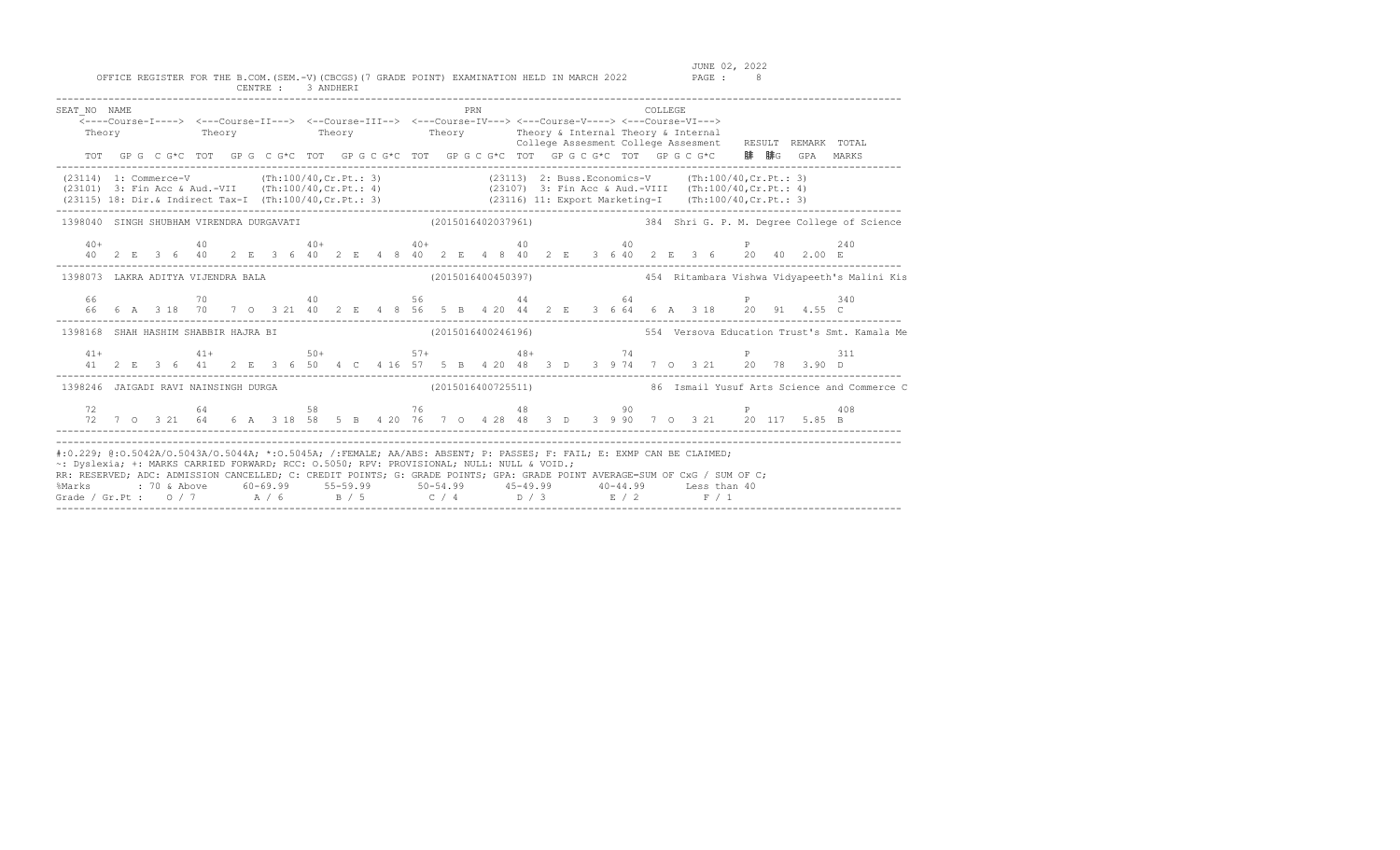OFFICE REGISTER FOR THE B.COM. (SEM.-V) (CBCGS) (7 GRADE POINT) EXAMINATION HELD IN MARCH 2022 CENTRE : 3 ANDHERI

| SEAT NO NAME                                                                                                                                                                                                                                                                                                                                                                                                                                                                                  |  |  | <---Course-I----> <---Course-II---> <--Course-III--> <---Course-IV---> <---Course-V----> <---Course-VI---><br>Theory Theory Theory Theory Theory Theory Theory & Internal Theory & Internal |  |  |  |  |  |  | <b>PRN</b> |  |  |  | <b>COLLEGE</b> |  |  |  |                                                                                                 | College Assesment College Assesment RESULT REMARK TOTAL                                                  |
|-----------------------------------------------------------------------------------------------------------------------------------------------------------------------------------------------------------------------------------------------------------------------------------------------------------------------------------------------------------------------------------------------------------------------------------------------------------------------------------------------|--|--|---------------------------------------------------------------------------------------------------------------------------------------------------------------------------------------------|--|--|--|--|--|--|------------|--|--|--|----------------|--|--|--|-------------------------------------------------------------------------------------------------|----------------------------------------------------------------------------------------------------------|
|                                                                                                                                                                                                                                                                                                                                                                                                                                                                                               |  |  |                                                                                                                                                                                             |  |  |  |  |  |  |            |  |  |  |                |  |  |  | TOT GPG CG*C TOT GPG CG*C TOT GPGCG*C TOT GPGCG*C TOT GPGCG*C TOT GPGCG*C DFGCG*C 腓腓G GPA MARKS |                                                                                                          |
| (23114) 1: Commerce-V (Th:100/40, Cr. Pt.: 3) (23113) 2: Buss.Economics-V (Th:100/40, Cr. Pt.: 3)<br>(23101) 3: Fin Acc & Aud.-VII (Th:100/40, Cr. Pt.: 4) (23107) 3: Fin Acc & Aud.-VIII (Th:100/40, Cr. Pt.: 4)<br>(23115) 18: Dir. & Indirect Tax-I (Th:100/40, Cr. Pt.: 3) (23116) 11: Export Marketing-I (Th:100/40, Cr. Pt.: 3)                                                                                                                                                         |  |  |                                                                                                                                                                                             |  |  |  |  |  |  |            |  |  |  |                |  |  |  |                                                                                                 |                                                                                                          |
|                                                                                                                                                                                                                                                                                                                                                                                                                                                                                               |  |  |                                                                                                                                                                                             |  |  |  |  |  |  |            |  |  |  |                |  |  |  |                                                                                                 | 1398040 SINGH SHUBHAM VIRENDRA DURGAVATI (2015016402037961) 384 Shri G. P. M. Degree College of Science  |
|                                                                                                                                                                                                                                                                                                                                                                                                                                                                                               |  |  |                                                                                                                                                                                             |  |  |  |  |  |  |            |  |  |  |                |  |  |  |                                                                                                 |                                                                                                          |
|                                                                                                                                                                                                                                                                                                                                                                                                                                                                                               |  |  |                                                                                                                                                                                             |  |  |  |  |  |  |            |  |  |  |                |  |  |  |                                                                                                 | 1398073 LAKRA ADITYA VIJENDRA BALA (2015016400450397) 454 Ritambara Vishwa Vidyapeeth's Malini Kis       |
|                                                                                                                                                                                                                                                                                                                                                                                                                                                                                               |  |  |                                                                                                                                                                                             |  |  |  |  |  |  |            |  |  |  |                |  |  |  |                                                                                                 |                                                                                                          |
|                                                                                                                                                                                                                                                                                                                                                                                                                                                                                               |  |  |                                                                                                                                                                                             |  |  |  |  |  |  |            |  |  |  |                |  |  |  |                                                                                                 | 1398168 SHAH HASHIM SHABBIR HAJRA BI (2015016400246196) 554 Versova Education Trust's Smt. Kamala Me     |
|                                                                                                                                                                                                                                                                                                                                                                                                                                                                                               |  |  |                                                                                                                                                                                             |  |  |  |  |  |  |            |  |  |  |                |  |  |  |                                                                                                 |                                                                                                          |
|                                                                                                                                                                                                                                                                                                                                                                                                                                                                                               |  |  |                                                                                                                                                                                             |  |  |  |  |  |  |            |  |  |  |                |  |  |  |                                                                                                 | 1398246 JAIGADI RAVI NAINSINGH DURGA (2015016400725511) 1398246 Ismail Yusuf Arts Science and Commerce C |
|                                                                                                                                                                                                                                                                                                                                                                                                                                                                                               |  |  |                                                                                                                                                                                             |  |  |  |  |  |  |            |  |  |  |                |  |  |  |                                                                                                 |                                                                                                          |
| #:0.229; @:0.5042A/0.5043A/0.5044A; *:0.5045A; /:FEMALE; AA/ABS: ABSENT; P: PASSES; F: FAIL; E: EXMP CAN BE CLAIMED;<br>~: Dyslexia; +: MARKS CARRIED FORWARD; RCC: 0.5050; RPV: PROVISIONAL; NULL: NULL & VOID.;<br>RR: RESERVED; ADC: ADMISSION CANCELLED; C: CREDIT POINTS; G: GRADE POINTS; GPA: GRADE POINT AVERAGE=SUM OF CxG / SUM OF C;<br>%Marks : 70 & Above 60-69.99 55-59.99 50-54.99 45-49.99 40-44.99 Less than 40<br>Grade / Gr.Pt : 0 / 7 A / 6 B / 5 C / 4 D / 3 E / 2 F / 1 |  |  |                                                                                                                                                                                             |  |  |  |  |  |  |            |  |  |  |                |  |  |  |                                                                                                 |                                                                                                          |

-------------------------------------------------------------------------------------------------------------------------------------------------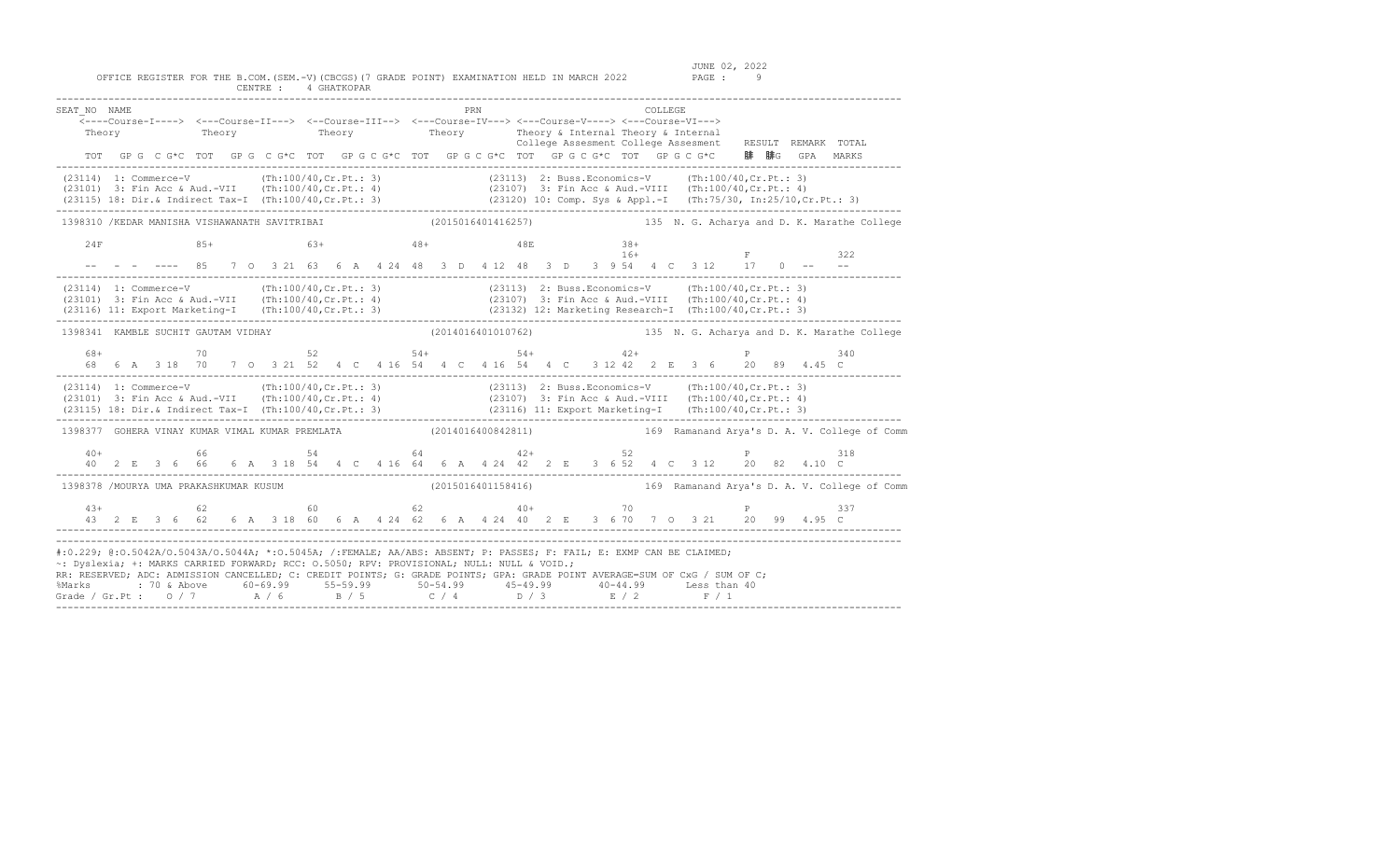JUNE 02, 2022<br>PAGE : 9

| SEAT NO NAME<br>Theory                                                                                                                                                                                                                                                                                                                                                                                                                                                                        |  | <---Course-I----> <---Course-II---> <--Course-III--> <---Course-IV---> <---Course-V----> <---Course-VI---> |                         |  |                    |  | PRN |                                     |  |  |       | COLLEGE |  | Theory Theory Theory Theory Theory & Internal Theory & Internal Theory Theory College Assesment College Assesment RESULT REMARK TOTAL         |                                                                                                                 |
|-----------------------------------------------------------------------------------------------------------------------------------------------------------------------------------------------------------------------------------------------------------------------------------------------------------------------------------------------------------------------------------------------------------------------------------------------------------------------------------------------|--|------------------------------------------------------------------------------------------------------------|-------------------------|--|--------------------|--|-----|-------------------------------------|--|--|-------|---------|--|-----------------------------------------------------------------------------------------------------------------------------------------------|-----------------------------------------------------------------------------------------------------------------|
|                                                                                                                                                                                                                                                                                                                                                                                                                                                                                               |  | TOT GP G C G*C TOT GP G C G*C TOT GP G C G*C TOT GP G C G*C TOT GP G C G*C TOT GP G C G*C                  |                         |  |                    |  |     |                                     |  |  |       |         |  | 腓 腓G GPA MARKS                                                                                                                                |                                                                                                                 |
| $(23114) \t1. Comparece-V \t (Th:100/40, Cr.Pt.: 3) \t (23113) \t2. Buss. Economics-V \t (Th:100/40, Cr.Pt.: 3) \t (23101) \t3. Fin Acc & Aud.-VII \t (Th:100/40, Cr.Pt.: 4) \t (23107) \t3. Fin Acc & Aud.-VIII \t (Th:100/40,Cr.Pt.: 4) \t (23115) \t18. Dir, & Indirect Tax-I \t (Th:100/40,Cr.Pt.: 3) \t (23120) \t10. Comp. Sys & Appl.-I \t ($                                                                                                                                          |  |                                                                                                            |                         |  |                    |  |     |                                     |  |  |       |         |  |                                                                                                                                               |                                                                                                                 |
|                                                                                                                                                                                                                                                                                                                                                                                                                                                                                               |  |                                                                                                            |                         |  |                    |  |     |                                     |  |  |       |         |  |                                                                                                                                               | 1398310 /KEDAR MANISHA VISHAWANATH SAVITRIBAI (2015016401416257) 135 N. G. Acharya and D. K. Marathe College    |
| 24F<br>-- - - ---- 85 7 0 3 21 63 6 A 4 24 48 3 D 4 12 48 3 D 3 9 54 4 C 3 12 17 0 -- --                                                                                                                                                                                                                                                                                                                                                                                                      |  | $85+$                                                                                                      | $63+$ $48+$ $48E$ $38+$ |  |                    |  |     |                                     |  |  | $16+$ |         |  | $\mathbf{F}$ . The set of $\mathbf{F}$                                                                                                        | 322                                                                                                             |
| $(23114) \t1: Commerce-V \t(Th:100/40, Cr.Pt.: 3) \t(23113) \t2: Buss.Economics-V \t(Th:100/40, Cr.Pt.: 3) \t(23101) \t3: Fin Acc & Aud.-VII \t(Th:100/40,Cr.Pt.: 4) \t(23107) \t3: Fin Acc & Aud.-VIII \t(Th:100/40,Cr.Pt.: 4) \t(23116) \t11: Expert Marketing-I \t(Th:100/40,Cr.Pt.: 3) \t(23132) \t12: Marketing Research-I \t(Th:100/40,Cr.P$                                                                                                                                            |  |                                                                                                            |                         |  |                    |  |     |                                     |  |  |       |         |  |                                                                                                                                               |                                                                                                                 |
| 1398341 KAMBLE SUCHIT GAUTAM VIDHAY                                                                                                                                                                                                                                                                                                                                                                                                                                                           |  |                                                                                                            |                         |  |                    |  |     |                                     |  |  |       |         |  |                                                                                                                                               | (2014016401010762) 135 N. G. Acharya and D. K. Marathe College                                                  |
| 68+                                                                                                                                                                                                                                                                                                                                                                                                                                                                                           |  |                                                                                                            |                         |  |                    |  |     | . _________________________________ |  |  |       |         |  | $70$ 52 54+ 54+ 42+ 9<br>68  6  A  3  18  70  7  0  3  21  52  4  C  4  16  54  4  C  4  16  54  4  C  3  12  42  2  E  3  6  20  89  4.45  C | 340                                                                                                             |
| (23114) 1: Commerce-V (Th:100/40,Cr.Pt.: 3) (23113) 2: Buss.Economics-V (Th:100/40,Cr.Pt.: 3)<br>(23101) 3: Fin Acc & Aud.-VII (Th:100/40,Cr.Pt.: 4) (23107) 3: Fin Acc & Aud.-VIII (Th:100/40,Cr.Pt.: 4)<br>(23115) 18: Dir.& Indi                                                                                                                                                                                                                                                           |  |                                                                                                            |                         |  |                    |  |     |                                     |  |  |       |         |  |                                                                                                                                               |                                                                                                                 |
|                                                                                                                                                                                                                                                                                                                                                                                                                                                                                               |  |                                                                                                            |                         |  |                    |  |     |                                     |  |  |       |         |  |                                                                                                                                               | 1398377 GOHERA VINAY KUMAR VIMAL KUMAR PREMLATA (2014016400842811) 169 Ramanand Arya's D. A. V. College of Comm |
|                                                                                                                                                                                                                                                                                                                                                                                                                                                                                               |  |                                                                                                            |                         |  |                    |  |     |                                     |  |  |       |         |  |                                                                                                                                               |                                                                                                                 |
| 1398378 /MOURYA UMA PRAKASHKUMAR KUSUM                                                                                                                                                                                                                                                                                                                                                                                                                                                        |  |                                                                                                            |                         |  | (2015016401158416) |  |     |                                     |  |  |       |         |  |                                                                                                                                               | 169 Ramanand Arya's D. A. V. College of Comm                                                                    |
|                                                                                                                                                                                                                                                                                                                                                                                                                                                                                               |  |                                                                                                            |                         |  |                    |  |     |                                     |  |  |       |         |  |                                                                                                                                               |                                                                                                                 |
| #:0.229; @:0.5042A/O.5043A/O.5044A; *:0.5045A; /:FEMALE; AA/ABS: ABSENT; P: PASSES; F: FAIL; E: EXMP CAN BE CLAIMED;<br>~: Dyslexia; +: MARKS CARRIED FORWARD; RCC: 0.5050; RPV: PROVISIONAL; NULL: NULL & VOID.;<br>RR: RESERVED; ADC: ADMISSION CANCELLED; C: CREDIT POINTS; G: GRADE POINTS; GPA: GRADE POINT AVERAGE=SUM OF CxG / SUM OF C;<br>%Marks : 70 & Above 60-69.99 55-59.99 50-54.99 45-49.99 40-44.99 Less than 40<br>Grade / Gr.Pt : 0 / 7 A / 6 B / 5 C / 4 D / 3 E / 2 F / 1 |  |                                                                                                            |                         |  |                    |  |     |                                     |  |  |       |         |  |                                                                                                                                               |                                                                                                                 |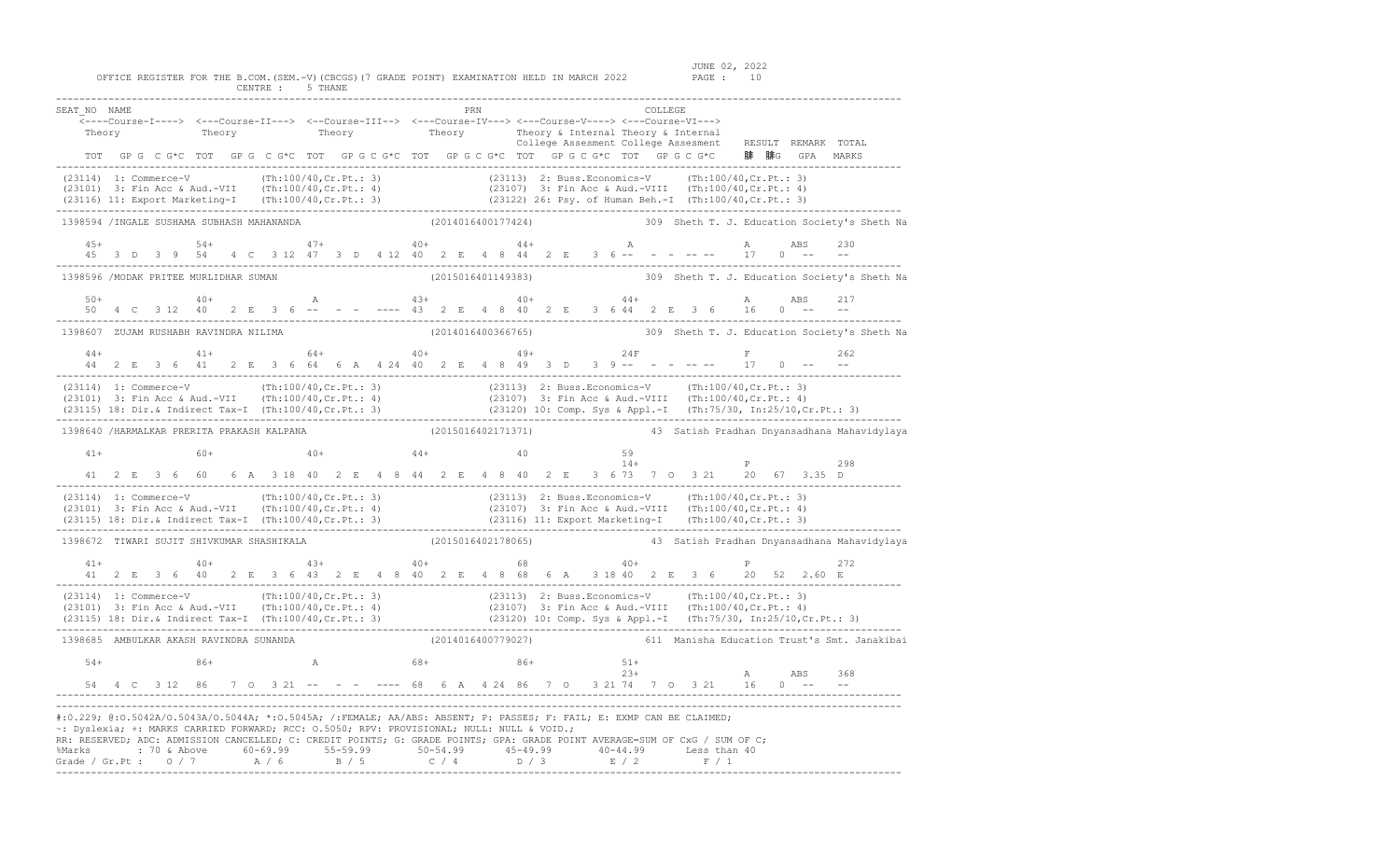JUNE 02, 2022<br>OFFICE REGISTER FOR THE B.COM.(SEM.-V)(CBCGS)(7 GRADE POINT) EXAMINATION HELD IN MARCH 2022 PAGE : 10<br>CENTRE : 5 THANE

| SEAT NO NAME                                                                                                                                                                                                                                                                                                                                                                                                                                                                                  |  |  |  |  |  |  |  |                              | <b>PRN</b> |  |  |  | <b>COLLEGE</b> |  |  |  |  |              |  |                                                                                                                                                                                                                                |     |                                                                 |
|-----------------------------------------------------------------------------------------------------------------------------------------------------------------------------------------------------------------------------------------------------------------------------------------------------------------------------------------------------------------------------------------------------------------------------------------------------------------------------------------------|--|--|--|--|--|--|--|------------------------------|------------|--|--|--|----------------|--|--|--|--|--------------|--|--------------------------------------------------------------------------------------------------------------------------------------------------------------------------------------------------------------------------------|-----|-----------------------------------------------------------------|
|                                                                                                                                                                                                                                                                                                                                                                                                                                                                                               |  |  |  |  |  |  |  |                              |            |  |  |  |                |  |  |  |  |              |  | Theory (Second Theory of Theory of Theory of Theory of Internal Theory & Internal Theory of Theory of Theory of Theory of Theory (Second Theory of Theory of Theory of Theory of Theory of Theory of College Assessment Colleg |     |                                                                 |
| (23114) 1: Commerce-V (Th:100/40,Cr.Pt.: 3) (23113) 2: Buss.Economics-V (Th:100/40,Cr.Pt.: 3)<br>(23101) 3: Fin Acc & Aud.-VII (Th:100/40,Cr.Pt.: 4) (23107) 3: Fin Acc & Aud.-VIII (Th:100/40,Cr.Pt.: 4)<br>(23116) 11: Export Mar                                                                                                                                                                                                                                                           |  |  |  |  |  |  |  |                              |            |  |  |  |                |  |  |  |  |              |  |                                                                                                                                                                                                                                |     |                                                                 |
| 1398594 /INGALE SUSHAMA SUBHASH MAHANANDA (2014016400177424) 309 Sheth T. J. Education Society's Sheth Na                                                                                                                                                                                                                                                                                                                                                                                     |  |  |  |  |  |  |  |                              |            |  |  |  |                |  |  |  |  |              |  |                                                                                                                                                                                                                                |     |                                                                 |
|                                                                                                                                                                                                                                                                                                                                                                                                                                                                                               |  |  |  |  |  |  |  |                              |            |  |  |  |                |  |  |  |  |              |  |                                                                                                                                                                                                                                | 230 |                                                                 |
| 1398596 /MODAK PRITEE MURLIDHAR SUMAN                                                                                                                                                                                                                                                                                                                                                                                                                                                         |  |  |  |  |  |  |  |                              |            |  |  |  |                |  |  |  |  |              |  |                                                                                                                                                                                                                                |     | (2015016401149383) 309 Sheth T. J. Education Society's Sheth Na |
|                                                                                                                                                                                                                                                                                                                                                                                                                                                                                               |  |  |  |  |  |  |  |                              |            |  |  |  |                |  |  |  |  |              |  |                                                                                                                                                                                                                                | 217 |                                                                 |
| 1398607 ZUJAM RUSHABH RAVINDRA NILIMA                                                                                                                                                                                                                                                                                                                                                                                                                                                         |  |  |  |  |  |  |  |                              |            |  |  |  |                |  |  |  |  |              |  |                                                                                                                                                                                                                                |     | (2014016400366765) 309 Sheth T. J. Education Society's Sheth Na |
|                                                                                                                                                                                                                                                                                                                                                                                                                                                                                               |  |  |  |  |  |  |  |                              |            |  |  |  |                |  |  |  |  |              |  |                                                                                                                                                                                                                                | 262 |                                                                 |
| (23114) 1: Commerce-V (Th:100/40,Cr.Pt.: 3) (23113) 2: Buss.Economics-V (Th:100/40,Cr.Pt.: 3)<br>(23101) 3: Fin Acc & Aud.-VII (Th:100/40,Cr.Pt.: 4) (23107) 3: Fin Acc & Aud.-VIII (Th:100/40,Cr.Pt.: 4)<br>(23115) 18: Dir.& Indir                                                                                                                                                                                                                                                          |  |  |  |  |  |  |  |                              |            |  |  |  |                |  |  |  |  |              |  |                                                                                                                                                                                                                                |     |                                                                 |
| 1398640 /HARMALKAR PRERITA PRAKASH KALPANA (2015016402171371) 1988 (2015016402171371)                                                                                                                                                                                                                                                                                                                                                                                                         |  |  |  |  |  |  |  |                              |            |  |  |  |                |  |  |  |  |              |  |                                                                                                                                                                                                                                |     |                                                                 |
| $41+$                                                                                                                                                                                                                                                                                                                                                                                                                                                                                         |  |  |  |  |  |  |  | $60+$ $40+$ $44+$ $40$ $14+$ |            |  |  |  |                |  |  |  |  |              |  | $14+$ P 298<br>41 2 E 3 6 60 6 A 3 18 40 2 E 4 8 44 2 E 4 8 40 2 E 3 6 73 7 0 3 21 20 67 3.35 D                                                                                                                                |     |                                                                 |
| (23114) 1: Commerce-V (Th:100/40,Cr.Pt.: 3) (23113) 2: Buss.Economics-V (Th:100/40,Cr.Pt.: 3)<br>(23101) 3: Fin Acc & Aud.-VII (Th:100/40,Cr.Pt.: 4) (23107) 3: Fin Acc & Aud.-VIII (Th:100/40,Cr.Pt.: 4)<br>(23115) 18: Dir.& Indi                                                                                                                                                                                                                                                           |  |  |  |  |  |  |  |                              |            |  |  |  |                |  |  |  |  |              |  |                                                                                                                                                                                                                                |     |                                                                 |
| 1398672 TIWARI SUJIT SHIVKUMAR SHASHIKALA (2015016402178065) (2015016402178065) 43 Satish Pradhan Dnyansadhana Mahavidylaya                                                                                                                                                                                                                                                                                                                                                                   |  |  |  |  |  |  |  |                              |            |  |  |  |                |  |  |  |  |              |  |                                                                                                                                                                                                                                |     |                                                                 |
| $41 +$                                                                                                                                                                                                                                                                                                                                                                                                                                                                                        |  |  |  |  |  |  |  | $40+$ $43+$ $40+$ $68$ $40+$ |            |  |  |  |                |  |  |  |  | $\mathbb{P}$ |  | 41 2 E 3 6 40 2 E 3 6 43 2 E 4 8 40 2 E 4 8 68 6 A 3 18 40 2 E 3 6 20 52 2.60 E                                                                                                                                                | 272 |                                                                 |
| (23114) 1: Commerce-V (Th:100/40,Cr.Pt.: 3) (23113) 2: Buss.Economics-V (Th:100/40,Cr.Pt.: 3)<br>(23101) 3: Fin Acc & Aud.-VII (Th:100/40,Cr.Pt.: 4) (23107) 3: Fin Acc & Aud.-VIII (Th:100/40,Cr.Pt.: 4)<br>(23115) 18: Dir.& Indi                                                                                                                                                                                                                                                           |  |  |  |  |  |  |  |                              |            |  |  |  |                |  |  |  |  |              |  |                                                                                                                                                                                                                                |     |                                                                 |
| 1398685 AMBULKAR AKASH RAVINDRA SUNANDA (2014016400779027) 611 Manisha Education Trust's Smt. Janakibai                                                                                                                                                                                                                                                                                                                                                                                       |  |  |  |  |  |  |  |                              |            |  |  |  |                |  |  |  |  |              |  |                                                                                                                                                                                                                                |     |                                                                 |
| $54+$<br>$54 +$<br>$54 +$<br>$54 +$<br>$54 +$<br>$54 +$<br>$54 +$<br>$54 +$<br>$54 +$<br>$54 +$<br>$54 +$<br>$54 +$<br>$54 +$<br>$54 +$<br>$54 +$<br>$54 +$<br>$54 +$<br>$54 +$<br>$54 +$<br>$54 +$<br>$54 +$<br>$54 +$<br>$54 +$<br>$54 +$<br>$54 +$<br>$54 +$<br>$54 +$<br>$54 +$<br>$54 +$<br>$54 +$<br>$54 +$<br>$54 +$                                                                                                                                                                   |  |  |  |  |  |  |  |                              |            |  |  |  |                |  |  |  |  |              |  |                                                                                                                                                                                                                                |     |                                                                 |
| #:0.229; @:0.5042A/0.5043A/0.5044A; *:0.5045A; /:FEMALE; AA/ABS: ABSENT; P: PASSES; F: FAIL; E: EXMP CAN BE CLAIMED;<br>~: Dyslexia; +: MARKS CARRIED FORWARD; RCC: 0.5050; RPV: PROVISIONAL; NULL: NULL & VOID.;<br>RR: RESERVED; ADC: ADMISSION CANCELLED; C: CREDIT POINTS; G: GRADE POINTS; GPA: GRADE POINT AVERAGE=SUM OF CxG / SUM OF C;<br>%Marks : 70 & Above 60-69.99 55-59.99 50-54.99 45-49.99 40-44.99 Less than 40<br>Grade / Gr.Pt : 0 / 7 A / 6 B / 5 C / 4 D / 3 E / 2 F / 1 |  |  |  |  |  |  |  |                              |            |  |  |  |                |  |  |  |  |              |  |                                                                                                                                                                                                                                |     |                                                                 |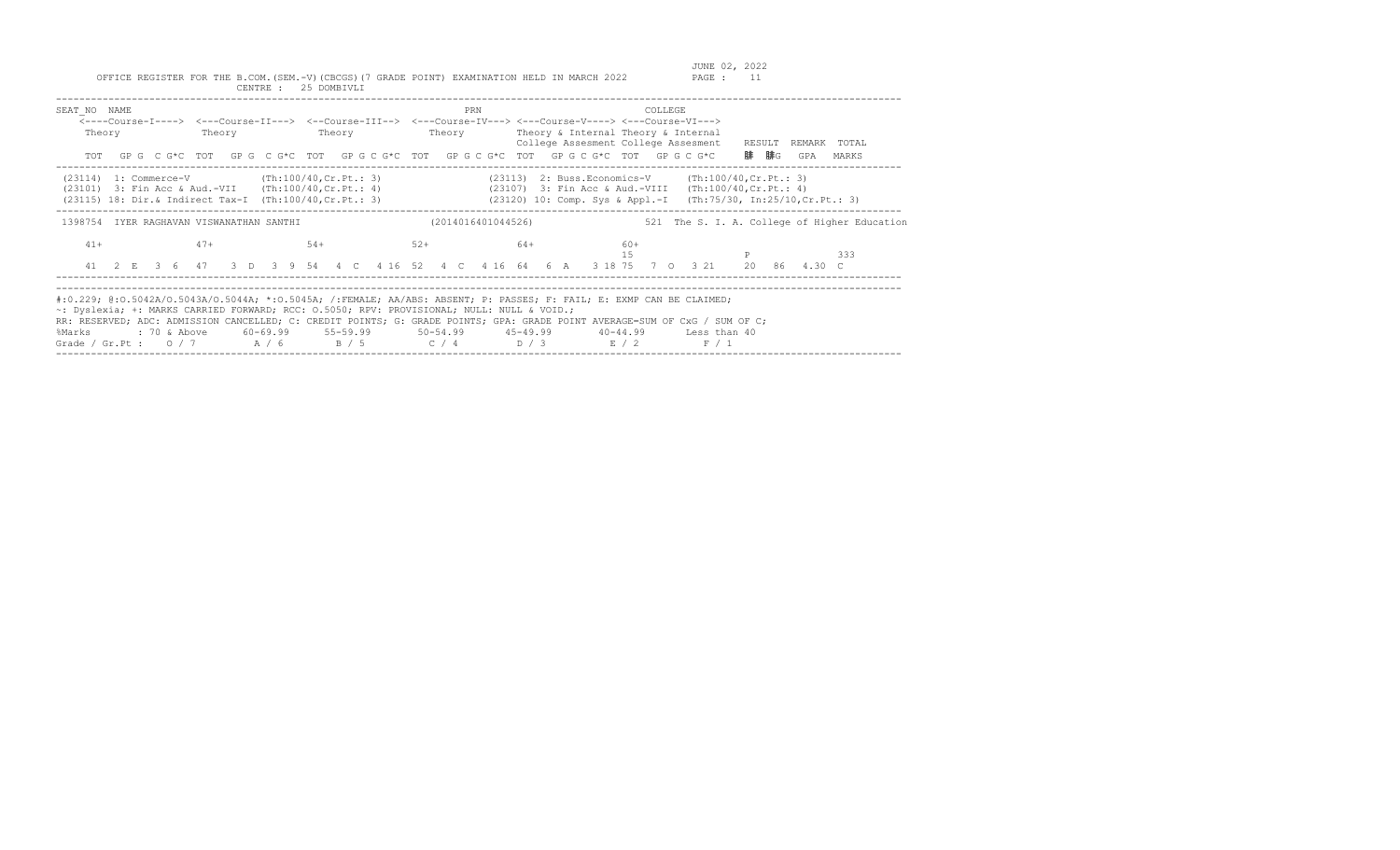| SEAT NO NAME<br>Theory                                                                                                                                                     | Theory | <b>Theory</b> | PRN                | <----Course-I----> <---Course-II---> <--Course-III--> <---Course-IV---> <---Course-V----> <---Course-VI---><br>Theory Theory & Internal Theory & Internal<br>College Assesment College Assesment<br>TOT GPG CG*C TOT GPG CG*C TOT GPG CG*C TOT GPG CG*C TOT GPG CG*C TOT GPG CG*C                                                                                                   | COLLEGE<br>RESULT<br>REMARK TOTAL<br>腓 腓G<br>GPA<br>MARKS                                                                                                                         |
|----------------------------------------------------------------------------------------------------------------------------------------------------------------------------|--------|---------------|--------------------|-------------------------------------------------------------------------------------------------------------------------------------------------------------------------------------------------------------------------------------------------------------------------------------------------------------------------------------------------------------------------------------|-----------------------------------------------------------------------------------------------------------------------------------------------------------------------------------|
| $(23114)$ 1: Commerce-V (Th:100/40, Cr. Pt.: 3)<br>$(23101)$ 3: Fin Acc & Aud.-VII (Th:100/40, Cr. Pt.: 4)<br>$(23115)$ 18: Dir. & Indirect Tax-I $(Th:100/40, Cr.Pt.: 3)$ |        |               |                    |                                                                                                                                                                                                                                                                                                                                                                                     | (23113) 2: Buss.Economics-V (Th:100/40, Cr. Pt.: 3)<br>(23107) 3: Fin Acc & Aud.-VIII (Th:100/40, Cr. Pt.: 4)<br>(23120) 10: Comp. Sys & Appl.-I (Th:75/30, In:25/10, Cr. Pt.: 3) |
| 1398754 IYER RAGHAVAN VISWANATHAN SANTHI                                                                                                                                   |        |               | (2014016401044526) |                                                                                                                                                                                                                                                                                                                                                                                     | 521 The S. I. A. College of Higher Education                                                                                                                                      |
| $41+$                                                                                                                                                                      | $47+$  | $54+$         | $52+$              | 64+<br>$60+$<br>15                                                                                                                                                                                                                                                                                                                                                                  | 333<br>41 2 E 3 6 47 3 D 3 9 54 4 C 4 16 52 4 C 4 16 64 6 A 3 18 75 7 0 3 21 20 86 4.30 C                                                                                         |
| ~: Dyslexia; +: MARKS CARRIED FORWARD; RCC: 0.5050; RPV: PROVISIONAL; NULL: NULL & VOID.;<br>%Marks                                                                        |        |               |                    | #:0.229; @:0.5042A/O.5043A/O.5044A; *:0.5045A; /:FEMALE; AA/ABS: ABSENT; P: PASSES; F: FAIL; E: EXMP CAN BE CLAIMED;<br>RR: RESERVED; ADC: ADMISSION CANCELLED; C: CREDIT POINTS; G: GRADE POINTS; GPA: GRADE POINT AVERAGE=SUM OF CxG / SUM OF C;<br>: 70 & Above 60-69.99 55-59.99 50-54.99 45-49.99 40-44.99 Less than 40<br>Grade / Gr.Pt : $0/7$ $A/6$ $B/5$ $C/4$ $D/3$ $E/2$ | F / 1                                                                                                                                                                             |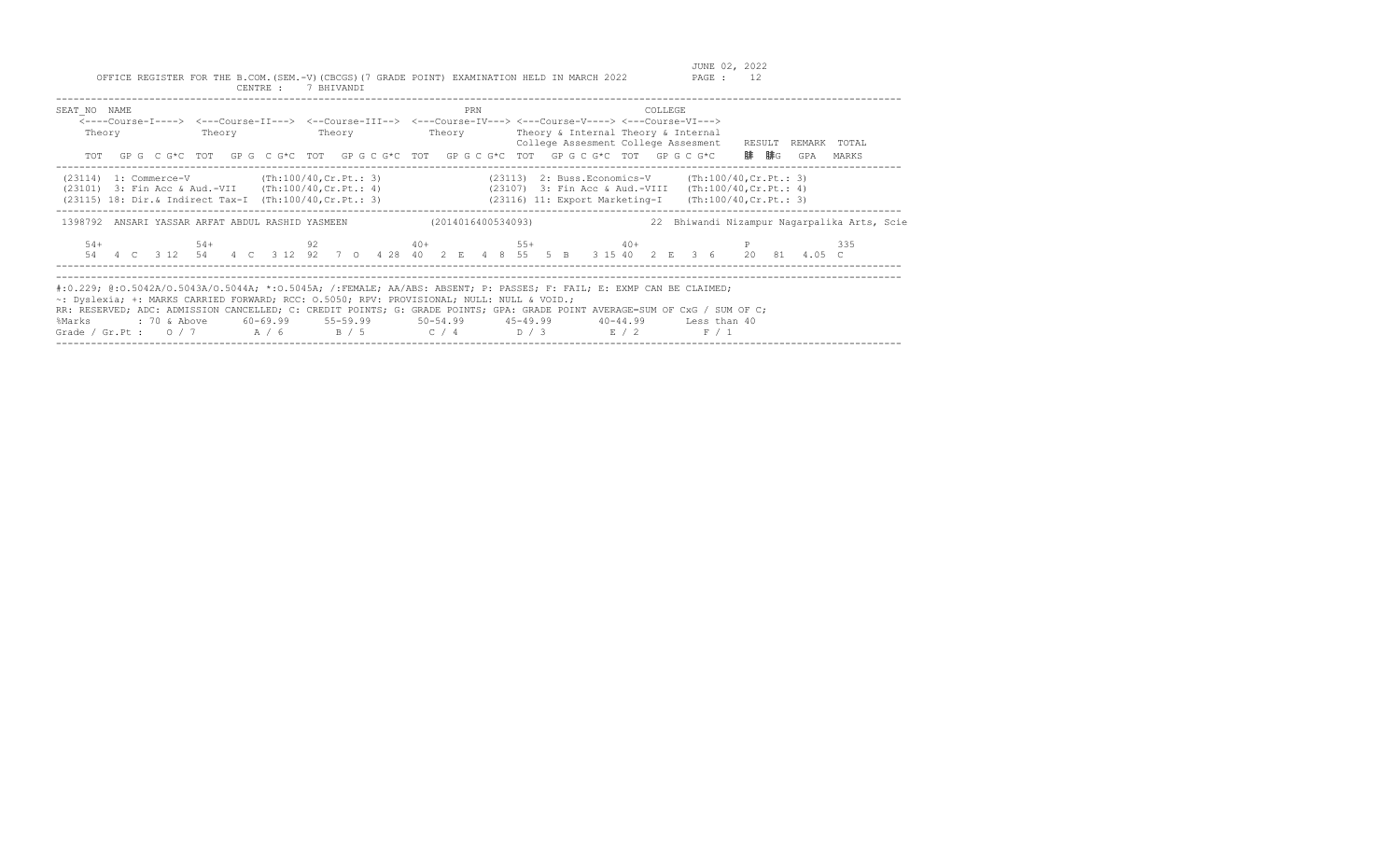| SEAT NO NAME<br>Theory                                                                                                                      | Theory | Theory | PRN | COLLEGE<br><----Course-I----> <---Course-II---> <--Course-III--> <---Course-IV---> <---Course-V----> <---Course-VI---><br>Theory Theory & Internal Theory & Internal<br>College Assesment College Assesment RESULT REMARK TOTAL<br>TOT GPG CG*C TOT GPG CG*C TOT GPG CG*C TOT GPG CG*C TOT GPG CG*C TOT GPG CG*C                                                                                                           | 腓 腓G<br>GPA<br>MARKS                        |
|---------------------------------------------------------------------------------------------------------------------------------------------|--------|--------|-----|----------------------------------------------------------------------------------------------------------------------------------------------------------------------------------------------------------------------------------------------------------------------------------------------------------------------------------------------------------------------------------------------------------------------------|---------------------------------------------|
| $(23114)$ 1: Commerce-V $(Th:100/40, Cr.Pt.: 3)$<br>1398792 ANSARI YASSAR ARFAT ABDUL RASHID YASMEEN                     (2014016400534093) |        |        |     | (23113) 2: Buss.Economics-V (Th:100/40, Cr. Pt.: 3)<br>(23101) 3: Fin Acc & Aud.-VII (Th:100/40, Cr. Pt.: 4) (23107) 3: Fin Acc & Aud.-VIII (Th:100/40, Cr. Pt.: 4)<br>(23115) 18: Dir.& Indirect Tax-I (Th:100/40, Cr. Pt.: 3) (23116) 11: Export Marketing-I (Th:100/40, Cr. Pt.: 3)                                                                                                                                     | 22 Bhiwandi Nizampur Nagarpalika Arts, Scie |
| $54+$                                                                                                                                       |        |        |     | $54+$ 92 $40+$ 55+ $40+$ P<br>54  4  C  3  12  54  4  C  3  12  92  7  0  4  28  40  2  E  4  8  55  5  B  3  15  40  2  E  3  6  20  81  4.05  C                                                                                                                                                                                                                                                                          | 335                                         |
| ~: Dyslexia; +: MARKS CARRIED FORWARD; RCC: 0.5050; RPV: PROVISIONAL; NULL: NULL & VOID.;<br>%Marks                                         |        |        |     | #:0.229; @:0.5042A/O.5043A/O.5044A; *:0.5045A; /:FEMALE; AA/ABS: ABSENT; P: PASSES; F: FAIL; E: EXMP CAN BE CLAIMED;<br>RR: RESERVED; ADC: ADMISSION CANCELLED; C: CREDIT POINTS; G: GRADE POINTS; GPA: GRADE POINT AVERAGE=SUM OF CxG / SUM OF C;<br>: 70 & Above       60–69.99       55–59.99        50–54.99        45–49.99        40–44.99       Less than 40<br>Grade / Gr.Pt : $0/7$ $A/6$ $B/5$ $C/4$ $D/3$ $E/2$ | F / 1                                       |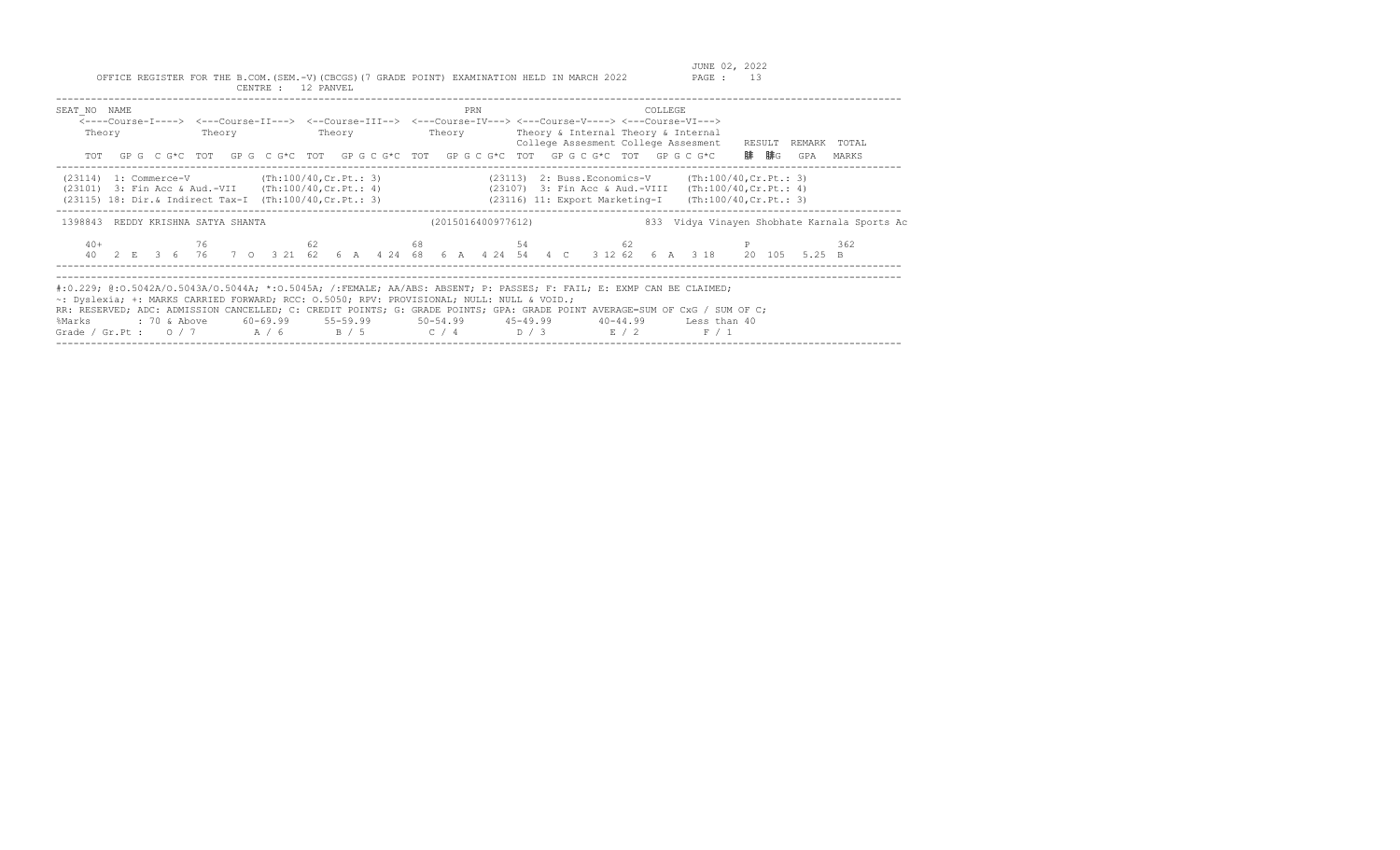| SEAT NO NAME<br>Theory                                                                                                                                               |  | PRN                | COLLEGE<br><----Course-I----> <---Course-II---> <--Course-III--> <---Course-IV---> <---Course-V----> <---Course-VI---><br>Theory Theory Theory Theory Theory & Internal Theory & Internal<br>College Assesment College Assesment RESULT<br>TOT GPG CG*C TOT GPG CG*C TOT GPG CG*C TOT GPG CG*C TOT GPG CG*C TOT GPG CG*C                                                            | REMARK TOTAL<br>腓 腓G<br>GPA<br>MARKS                                                                                         |
|----------------------------------------------------------------------------------------------------------------------------------------------------------------------|--|--------------------|-------------------------------------------------------------------------------------------------------------------------------------------------------------------------------------------------------------------------------------------------------------------------------------------------------------------------------------------------------------------------------------|------------------------------------------------------------------------------------------------------------------------------|
| $(23114)$ 1: Commerce-V (Th:100/40, Cr. Pt.: 3)<br>(23101) 3: Fin Acc & Aud.-VII (Th:100/40, Cr. Pt.: 4)<br>(23115) 18: Dir.& Indirect Tax-I (Th:100/40, Cr. Pt.: 3) |  |                    | $(23113)$ 2: Buss. Economics-V $(\text{Th:100/40, Cr. Pt.}: 3)$<br>(23107) 3: Fin Acc & Aud.-VIII (Th:100/40, Cr. Pt.: 4)<br>(23116) 11: Export Marketing-I (Th:100/40, Cr. Pt.: 3)                                                                                                                                                                                                 |                                                                                                                              |
| 1398843 REDDY KRISHNA SATYA SHANTA                                                                                                                                   |  | (2015016400977612) |                                                                                                                                                                                                                                                                                                                                                                                     | 833 Vidya Vinayen Shobhate Karnala Sports Ac                                                                                 |
| $40+$                                                                                                                                                                |  |                    | $76$ 62 62 68 54 62 62                                                                                                                                                                                                                                                                                                                                                              | 362<br>40  2  E  3  6  76  7  0  3  21  62  6  A  4  24  68  6  A  4  24  54  4  C  3  12  62  6  A  3  18  20  105  5.25  B |
| ~: Dyslexia; +: MARKS CARRIED FORWARD; RCC: 0.5050; RPV: PROVISIONAL; NULL: NULL & VOID.;<br>%Marks                                                                  |  |                    | #:0.229; @:0.5042A/O.5043A/O.5044A; *:0.5045A; /:FEMALE; AA/ABS: ABSENT; P: PASSES; F: FAIL; E: EXMP CAN BE CLAIMED;<br>RR: RESERVED; ADC: ADMISSION CANCELLED; C: CREDIT POINTS; G: GRADE POINTS; GPA: GRADE POINT AVERAGE=SUM OF CxG / SUM OF C;<br>: 70 & Above 60-69.99 55-59.99 50-54.99 45-49.99 40-44.99 Less than 40<br>Grade / Gr.Pt : $0/7$ $A/6$ $B/5$ $C/4$ $D/3$ $E/2$ | F / 1                                                                                                                        |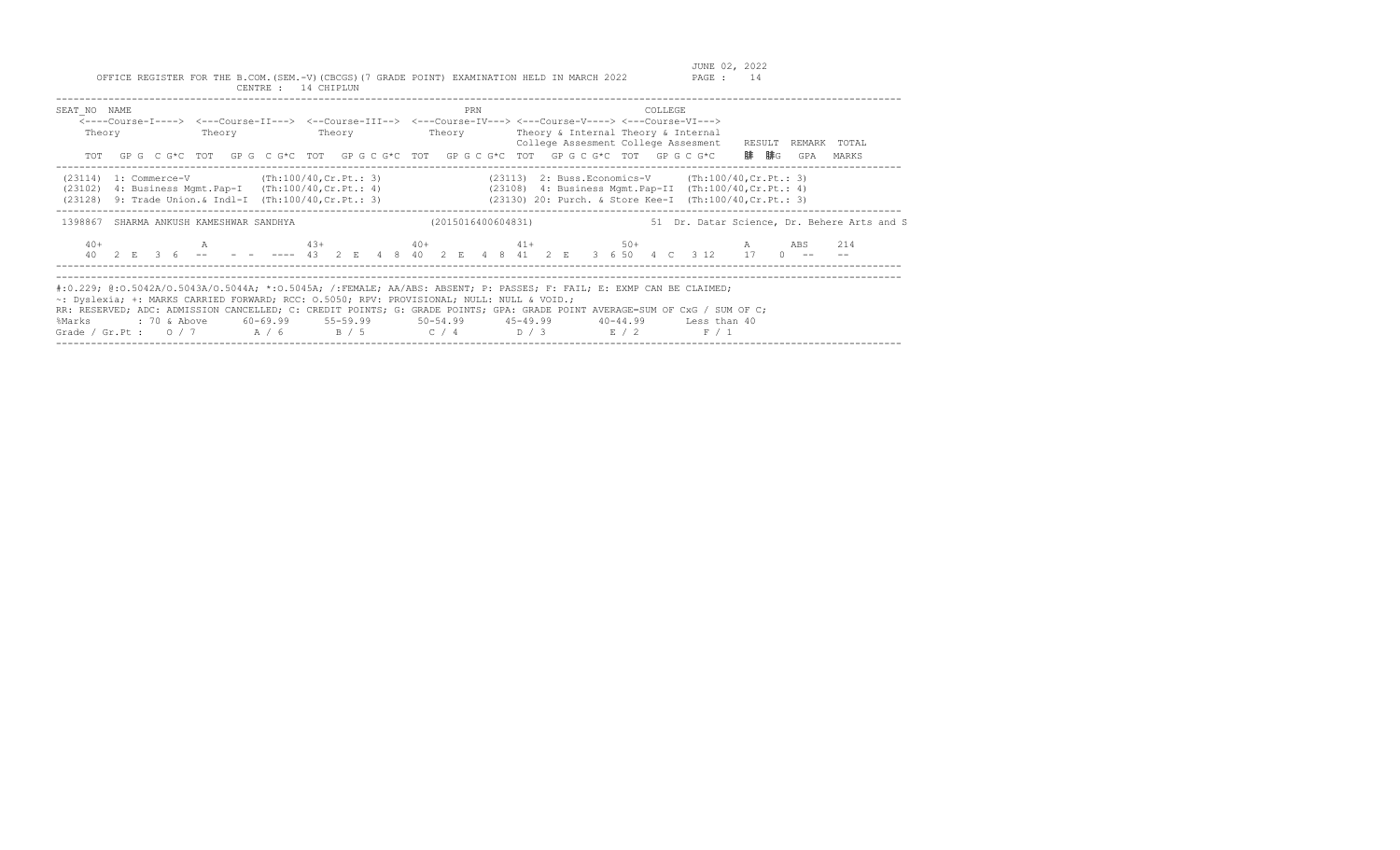| SEAT NO NAME<br>Theory                                                                                                                                                     | Theory | Theory | PRN | COLLEGE<br><----Course-I----> <---Course-II---> <--Course-III--> <---Course-IV---> <---Course-V----> <---Course-VI---><br>Theory Theory & Internal Theory & Internal<br>College Assesment College Assesment RESULT REMARK TOTAL<br>TOT GPG CG*C TOT GPG CG*C TOT GPG CG*C TOT GPG CG*C TOT GPG CG*C TOT GPG CG*C                                                                                                                     | 腓 腓G<br>GPA<br>MARKS                        |
|----------------------------------------------------------------------------------------------------------------------------------------------------------------------------|--------|--------|-----|--------------------------------------------------------------------------------------------------------------------------------------------------------------------------------------------------------------------------------------------------------------------------------------------------------------------------------------------------------------------------------------------------------------------------------------|---------------------------------------------|
| $(23114)$ 1: Commerce-V $(Th:100/40, Cr.Pt.: 3)$<br>$(23102)$ 4: Business Mgmt. Pap-I $(Th:100/40, Cr.Pt.: 4)$<br>(23128) 9: Trade Union. & Indl-I (Th:100/40, Cr. Pt.: 3) |        |        |     | $(23113)$ 2: Buss. Economics-V (Th:100/40, Cr. Pt.: 3)<br>$(23108)$ 4: Business Mgmt.Pap-II $(Th:100/40, Cr.Pt.: 4)$<br>(23130) 20: Purch. & Store Kee-I (Th:100/40, Cr. Pt.: 3)                                                                                                                                                                                                                                                     |                                             |
| 1398867 SHARMA ANKUSH KAMESHWAR SANDHYA                                                                                                                                    |        |        |     | (2015016400604831)                                                                                                                                                                                                                                                                                                                                                                                                                   | 51 Dr. Datar Science, Dr. Behere Arts and S |
| $40+$                                                                                                                                                                      |        |        |     | A 43+ 40+ 40+ 41+ 50+ A ABS<br>40 2 E 3 6 -- - - ---- 43 2 E 4 8 40 2 E 4 8 41 2 E 3 6 50 4 C 3 12 17 0 --                                                                                                                                                                                                                                                                                                                           | 214                                         |
| ~: Dyslexia; +: MARKS CARRIED FORWARD; RCC: 0.5050; RPV: PROVISIONAL; NULL: NULL & VOID.;<br>%Marks                                                                        |        |        |     | #:0.229; @:0.5042A/0.5043A/0.5044A; *:0.5045A; /:FEMALE; AA/ABS: ABSENT; P: PASSES; F: FAIL; E: EXMP CAN BE CLAIMED;<br>RR: RESERVED; ADC: ADMISSION CANCELLED; C: CREDIT POINTS; G: GRADE POINTS; GPA: GRADE POINT AVERAGE=SUM OF CxG / SUM OF C;<br>: 70 & Above        60-69.99        55-59.99        50-54.99        45-49.99        40-44.99      Less than 40<br>Grade / Gr.Pt : $0/7$ $A/6$ $B/5$ $C/4$ $D/3$ $E/2$<br>F / 1 |                                             |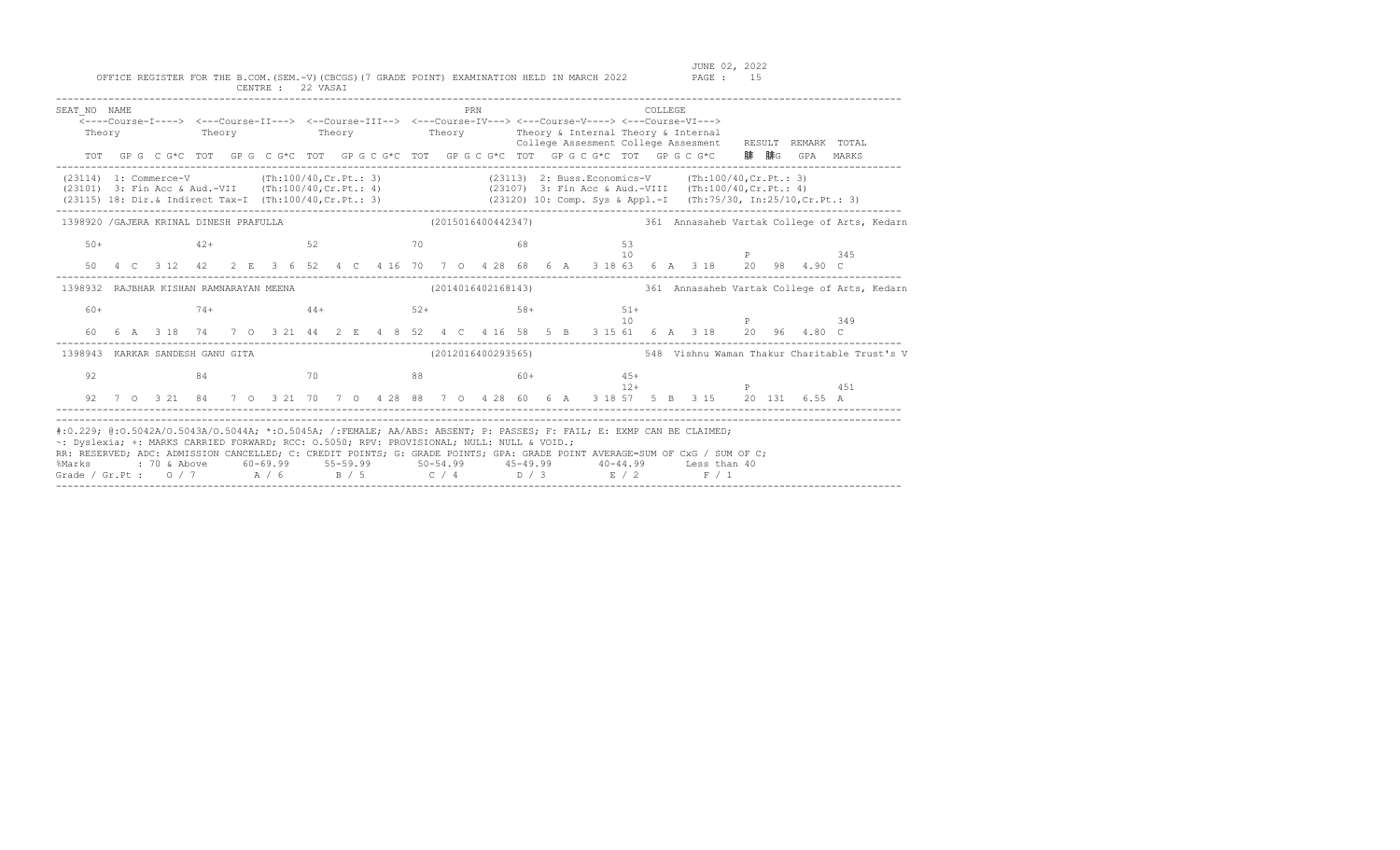| SEAT NO NAME<br>Theory                                                                                                                                                                                                                                                                                                                                                                                                 |  | <---Course-I----> <---Course-II---> <--Course-III--> <---Course-IV---> <---Course-V----> <---Course-VI---><br>Theory Theory Theory Theory Theory & Internal Theory & Internal |    |  |       |       |  |  |  | PRN               |  |  |           |       | COLLEGE |  |  |  | College Assesment College Assesment RESULT REMARK TOTAL |                                                                 |
|------------------------------------------------------------------------------------------------------------------------------------------------------------------------------------------------------------------------------------------------------------------------------------------------------------------------------------------------------------------------------------------------------------------------|--|-------------------------------------------------------------------------------------------------------------------------------------------------------------------------------|----|--|-------|-------|--|--|--|-------------------|--|--|-----------|-------|---------|--|--|--|---------------------------------------------------------|-----------------------------------------------------------------|
|                                                                                                                                                                                                                                                                                                                                                                                                                        |  | TOT GPG CG*C TOT GPG CG*C TOT GPG CG*C TOT GPG CG*C TOT GPG CG*C TOT GPG CG*C 腓腓G GPA MARKS                                                                                   |    |  |       |       |  |  |  |                   |  |  |           |       |         |  |  |  |                                                         |                                                                 |
| (23114) 1: Commerce-V (Th:100/40, Cr. Pt.: 3) (23113) 2: Buss.Economics-V (Th:100/40, Cr. Pt.: 3)<br>(23101) 3: Fin Acc & Aud.-VII (Th:100/40, Cr.Pt.: 4) (23107) 3: Fin Acc & Aud.-VIII (Th:100/40, Cr.Pt.: 4)<br>(23115) 18: Dir.& Indirect Tax-I (Th:100/40, Cr. Pt.: 3) (23120) 10: Comp. Sys & Appl.-I (Th:75/30, In:25/10, Cr. Pt.: 3)                                                                           |  |                                                                                                                                                                               |    |  |       |       |  |  |  |                   |  |  |           |       |         |  |  |  |                                                         |                                                                 |
| 1398920 / GAJERA KRINAL DINESH PRAFULLA (2015016400442347) 361 Annasaheb Vartak College of Arts, Kedarn                                                                                                                                                                                                                                                                                                                |  |                                                                                                                                                                               |    |  |       |       |  |  |  |                   |  |  |           |       |         |  |  |  |                                                         |                                                                 |
| $50+$                                                                                                                                                                                                                                                                                                                                                                                                                  |  | $42+$<br>50  4  C  3  12  42  2  E  3  6  52  4  C  4  16  70  7  0  4  28  68  6  A  3  18  63  6  A  3  18  20  98  4.90  C                                                 |    |  | 52 70 |       |  |  |  | 68                |  |  | 53        | 10    |         |  |  |  | <b>P</b> 345                                            |                                                                 |
| 1398932 RAJBHAR KISHAN RAMNARAYAN MEENA                                                                                                                                                                                                                                                                                                                                                                                |  |                                                                                                                                                                               |    |  |       |       |  |  |  |                   |  |  |           |       |         |  |  |  |                                                         | (2014016402168143) 361 Annasaheb Vartak College of Arts, Kedarn |
| 60+                                                                                                                                                                                                                                                                                                                                                                                                                    |  | $74+$<br>60  6  A  318  74  7  0  3  21  44  2  E  4  8  52  4  C  4  16  58  5  B  315  61  6  A  318  20  96  4.80  C                                                       |    |  |       |       |  |  |  | $44+$ 52+ 58+ 51+ |  |  | $\sim$ 10 |       |         |  |  |  | <b>P</b> 349                                            |                                                                 |
| 1398943 KARKAR SANDESH GANU GITA                                                                                                                                                                                                                                                                                                                                                                                       |  |                                                                                                                                                                               |    |  |       |       |  |  |  |                   |  |  |           |       |         |  |  |  |                                                         |                                                                 |
| 92                                                                                                                                                                                                                                                                                                                                                                                                                     |  | 92 7 0 3 21 84 7 0 3 21 70 7 0 4 28 88 7 0 4 28 60 6 A 3 18 57 5 B 3 15 20 131 6.55 A                                                                                         | 84 |  |       | 70 88 |  |  |  | $60+$ 45+         |  |  |           | $12+$ |         |  |  |  | P 451                                                   |                                                                 |
| #:0.229; @:0.5042A/O.5043A/O.5044A; *:0.5045A; /:FEMALE; AA/ABS: ABSENT; P: PASSES; F: FAIL; E: EXMP CAN BE CLAIMED;<br>~: Dyslexia; +: MARKS CARRIED FORWARD; RCC: 0.5050; RPV: PROVISIONAL; NULL: NULL & VOID.;<br>RR: RESERVED; ADC: ADMISSION CANCELLED; C: CREDIT POINTS; G: GRADE POINTS; GPA: GRADE POINT AVERAGE=SUM OF CxG / SUM OF C;<br>%Marks<br>Grade / Gr.Pt : $0/7$ $A/6$ $B/5$ $C/4$ $D/3$ $E/2$ $F/1$ |  |                                                                                                                                                                               |    |  |       |       |  |  |  |                   |  |  |           |       |         |  |  |  |                                                         |                                                                 |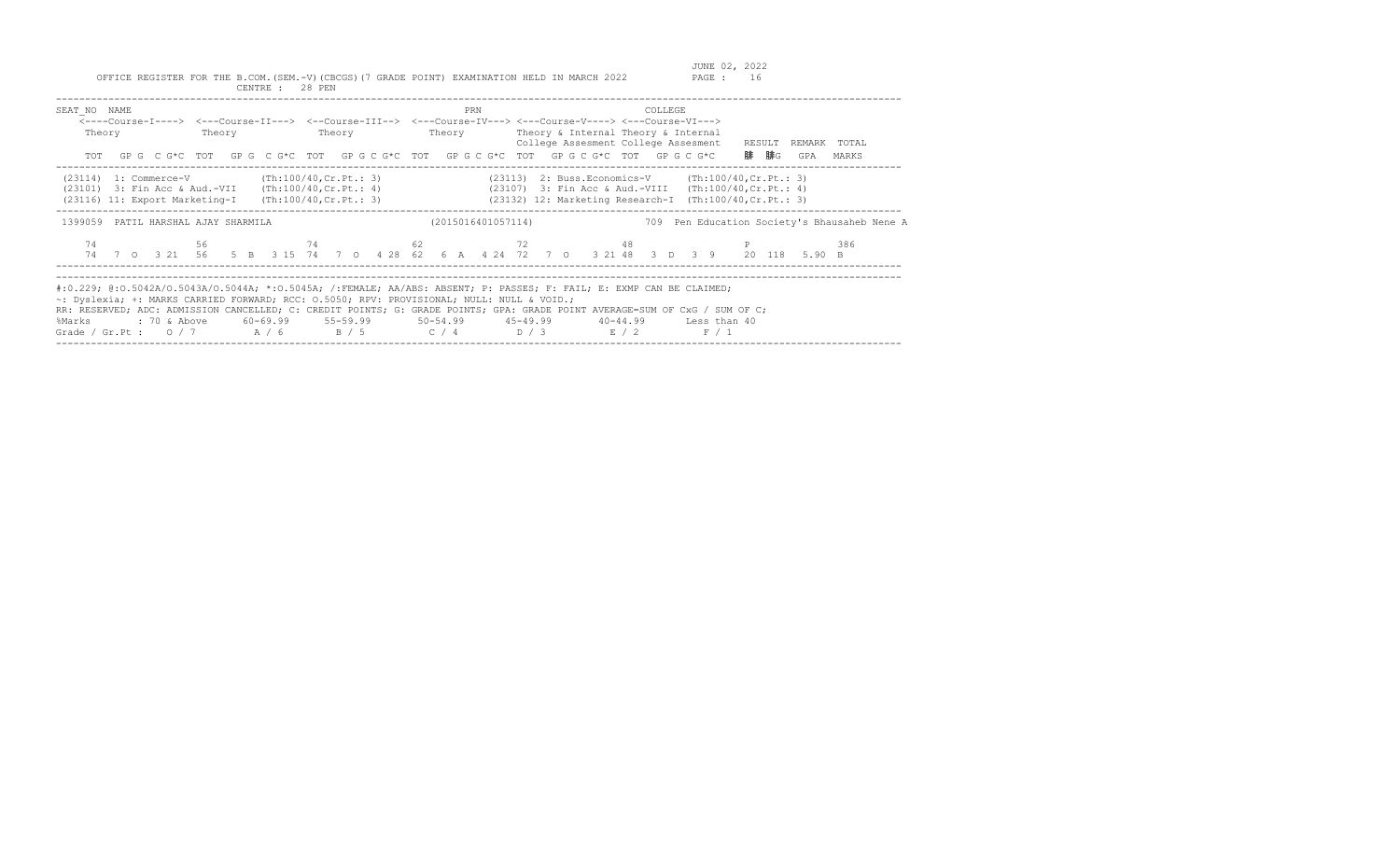| SEAT NO NAME<br>Theory                                                                                                                        | Theory                 | Theory | PRN<br>Theory      | COLLEGE<br><----Course-I----> <---Course-II---> <--Course-III--> <---Course-IV---> <---Course-V----> <---Course-VI---><br>Theory & Internal Theory & Internal<br>College Assesment College Assesment<br>TOT GPG CG*C TOT GPG CG*C TOT GPG CG*C TOT GPG CG*C TOT GPG CG*C TOT GPG CG*C                                                                                               | RESULT<br>REMARK TOTAL<br>腓  腓G<br>GPA<br>MARKS     |
|-----------------------------------------------------------------------------------------------------------------------------------------------|------------------------|--------|--------------------|-------------------------------------------------------------------------------------------------------------------------------------------------------------------------------------------------------------------------------------------------------------------------------------------------------------------------------------------------------------------------------------|-----------------------------------------------------|
| (23114) 1: Commerce-V<br>$(23101)$ 3: Fin Acc & Aud.-VII $(Th:100/40, Cr.Pt.: 4)$<br>$(23116)$ 11: Export Marketing-I (Th:100/40, Cr. Pt.: 3) | (Th:100/40, Cr.Ft.: 3) |        |                    | $(23113)$ 2: Buss. Economics-V $(\text{Th:100/40, Cr. Pt.}: 3)$<br>(23107) 3: Fin Acc & Aud.-VIII (Th:100/40, Cr. Pt.: 4)<br>(23132) 12: Marketing Research-I (Th:100/40, Cr. Pt.: 3)                                                                                                                                                                                               |                                                     |
| 1399059 PATIL HARSHAL AJAY SHARMILA                                                                                                           |                        |        | (2015016401057114) |                                                                                                                                                                                                                                                                                                                                                                                     | 709 Pen Education Society's Bhausaheb Nene A<br>386 |
| ~: Dyslexia; +: MARKS CARRIED FORWARD; RCC: 0.5050; RPV: PROVISIONAL; NULL: NULL & VOID.;<br>%Marks                                           |                        |        |                    | #:0.229; @:0.5042A/0.5043A/0.5044A; *:0.5045A; /:FEMALE; AA/ABS: ABSENT; P: PASSES; F: FAIL; E: EXMP CAN BE CLAIMED;<br>RR: RESERVED; ADC: ADMISSION CANCELLED; C: CREDIT POINTS; G: GRADE POINTS; GPA: GRADE POINT AVERAGE=SUM OF CxG / SUM OF C;<br>: 70 & Above 60-69.99 55-59.99 50-54.99 45-49.99 40-44.99 Less than 40<br>Grade / Gr.Pt : $0/7$ $A/6$ $B/5$ $C/4$ $D/3$ $E/2$ | F / 1                                               |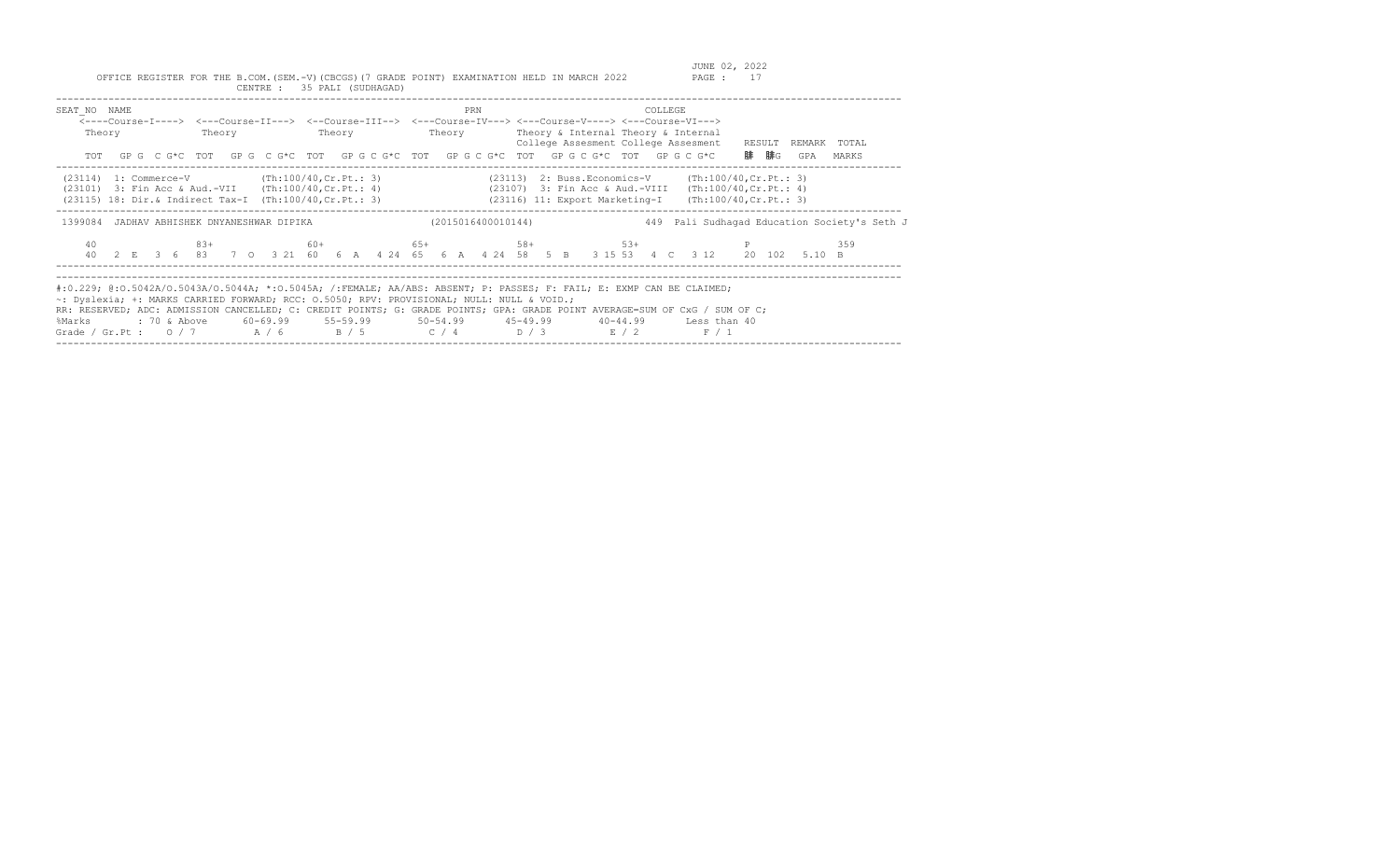| SEAT NO NAME<br>Theory                                                                                                                                                |  | PRN | COLLEGE<br><----Course-I----> <---Course-II---> <--Course-III--> <---Course-IV---> <---Course-V----> <---Course-VI---><br>Theory Theory Theory Theory Theory & Internal Theory & Internal<br>College Assesment College Assesment RESULT<br>TOT GPG CG*C TOT GPG CG*C TOT GPG CG*C TOT GPG CG*C TOT GPG CG*C TOT GPG CG*C                                                            | REMARK TOTAL<br>腓 腓G<br>GPA<br>MARKS         |
|-----------------------------------------------------------------------------------------------------------------------------------------------------------------------|--|-----|-------------------------------------------------------------------------------------------------------------------------------------------------------------------------------------------------------------------------------------------------------------------------------------------------------------------------------------------------------------------------------------|----------------------------------------------|
| $(23114)$ 1: Commerce-V $(Th:100/40, Cr.Pt.: 3)$<br>(23101) 3: Fin Acc & Aud.-VII (Th:100/40, Cr. Pt.: 4)<br>(23115) 18: Dir.& Indirect Tax-I (Th:100/40, Cr. Pt.: 3) |  |     | $(23113)$ 2: Buss. Economics-V $(\text{Th:100/40, Cr.Pt.}: 3)$<br>(23107) 3: Fin Acc & Aud.-VIII (Th:100/40, Cr. Pt.: 4)<br>(23116) 11: Export Marketing-I (Th:100/40, Cr. Pt.: 3)                                                                                                                                                                                                  |                                              |
| 1399084 JADHAV ABHISHEK DNYANESHWAR DIPIKA                                                                                                                            |  |     | (2015016400010144)                                                                                                                                                                                                                                                                                                                                                                  | 449 Pali Sudhagad Education Society's Seth J |
| 40                                                                                                                                                                    |  |     | $83+$ 83+ 80+ 65+ 58+ 53+ 53+ P<br>40  2  E  3  6  83  7  0  3  21  60  6  A  4  24  65  6  A  4  24  58  5  B  3  15  53  4  C  3  12  20  102  5.10  B                                                                                                                                                                                                                            | 359                                          |
| ~: Dyslexia; +: MARKS CARRIED FORWARD; RCC: 0.5050; RPV: PROVISIONAL; NULL: NULL & VOID.;<br>%Marks                                                                   |  |     | #:0.229; @:0.5042A/O.5043A/O.5044A; *:0.5045A; /:FEMALE; AA/ABS: ABSENT; P: PASSES; F: FAIL; E: EXMP CAN BE CLAIMED;<br>RR: RESERVED; ADC: ADMISSION CANCELLED; C: CREDIT POINTS; G: GRADE POINTS; GPA: GRADE POINT AVERAGE=SUM OF CxG / SUM OF C;<br>: 70 & Above 60-69.99 55-59.99 50-54.99 45-49.99 40-44.99 Less than 40<br>Grade / Gr.Pt : $0/7$ $A/6$ $B/5$ $C/4$ $D/3$ $E/2$ | F / 1                                        |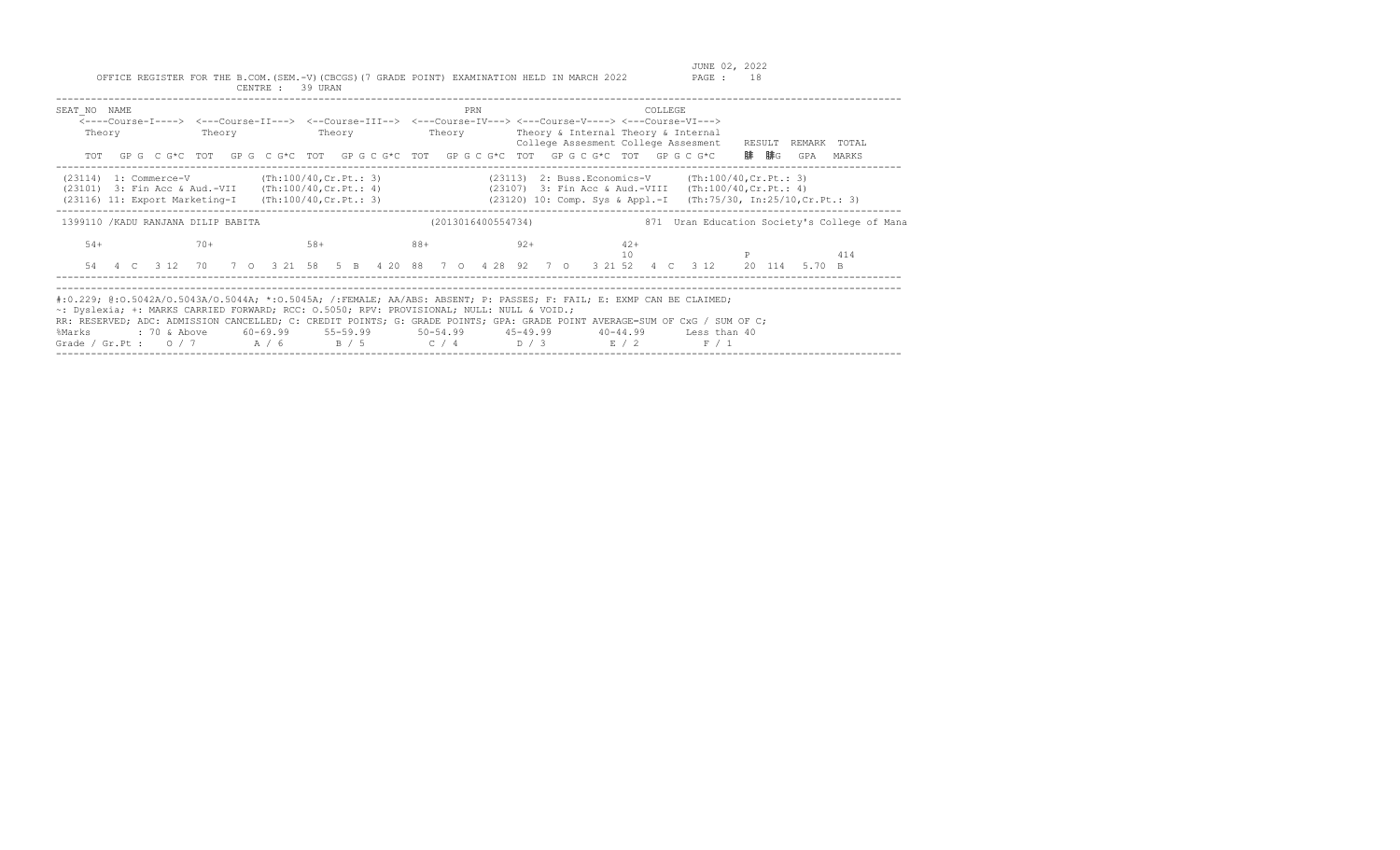| SEAT NO NAME<br><----Course-I----> <---Course-II---> <--Course-III--> <---Course-IV---> <---Course-V----> <---Course-VI---><br>Theory<br>TOT                                                                                                                                                                                                                                                                     | Theory | Theory                                                                   | PRN<br>Theory      | Theory & Internal Theory & Internal<br>College Assesment College Assesment<br>GP G C G*C TOT GP G C G*C TOT GP G C G*C TOT GP G C G*C TOT GP G C G*C TOT GP G C G*C | COLLEGE                                                                         | RESULT<br>REMARK<br>TOTAL<br>腓 腓G<br>GPA<br>MARKS |
|------------------------------------------------------------------------------------------------------------------------------------------------------------------------------------------------------------------------------------------------------------------------------------------------------------------------------------------------------------------------------------------------------------------|--------|--------------------------------------------------------------------------|--------------------|---------------------------------------------------------------------------------------------------------------------------------------------------------------------|---------------------------------------------------------------------------------|---------------------------------------------------|
| $(23114)$ 1: Commerce-V<br>(23101) 3: Fin Acc & Aud.-VII<br>(23116) 11: Export Marketing-I                                                                                                                                                                                                                                                                                                                       |        | (Th:100/40,Cr.Pt.: 3)<br>(Th:100/40,Cr.Pt.: 4)<br>(Th:100/40, Cr.Pt.: 3) |                    | (23107) 3: Fin Acc & Aud.-VIII<br>(23120) 10: Comp. Sys & Appl.-I                                                                                                   | (23113) 2: Buss. Economics-V (Th:100/40, Cr. Pt.: 3)<br>(Th:100/40, Cr.Pt.: 4)  | (Th:75/30, In:25/10, Cr.Pt.: 3)                   |
| 1399110 / KADU RANJANA DILIP BABITA                                                                                                                                                                                                                                                                                                                                                                              |        |                                                                          | (2013016400554734) |                                                                                                                                                                     |                                                                                 | 871 Uran Education Society's College of Mana      |
| $54+$                                                                                                                                                                                                                                                                                                                                                                                                            | $70+$  | $58+$                                                                    | $88+$              | $92+$<br>54  4  C  3  12  70  7  0  3  21  58  5  B  4  20  88  7  0  4  28  92  7  0  3  21  52  4  C                                                              | $42+$<br>10<br>3 1 2                                                            | 414<br>20 114<br>5.70 B                           |
| #:0.229; @:0.5042A/O.5043A/O.5044A; *:0.5045A; /:FEMALE; AA/ABS: ABSENT; P: PASSES; F: FAIL; E: EXMP CAN BE CLAIMED;<br>~: Dyslexia; +: MARKS CARRIED FORWARD; RCC: 0.5050; RPV: PROVISIONAL; NULL: NULL & VOID.;<br>RR: RESERVED; ADC: ADMISSION CANCELLED; C: CREDIT POINTS; G: GRADE POINTS; GPA: GRADE POINT AVERAGE=SUM OF CxG / SUM OF C;<br>%Marks<br>Grade / Gr.Pt : $0/7$ $A/6$ $B/5$ $C/4$ $D/3$ $E/2$ |        |                                                                          |                    |                                                                                                                                                                     | : 70 & Above 60-69.99 55-59.99 50-54.99 45-49.99 40-44.99 Less than 40<br>F / 1 |                                                   |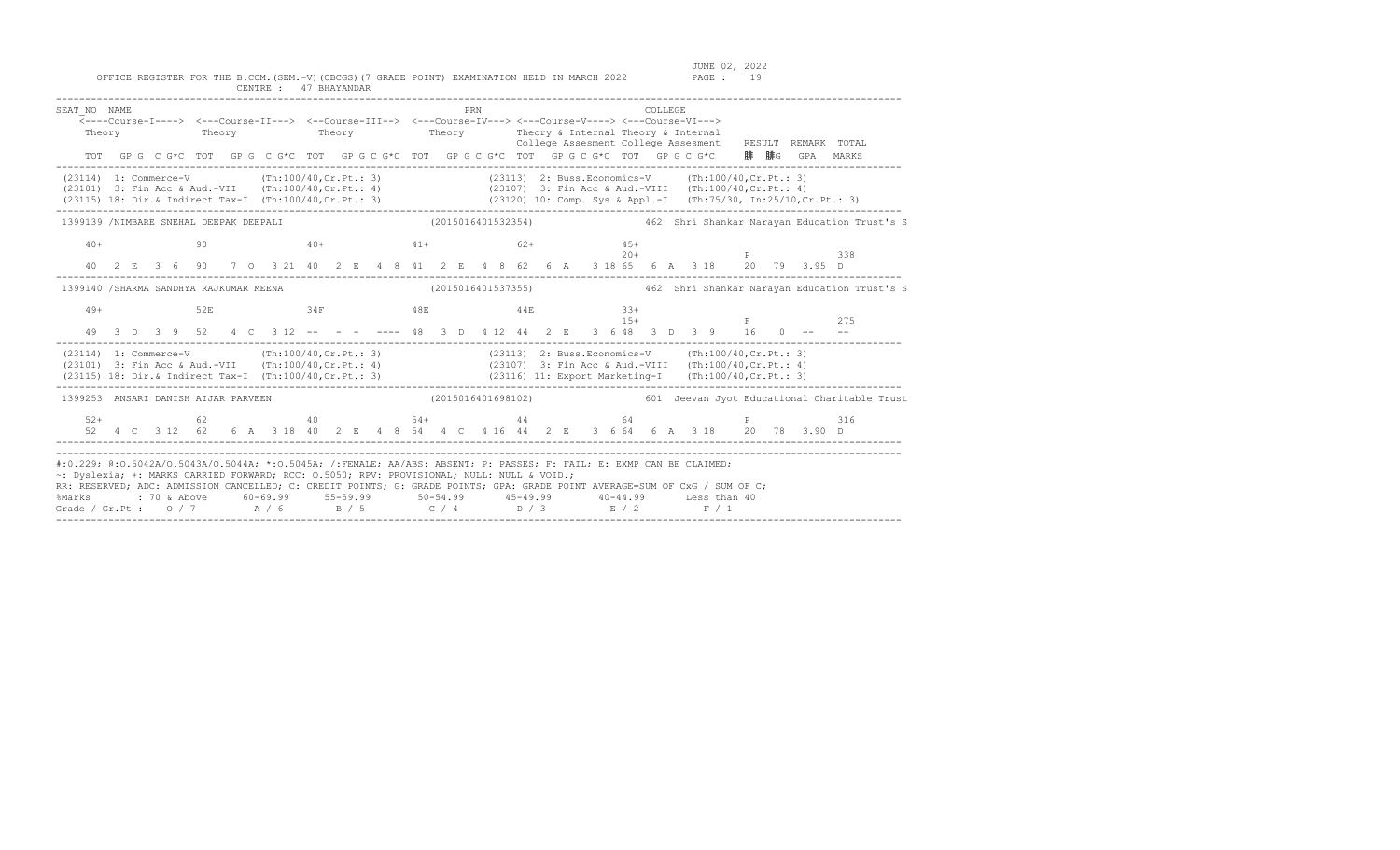| SEAT NO NAME                                                                                                                                                                                                                                                                                                                                                                                                                       |  |  |     |  | $\overline{\langle}\text{---Course-I--->}$ $\langle-\text{Course-II---}\rangle$ $\langle-\text{Course-IIII---}\rangle$ $\langle-\text{Course-IV---}\rangle$ $\langle-\text{Course-V---}\rangle$ $\langle-\text{Course-V---}\rangle$ $\langle-\text{Course-V---}\rangle$<br>Theory Theory Theory Theory Theory Theory Theory & Internal Theory & Internal |  |  | PRN |  |  |  |                | COLLEGE |  |  |  |                                                                                                                                                  | College Assesment College Assesment RESULT REMARK TOTAL<br>TOT GPGCG*CTOT GPGCG*CTOT GPGCG*CTOT GPGCG*CTOT GPGCG*CTOT GPGCG*CTOT GPGCG*C 腓腓GGPA MARKS |
|------------------------------------------------------------------------------------------------------------------------------------------------------------------------------------------------------------------------------------------------------------------------------------------------------------------------------------------------------------------------------------------------------------------------------------|--|--|-----|--|----------------------------------------------------------------------------------------------------------------------------------------------------------------------------------------------------------------------------------------------------------------------------------------------------------------------------------------------------------|--|--|-----|--|--|--|----------------|---------|--|--|--|--------------------------------------------------------------------------------------------------------------------------------------------------|-------------------------------------------------------------------------------------------------------------------------------------------------------|
| (23114) 1: Commerce-V (Th:100/40, Cr.Pt.: 3) (23113) 2: Buss.Economics-V (Th:100/40, Cr.Pt.: 3)<br>(23101) 3: Fin Acc & Aud.-VII (Th:100/40,Cr.Pt.: 3)<br>(23107) 3: Fin Acc & Aud.-VII (Th:100/40,Cr.Pt.: 4)<br>(23115) 18: Dir.& Indirect Tax-I (Th:100/40,Cr.Pt.: 3) (23120) 10: Comp. Sys & Appl.-I (Th:75/30, In:25/10,Cr.Pt.: 3)                                                                                             |  |  |     |  |                                                                                                                                                                                                                                                                                                                                                          |  |  |     |  |  |  |                |         |  |  |  |                                                                                                                                                  |                                                                                                                                                       |
|                                                                                                                                                                                                                                                                                                                                                                                                                                    |  |  |     |  |                                                                                                                                                                                                                                                                                                                                                          |  |  |     |  |  |  |                |         |  |  |  |                                                                                                                                                  | 1399139 /NIMBARE SNEHAL DEEPAK DEEPALI (2015016401532354) 462 Shri Shankar Narayan Education Trust's S                                                |
| $40+$                                                                                                                                                                                                                                                                                                                                                                                                                              |  |  | 90  |  | $40+$ $41+$ $62+$                                                                                                                                                                                                                                                                                                                                        |  |  |     |  |  |  | $45+$          |         |  |  |  | $20+$ P 338<br>40 2 E 3 6 90 7 0 3 21 40 2 E 4 8 41 2 E 4 8 62 6 A 3 18 65 6 A 3 18 20 79 3.95 D                                                 |                                                                                                                                                       |
| 1399140 /SHARMA SANDHYA RAJKUMAR MEENA                                                                                                                                                                                                                                                                                                                                                                                             |  |  |     |  |                                                                                                                                                                                                                                                                                                                                                          |  |  |     |  |  |  |                |         |  |  |  |                                                                                                                                                  |                                                                                                                                                       |
| $49+$                                                                                                                                                                                                                                                                                                                                                                                                                              |  |  | 52E |  | $34F$ $48E$ $44E$                                                                                                                                                                                                                                                                                                                                        |  |  |     |  |  |  | $33+$<br>$15+$ |         |  |  |  | <b>E</b> 275                                                                                                                                     |                                                                                                                                                       |
| (23114) 1: Commerce-V (Th:100/40, Cr. Pt.: 3) (23113) 2: Buss. Economics-V (Th:100/40, Cr. Pt.: 3)<br>(23101) 3: Fin Acc & Aud.-VII (Th:100/40, Cr. Pt.: 4) (23107) 3: Fin Acc & Aud.-VIII (Th:100/40, Cr. Pt.: 4)<br>(23115) 18: Dir. & Indirect Tax-I (Th:100/40, Cr. Pt.: 3) (23116) 11: Export Marketing-I (Th:100/40, Cr. Pt.: 3)                                                                                             |  |  |     |  |                                                                                                                                                                                                                                                                                                                                                          |  |  |     |  |  |  |                |         |  |  |  |                                                                                                                                                  |                                                                                                                                                       |
|                                                                                                                                                                                                                                                                                                                                                                                                                                    |  |  |     |  |                                                                                                                                                                                                                                                                                                                                                          |  |  |     |  |  |  |                |         |  |  |  |                                                                                                                                                  | 1399253 ANSARI DANISH AIJAR PARVEEN (2015016401698102) 601 Jeevan Jyot Educational Charitable Trust                                                   |
| $52+$                                                                                                                                                                                                                                                                                                                                                                                                                              |  |  |     |  |                                                                                                                                                                                                                                                                                                                                                          |  |  |     |  |  |  |                |         |  |  |  | 62 $40$ 54+ $44$ 64 P 316<br>52  4  C  3  12  62  6  A  3  18  40  2  E  4  8  54  4  C  4  16  44  2  E  3  6  64  6  A  3  18  20  78  3.90  D |                                                                                                                                                       |
| #:0.229; @:0.5042A/0.5043A/0.5044A; *:0.5045A; /:FEMALE; AA/ABS: ABSENT; P: PASSES; F: FAIL; E: EXMP CAN BE CLAIMED;<br>~: Dyslexia; +: MARKS CARRIED FORWARD; RCC: 0.5050; RPV: PROVISIONAL; NULL: NULL & VOID.;<br>RR: RESERVED; ADC: ADMISSION CANCELLED; C: CREDIT POINTS; G: GRADE POINTS; GPA: GRADE POINT AVERAGE=SUM OF CxG / SUM OF C;<br>%Marks<br>Grade / Gr.Pt : 0 / 7 $A$ / 6 $B$ / 5 $C$ / 4 $D$ / 3 $E$ / 2 $F$ / 1 |  |  |     |  | : 70 & Above        60-69.99         55-59.99          50-54.99          45-49.99         40-44.99        Less than 40                                                                                                                                                                                                                                   |  |  |     |  |  |  |                |         |  |  |  |                                                                                                                                                  |                                                                                                                                                       |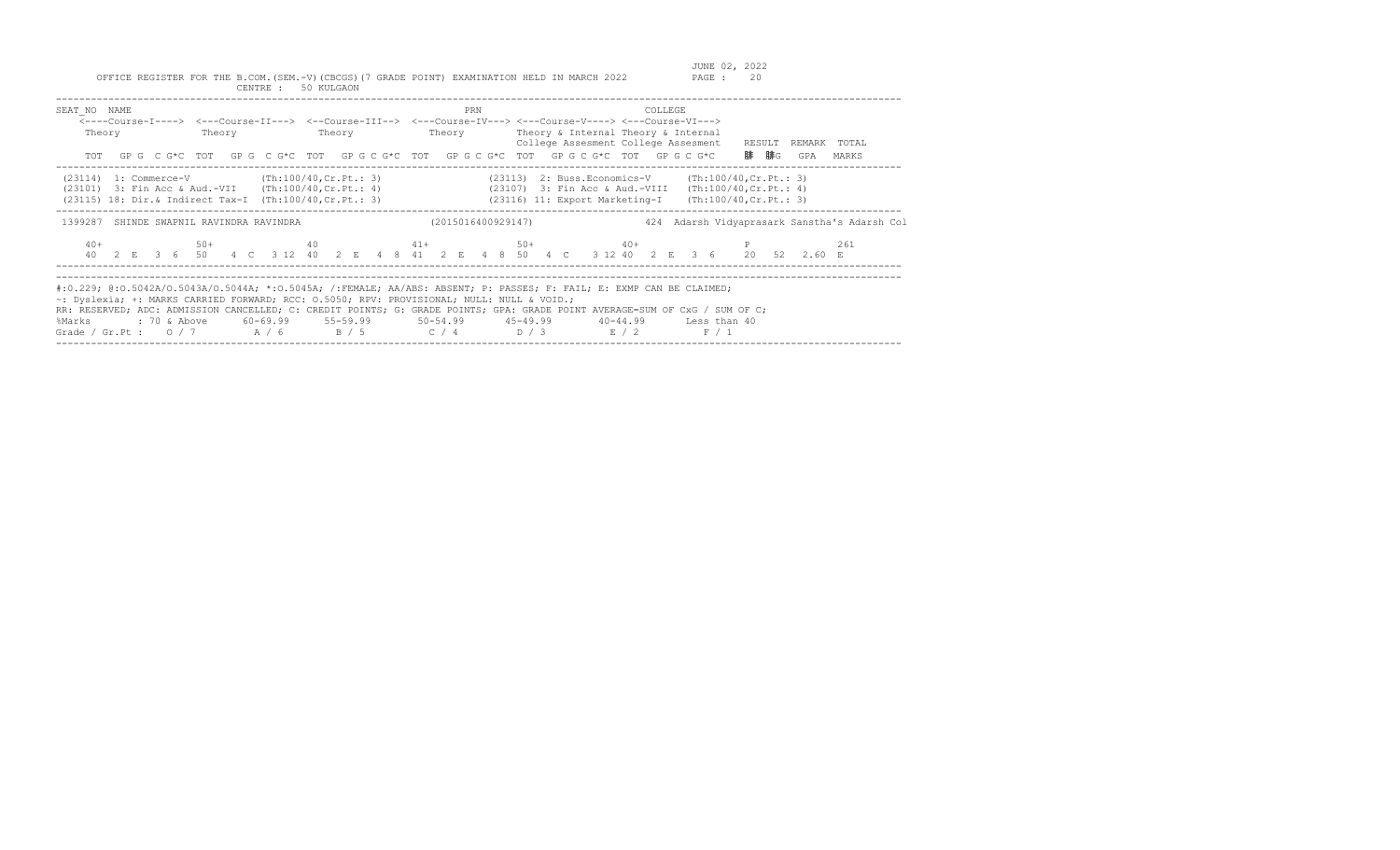| SEAT NO NAME<br>Theory                                                                                                                                                                                                                                                                                                                                                                                           | Theory | Theory | PRN                | <----Course-I----> <---Course-II---> <--Course-III--> <---Course-IV---> <---Course-V----> <---Course-VI---><br>Theory Theory & Internal Theory & Internal<br>College Assesment College Assesment RESULT REMARK TOTAL<br>TOT GPG CG*C TOT GPG CG*C TOT GPG CG*C TOT GPG CG*C TOT GPG CG*C TOT GPG CG*C | COLLEGE | 腓  腓G<br>GPA<br>MARKS                               |
|------------------------------------------------------------------------------------------------------------------------------------------------------------------------------------------------------------------------------------------------------------------------------------------------------------------------------------------------------------------------------------------------------------------|--------|--------|--------------------|-------------------------------------------------------------------------------------------------------------------------------------------------------------------------------------------------------------------------------------------------------------------------------------------------------|---------|-----------------------------------------------------|
| $(23114)$ 1: Commerce-V $(Th:100/40, Cr.Pt.: 3)$                                                                                                                                                                                                                                                                                                                                                                 |        |        |                    | (23113) 2: Buss.Economics-V (Th:100/40, Cr. Pt.: 3)<br>(23101) 3: Fin Acc & Aud.-VII (Th:100/40, Cr. Pt.: 4) (23107) 3: Fin Acc & Aud.-VIII (Th:100/40, Cr. Pt.: 4)<br>(23115) 18: Dir.& Indirect Tax-I (Th:100/40, Cr. Pt.: 3) (23116) 11: Export Marketing-I (Th:100/40, Cr. Pt.: 3)                |         |                                                     |
| 1399287 SHINDE SWAPNIL RAVINDRA RAVINDRA<br>$40+$                                                                                                                                                                                                                                                                                                                                                                |        |        | (2015016400929147) | $50+$ $40$ $41+$ $50+$ $40+$ $P$<br>40 2 E 3 6 50 4 C 3 12 40 2 E 4 8 41 2 E 4 8 50 4 C 3 12 40 2 E 3 6 20 52 2.60 E                                                                                                                                                                                  |         | 424 Adarsh Vidyaprasark Sanstha's Adarsh Col<br>261 |
| #:0.229; @:0.5042A/O.5043A/O.5044A; *:0.5045A; /:FEMALE; AA/ABS: ABSENT; P: PASSES; F: FAIL; E: EXMP CAN BE CLAIMED;<br>~: Dyslexia; +: MARKS CARRIED FORWARD; RCC: 0.5050; RPV: PROVISIONAL; NULL: NULL & VOID.;<br>RR: RESERVED; ADC: ADMISSION CANCELLED; C: CREDIT POINTS; G: GRADE POINTS; GPA: GRADE POINT AVERAGE=SUM OF CxG / SUM OF C;<br>%Marks<br>Grade / Gr.Pt : $0/7$ $A/6$ $B/5$ $C/4$ $D/3$ $E/2$ |        |        |                    | : 70 & Above       60–69.99       55–59.99         50–54.99        45–49.99        40–44.99       Less than 40                                                                                                                                                                                        | F / 1   |                                                     |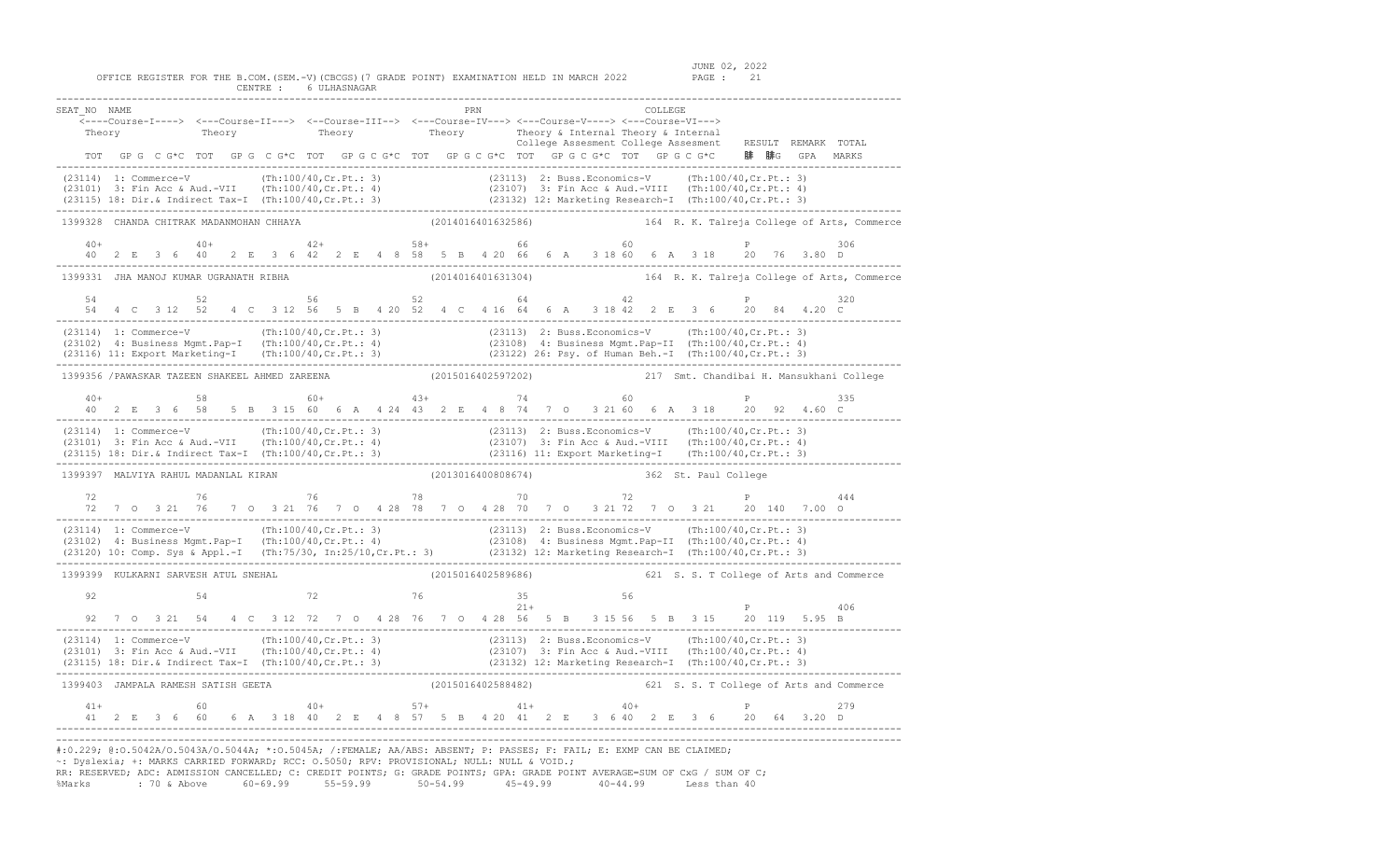OFFICE REGISTER FOR THE B.COM.(SEM.-V)(CBCGS)(7 GRADE POINT) EXAMINATION HELD IN MARCH 2022 PAGE : 21 CENTRE : 6 ULHASNAGAR

SEAT\_NO NAME PRN COLLEGE <----Course-I----> <---Course-II---> <--Course-III--> <---Course-IV---> <---Course-V----> <---Course-VI---> Theory Theory Theory Theory Theory Theory Theory Theory Alexander Theory Alexander Theory Theory Theory Theory Theory Theory Theory Theory Theory Theory Theory Theory Theory Theory Theory Theory Theory Theory Theory Theory College Assesment College Assesment RESULT REMARK TOTAL TOT GP G C G\*C TOT GP G C G\*C TOT GP G C G\*C TOT GP G C G\*C TOT GP G C G\*C TOT G G G C G\*C 腓 腓G GPA MARKS ------------------------------------------------------------------------------------------------------------------------------------------------- (23114) 1: Commerce-V (Th:100/40,Cr.Pt.: 3) (23113) 2: Buss.Economics-V (Th:100/40,Cr.Pt.: 3) (23101) 3: Fin Acc & Aud.-VII (Th:100/40,Cr.Pt.: 4) (23107) 3: Fin Acc & Aud.-VIII (Th:100/40,Cr.Pt.: 4) (23115) 18: Dir.& Indirect Tax-I (Th:100/40,Cr.Pt.: 3) (23132) 12: Marketing Research-I (Th:100/40,Cr.Pt.: 3) ------------------------------------------------------------------------------------------------------------------------------------------------- 1399328 CHANDA CHITRAK MADANMOHAN CHHAYA (2014016401632586) 164 R. K. Talreja College of Arts, Commerce  $40+$   $40+$   $42+$   $58+$   $66$  60 P 40 2 E 3 6 40 2 E 3 6 42 2 E 4 8 58 5 B 4 20 66 6 A 3 18 60 6 A 3 18 20 76 3.80 D ------------------------------------------------------------------------------------------------------------------------------------------------- 1399331 JHA MANOJ KUMAR UGRANATH RIBHA (2014016401631304) 164 R. K. Talreja College of Arts, Commerce  $56$   $52$   $64$   $42$  54 4 C 3 12 52 4 C 3 12 56 5 B 4 20 52 4 C 4 16 64 6 A 3 18 42 2 E 3 6 20 84 4.20 C ------------------------------------------------------------------------------------------------------------------------------------------------- (23114) 1: Commerce-V (Th:100/40,Cr.Pt.: 3) (23113) 2: Buss.Economics-V (Th:100/40,Cr.Pt.: 3)<br>(23102) 4: Business Mgmt.Pap-I (Th:100/40,Cr.Pt.: 4) (23108) 4: Business Mgmt.Pap-II (Th:100/40,Cr.Pt.: 4)<br>(23116) 11: Export Ma ------------------------------------------------------------------------------------------------------------------------------------------------- 1399356 /PAWASKAR TAZEEN SHAKEEL AHMED ZAREENA (2015016402597202) 217 Smt. Chandibai H. Mansukhani College  $40+$  58 60+  $43+$  74 60 40 2 E 3 6 58 5 B 3 15 60 6 A 4 24 43 2 E 4 8 74 7 O 3 21 60 6 A 3 18 20 92 4.60 C ------------------------------------------------------------------------------------------------------------------------------------------------- (23114) 1: Commerce-V (191100/40, Cr.Pt.: 3) (23113) 2: Buss.Economics-V (Th:100/40, Cr.Pt.: 3)<br>(23101) 3: Fin Acc & Aud.-VII (Th:100/40, Cr.Pt.: 4) (23107) 3: Fin Acc & Aud.-VIII (Th:100/40, Cr.Pt.: 4)<br>(23115) 18: Dir.& I -------------------------------------------------------------------------------------------------------------------------------------------------  $(2013016400808674)$  362 St. Paul College 72 76 76 78 70 72 P 444 72 7 O 3 21 76 7 O 3 21 76 7 O 4 28 78 7 O 4 28 70 7 O 3 21 72 7 O 3 21 20 140 7.00 O ------------------------------------------------------------------------------------------------------------------------------------------------- (23114) 1: Commerce-V (Th:100/40,Cr.Pt.: 3) (23113) 2: Buss.Economics-V (Th:100/40,Cr.Pt.: 3)<br>(23102) 4: Business Mgmt.Pap-I (Th:100/40,Cr.Pt.: 4) (23108) 4: Business Mgmt.Pap-II (Th:100/40,Cr.Pt.: 4)<br>(23120) 10: Comp. Sys ------------------------------------------------------------------------------------------------------------------------------------------------- 1399399 KULKARNI SARVESH ATUL SNEHAL (2015016402589686) 621 S. S. T College of Arts and Commerce 92 54 72 76 35 56 21+ P 406 92 7 O 3 21 54 4 C 3 12 72 7 O 4 28 76 7 O 4 28 56 5 B 3 15 56 5 B 3 15 20 119 5.95 B ------------------------------------------------------------------------------------------------------------------------------------------------- (23114) 1: Commerce-V (1.100/40,Cr.Pt.: 3) (23113) 2: Buss.Economics-V (Th:100/40,Cr.Pt.: 3)<br>(23101) 3: Fin Acc & Aud.-VII (Th:100/40,Cr.Pt.: 4) (23107) 3: Fin Acc & Aud.-VIII (Th:100/40,Cr.Pt.: 4)<br>(23115) 18: Dir.& Indire ------------------------------------------------------------------------------------------------------------------------------------------------- 1399403 JAMPALA RAMESH SATISH GEETA (2015016402588482) 621 S. S. T College of Arts and Commerce 41+ 60 40+ 57+ 41+ 40+ P 279 41 2 E 3 6 60 6 A 3 18 40 2 E 4 8 57 5 B 4 20 41 2 E 3 6 40 2 E 3 6 20 64 3.20 D ------------------------------------------------------------------------------------------------------------------------------------------------- ------------------------------------------------------------------------------------------------------------------------------------------------- #:0.229; @:O.5042A/O.5043A/O.5044A; \*:O.5045A; /:FEMALE; AA/ABS: ABSENT; P: PASSES; F: FAIL; E: EXMP CAN BE CLAIMED;

~: Dyslexia; +: MARKS CARRIED FORWARD; RCC: O.5050; RPV: PROVISIONAL; NULL: NULL & VOID.; RR: RESERVED; ADC: ADMISSION CANCELLED; C: CREDIT POINTS; G: GRADE POINTS; GPA: GRADE POINT AVERAGE=SUM OF CxG / SUM OF C; %Marks : 70 & Above 60-69.99 55-59.99 50-54.99 45-49.99 40-44.99 Less than 40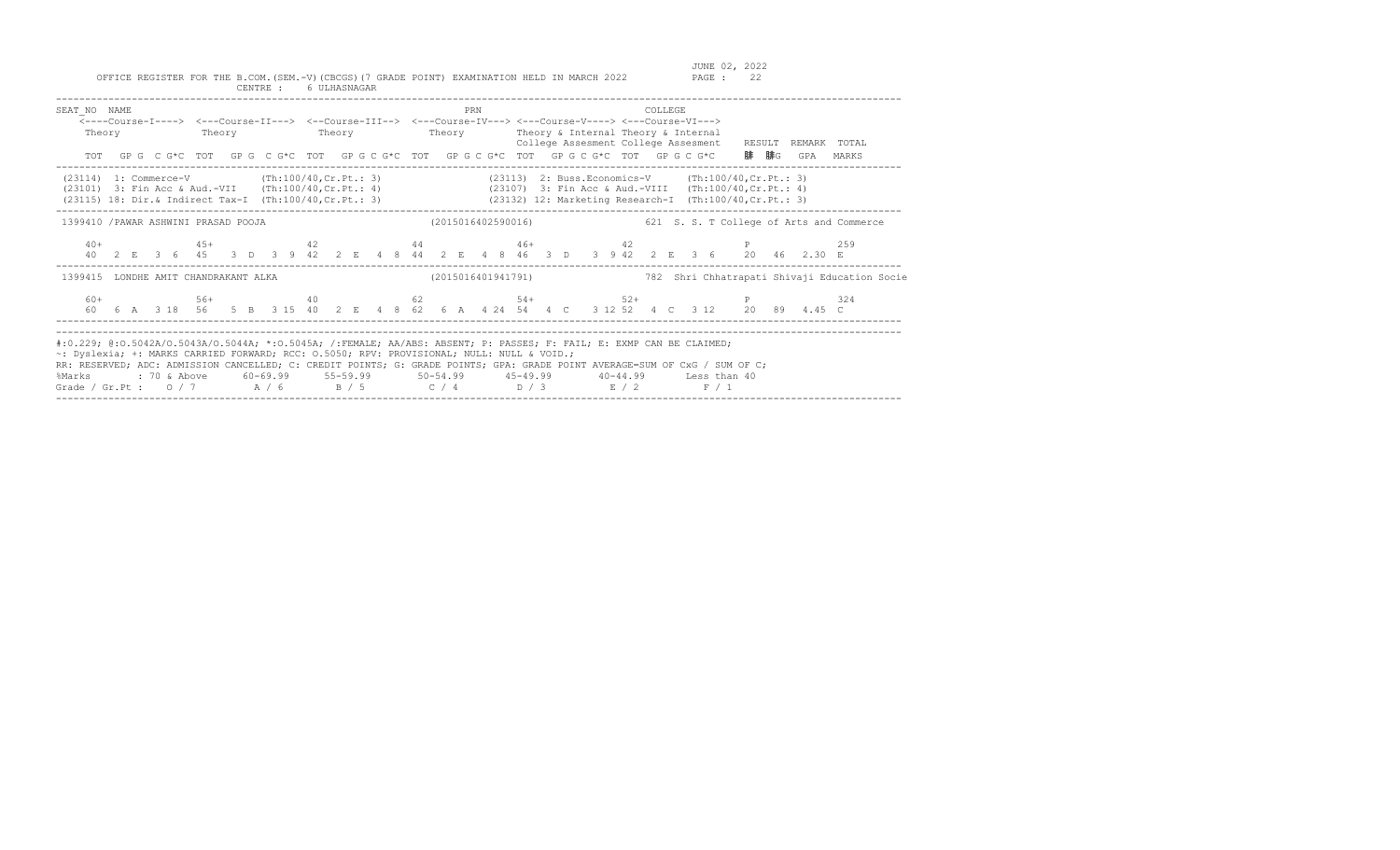| SEAT NO NAME<br>Theory                                                                                                                                                                                                                                                                                                                                                                                                                                                                       |  |  | <---Course-I----> <---Course-II---> <--Course-III--> <---Course-IV---> <---Course-V----> <---Course-VI---><br>Theory Theory Theory Theory Theory & Internal Theory & Internal |  |  |  |  |  |  | PRN |  |  |                    |  | COLLEGE. |  |  |  | TOT GPG C G*C TOT GPG C G*C TOT GPG C G*C TOT GPG C G*C TOT GPG C G*C TOT GPG C G*C 腓腓G GPA MARKS                                                         | College Assesment College Assesment RESULT REMARK TOTAL                                         |
|----------------------------------------------------------------------------------------------------------------------------------------------------------------------------------------------------------------------------------------------------------------------------------------------------------------------------------------------------------------------------------------------------------------------------------------------------------------------------------------------|--|--|-------------------------------------------------------------------------------------------------------------------------------------------------------------------------------|--|--|--|--|--|--|-----|--|--|--------------------|--|----------|--|--|--|-----------------------------------------------------------------------------------------------------------------------------------------------------------|-------------------------------------------------------------------------------------------------|
| (23114) 1: Commerce-V (Th:100/40, Cr. Pt.: 3) (23113) 2: Buss. Economics-V (Th:100/40, Cr. Pt.: 3)<br>(23101) 3: Fin Acc & Aud.-VII (Th:100/40, Cr. Pt.: 4) (23107) 3: Fin Acc & Aud.-VIII (Th:100/40, Cr. Pt.: 4)<br>(23115) 18: Dir.& Indirect Tax-I (Th:100/40, Cr. Pt.: 3) (23132) 12: Marketing Research-I (Th:100/40, Cr. Pt.: 3)                                                                                                                                                      |  |  |                                                                                                                                                                               |  |  |  |  |  |  |     |  |  |                    |  |          |  |  |  |                                                                                                                                                           |                                                                                                 |
|                                                                                                                                                                                                                                                                                                                                                                                                                                                                                              |  |  |                                                                                                                                                                               |  |  |  |  |  |  |     |  |  |                    |  |          |  |  |  |                                                                                                                                                           | 1399410 /PAWAR ASHWINI PRASAD POOJA (2015016402590016) 621 S. S. T College of Arts and Commerce |
|                                                                                                                                                                                                                                                                                                                                                                                                                                                                                              |  |  |                                                                                                                                                                               |  |  |  |  |  |  |     |  |  |                    |  |          |  |  |  |                                                                                                                                                           | 259                                                                                             |
| 1399415 LONDHE AMIT CHANDRAKANT ALKA                                                                                                                                                                                                                                                                                                                                                                                                                                                         |  |  |                                                                                                                                                                               |  |  |  |  |  |  |     |  |  | (2015016401941791) |  |          |  |  |  |                                                                                                                                                           | 782 Shri Chhatrapati Shivaji Education Socie                                                    |
|                                                                                                                                                                                                                                                                                                                                                                                                                                                                                              |  |  |                                                                                                                                                                               |  |  |  |  |  |  |     |  |  |                    |  |          |  |  |  | $60+$ 56+ 56+ 40 62 54+ 52+ 52+ P<br>60  6  A  3  18  56  5  B  3  15  40  2  E  4  8  62  6  A  4  24  54  4  C  3  12  52  4  C  3  12  20  89  4.45  C | 324                                                                                             |
| #:0.229; @:0.5042A/O.5043A/O.5044A; *:0.5045A; /:FEMALE; AA/ABS: ABSENT; P: PASSES; F: FAIL; E: EXMP CAN BE CLAIMED;<br>~: Dyslexia; +: MARKS CARRIED FORWARD; RCC: 0.5050; RPV: PROVISIONAL; NULL: NULL & VOID.;<br>RR: RESERVED; ADC: ADMISSION CANCELLED; C: CREDIT POINTS; G: GRADE POINTS; GPA: GRADE POINT AVERAGE=SUM OF CxG / SUM OF C;<br>%Marks : 70 & Above 60-69.99 55-59.99 50-54.99 45-49.99 40-44.99 Less than 40<br>Grade / Gr.Pt: $0/7$ $A/6$ $B/5$ $C/4$ $D/3$ $E/2$ $F/1$ |  |  |                                                                                                                                                                               |  |  |  |  |  |  |     |  |  |                    |  |          |  |  |  |                                                                                                                                                           |                                                                                                 |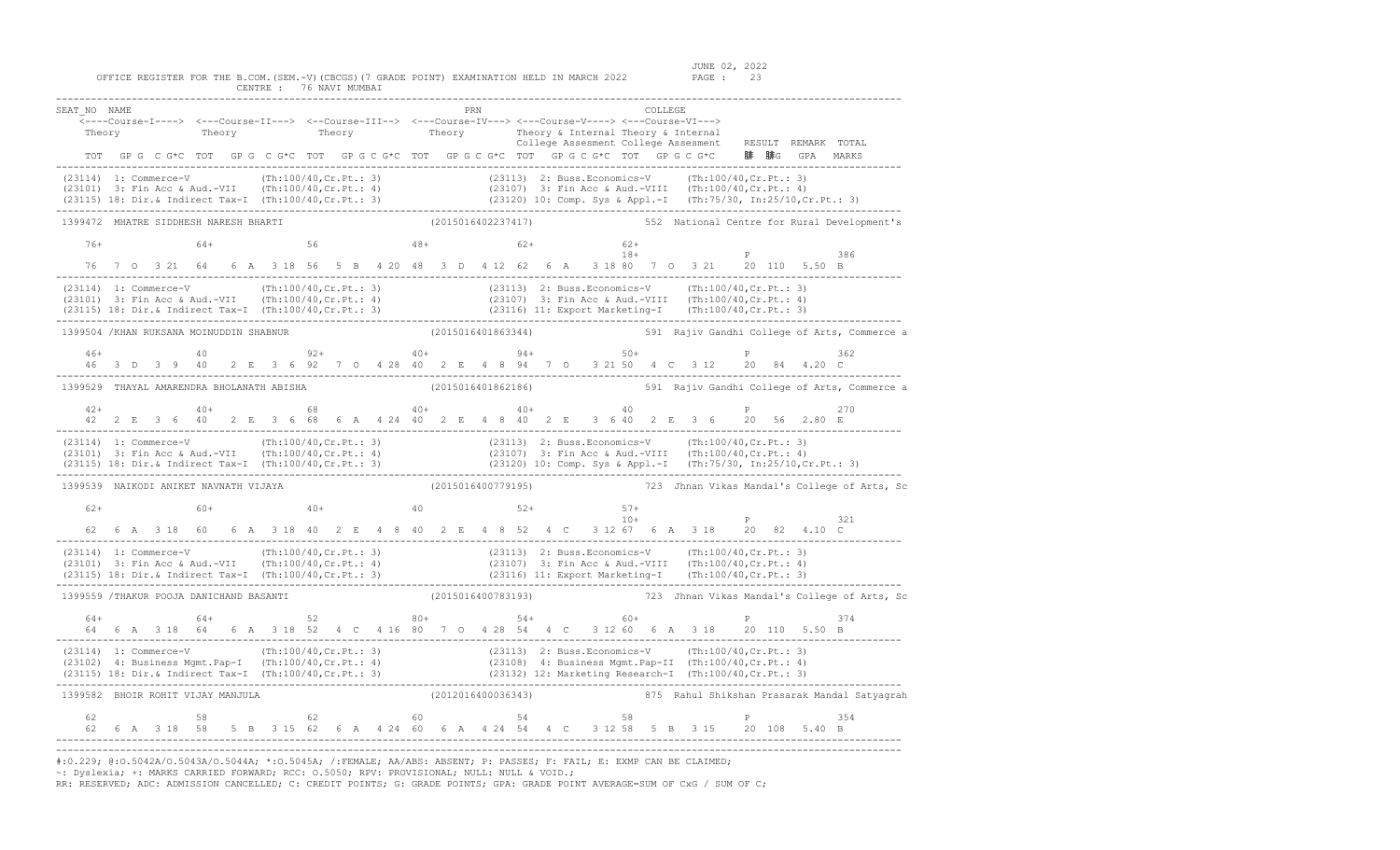OFFICE REGISTER FOR THE B.COM. (SEM.-V) (CBCGS) (7 GRADE POINT) EXAMINATION HELD IN MARCH 2022 CENTRE : 76 NAVI MUMBAI

| SEAT NO NAME                                                                                                                                                                                                                                                                                                                                             |  |  |       |                      |  |  |  |  |    |  |  |                    |  |  |       | COLLEGE |                                                                                                                                                                                                                          |             |             |                     |                                                                 |
|----------------------------------------------------------------------------------------------------------------------------------------------------------------------------------------------------------------------------------------------------------------------------------------------------------------------------------------------------------|--|--|-------|----------------------|--|--|--|--|----|--|--|--------------------|--|--|-------|---------|--------------------------------------------------------------------------------------------------------------------------------------------------------------------------------------------------------------------------|-------------|-------------|---------------------|-----------------------------------------------------------------|
| Theory                                                                                                                                                                                                                                                                                                                                                   |  |  |       |                      |  |  |  |  |    |  |  |                    |  |  |       |         | <---Course-I----> <---Course-II---> <--Course-III--> <---Course-IV---> <---Course-V----> <---Course-VI---><br>Theory Theory Theory Theory Theory Theory is internal Theory & Internal Theory and Theory is $\frac{1}{2}$ |             |             |                     |                                                                 |
|                                                                                                                                                                                                                                                                                                                                                          |  |  |       |                      |  |  |  |  |    |  |  |                    |  |  |       |         | College Assesment College Assesment                                                                                                                                                                                      |             |             | RESULT REMARK TOTAL |                                                                 |
|                                                                                                                                                                                                                                                                                                                                                          |  |  |       |                      |  |  |  |  |    |  |  |                    |  |  |       |         | TOT GPG CG*C TOT GPG CG*C TOT GPG CG*C TOT GPG CG*C TOT GPG CG*C TOT GPG CG*C 腓 腓G GPA MARKS                                                                                                                             |             |             |                     |                                                                 |
| (23114) 1: Commerce-V (Th:100/40,Cr.Pt.: 3) (23113) 2: Buss.Economics-V (Th:100/40,Cr.Pt.: 3)<br>(23101) 3: Fin Acc & Aud.-VII (Th:100/40,Cr.Pt.: 4) (23107) 3: Fin Acc & Aud.-VIII (Th:100/40,Cr.Pt.: 4)<br>(23115) 18: Dir.& Indir                                                                                                                     |  |  |       |                      |  |  |  |  |    |  |  |                    |  |  |       |         |                                                                                                                                                                                                                          |             |             |                     |                                                                 |
| 1399472 MHATRE SIDDHESH NARESH BHARTI                                                                                                                                                                                                                                                                                                                    |  |  |       |                      |  |  |  |  |    |  |  |                    |  |  |       |         |                                                                                                                                                                                                                          |             |             |                     | (2015016402237417) 552 National Centre for Rural Development's  |
| $76+$                                                                                                                                                                                                                                                                                                                                                    |  |  | $64+$ |                      |  |  |  |  |    |  |  |                    |  |  |       |         | $18 +$<br>$56$<br>$48 +$<br>$52 +$<br>$18 +$<br>$18 +$<br>$9 -$<br>$18 -$                                                                                                                                                |             |             |                     |                                                                 |
|                                                                                                                                                                                                                                                                                                                                                          |  |  |       |                      |  |  |  |  |    |  |  |                    |  |  |       |         | 76 7 0 3 21 64 6 A 3 18 56 5 B 4 20 48 3 D 4 12 62 6 A 3 18 80 7 0 3 21 20 110 5.50 B                                                                                                                                    |             |             |                     | 386                                                             |
| (23114) 1: Commerce-V (Th:100/40,Cr.Pt.: 3) (23113) 2: Buss.Economics-V (Th:100/40,Cr.Pt.: 3)<br>(23101) 3: Fin Acc & Aud.-VII (Th:100/40,Cr.Pt.: 4) (23107) 3: Fin Acc & Aud.-VIII (Th:100/40,Cr.Pt.: 4)<br>(23115) 18: Dir.& Indi                                                                                                                      |  |  |       |                      |  |  |  |  |    |  |  |                    |  |  |       |         |                                                                                                                                                                                                                          |             |             |                     |                                                                 |
| 1399504 / KHAN RUKSANA MOINUDDIN SHABNUR                                                                                                                                                                                                                                                                                                                 |  |  |       |                      |  |  |  |  |    |  |  |                    |  |  |       |         |                                                                                                                                                                                                                          |             |             |                     | (2015016401863344) 591 Rajiv Gandhi College of Arts, Commerce a |
| $46+$                                                                                                                                                                                                                                                                                                                                                    |  |  | 40    |                      |  |  |  |  |    |  |  |                    |  |  |       |         | $92+$ $40+$ $94+$ $50+$<br>46 3 D 3 9 40 2 E 3 6 92 7 O 4 28 40 2 E 4 8 94 7 O 3 21 50 4 C 3 12 20 84 4.20 C                                                                                                             |             | $P$ and $P$ |                     | 362                                                             |
| 1399529 THAYAL AMARENDRA BHOLANATH ABISHA                                                                                                                                                                                                                                                                                                                |  |  |       |                      |  |  |  |  |    |  |  | (2015016401862186) |  |  |       |         |                                                                                                                                                                                                                          |             |             |                     | 591 Rajiv Gandhi College of Arts, Commerce a                    |
|                                                                                                                                                                                                                                                                                                                                                          |  |  |       |                      |  |  |  |  |    |  |  |                    |  |  |       |         |                                                                                                                                                                                                                          |             |             |                     | 270                                                             |
| (23114) 1: Commerce-V (Th:100/40, Cr. Pt.: 3) (23113) 2: Buss. Economics-V (Th:100/40, Cr. Pt.: 3)<br>(23101) 3: Fin Acc & Aud.-VII (Th:100/40, Cr. Pt.: 4) (23107) 3: Fin Acc & Aud.-VIII (Th:100/40, Cr. Pt.: 4)<br>(23115) 18: D                                                                                                                      |  |  |       |                      |  |  |  |  |    |  |  |                    |  |  |       |         |                                                                                                                                                                                                                          |             |             |                     |                                                                 |
| 1399539 NAIKODI ANIKET NAVNATH VIJAYA                                                                                                                                                                                                                                                                                                                    |  |  |       |                      |  |  |  |  |    |  |  |                    |  |  |       |         |                                                                                                                                                                                                                          |             |             |                     | (2015016400779195) 723 Jhnan Vikas Mandal's College of Arts, Sc |
| $62+$                                                                                                                                                                                                                                                                                                                                                    |  |  |       | $60+$ 40+ 40 52+ 57+ |  |  |  |  |    |  |  |                    |  |  | $10+$ |         |                                                                                                                                                                                                                          |             |             | $\mathbb{P}$        | 321                                                             |
|                                                                                                                                                                                                                                                                                                                                                          |  |  |       |                      |  |  |  |  |    |  |  |                    |  |  |       |         | 62  6  A  3  18  60  6  A  3  18  40  2  E  4  8  40  2  E  4  B  52  4  C  3  12  67  6  A  3  18  20  82  4.10  C                                                                                                      |             |             |                     |                                                                 |
| (23114) 1: Commerce-V (Th:100/40, Cr. Pt.: 3) (23113) 2: Buss.Economics-V (Th:100/40, Cr. Pt.: 3)<br>(23101) 3: Fin Acc & Aud.-VII (Th:100/40, Cr. Pt.: 4) (23107) 3: Fin Acc & Aud.-VIII (Th:100/40, Cr. Pt.: 4)<br>(23115) 18: Di                                                                                                                      |  |  |       |                      |  |  |  |  |    |  |  |                    |  |  |       |         |                                                                                                                                                                                                                          |             |             |                     |                                                                 |
| 1399559 /THAKUR POOJA DANICHAND BASANTI                                                                                                                                                                                                                                                                                                                  |  |  |       |                      |  |  |  |  |    |  |  | (2015016400783193) |  |  |       |         |                                                                                                                                                                                                                          |             |             |                     | 723 Jhnan Vikas Mandal's College of Arts, Sc                    |
| 64+                                                                                                                                                                                                                                                                                                                                                      |  |  |       |                      |  |  |  |  |    |  |  |                    |  |  |       |         |                                                                                                                                                                                                                          |             |             |                     | 374                                                             |
| $(23114) \t1: Commerce-V \t(Th:100/40, Cr.Pt.: 3) \t(23113) \t2: Buss.Economics-V \t(Th:100/40, Cr.Pt.: 3) \t(23102) \t4: Busingness Mgmt.Pap-II \t(Th:100/40, Cr.Pt.: 4) \t(23115) \t18: Dir, & Indirect Tax-I \t(Th:100/40,Cr.Pt.: 3) \t(23132) \t12: Marketing Research-I \t(Th:100/40,Cr.Pt.: 3) \t(23133) \t13: Marketing Research-I \t(Th:100/40,$ |  |  |       |                      |  |  |  |  |    |  |  |                    |  |  |       |         |                                                                                                                                                                                                                          |             |             |                     |                                                                 |
| 1399582 BHOIR ROHIT VIJAY MANJULA                                                                                                                                                                                                                                                                                                                        |  |  |       |                      |  |  |  |  |    |  |  |                    |  |  |       |         |                                                                                                                                                                                                                          |             |             |                     | (2012016400036343) 375 Rahul Shikshan Prasarak Mandal Satyagrah |
| 62                                                                                                                                                                                                                                                                                                                                                       |  |  |       | 58 62                |  |  |  |  | 60 |  |  | $54$ 58            |  |  |       |         | 62  6  A  3  18  58  5  B  3  15  62  6  A  4  24  60  6  A  4  24  54  4  C  3  12  58  5  B  3  15  20  108  5.40  B                                                                                                   | $P$ and $P$ |             |                     | 354                                                             |

------------------------------------------------------------------------------------------------------------------------------------------------- #:0.229; @:O.5042A/O.5043A/O.5044A; \*:O.5045A; /:FEMALE; AA/ABS: ABSENT; P: PASSES; F: FAIL; E: EXMP CAN BE CLAIMED; ~: Dyslexia; +: MARKS CARRIED FORWARD; RCC: O.5050; RPV: PROVISIONAL; NULL: NULL & VOID.;

RR: RESERVED; ADC: ADMISSION CANCELLED; C: CREDIT POINTS; G: GRADE POINTS; GPA: GRADE POINT AVERAGE=SUM OF CxG / SUM OF C;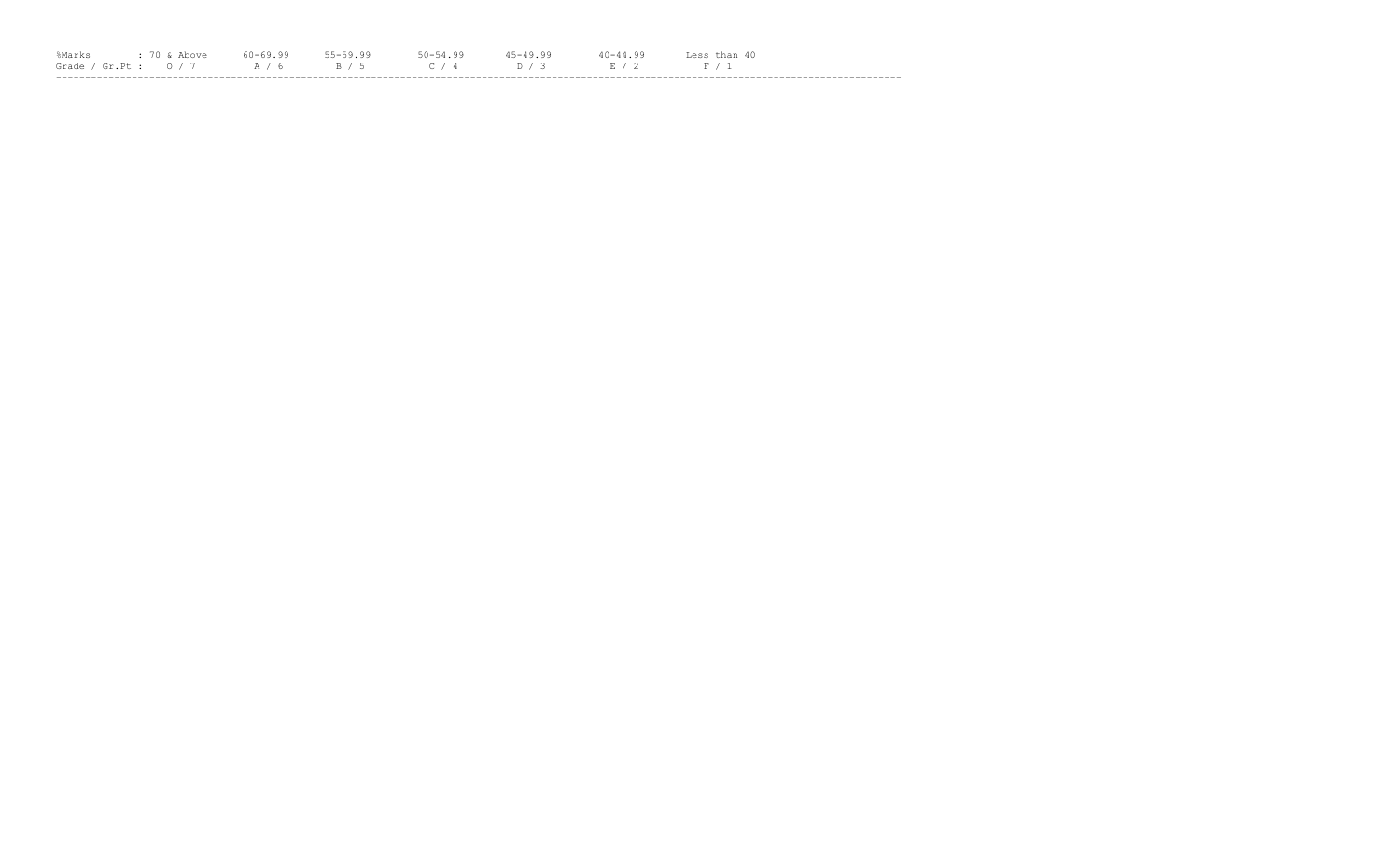| %Marks |                                                          |  |  | $40 - 44.99$ | Less than 40 |  |
|--------|----------------------------------------------------------|--|--|--------------|--------------|--|
|        | Grade / Gr.Pt: $0/7$ $A/6$ $B/5$ $C/4$ $D/3$ $E/2$ $F/1$ |  |  |              |              |  |
|        |                                                          |  |  |              |              |  |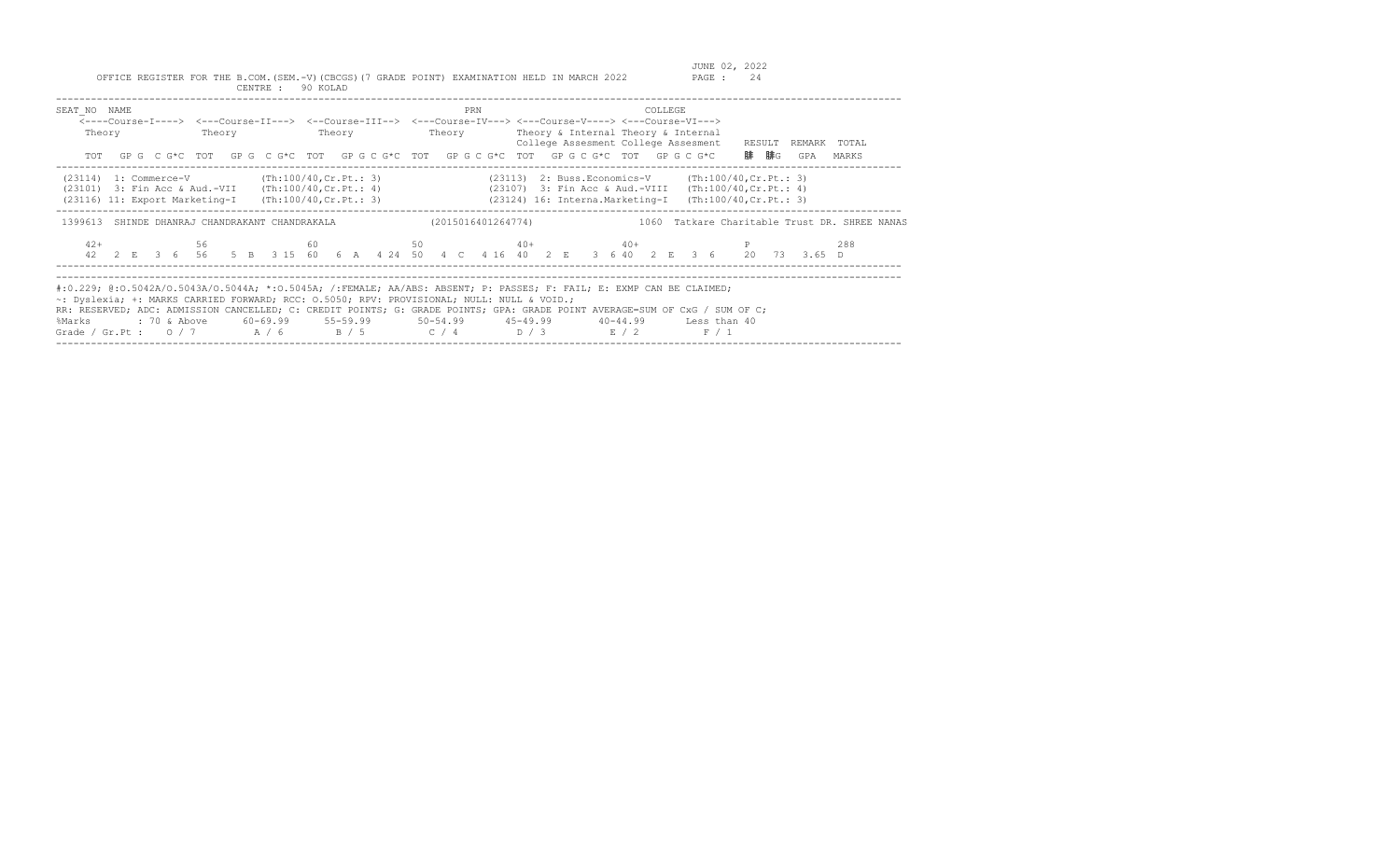| SEAT NO NAME<br>Theory                                                                              | Theory | PRN | COLLEGE<br><----Course-I----> <---Course-II---> <--Course-III--> <---Course-IV---> <---Course-V----> <---Course-VI---><br>Theory Theory Theory Theory & Internal Theory & Internal<br>College Assesment College Assesment RESULT<br>TOT GPG CG*C TOT GPG CG*C TOT GPG CG*C TOT GPG CG*C TOT GPG CG*C TOT GPG CG*C                                                                            | REMARK TOTAL<br>腓 腓G<br>GPA<br>MARKS          |
|-----------------------------------------------------------------------------------------------------|--------|-----|----------------------------------------------------------------------------------------------------------------------------------------------------------------------------------------------------------------------------------------------------------------------------------------------------------------------------------------------------------------------------------------------|-----------------------------------------------|
| $(23114)$ 1: Commerce-V $(Th:100/40, Cr.Pt.: 3)$                                                    |        |     | $(23113)$ 2: Buss. Economics-V $(Th:100/40, Cr.Pt.: 3)$<br>(23101) 3: Fin Acc & Aud.-VII (Th:100/40, Cr. Pt.: 4) (23107) 3: Fin Acc & Aud.-VIII (Th:100/40, Cr. Pt.: 4)<br>(23116) 11: Export Marketing-I (Th:100/40, Cr. Pt.: 3) (23124) 16: Interna. Marketing-I (Th:100/40, Cr. Pt.: 3)                                                                                                   |                                               |
| 1399613 SHINDE DHANRAJ CHANDRAKANT CHANDRAKALA                                                      |        |     | (2015016401264774)                                                                                                                                                                                                                                                                                                                                                                           | 1060 Tatkare Charitable Trust DR. SHREE NANAS |
| $42+$                                                                                               |        |     | 56 60 60 50 40+ 40+ 40+ 40+ P<br>42  2  E  3  6  56  5  B  3  15  60  6  A  4  24  50  4  C  4  16  40  2  E  3  6  40  2  E  3  6  20  73  3.65  D                                                                                                                                                                                                                                          | 288                                           |
| ~: Dyslexia; +: MARKS CARRIED FORWARD; RCC: 0.5050; RPV: PROVISIONAL; NULL: NULL & VOID.;<br>%Marks |        |     | #:0.229; @:0.5042A/O.5043A/O.5044A; *:0.5045A; /:FEMALE; AA/ABS: ABSENT; P: PASSES; F: FAIL; E: EXMP CAN BE CLAIMED;<br>RR: RESERVED; ADC: ADMISSION CANCELLED; C: CREDIT POINTS; G: GRADE POINTS; GPA: GRADE POINT AVERAGE=SUM OF CxG / SUM OF C;<br>: 70 & Above 60-69.99 55-59.99 50-54.99 45-49.99 40-44.99 Less than 40<br>Grade / Gr.Pt : $0/7$ $A/6$ $B/5$ $C/4$ $D/3$ $E/2$<br>F / 1 |                                               |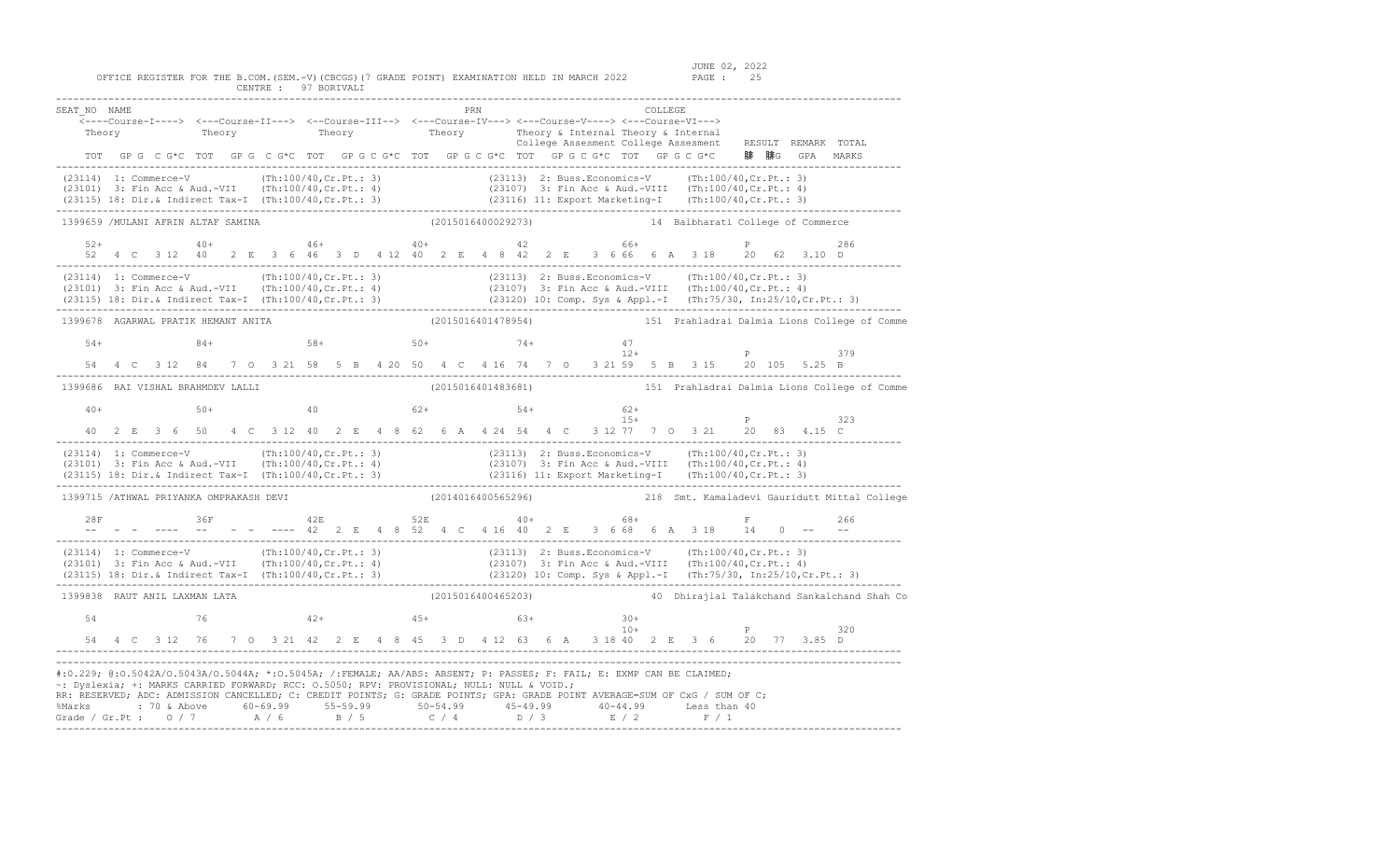OFFICE REGISTER FOR THE B.COM.(SEM.-V)(CBCGS)(7 GRADE POINT) EXAMINATION HELD IN MARCH 2022 PAGE : 25 CENTRE : 97 BORIVALI

SEAT\_NO NAME PRN COLLEGE <----Course-I----> <---Course-II---> <--Course-III--> <---Course-IV---> <---Course-V----> <---Course-VI---> Theory Theory Theory Theory Theory Theory Theory Theory Theory Theory Theory Theory Theory Theory Theory Theory College Assesment College Assesment RESULT REMARK TOTAL TOT GP G C G\*C TOT GP G C G\*C TOT GP G C G\*C TOT GP G C G\*C TOT GP G C G\*C TOT GP G C G\*C 腓 腓G GPA MARKS ------------------------------------------------------------------------------------------------------------------------------------------------- (23114) 1: Commerce-V (Th:100/40,Cr.Pt.: 3) (23113) 2: Buss.Economics-V (Th:100/40,Cr.Pt.: 3) (23101) 3: Fin Acc & Aud.-VII (Th:100/40,Cr.Pt.: 4) (23107) 3: Fin Acc & Aud.-VIII (Th:100/40,Cr.Pt.: 4) (23115) 18: Dir.& Indirect Tax-I (Th:100/40,Cr.Pt.: 3) (23116) 11: Export Marketing-I (Th:100/40,Cr.Pt.: 3) ------------------------------------------------------------------------------------------------------------------------------------------------- 14 Balbharati College of Commerce  $52+$   $40+$   $46+$   $40+$   $40+$   $42$  66+ 52 4 C 3 12 40 2 E 3 6 46 3 D 4 12 40 2 E 4 8 42 2 E 3 6 66 6 A 3 18 20 62 3.10 D ------------------------------------------------------------------------------------------------------------------------------------------------- (23114) 1: Commerce-V (Th:100/40,Cr.Pt.: 3) (23113) 2: Buss.Economics-V (Th:100/40,Cr.Pt.: 3)<br>(23101) 3: Fin Acc & Aud.-VII (Th:100/40,Cr.Pt.: 4) (23107) 3: Fin Acc & Aud.-VIII (Th:100/40,Cr.Pt.: 4) (23101) 3: Fin Acc & Aud.-VII (Th:100/40,Cr.Pt.: 4) (23107) 3: Fin Acc & Aud.-VIII (Th:100/40,Cr.Pt.: 4) (23115) 18: Dir.& Indirect Tax-I (Th:100/40,Cr.Pt.: 3) (23120) 10: Comp. Sys & Appl.-I (Th:75/30, In:25/10,Cr.Pt.: 3) ------------------------------------------------------------------------------------------------------------------------------------------------- (2015016401478954) 151 Prahladrai Dalmia Lions College of Comme 54+ 84+ 58+ 50+ 74+ 47 12+ P 379 54 4 C 3 12 84 7 O 3 21 58 5 B 4 20 50 4 C 4 16 74 7 O 3 21 59 5 B 3 15 20 105 5.25 B ------------------------------------------------------------------------------------------------------------------------------------------------- (2015016401483681) 151 Prahladrai Dalmia Lions College of Comme 40+ 50+ 40 62+ 54+ 62+  $15+$  P 323 40 2 E 3 6 50 4 C 3 12 40 2 E 4 8 62 6 A 4 24 54 4 C 3 12 77 7 O 3 21 20 83 4.15 C ------------------------------------------------------------------------------------------------------------------------------------------------- (23114) 1: Commerce-V (Th:100/40,Cr.Pt.: 3) (23113) 2: Buss.Economics-V (Th:100/40,Cr.Pt.: 3)<br>(23101) 3: Fin Acc & Aud.-VII (Th:100/40,Cr.Pt.: 4) (23107) 3: Fin Acc & Aud.-VIII (Th:100/40,Cr.Pt.: 4)<br>(23115) 18: Dir.& Indir ------------------------------------------------------------------------------------------------------------------------------------------------- 1399715 /ATHWAL PRIYANKA OMPRAKASH DEVI (2014016400565296) 218 Smt. Kamaladevi Gauridutt Mittal College 28F 36F 42E 52E 40+ 68+ F -- - - ---- -- - - ---- 42 2 E 4 8 52 4 C 4 16 40 2 E 3 6 68 6 A 3 18 14 0 -- -- ------------------------------------------------------------------------------------------------------------------------------------------------- (23114) 1: Commerce-V (Th:100/40,Cr.Pt.: 3) (23113) 2: Buss.Economics-V (Th:100/40,Cr.Pt.: 3) (23101) 3: Fin Acc & Aud.-VII (Th:100/40,Cr.Pt.: 4) (23107) 3: Fin Acc & Aud.-VIII (Th:100/40,Cr.Pt.: 4) (23115) 18: Dir.& Indirect Tax-I (Th:100/40,Cr.Pt.: 3) (23120) 10: Comp. Sys & Appl.-I (Th:75/30, In:25/10,Cr.Pt.: 3) ------------------------------------------------------------------------------------------------------------------------------------------------- 1399838 RAUT ANIL LAXMAN LATA (2015016400465203) 40 Dhirajlal Talakchand Sankalchand Shah Co 54 76 76 42+ 45+ 63+ 54 10+  $10+$  P 320 54 4 C 3 12 76 7 O 3 21 42 2 E 4 8 45 3 D 4 12 63 6 A 3 18 40 2 E 3 6 20 77 3.85 D #:0.229; @:O.5042A/O.5043A/O.5044A; \*:O.5045A; /:FEMALE; AA/ABS: ABSENT; P: PASSES; F: FAIL; E: EXMP CAN BE CLAIMED; ~: Dyslexia; +: MARKS CARRIED FORWARD; RCC: O.5050; RPV: PROVISIONAL; NULL: NULL & VOID.; RR: RESERVED; ADC: ADMISSION CANCELLED; C: CREDIT POINTS; G: GRADE POINTS; GPA: GRADE POINT AVERAGE=SUM OF CxG / SUM OF C; %Marks : 70 & Above 60-69.99 55-59.99 50-54.99 45-49.99 40-44.99 Less than 40<br>Grade / Gr.Pt : O / 7 A / 6 B / 5 C / 4 D / 3 E / 2 F / 1 -------------------------------------------------------------------------------------------------------------------------------------------------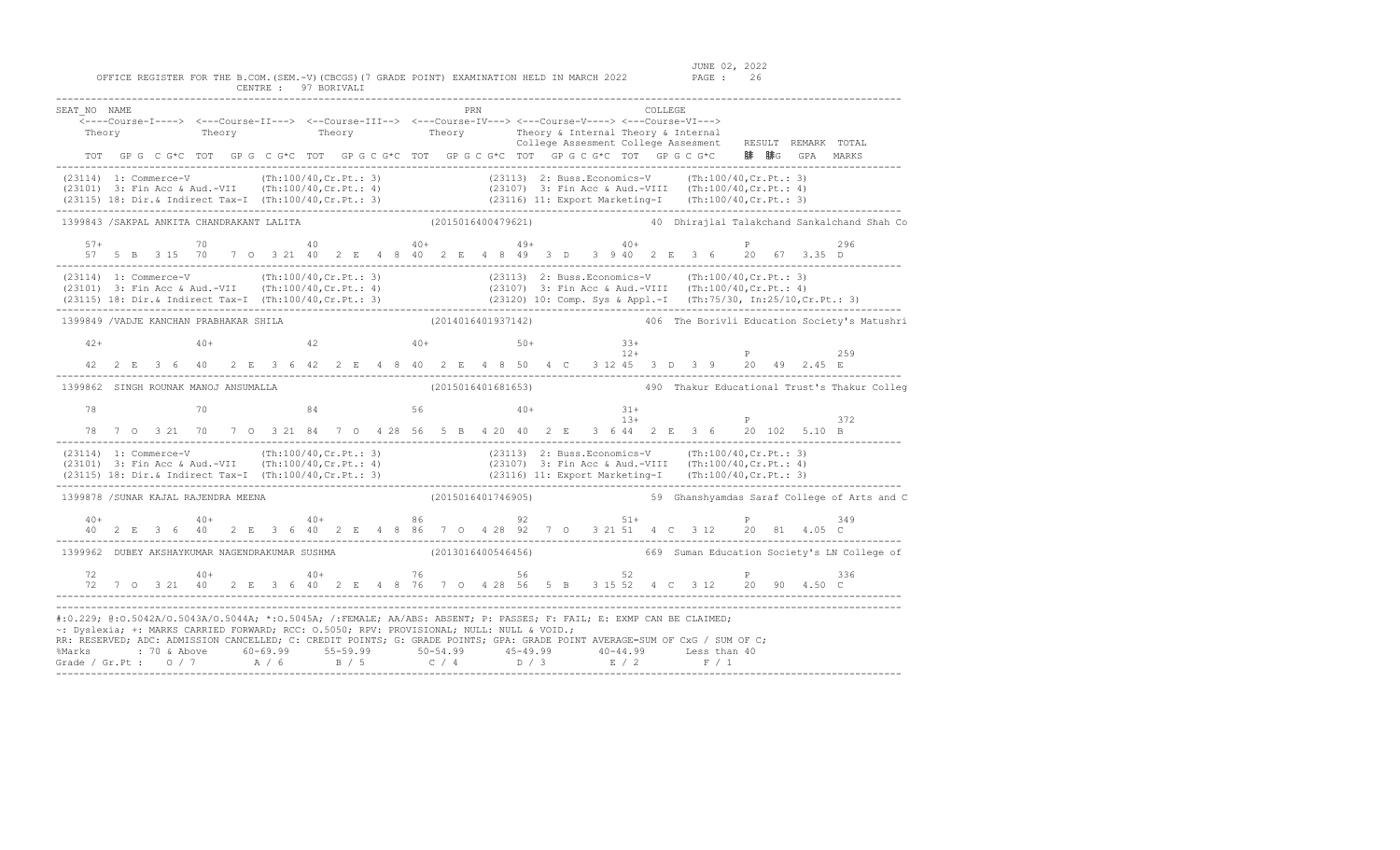JUNE 02, 2022<br>PAGE : 26

| SEAT NO NAME                                                                                                                                                                                                                                                                                                                                    |        |  |    |                                                                            |  |                   |  |  |                    | PRN |  |  |  | COLLEGE |       |  |                                                                                                                                         |                                                                                                                                                                                                                                      |
|-------------------------------------------------------------------------------------------------------------------------------------------------------------------------------------------------------------------------------------------------------------------------------------------------------------------------------------------------|--------|--|----|----------------------------------------------------------------------------|--|-------------------|--|--|--------------------|-----|--|--|--|---------|-------|--|-----------------------------------------------------------------------------------------------------------------------------------------|--------------------------------------------------------------------------------------------------------------------------------------------------------------------------------------------------------------------------------------|
|                                                                                                                                                                                                                                                                                                                                                 | Theory |  |    |                                                                            |  |                   |  |  |                    |     |  |  |  |         |       |  |                                                                                                                                         | Theory Theory Theory Theory & Internal Theory & Internal Theory ENNARK TOTAL College Assesment College Assesment RESULT REMARK TOTAL                                                                                                 |
|                                                                                                                                                                                                                                                                                                                                                 |        |  |    |                                                                            |  |                   |  |  |                    |     |  |  |  |         |       |  | TOT GPG CG*C TOT GPG CG*C TOT GPG CG*C TOT GPG CG*C TOT GPG CG*C TOT GPG CG*C 腓 腓G GPA MARKS                                            |                                                                                                                                                                                                                                      |
|                                                                                                                                                                                                                                                                                                                                                 |        |  |    |                                                                            |  |                   |  |  |                    |     |  |  |  |         |       |  |                                                                                                                                         |                                                                                                                                                                                                                                      |
| 1399843 /SAKPAL ANKITA CHANDRAKANT LALITA                                                                                                                                                                                                                                                                                                       |        |  |    |                                                                            |  |                   |  |  |                    |     |  |  |  |         |       |  |                                                                                                                                         | (2015016400479621)  40 Dhirajlal Talakchand Sankalchand Shah Co                                                                                                                                                                      |
| $57+$                                                                                                                                                                                                                                                                                                                                           |        |  | 70 |                                                                            |  | $40+$ $49+$ $40+$ |  |  |                    |     |  |  |  |         |       |  | 57 5 B 3 15 70 7 O 3 21 40 2 E 4 8 40 2 E 4 8 49 3 D 3 9 40 2 E 3 6 20 67 3.35 D                                                        | 296                                                                                                                                                                                                                                  |
|                                                                                                                                                                                                                                                                                                                                                 |        |  |    |                                                                            |  |                   |  |  |                    |     |  |  |  |         |       |  |                                                                                                                                         | (23114) 1: Commerce-V (Th:100/40,Cr.Pt.: 3) (23113) 2: Buss.Economics-V (Th:100/40,Cr.Pt.: 3)<br>(23101) 3: Fin Acc & Aud.-VII (Th:100/40,Cr.Pt.: 4) (23107) 3: Fin Acc & Aud.-VIII (Th:100/40,Cr.Pt.: 4)<br>(23115) 18: Dir.& Indir |
| 1399849 / VADJE KANCHAN PRABHAKAR SHILA                                                                                                                                                                                                                                                                                                         |        |  |    |                                                                            |  |                   |  |  |                    |     |  |  |  |         |       |  |                                                                                                                                         | (2014016401937142) 406 The Borivli Education Society's Matushri                                                                                                                                                                      |
| $42+$                                                                                                                                                                                                                                                                                                                                           |        |  |    | $40+$ $42$ $40+$ $50+$ $33+$                                               |  |                   |  |  |                    |     |  |  |  |         | $12+$ |  | $\mathbb P$                                                                                                                             | 259                                                                                                                                                                                                                                  |
|                                                                                                                                                                                                                                                                                                                                                 |        |  |    |                                                                            |  |                   |  |  |                    |     |  |  |  |         |       |  | 42 2 E 3 6 40 2 E 3 6 42 2 E 4 8 40 2 E 4 8 50 4 C 3 12 45 3 D 3 9 20 49 2.45 E                                                         |                                                                                                                                                                                                                                      |
|                                                                                                                                                                                                                                                                                                                                                 |        |  |    |                                                                            |  |                   |  |  |                    |     |  |  |  |         |       |  |                                                                                                                                         | 1399862 SINGH ROUNAK MANOJ ANSUMALLA (2015016401681653) 490 Thakur Educational Trust's Thakur Colleg                                                                                                                                 |
| 78                                                                                                                                                                                                                                                                                                                                              |        |  |    | $70 \qquad \qquad 84 \qquad \qquad 56 \qquad \qquad 40+ \qquad \qquad 31+$ |  |                   |  |  |                    |     |  |  |  |         |       |  |                                                                                                                                         |                                                                                                                                                                                                                                      |
|                                                                                                                                                                                                                                                                                                                                                 |        |  |    |                                                                            |  |                   |  |  |                    |     |  |  |  |         | $13+$ |  | $\mathbb P$<br>78 7 0 3 21 70 7 0 3 21 84 7 0 4 28 56 5 B 4 20 40 2 E 3 6 44 2 E 3 6 20 102 5.10 B                                      | 372                                                                                                                                                                                                                                  |
|                                                                                                                                                                                                                                                                                                                                                 |        |  |    |                                                                            |  |                   |  |  |                    |     |  |  |  |         |       |  |                                                                                                                                         | (23114) 1: Commerce-V (Th:100/40,Cr.Pt.: 3) (23113) 2: Buss.Economics-V (Th:100/40,Cr.Pt.: 3)<br>(23101) 3: Fin Acc & Aud.-VII (Th:100/40,Cr.Pt.: 4) (23107) 3: Fin Acc & Aud.-VIII (Th:100/40,Cr.Pt.: 4)<br>(23115) 18: Dir.& Indi  |
| 1399878 /SUNAR KAJAL RAJENDRA MEENA                                                                                                                                                                                                                                                                                                             |        |  |    |                                                                            |  |                   |  |  |                    |     |  |  |  |         |       |  |                                                                                                                                         | (2015016401746905) 59 Ghanshyamdas Saraf College of Arts and C                                                                                                                                                                       |
|                                                                                                                                                                                                                                                                                                                                                 |        |  |    |                                                                            |  |                   |  |  |                    |     |  |  |  |         |       |  | $40+$ $40+$ $40+$ $40+$ $86$ $92+$ $51+$ $5+$ $9+$<br>40 2 E 3 6 40 2 E 3 6 40 2 E 4 8 86 7 0 4 28 92 7 0 3 21 51 4 C 3 12 20 81 4.05 C | 349                                                                                                                                                                                                                                  |
| 1399962 DUBEY AKSHAYKUMAR NAGENDRAKUMAR SUSHMA                                                                                                                                                                                                                                                                                                  |        |  |    |                                                                            |  |                   |  |  | (2013016400546456) |     |  |  |  |         |       |  |                                                                                                                                         | 669 Suman Education Society's LN College of                                                                                                                                                                                          |
| $72$<br>$72$<br>$70$<br>$3$<br>$21$<br>$40$<br>$40$<br>$40$<br>$40$<br>$40$<br>$40$<br>$40$<br>$40$<br>$40$<br>$40$<br>$42$<br>$56$<br>$5$<br>$5$<br>$5$<br>$3$<br>$15$<br>$52$<br>$4$<br>$C$<br>$3$<br>$12$<br>$20$<br>$90$<br>$4.50$<br>$C$<br>$5.5$<br>$C$<br>$5.5$<br>$D$<br>$3.15$<br>$5.2$<br>                                            |        |  |    |                                                                            |  |                   |  |  |                    |     |  |  |  |         |       |  |                                                                                                                                         |                                                                                                                                                                                                                                      |
| #:0.229; @:0.5042A/0.5043A/0.5044A; *:0.5045A; /:FEMALE; AA/ABS: ABSENT; P: PASSES; F: FAIL; E: EXMP CAN BE CLAIMED;<br>~: Dyslexia; +: MARKS CARRIED FORWARD; RCC: 0.5050; RPV: PROVISIONAL; NULL: NULL & VOID.;<br>RR: RESERVED; ADC: ADMISSION CANCELLED; C: CREDIT POINTS; G: GRADE POINTS; GPA: GRADE POINT AVERAGE=SUM OF CxG / SUM OF C; |        |  |    |                                                                            |  |                   |  |  |                    |     |  |  |  |         |       |  |                                                                                                                                         |                                                                                                                                                                                                                                      |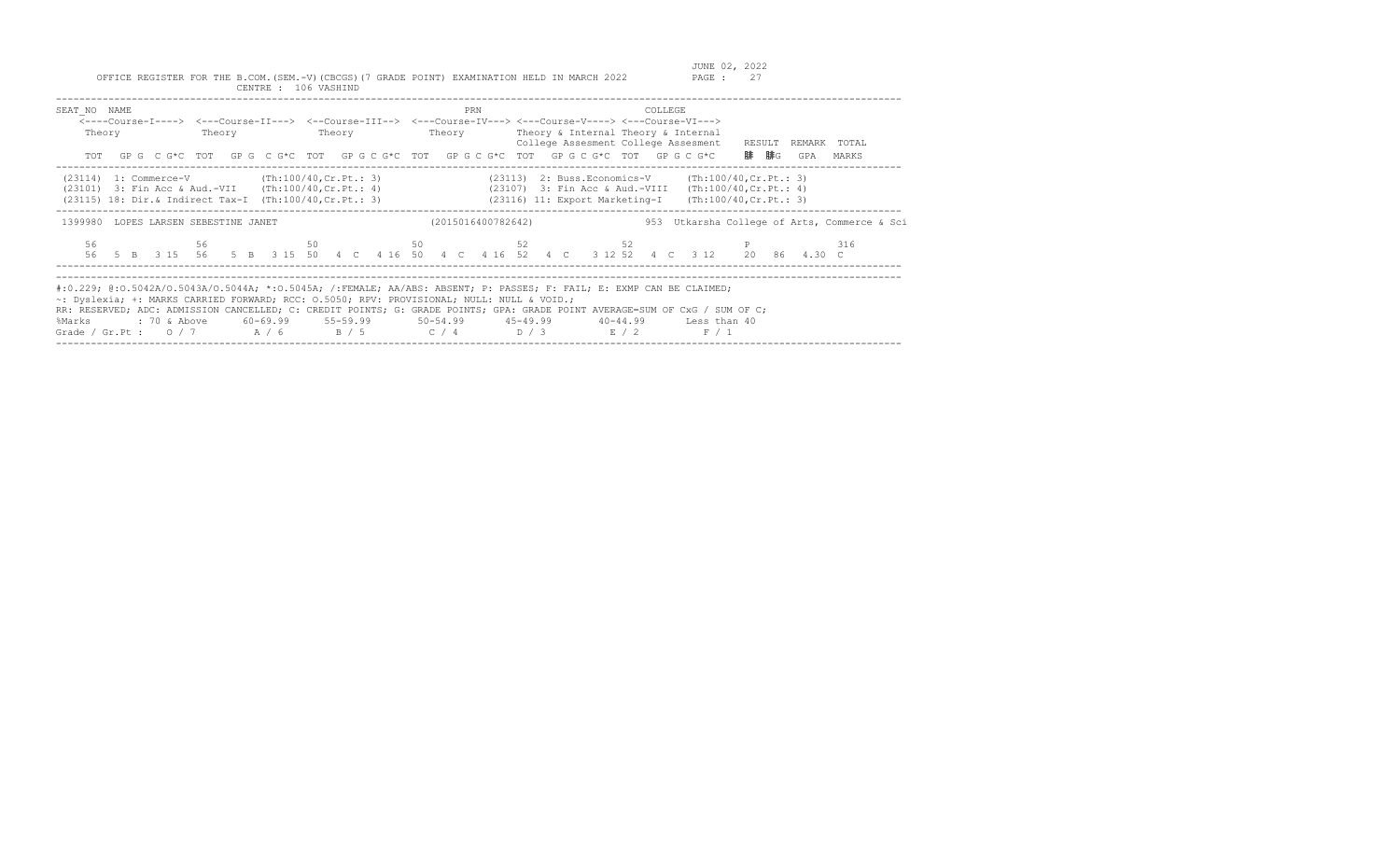| SEAT NO NAME<br>Theory<br>TOT                                                                                       | Theory | <b>Theory</b> | PRN                | COLLEGE<br><----Course-I----> <---Course-II---> <--Course-III--> <---Course-IV---> <---Course-V----> <---Course-VI---><br>Theory Theory & Internal Theory & Internal<br>College Assesment College Assesment RESULT<br>GP G C G*C TOT GP G C G*C TOT GP G C G*C TOT GP G C G*C TOT GP G C G*C TOT GP G C G*C                                                              | REMARK TOTAL<br>腓  腓G<br>GPA<br>MARKS            |
|---------------------------------------------------------------------------------------------------------------------|--------|---------------|--------------------|--------------------------------------------------------------------------------------------------------------------------------------------------------------------------------------------------------------------------------------------------------------------------------------------------------------------------------------------------------------------------|--------------------------------------------------|
| $(23114)$ 1: Commerce-V $(Th:100/40, Cr.Pt.: 3)$<br>$(23101)$ 3: Fin Acc & Aud.-VII $(Th:100/40, Cr.Pt.: 4)$        |        |               |                    | $(23113)$ 2: Buss. Economics-V (Th:100/40, Cr. Pt.: 3)<br>(23107) 3: Fin Acc & Aud.-VIII<br>(23115) 18: Dir.& Indirect Tax-I (Th:100/40, Cr. Pt.: 3) (23116) 11: Export Marketing-I                                                                                                                                                                                      | (Th:100/40, Cr.Pt.: 4)<br>(Th:100/40, Cr.Pt.: 3) |
| 1399980 LOPES LARSEN SEBESTINE JANET                                                                                |        |               | (2015016400782642) |                                                                                                                                                                                                                                                                                                                                                                          | 953 Utkarsha College of Arts, Commerce & Sci     |
| 56                                                                                                                  | 56     |               |                    | $50$ 50 52 52 52<br>56 5 B 3 15 56 5 B 3 15 50 4 C 4 16 50 4 C 4 16 52 4 C 3 12 52 4 C 3 12 20 86 4.30 C                                                                                                                                                                                                                                                                 | 316                                              |
| ~: Dyslexia; +: MARKS CARRIED FORWARD; RCC: 0.5050; RPV: PROVISIONAL; NULL: NULL & VOID.;<br>: 70 & Above<br>%Marks |        |               |                    | #:0.229; @:0.5042A/0.5043A/0.5044A; *:0.5045A; /:FEMALE; AA/ABS: ABSENT; P: PASSES; F: FAIL; E: EXMP CAN BE CLAIMED;<br>RR: RESERVED; ADC: ADMISSION CANCELLED; C: CREDIT POINTS; G: GRADE POINTS; GPA: GRADE POINT AVERAGE=SUM OF CxG / SUM OF C;<br>$60-69.99$ 55-59.99 50-54.99 45-49.99 40-44.99 Less than 40<br>Grade / Gr.Pt : $0/7$ $A/6$ $B/5$ $C/4$ $D/3$ $E/2$ | F / 1                                            |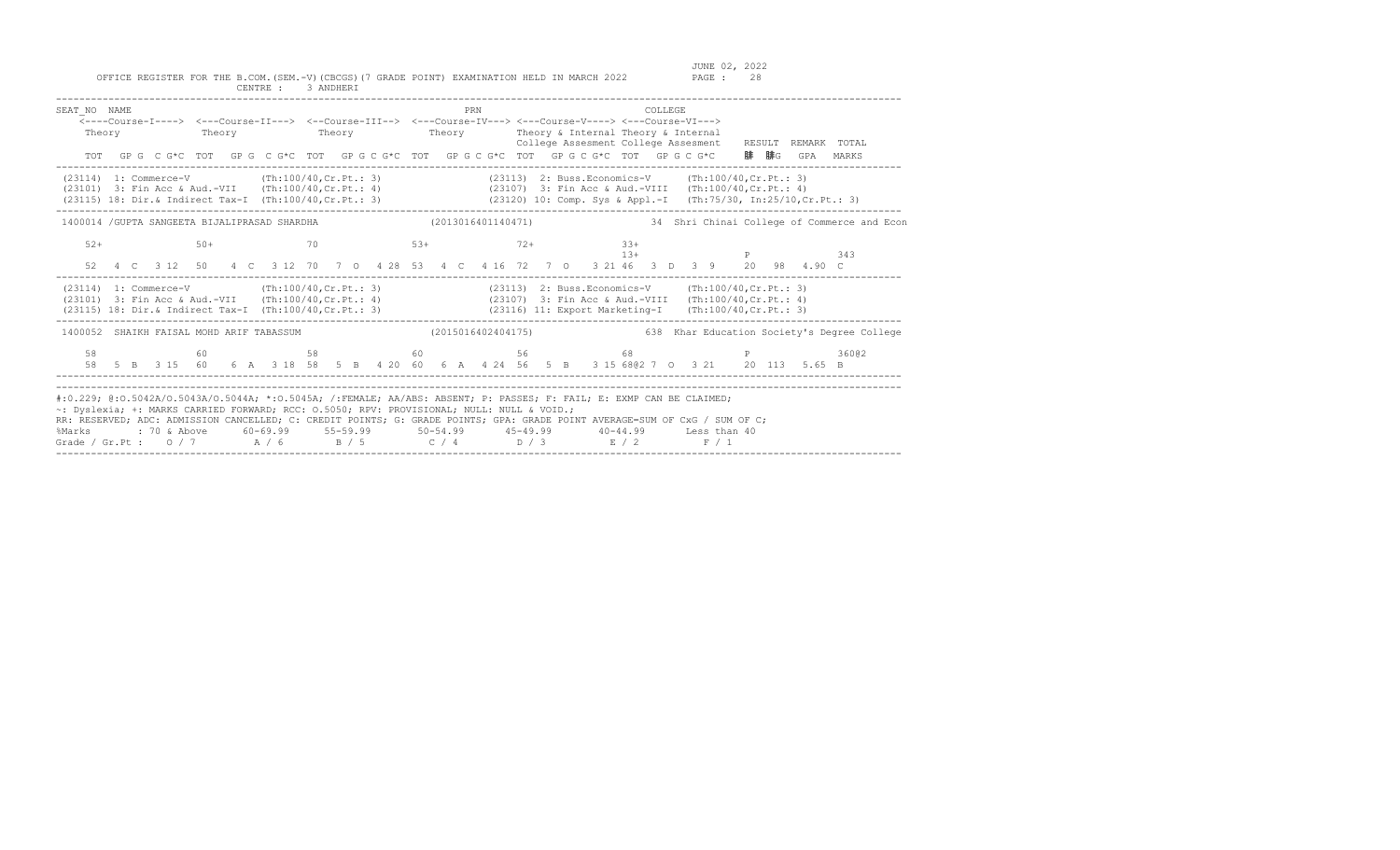| SEAT NO NAME<br>Theory                                                                                                                                                                                                                                                                                                                                                                                                                                                                        |  | <---Course-I----> <---Course-II---> <--Course-III--> <---Course-IV---> <---Course-V----> <---Course-VI--->                    |  | Theory Theory Theory Theory Theory Theory & Internal Theory & Internal |  |                    |  | PRN |  |  |  |        | <b>COLLEGE</b> |  |  |                                                     |             | College Assesment College Assesment RESULT REMARK TOTAL                                                 |
|-----------------------------------------------------------------------------------------------------------------------------------------------------------------------------------------------------------------------------------------------------------------------------------------------------------------------------------------------------------------------------------------------------------------------------------------------------------------------------------------------|--|-------------------------------------------------------------------------------------------------------------------------------|--|------------------------------------------------------------------------|--|--------------------|--|-----|--|--|--|--------|----------------|--|--|-----------------------------------------------------|-------------|---------------------------------------------------------------------------------------------------------|
|                                                                                                                                                                                                                                                                                                                                                                                                                                                                                               |  | TOT GPG CG*C TOT GPG CG*C TOT GPG CG*C TOT GPG CG*C TOT GPG CG*C TOT GPG CG*C                                                 |  |                                                                        |  |                    |  |     |  |  |  |        |                |  |  |                                                     |             | 腓 腓G  GPA  MARKS                                                                                        |
| $(23114)$ 1: Commerce-V $(\text{Th}:100/40,\text{Cr}.\text{Pt.}:3)$<br>(23101) 3: Fin Acc & Aud.-VII (Th:100/40, Cr.Pt.: 4) (23107) 3: Fin Acc & Aud.-VIII (Th:100/40, Cr.Pt.: 4)<br>(23115) 18: Dir. & Indirect Tax-I (Th:100/40, Cr. Pt.: 3) (23120) 10: Comp. Sys & Appl.-I (Th:75/30, In:25/10, Cr. Pt.: 3)                                                                                                                                                                               |  |                                                                                                                               |  |                                                                        |  |                    |  |     |  |  |  |        |                |  |  | (23113) 2: Buss.Economics-V (Th:100/40, Cr. Pt.: 3) |             |                                                                                                         |
| 1400014 / GUPTA SANGEETA BIJALIPRASAD SHARDHA                                                                                                                                                                                                                                                                                                                                                                                                                                                 |  |                                                                                                                               |  |                                                                        |  | (2013016401140471) |  |     |  |  |  |        |                |  |  |                                                     |             | 34 Shri Chinai College of Commerce and Econ                                                             |
| $52+$                                                                                                                                                                                                                                                                                                                                                                                                                                                                                         |  | $50+$<br>52  4  C  3  12  50  4  C  3  12  70  7  0  4  28  53  4  C  4  16  72  7  0  3  21  46  3  D  3  9  20  98  4.90  C |  | $70$ $53+$ $72+$                                                       |  |                    |  |     |  |  |  | $3.3+$ |                |  |  |                                                     | $13+$ P 343 |                                                                                                         |
| (23114) 1: Commerce-V (Th:100/40, Cr. Pt.: 3) (23113) 2: Buss. Economics-V (Th:100/40, Cr. Pt.: 3)<br>(23101) 3: Fin Acc & Aud.-VII (Th:100/40, Cr. Pt.: 4) (23107) 3: Fin Acc & Aud.-VIII (Th:100/40, Cr. Pt.: 4)<br>(23115) 18: Dir.& Indirect Tax-I (Th:100/40, Cr.Pt.: 3) (23116) 11: Export Marketing-I (Th:100/40, Cr.Pt.: 3)                                                                                                                                                           |  |                                                                                                                               |  |                                                                        |  |                    |  |     |  |  |  |        |                |  |  |                                                     |             |                                                                                                         |
|                                                                                                                                                                                                                                                                                                                                                                                                                                                                                               |  |                                                                                                                               |  |                                                                        |  |                    |  |     |  |  |  |        |                |  |  |                                                     |             | 1400052 SHAIKH FAISAL MOHD ARIF TABASSUM (2015016402404175) 638 Khar Education Society's Degree College |
|                                                                                                                                                                                                                                                                                                                                                                                                                                                                                               |  | 58 60 58 60 58 68 7 68 P 36<br>58 5 B 3 15 60 6 A 3 18 58 5 B 4 20 60 6 A 4 24 56 5 B 3 15 68@2 7 0 3 21 20 113 5.65 B        |  |                                                                        |  |                    |  |     |  |  |  |        |                |  |  |                                                     |             | 36002                                                                                                   |
| #:0.229; @:0.5042A/O.5043A/O.5044A; *:0.5045A; /:FEMALE; AA/ABS: ABSENT; P: PASSES; F: FAIL; E: EXMP CAN BE CLAIMED;<br>~: Dyslexia; +: MARKS CARRIED FORWARD; RCC: 0.5050; RPV: PROVISIONAL; NULL: NULL & VOID.;<br>RR: RESERVED; ADC: ADMISSION CANCELLED; C: CREDIT POINTS; G: GRADE POINTS; GPA: GRADE POINT AVERAGE=SUM OF CxG / SUM OF C;<br>%Marks : 70 & Above 60-69.99 55-59.99 50-54.99 45-49.99 40-44.99 Less than 40<br>Grade / Gr.Pt : 0 / 7 A / 6 B / 5 C / 4 D / 3 E / 2 F / 1 |  |                                                                                                                               |  |                                                                        |  |                    |  |     |  |  |  |        |                |  |  |                                                     |             |                                                                                                         |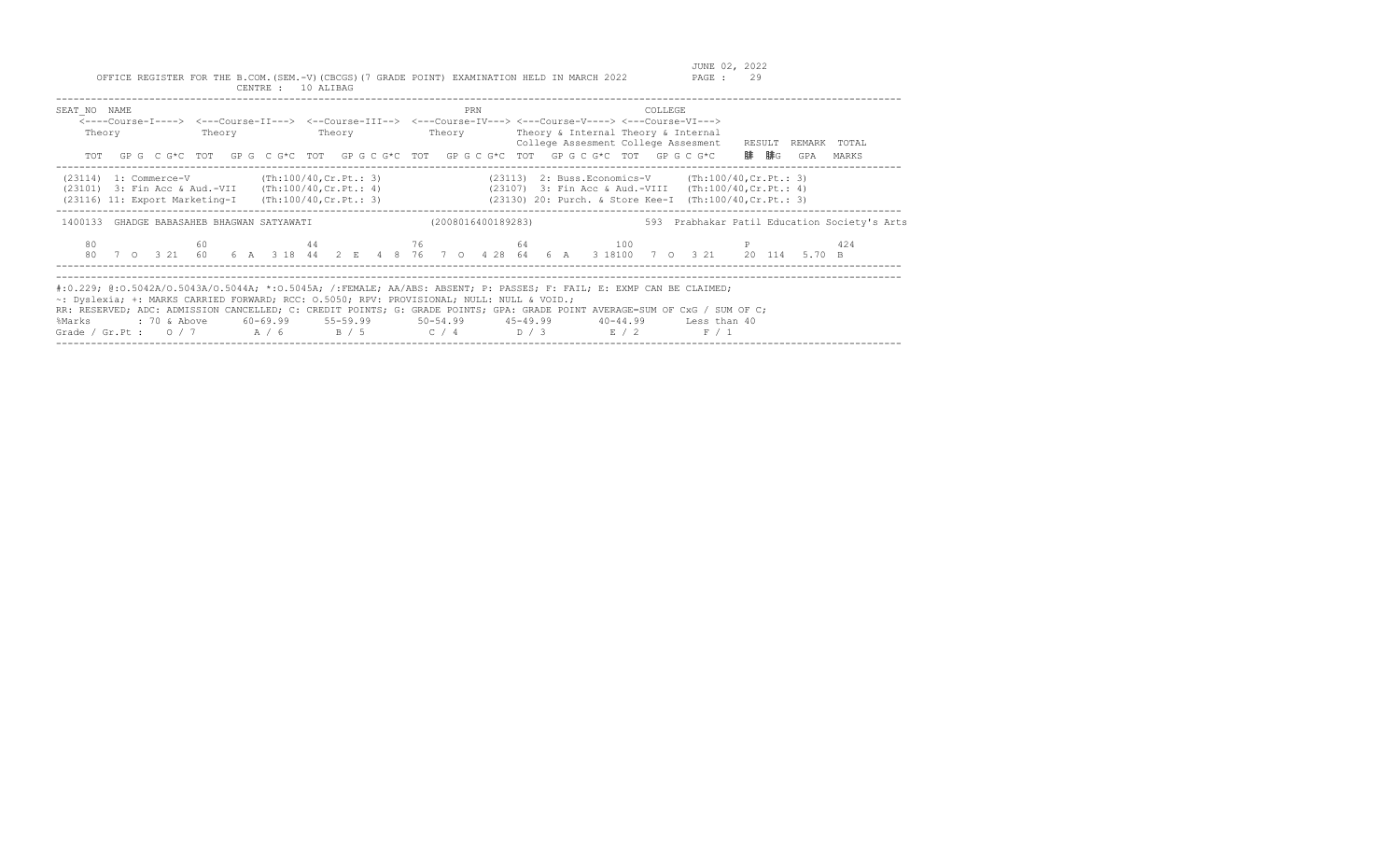| SEAT NO NAME<br>Theory                                                                                                                                                  | Theory | PRN | COLLEGE<br><----Course-I----> <---Course-II---> <--Course-III--> <---Course-IV---> <---Course-V----> <---Course-VI---><br>Theory Theory Theory Theory & Internal Theory & Internal<br>College Assesment College Assesment RESULT REMARK TOTAL<br>TOT GPG CG*C TOT GPG CG*C TOT GPGCG*C TOT GPGCG*C TOT GPGCG*C TOT GPGCG*C                                                                   | 腓 腓G<br>GPA<br>MARKS                         |
|-------------------------------------------------------------------------------------------------------------------------------------------------------------------------|--------|-----|----------------------------------------------------------------------------------------------------------------------------------------------------------------------------------------------------------------------------------------------------------------------------------------------------------------------------------------------------------------------------------------------|----------------------------------------------|
| $(23114)$ 1: Commerce-V (Th:100/40, Cr. Pt.: 3)<br>$(23101)$ 3: Fin Acc & Aud.-VII $(Th:100/40, Cr.Pt.: 4)$<br>$(23116)$ 11: Export Marketing-I (Th:100/40, Cr. Pt.: 3) |        |     | $(23113)$ 2: Buss. Economics-V $(Th:100/40, Cr.Pt.: 3)$<br>(23107) 3: Fin Acc & Aud.-VIII (Th:100/40, Cr. Pt.: 4)<br>(23130) 20: Purch. & Store Kee-I (Th:100/40, Cr. Pt.: 3)                                                                                                                                                                                                                |                                              |
| 1400133 GHADGE BABASAHEB BHAGWAN SATYAWATI                                                                                                                              |        |     | (2008016400189283)                                                                                                                                                                                                                                                                                                                                                                           | 593 Prabhakar Patil Education Society's Arts |
| 80                                                                                                                                                                      |        |     | $44$ $76$ $64$ $100$ P<br>80 7 0 3 21 60 6 A 3 18 44 2 E 4 8 76 7 0 4 28 64 6 A 3 18100 7 0 3 21 20 114 5.70 B                                                                                                                                                                                                                                                                               | 424                                          |
| ~: Dyslexia; +: MARKS CARRIED FORWARD; RCC: 0.5050; RPV: PROVISIONAL; NULL: NULL & VOID.;<br>%Marks                                                                     |        |     | #:0.229; @:0.5042A/O.5043A/O.5044A; *:0.5045A; /:FEMALE; AA/ABS: ABSENT; P: PASSES; F: FAIL; E: EXMP CAN BE CLAIMED;<br>RR: RESERVED; ADC: ADMISSION CANCELLED; C: CREDIT POINTS; G: GRADE POINTS; GPA: GRADE POINT AVERAGE=SUM OF CxG / SUM OF C;<br>: 70 & Above 60-69.99 55-59.99 50-54.99 45-49.99 40-44.99 Less than 40<br>Grade / Gr.Pt : $0/7$ $A/6$ $B/5$ $C/4$ $D/3$ $E/2$<br>F / 1 |                                              |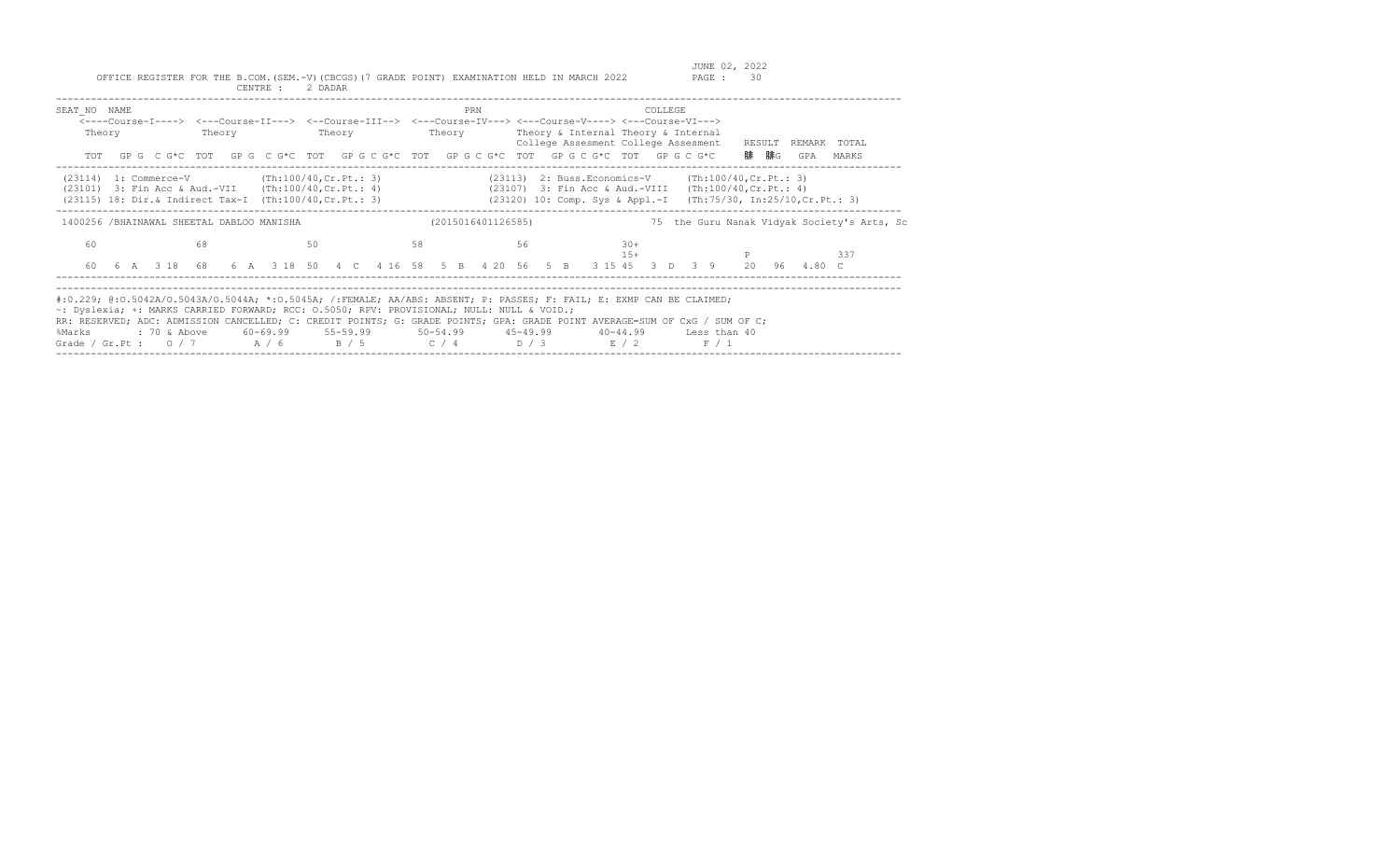| SEAT NO NAME                                                                                                                                                                          |        |        | PRN                | <b>COLLEGE</b><br><----Course-I----> <---Course-II---> <--Course-III--> <---Course-IV---> <---Course-V----> <---Course-VI--->                                                                                                                                                                                                                                                      |                                                                    |
|---------------------------------------------------------------------------------------------------------------------------------------------------------------------------------------|--------|--------|--------------------|------------------------------------------------------------------------------------------------------------------------------------------------------------------------------------------------------------------------------------------------------------------------------------------------------------------------------------------------------------------------------------|--------------------------------------------------------------------|
| Theory                                                                                                                                                                                | Theory | Theory | Theory             | Theory & Internal Theory & Internal<br>College Assesment College Assesment                                                                                                                                                                                                                                                                                                         | RESULT REMARK TOTAL                                                |
|                                                                                                                                                                                       |        |        |                    | TOT GPG CG*C TOT GPG CG*C TOT GPGCG*C TOT GPGCG*C TOT GPGCG*C TOT GPGCG*C                                                                                                                                                                                                                                                                                                          | 腓 腓G<br>GPA<br>MARKS                                               |
| $(23114)$ 1: Commerce-V $(\text{Th}:100/40,\text{Cr.Pt.}:3)$<br>$(23101)$ 3: Fin Acc & Aud.-VII (Th:100/40, Cr. Pt.: 4)<br>$(23115)$ 18: Dir.& Indirect Tax-I (Th:100/40, Cr. Pt.: 3) |        |        |                    | $(23113)$ 2: Buss. Economics-V (Th:100/40, Cr. Pt.: 3)<br>(23107) 3: Fin Acc & Aud.-VIII (Th:100/40, Cr. Pt.: 4)                                                                                                                                                                                                                                                                   | $(23120)$ 10: Comp. Sys & Appl.-I (Th:75/30, In:25/10, Cr. Pt.: 3) |
| 1400256 /BHAINAWAL SHEETAL DABLOO MANISHA                                                                                                                                             |        |        | (2015016401126585) | 75                                                                                                                                                                                                                                                                                                                                                                                 | the Guru Nanak Vidyak Society's Arts, Sc                           |
| 60                                                                                                                                                                                    | 68     | 50     | 58                 | 56<br>$30+$<br>$15+$                                                                                                                                                                                                                                                                                                                                                               | 337                                                                |
| 60                                                                                                                                                                                    |        |        |                    | 6 A 3 18 68 6 A 3 18 50 4 C 4 16 58 5 B 4 20 56 5 B 3 15 45 3 D 3 9                                                                                                                                                                                                                                                                                                                | 20<br>96 4.80 C                                                    |
| ~: Dyslexia; +: MARKS CARRIED FORWARD; RCC: 0.5050; RPV: PROVISIONAL; NULL: NULL & VOID.;<br>%Marks                                                                                   |        |        |                    | #:0.229; @:0.5042A/O.5043A/O.5044A; *:0.5045A; /:FEMALE; AA/ABS: ABSENT; P: PASSES; F: FAIL; E: EXMP CAN BE CLAIMED;<br>RR: RESERVED; ADC: ADMISSION CANCELLED; C: CREDIT POINTS; G: GRADE POINTS; GPA: GRADE POINT AVERAGE=SUM OF CxG / SUM OF C;<br>: 70 & Above 60-69.99 55-59.99 50-54.99 45-49.99 40-44.99 Less than 40<br>Grade / Gr.Pt: $0/7$ $A/6$ $B/5$ $C/4$ $D/3$ $E/2$ | F / 1                                                              |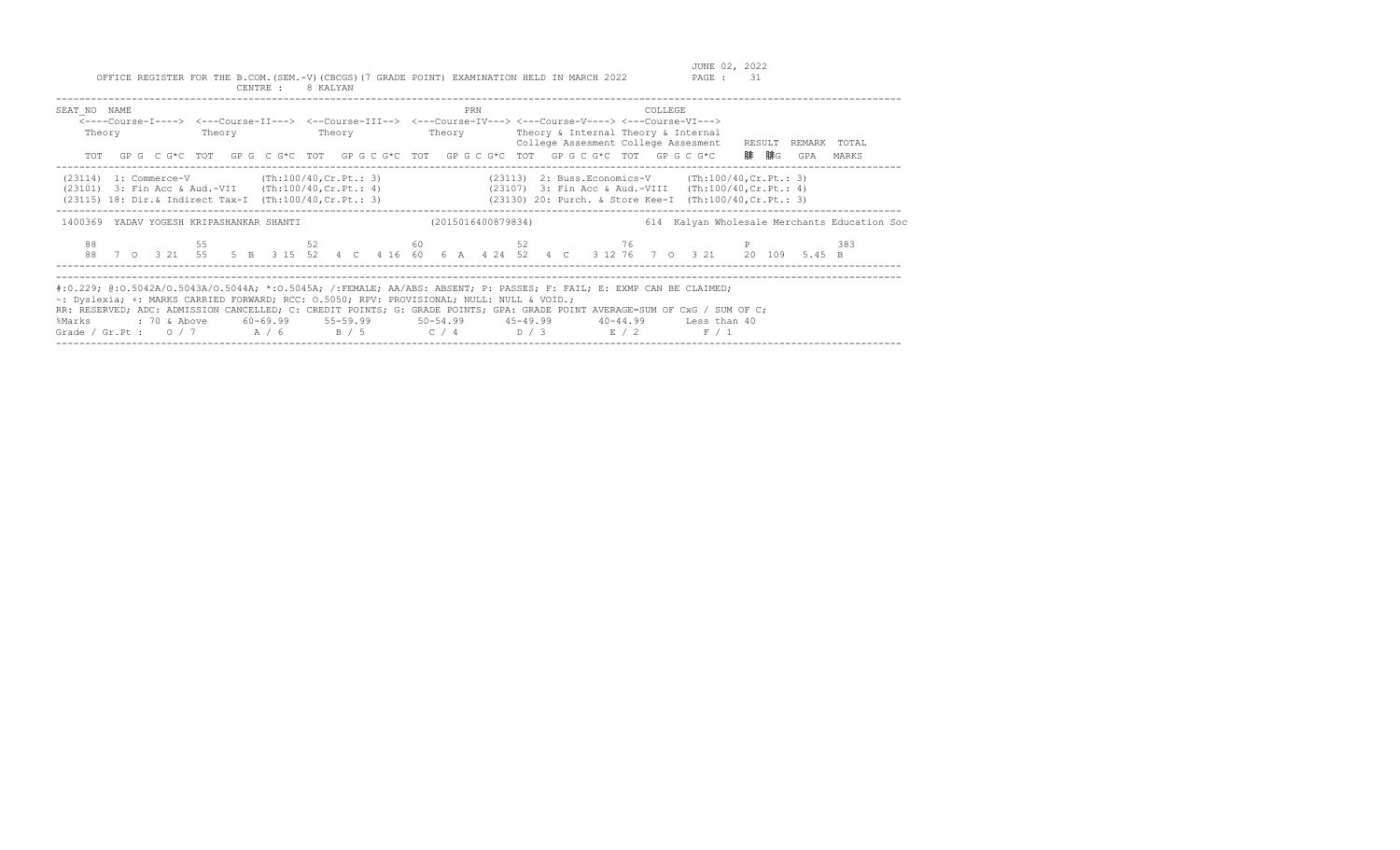| SEAT NO NAME<br>Theory                                                                                    |    | PRN                | COLLEGE<br><----Course-I----> <---Course-II---> <--Course-III--> <---Course-IV---> <---Course-V----> <---Course-VI---><br>Theory Theory Theory Theory Theory & Internal Theory & Internal<br>College Assesment College Assesment RESULT REMARK TOTAL<br>TOT GPG CG*C TOT GPG CG*C TOT GPG CG*C TOT GPG CG*C TOT GPG CG*C TOT GPG CG*C                                                        | 腓 腓G<br>GPA<br>MARKS                         |
|-----------------------------------------------------------------------------------------------------------|----|--------------------|----------------------------------------------------------------------------------------------------------------------------------------------------------------------------------------------------------------------------------------------------------------------------------------------------------------------------------------------------------------------------------------------|----------------------------------------------|
| $(23114)$ 1: Commerce-V $(Th:100/40, Cr.Pt.: 3)$<br>(23101) 3: Fin Acc & Aud.-VII (Th:100/40, Cr. Pt.: 4) |    |                    | $(23113)$ 2: Buss. Economics-V (Th:100/40, Cr. Pt.: 3)<br>(23107) 3: Fin Acc & Aud.-VIII (Th:100/40, Cr. Pt.: 4)<br>(23115) 18: Dir.& Indirect Tax-I (Th:100/40, Cr. Pt.: 3) (23130) 20: Purch. & Store Kee-I (Th:100/40, Cr. Pt.: 3)                                                                                                                                                        |                                              |
| 1400369 YADAV YOGESH KRIPASHANKAR SHANTI                                                                  |    | (2015016400879834) |                                                                                                                                                                                                                                                                                                                                                                                              | 614 Kalyan Wholesale Merchants Education Soc |
| 88                                                                                                        | 55 |                    | $52$ 60 $52$ 76 P<br>88 7 0 3 21 55 5 B 3 15 52 4 C 4 16 60 6 A 4 24 52 4 C 3 12 76 7 0 3 21 20 109 5.45 B                                                                                                                                                                                                                                                                                   | 383                                          |
| ~: Dyslexia; +: MARKS CARRIED FORWARD; RCC: 0.5050; RPV: PROVISIONAL; NULL: NULL & VOID.;<br>%Marks       |    |                    | #:0.229; @:0.5042A/0.5043A/0.5044A; *:0.5045A; /:FEMALE; AA/ABS: ABSENT; P: PASSES; F: FAIL; E: EXMP CAN BE CLAIMED;<br>RR: RESERVED; ADC: ADMISSION CANCELLED; C: CREDIT POINTS; G: GRADE POINTS; GPA: GRADE POINT AVERAGE=SUM OF CxG / SUM OF C;<br>: 70 & Above 60-69.99 55-59.99 50-54.99 45-49.99 40-44.99 Less than 40<br>Grade / Gr.Pt : $0/7$ $A/6$ $B/5$ $C/4$ $D/3$ $E/2$<br>F / 1 |                                              |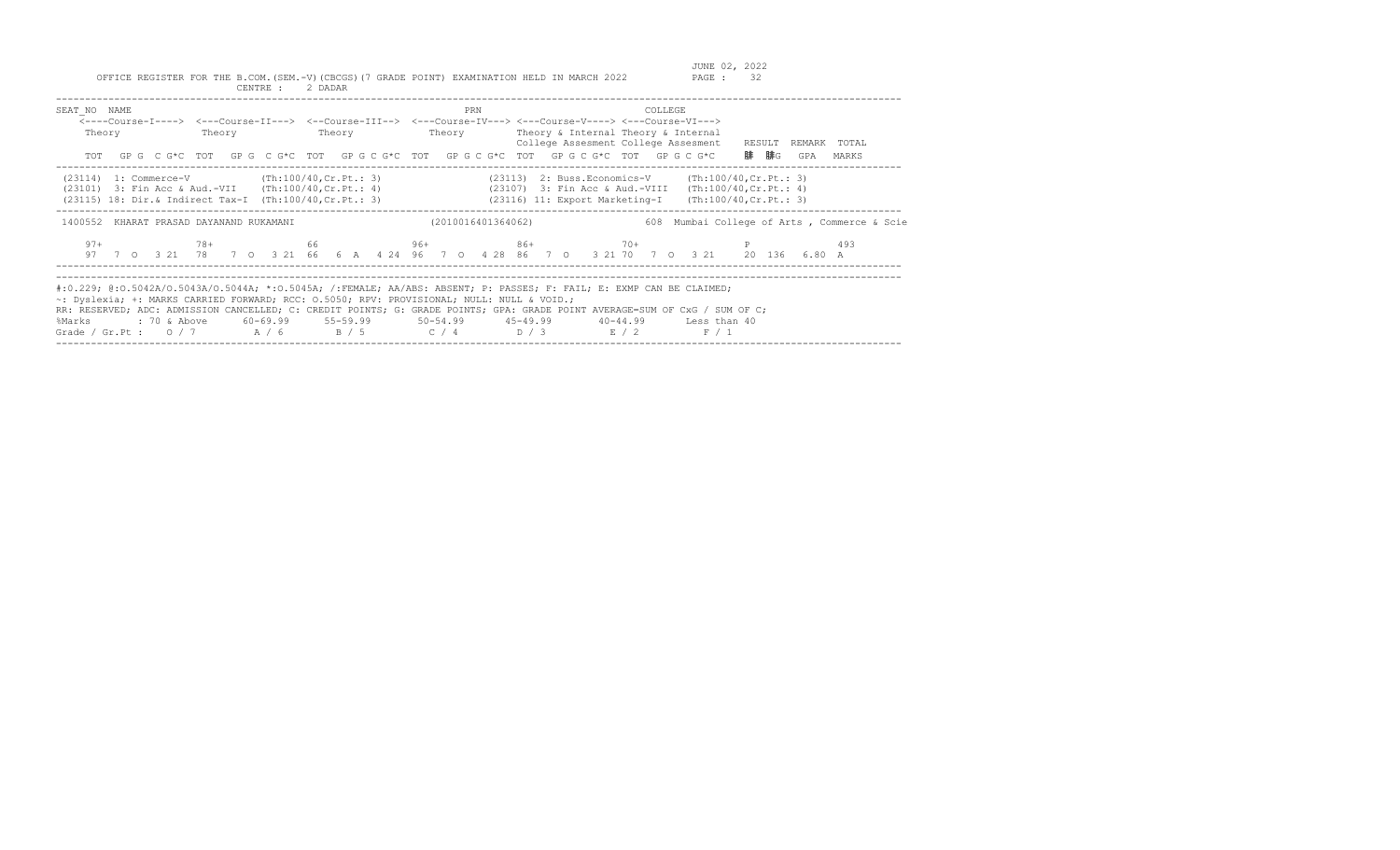| SEAT NO NAME<br>Theory                                                                                                                                                |  | PRN | COLLEGE<br><----Course-I----> <---Course-II---> <--Course-III--> <---Course-IV---> <---Course-V----> <---Course-VI---><br>Theory Theory Theory Theory Theory Sinternal Theory & Internal<br>College Assesment College Assesment RESULT REMARK TOTAL<br>TOT GPG CG*C TOT GPG CG*C TOT GPG CG*C TOT GPG CG*C TOT GPG CG*C TOT GPG CG*C                                                                                          | 腓 腓G<br>GPA<br>MARKS                        |
|-----------------------------------------------------------------------------------------------------------------------------------------------------------------------|--|-----|-------------------------------------------------------------------------------------------------------------------------------------------------------------------------------------------------------------------------------------------------------------------------------------------------------------------------------------------------------------------------------------------------------------------------------|---------------------------------------------|
| $(23114)$ 1: Commerce-V $(Th:100/40, Cr.Pt.: 3)$<br>(23101) 3: Fin Acc & Aud.-VII (Th:100/40, Cr. Pt.: 4)<br>(23115) 18: Dir.& Indirect Tax-I (Th:100/40, Cr. Pt.: 3) |  |     | $(23113)$ 2: Buss. Economics-V (Th:100/40, Cr. Pt.: 3)<br>(23107) 3: Fin Acc & Aud.-VIII (Th:100/40, Cr. Pt.: 4)<br>$(23116)$ 11: Export Marketing-I (Th:100/40, Cr. Pt.: 3)                                                                                                                                                                                                                                                  |                                             |
| 1400552 KHARAT PRASAD DAYANAND RUKAMANI                                                                                                                               |  |     | (2010016401364062)                                                                                                                                                                                                                                                                                                                                                                                                            | 608 Mumbai College of Arts, Commerce & Scie |
| $97+$                                                                                                                                                                 |  |     | $78+$ 66 96+ 86+ 70+ 70+ P<br>97 7 0 3 21 78 7 0 3 21 66 6 A 4 24 96 7 0 4 28 86 7 0 3 21 70 7 0 3 21 20 136 6.80 A                                                                                                                                                                                                                                                                                                           | 493                                         |
| ~: Dyslexia; +: MARKS CARRIED FORWARD; RCC: 0.5050; RPV: PROVISIONAL; NULL: NULL & VOID.;<br>%Marks                                                                   |  |     | #:0.229; @:0.5042A/0.5043A/0.5044A; *:0.5045A; /:FEMALE; AA/ABS: ABSENT; P: PASSES; F: FAIL; E: EXMP CAN BE CLAIMED;<br>RR: RESERVED; ADC: ADMISSION CANCELLED; C: CREDIT POINTS; G: GRADE POINTS; GPA: GRADE POINT AVERAGE=SUM OF CxG / SUM OF C;<br>: 70 & Above        60-69.99        55-59.99        50-54.99        45-49.99        40-44.99        Less than 40<br>Grade / Gr.Pt : $0/7$ $A/6$ $B/5$ $C/4$ $D/3$ $E/2$ | F / 1                                       |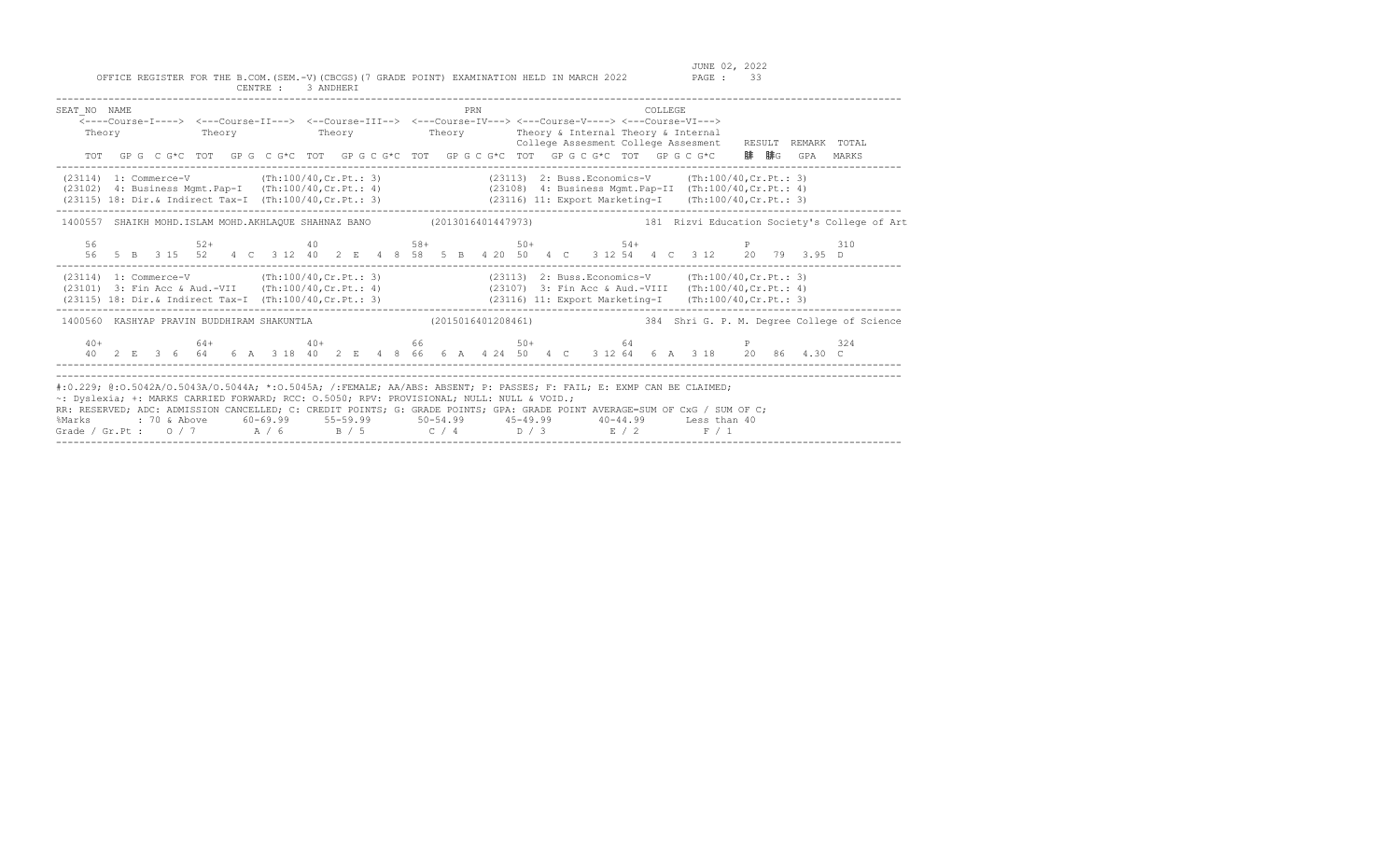| SEAT NO NAME                                                                                                                                                                                                                                                                                                                                                                                                                       |  |    |  | <---Course-I----> <---Course-II---> <--Course-III--> <---Course-IV---> <---Course-V----> <---Course-VI---><br>Theory Theory Theory Theory Theory Theory Theory & Internal Theory & Internal<br>TOT GPG CG*C TOT GPG CG*C TOT GPGCG*C TOT GPGCG*C TOT GPGCG*C TOT GPGCG*C TOT GPGCG*C 腓腓G GPA |  |  |  |  | PRN |  |  |  | <b>COLLEGE</b> |  |                                                                                                                | College Assesment College Assesment RESULT REMARK TOTAL                                                           | MARKS                                                                                                                |
|------------------------------------------------------------------------------------------------------------------------------------------------------------------------------------------------------------------------------------------------------------------------------------------------------------------------------------------------------------------------------------------------------------------------------------|--|----|--|----------------------------------------------------------------------------------------------------------------------------------------------------------------------------------------------------------------------------------------------------------------------------------------------|--|--|--|--|-----|--|--|--|----------------|--|----------------------------------------------------------------------------------------------------------------|-------------------------------------------------------------------------------------------------------------------|----------------------------------------------------------------------------------------------------------------------|
| $(23114)$ 1: Commerce-V $(\text{Th}:100/40,\text{Cr}.\text{Pt.}:3)$<br>(23102) 4: Business Mgmt.Pap-I (Th:100/40,Cr.Pt.: 4) (23108) 4: Business Mgmt.Pap-II (Th:100/40,Cr.Pt.: 4)<br>(23115) 18: Dir.& Indirect Tax-I (Th:100/40, Cr. Pt.: 3)                                                                                                                                                                                      |  |    |  |                                                                                                                                                                                                                                                                                              |  |  |  |  |     |  |  |  |                |  | (23113) 2: Buss. Economics-V (Th:100/40, Cr. Pt.: 3)<br>(23116) 11: Export Marketing-I (Th:100/40, Cr. Pt.: 3) |                                                                                                                   |                                                                                                                      |
|                                                                                                                                                                                                                                                                                                                                                                                                                                    |  |    |  |                                                                                                                                                                                                                                                                                              |  |  |  |  |     |  |  |  |                |  |                                                                                                                |                                                                                                                   | 1400557 SHAIKH MOHD.ISLAM MOHD.AKHLAOUE SHAHNAZ BANO (2013016401447973) 181 Nizvi Education Society's College of Art |
|                                                                                                                                                                                                                                                                                                                                                                                                                                    |  | 56 |  | $52+$ $40$ $58+$ $50+$ $54+$ $54+$ $54+$                                                                                                                                                                                                                                                     |  |  |  |  |     |  |  |  |                |  |                                                                                                                | 56 5 B 3 15 52 4 C 3 12 40 2 E 4 8 58 5 B 4 20 50 4 C 3 12 54 4 C 3 12 20 79 3.95 D                               | 310                                                                                                                  |
| (23114) 1: Commerce-V (Th:100/40, Cr. Pt.: 3)<br>(23101) 3: Fin Acc & Aud.-VII (Th:100/40, Cr.Pt.: 4) (23107) 3: Fin Acc & Aud.-VIII (Th:100/40, Cr.Pt.: 4)<br>(23115) 18: Dir. & Indirect Tax-I (Th:100/40, Cr. Pt.: 3) (23116) 11: Export Marketing-I (Th:100/40, Cr. Pt.: 3)                                                                                                                                                    |  |    |  |                                                                                                                                                                                                                                                                                              |  |  |  |  |     |  |  |  |                |  | (23113) 2: Buss. Economics-V (Th:100/40, Cr. Pt.: 3)                                                           |                                                                                                                   |                                                                                                                      |
| 1400560 KASHYAP PRAVIN BUDDHIRAM SHAKUNTLA (2015016401208461)                                                                                                                                                                                                                                                                                                                                                                      |  |    |  |                                                                                                                                                                                                                                                                                              |  |  |  |  |     |  |  |  |                |  |                                                                                                                |                                                                                                                   | 384 Shri G. P. M. Degree College of Science                                                                          |
|                                                                                                                                                                                                                                                                                                                                                                                                                                    |  |    |  |                                                                                                                                                                                                                                                                                              |  |  |  |  |     |  |  |  |                |  |                                                                                                                | $40+$ 64+ $40+$ 66 50+ 64 P<br>40 2 E 3 6 64 6 A 3 18 40 2 E 4 8 66 6 A 4 24 50 4 C 3 12 64 6 A 3 18 20 86 4.30 C | 324                                                                                                                  |
| #:0.229; @:0.5042A/O.5043A/O.5044A; *:0.5045A; /:FEMALE; AA/ABS: ABSENT; P: PASSES; F: FAIL; E: EXMP CAN BE CLAIMED;<br>~: Dyslexia; +: MARKS CARRIED FORWARD; RCC: 0.5050; RPV: PROVISIONAL; NULL: NULL & VOID.;<br>RR: RESERVED; ADC: ADMISSION CANCELLED; C: CREDIT POINTS; G: GRADE POINTS; GPA: GRADE POINT AVERAGE=SUM OF CxG / SUM OF C;<br>%Marks<br>Grade / Gr.Pt : 0 / 7 $A$ / 6 $B$ / 5 $C$ / 4 $D$ / 3 $E$ / 2 $F$ / 1 |  |    |  |                                                                                                                                                                                                                                                                                              |  |  |  |  |     |  |  |  |                |  |                                                                                                                |                                                                                                                   |                                                                                                                      |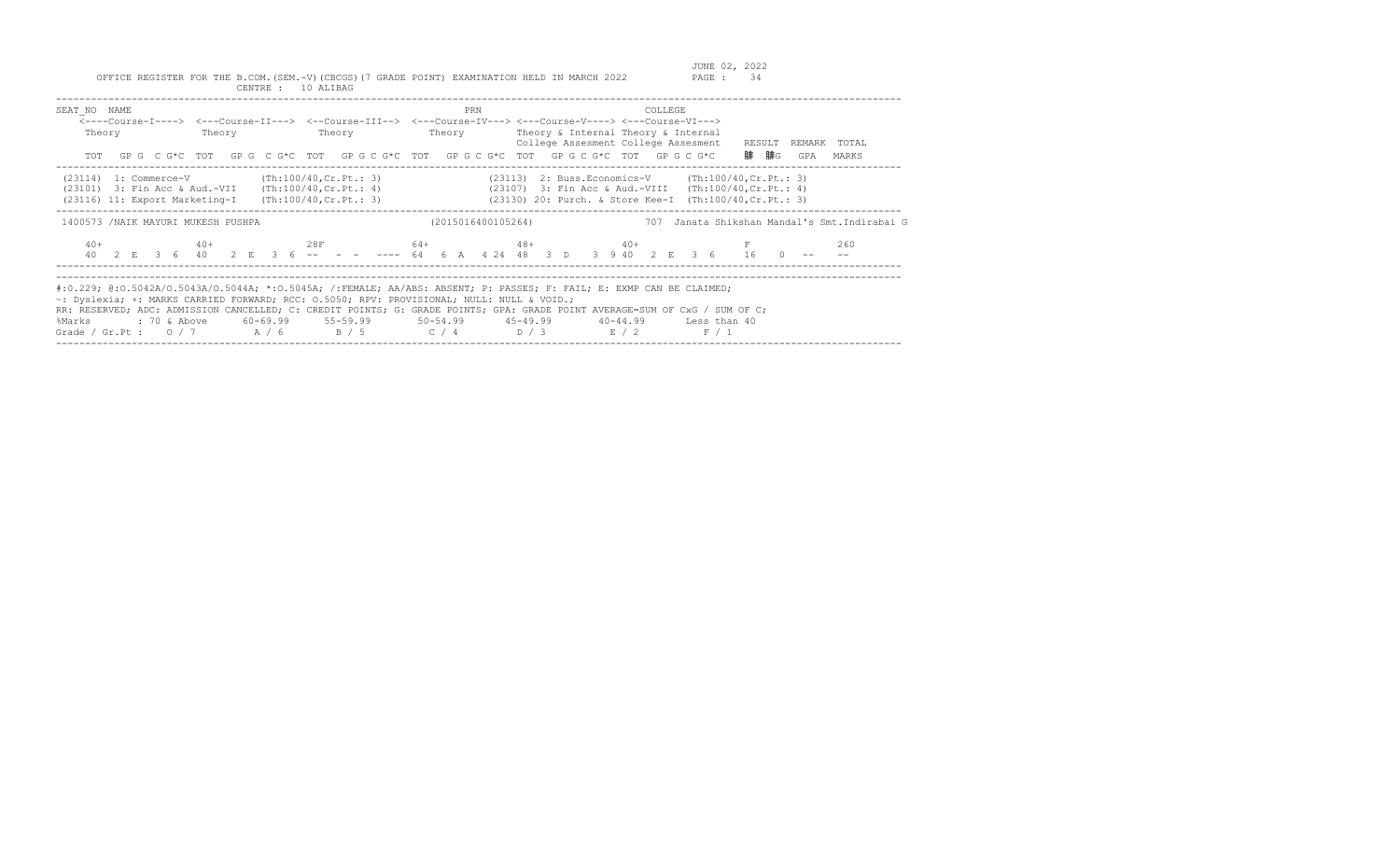| SEAT NO NAME<br>Theory<br>TOT                                                                                                                                           | Theory | Theory | PRN | COLLEGE<br><----Course-I----> <---Course-II---> <--Course-III--> <---Course-IV---> <---Course-V----> <---Course-VI---><br>Theory Theory & Internal Theory & Internal<br>College Assesment College Assesment<br>GP G C G*C TOT GP G C G*C TOT GP G C G*C TOT GP G C G*C TOT GP G C G*C TOT GP G C G*C                                                                                | RESULT<br>REMARK TOTAL<br>腓  腓G<br>GPA<br>MARKS     |
|-------------------------------------------------------------------------------------------------------------------------------------------------------------------------|--------|--------|-----|-------------------------------------------------------------------------------------------------------------------------------------------------------------------------------------------------------------------------------------------------------------------------------------------------------------------------------------------------------------------------------------|-----------------------------------------------------|
| $(23114)$ 1: Commerce-V $(Th:100/40, Cr.Pt.: 3)$<br>$(23101)$ 3: Fin Acc & Aud.-VII (Th:100/40, Cr. Pt.: 4)<br>$(23116)$ 11: Export Marketing-I (Th:100/40, Cr. Pt.: 3) |        |        |     | $(23113)$ 2: Buss. Economics-V $(Th:100/40, Cr.Pt.: 3)$<br>$(23107)$ 3: Fin Acc & Aud.-VIII $(Th:100/40, Cr.Pt.: 4)$<br>(23130) 20: Purch. & Store Kee-I (Th:100/40, Cr. Pt.: 3)                                                                                                                                                                                                    |                                                     |
| 1400573 / NAIK MAYURI MUKESH PUSHPA<br>$40+$                                                                                                                            |        |        |     | (2015016400105264)<br>$40+$ $28F$ $64+$ $48+$ $40+$ $F$<br>40 2 E 3 6 40 2 E 3 6 -- - - - --- 64 6 A 4 24 48 3 D 3 9 40 2 E 3 6 16 0                                                                                                                                                                                                                                                | 707 Janata Shikshan Mandal's Smt.Indirabai G<br>260 |
| ~: Dyslexia; +: MARKS CARRIED FORWARD; RCC: 0.5050; RPV: PROVISIONAL; NULL: NULL & VOID.;<br>%Marks                                                                     |        |        |     | #:0.229; @:0.5042A/0.5043A/0.5044A; *:0.5045A; /:FEMALE; AA/ABS: ABSENT; P: PASSES; F: FAIL; E: EXMP CAN BE CLAIMED;<br>RR: RESERVED; ADC: ADMISSION CANCELLED; C: CREDIT POINTS; G: GRADE POINTS; GPA: GRADE POINT AVERAGE=SUM OF CxG / SUM OF C;<br>: 70 & Above 60-69.99 55-59.99 50-54.99 45-49.99 40-44.99 Less than 40<br>Grade / Gr.Pt : $0/7$ $A/6$ $B/5$ $C/4$ $D/3$ $E/2$ | F / 1                                               |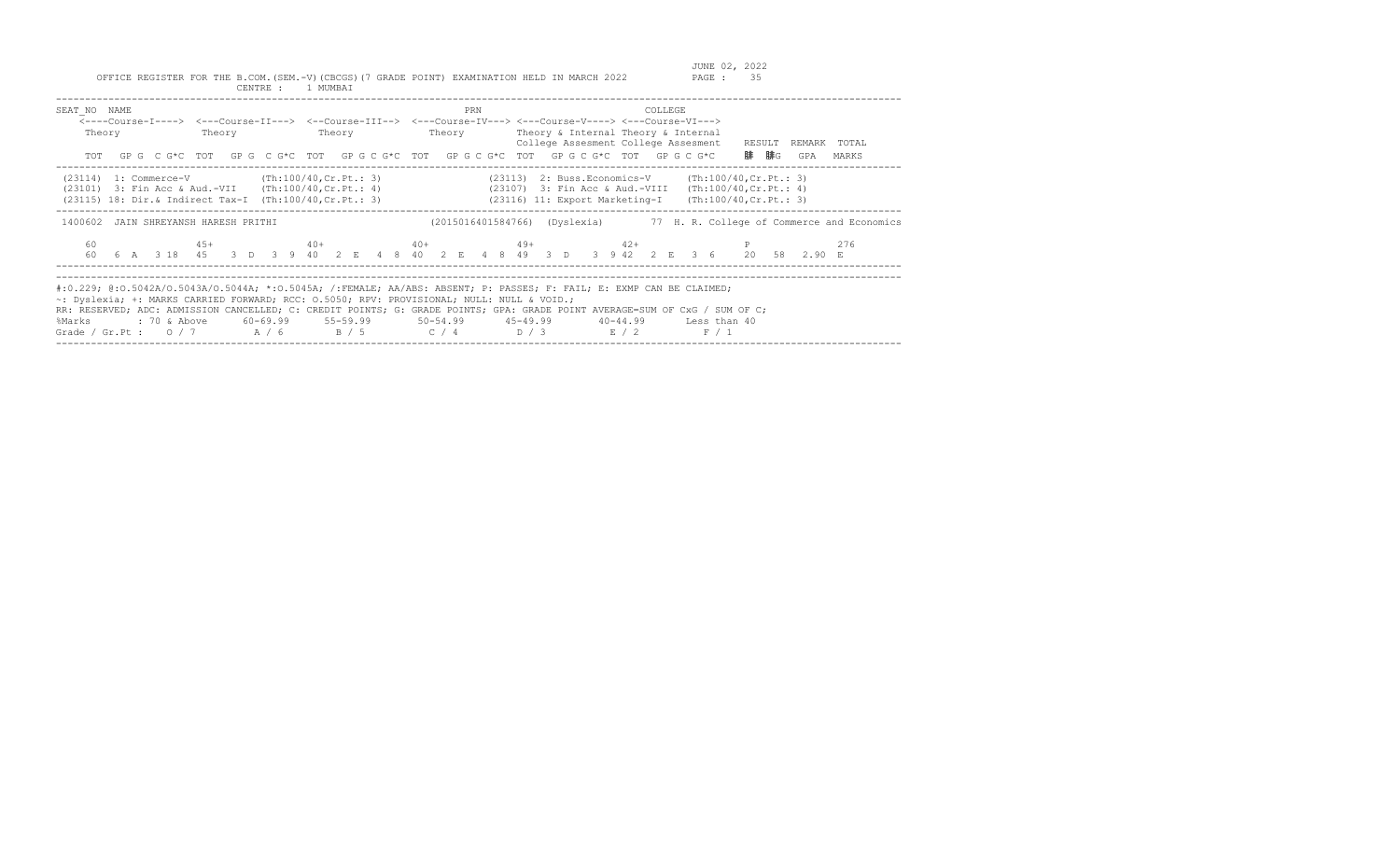| SEAT NO NAME<br>Theory                                                                                                                                                   | Theory | Theory | PRN | COLLEGE<br><----Course-I----> <---Course-II---> <--Course-III--> <---Course-IV---> <---Course-V----> <---Course-VI---><br>Theory Theory & Internal Theory & Internal<br>College Assesment College Assesment RESULT<br>TOT GPG CG*C TOT GPG CG*C TOT GPG CG*C TOT GPG CG*C TOT GPG CG*C TOT GPG CG*C                                                                                          | REMARK<br>TOTAL<br>腓  腓G<br>MARKS<br>GPA         |
|--------------------------------------------------------------------------------------------------------------------------------------------------------------------------|--------|--------|-----|----------------------------------------------------------------------------------------------------------------------------------------------------------------------------------------------------------------------------------------------------------------------------------------------------------------------------------------------------------------------------------------------|--------------------------------------------------|
| $(23114)$ 1: Commerce-V $(Th:100/40, Cr.Ft.: 3)$<br>$(23101)$ 3: Fin Acc & Aud.-VII $(Th:100/40, Cr.Pt.: 4)$<br>(23115) 18: Dir.& Indirect Tax-I (Th:100/40, Cr. Pt.: 3) |        |        |     | $(23113)$ 2: Buss. Economics-V $(\text{Th:100/40, Cr.Pt.}: 3)$<br>(23107) 3: Fin Acc & Aud.-VIII<br>(23116) 11: Export Marketing-I                                                                                                                                                                                                                                                           | (Th:100/40, Cr.Pt.: 4)<br>(Th:100/40, Cr.Pt.: 3) |
| 1400602 JAIN SHREYANSH HARESH PRITHI<br>60                                                                                                                               | $45+$  |        |     | (2015016401584766) (Dyslexia) 77 H. R. College of Commerce and Economics<br>$40+$ $40+$ $49+$ $42+$<br>60   6   A   3   18   45   3   D   3   9   40   2   E   4   8   40   2   E   4   8   49   3   D   3   9   42   2   E   3   6   20   58   2.90   E                                                                                                                                     | 276                                              |
| ~: Dyslexia; +: MARKS CARRIED FORWARD; RCC: 0.5050; RPV: PROVISIONAL; NULL: NULL & VOID.;<br>%Marks                                                                      |        |        |     | #:0.229; @:0.5042A/0.5043A/0.5044A; *:0.5045A; /:FEMALE; AA/ABS: ABSENT; P: PASSES; F: FAIL; E: EXMP CAN BE CLAIMED;<br>RR: RESERVED; ADC: ADMISSION CANCELLED; C: CREDIT POINTS; G: GRADE POINTS; GPA: GRADE POINT AVERAGE=SUM OF CxG / SUM OF C;<br>: 70 & Above 60-69.99 55-59.99 50-54.99 45-49.99 40-44.99 Less than 40<br>Grade / Gr.Pt : $0/7$ $A/6$ $B/5$ $C/4$ $D/3$ $E/2$<br>F / 1 |                                                  |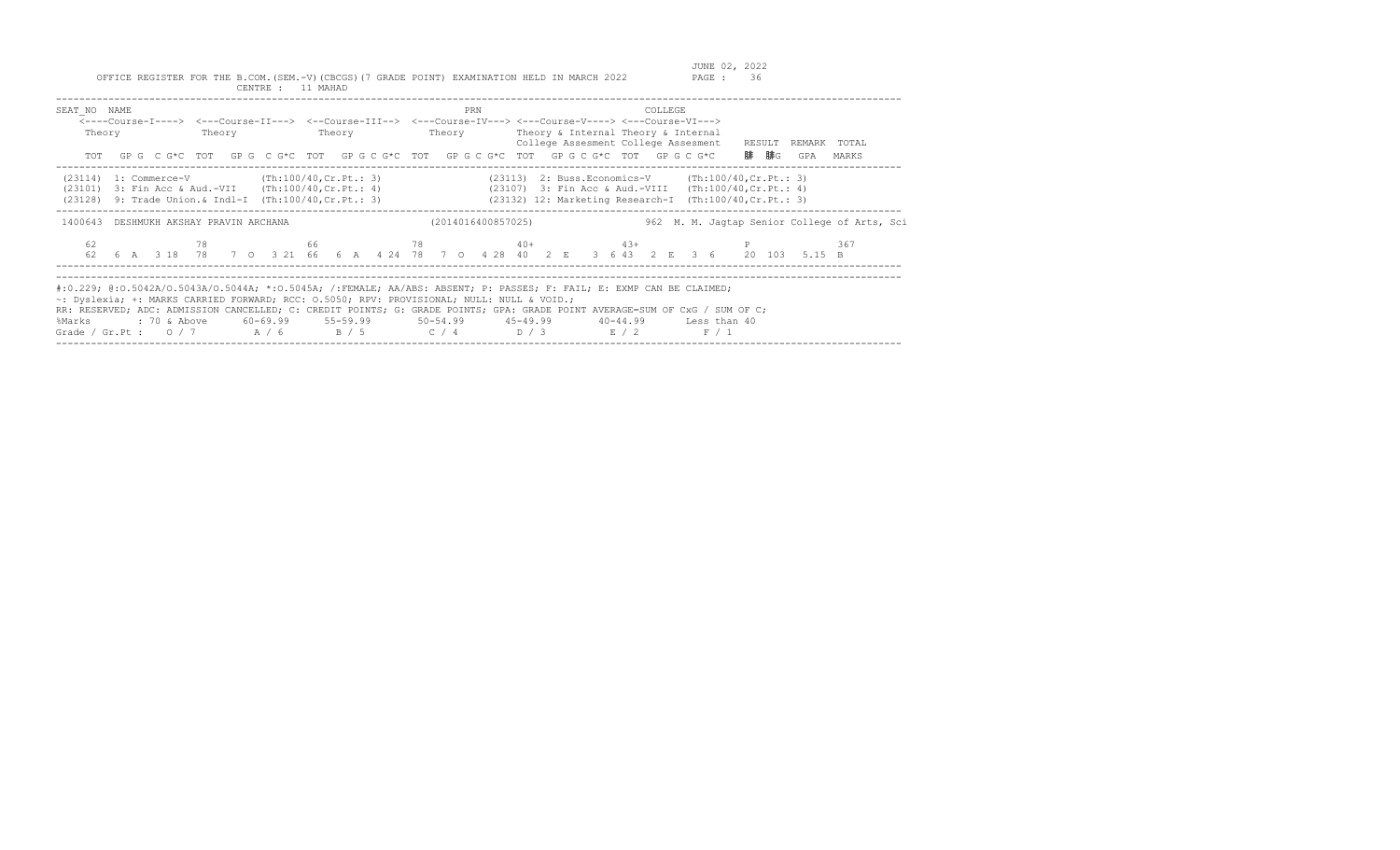| SEAT NO NAME<br><----Course-I----> <---Course-II---> <--Course-III--> <---Course-IV---> <---Course-V----> <---Course-VI---><br>Theory<br>TOT GPG CG*C TOT GPG CG*C TOT GPG CG*C TOT GPG CG*C TOT GPG CG*C TOT GPG CG*C                                                                                                                                                                                           |  |                                                                        |      | Theory |  | <b>Example 19</b> Theory |  |  |  | PRN |                    |  | Theory Theory & Internal Theory & Internal<br>College Assesment College Assesment                                                                                             |  | COLLEGE |  |       | RESULT<br>腓  腓G | GPA                                                                                                          | REMARK TOTAL<br>MARKS                        |  |
|------------------------------------------------------------------------------------------------------------------------------------------------------------------------------------------------------------------------------------------------------------------------------------------------------------------------------------------------------------------------------------------------------------------|--|------------------------------------------------------------------------|------|--------|--|--------------------------|--|--|--|-----|--------------------|--|-------------------------------------------------------------------------------------------------------------------------------------------------------------------------------|--|---------|--|-------|-----------------|--------------------------------------------------------------------------------------------------------------|----------------------------------------------|--|
| $(23114)$ 1: Commerce-V (Th:100/40, Cr. Pt.: 3)<br>(23101)<br>(23128) 9: Trade Union. & Indl-I (Th:100/40, Cr. Pt.: 3)                                                                                                                                                                                                                                                                                           |  | 3: Fin Acc & Aud.-VII (Th:100/40, Cr. Pt.: 4)                          |      |        |  |                          |  |  |  |     |                    |  | $(23113)$ 2: Buss. Economics-V $(Th:100/40, Cr.Pt.: 3)$<br>(23107) 3: Fin Acc & Aud.-VIII (Th:100/40, Cr. Pt.: 4)<br>(23132) 12: Marketing Research-I (Th:100/40, Cr. Pt.: 3) |  |         |  |       |                 |                                                                                                              |                                              |  |
| 1400643 DESHMUKH AKSHAY PRAVIN ARCHANA                                                                                                                                                                                                                                                                                                                                                                           |  |                                                                        |      |        |  |                          |  |  |  |     | (2014016400857025) |  |                                                                                                                                                                               |  |         |  |       |                 |                                                                                                              | 962 M. M. Jaqtap Senior College of Arts, Sci |  |
| 62                                                                                                                                                                                                                                                                                                                                                                                                               |  |                                                                        | 78 — |        |  |                          |  |  |  |     |                    |  | 66 $78$ 40+ $43+$ P                                                                                                                                                           |  |         |  |       |                 | 62  6  A  3  18  78  70  3  21  66  6  A  4  24  78  70  4  28  40  2  E  36  43  2  E  36  20  103  5.15  B | 367                                          |  |
| #:0.229; @:0.5042A/0.5043A/0.5044A; *:0.5045A; /:FEMALE; AA/ABS: ABSENT; P: PASSES; F: FAIL; E: EXMP CAN BE CLAIMED;<br>~: Dyslexia; +: MARKS CARRIED FORWARD; RCC: 0.5050; RPV: PROVISIONAL; NULL: NULL & VOID.;<br>RR: RESERVED; ADC: ADMISSION CANCELLED; C: CREDIT POINTS; G: GRADE POINTS; GPA: GRADE POINT AVERAGE=SUM OF CxG / SUM OF C;<br>%Marks<br>Grade / Gr.Pt : $0/7$ $A/6$ $B/5$ $C/4$ $D/3$ $E/2$ |  | : 70 & Above 60-69.99 55-59.99 50-54.99 45-49.99 40-44.99 Less than 40 |      |        |  |                          |  |  |  |     |                    |  |                                                                                                                                                                               |  |         |  | F / 1 |                 |                                                                                                              |                                              |  |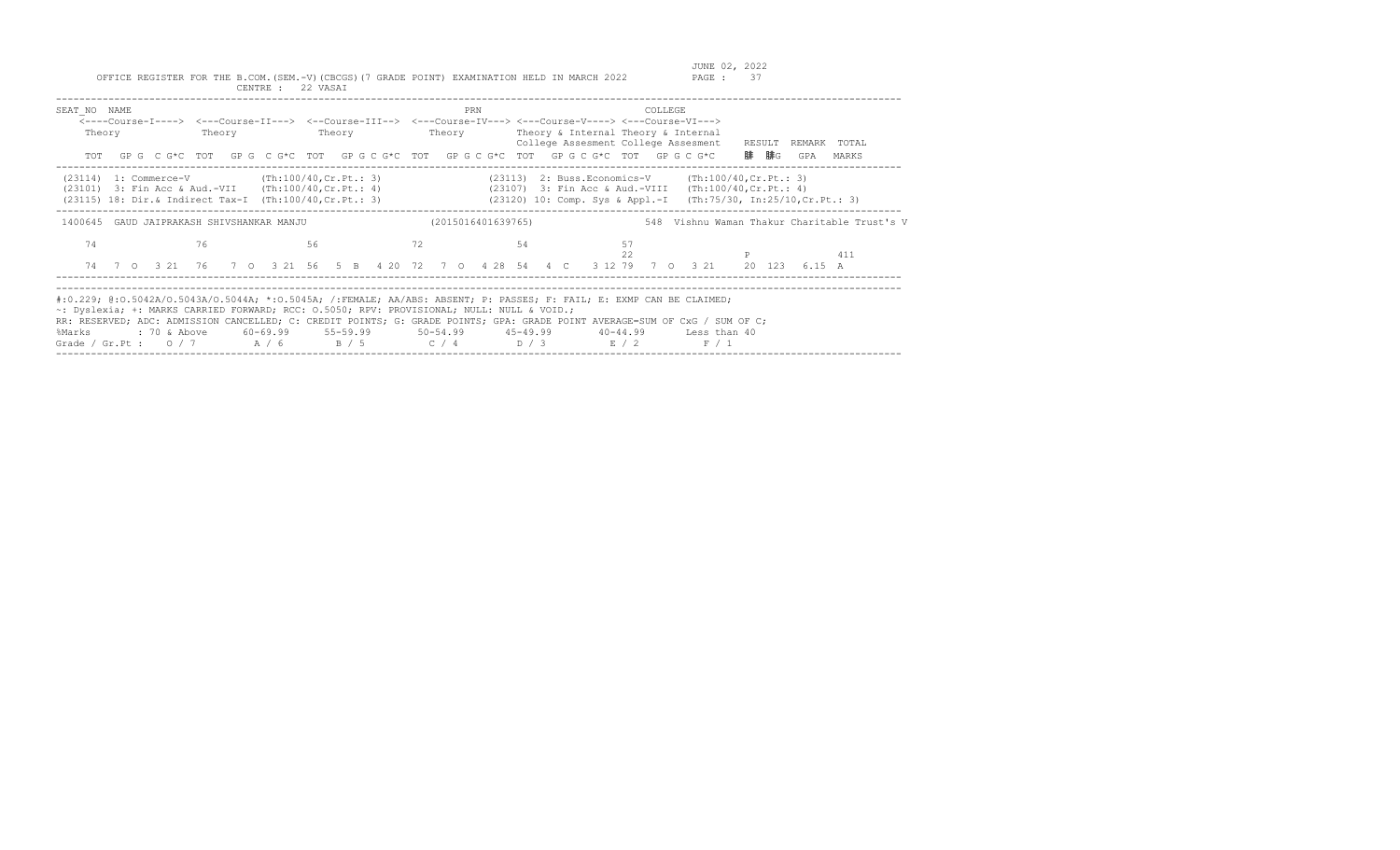| SEAT NO NAME<br>Theory                                                                                                                                                                       | Theory                            | Theory | PRN<br>Theory      | COLLEGE<br><----Course-I----> <---Course-II---> <--Course-III--> <---Course-IV---> <---Course-V----> <---Course-VI---><br>Theory & Internal Theory & Internal<br>College Assesment College Assesment<br>TOT GPG CG*C TOT GPG CG*C TOT GPGCG*C TOT GPGCG*C TOT GPGCG*C TOT GPGCG*C                                                                                                  | RESULT<br>REMARK TOTAL<br>腓 腓G<br>GPA<br>MARKS                   |
|----------------------------------------------------------------------------------------------------------------------------------------------------------------------------------------------|-----------------------------------|--------|--------------------|------------------------------------------------------------------------------------------------------------------------------------------------------------------------------------------------------------------------------------------------------------------------------------------------------------------------------------------------------------------------------------|------------------------------------------------------------------|
| $(23114)$ 1: Commerce-V $(\text{Th}:100/40,\text{Cr},\text{Pt}:3)$<br>$(23101)$ 3: Fin Acc & Aud.-VII $(Th:100/40, Cr.Pt.: 4)$<br>$(23115)$ 18: Dir.& Indirect Tax-I (Th:100/40, Cr. Pt.: 3) |                                   |        |                    | (23113) 2: Buss. Economics-V (Th:100/40, Cr. Pt.: 3)<br>(23107) 3: Fin Acc & Aud.-VIII (Th:100/40, Cr. Pt.: 4)                                                                                                                                                                                                                                                                     | (23120) 10: Comp. Sys & Appl.-I (Th:75/30, In:25/10, Cr. Pt.: 3) |
| 1400645                                                                                                                                                                                      | GAUD JAIPRAKASH SHIVSHANKAR MANJU |        | (2015016401639765) |                                                                                                                                                                                                                                                                                                                                                                                    | 548 Vishnu Waman Thakur Charitable Trust's V                     |
| 74                                                                                                                                                                                           | 76                                | 56     | 72                 | 57<br>54<br>22<br>74 7 0 3 21 76 7 0 3 21 56 5 B 4 20 72 7 0 4 28 54 4 C 3 12 79 7 0 3 21                                                                                                                                                                                                                                                                                          | 411<br>20 123<br>6.15 A                                          |
| ~: Dyslexia; +: MARKS CARRIED FORWARD; RCC: 0.5050; RPV: PROVISIONAL; NULL: NULL & VOID.;<br>%Marks                                                                                          |                                   |        |                    | #:0.229; @:0.5042A/0.5043A/0.5044A; *:0.5045A; /:FEMALE; AA/ABS: ABSENT; P: PASSES; F: FAIL; E: EXMP CAN BE CLAIMED;<br>RR: RESERVED; ADC: ADMISSION CANCELLED; C: CREDIT POINTS; G: GRADE POINTS; GPA: GRADE POINT AVERAGE=SUM OF CxG / SUM OF C;<br>: 70 & Above 60-69.99 55-59.99 50-54.99 45-49.99 40-44.99 Less than 40<br>Grade / Gr.Pt: $0/7$ $A/6$ $B/5$ $C/4$ $D/3$ $E/2$ | F / 1                                                            |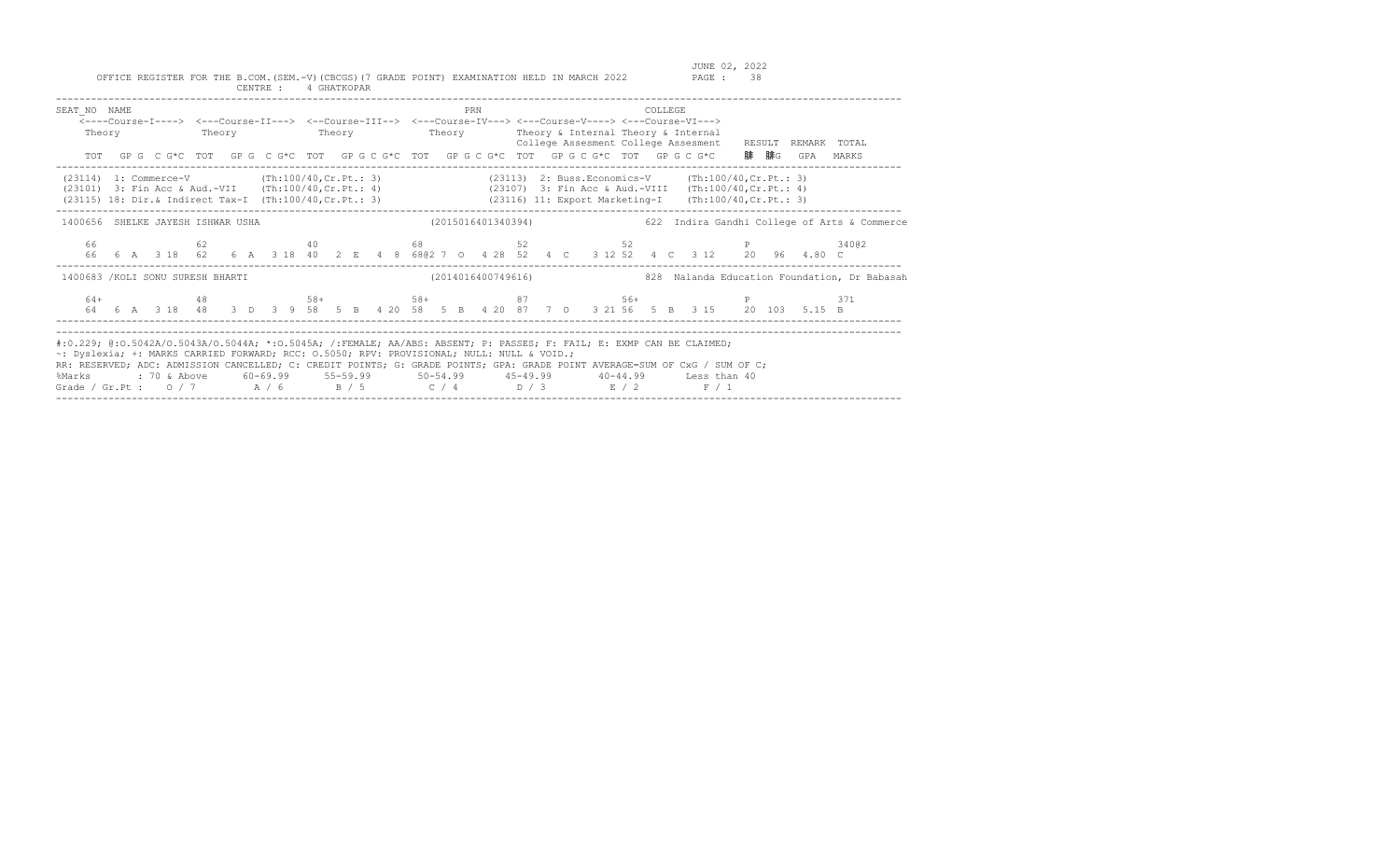| SEAT NO NAME                                                                                                                                                                                                                                                                                                                                                                                                                                                                                 |  | <---Course-I----> <---Course-II---> <--Course-III--> <---Course-IV---> <---Course-V----> <---Course-VI---><br>Theory Theory Theory Theory Theory Theory Theory & Internal Theory & Internal |  |  |  |  |  |  | PRN                |  |  |  | <b>COLLEGE</b> |  |  | College Assesment College Assesment RESULT REMARK TOTAL<br>TOT GPG CG*C TOT GPG CG*C TOT GPG CG*C TOT GPG CG*C TOT GPG CG*C TOT GPG CG*C 腓腓G GPA MARKS                     |                                                                                                   |
|----------------------------------------------------------------------------------------------------------------------------------------------------------------------------------------------------------------------------------------------------------------------------------------------------------------------------------------------------------------------------------------------------------------------------------------------------------------------------------------------|--|---------------------------------------------------------------------------------------------------------------------------------------------------------------------------------------------|--|--|--|--|--|--|--------------------|--|--|--|----------------|--|--|----------------------------------------------------------------------------------------------------------------------------------------------------------------------------|---------------------------------------------------------------------------------------------------|
| (23114) 1: Commerce-V (Th:100/40, Cr. Pt.: 3) (23113) 2: Buss. Economics-V (Th:100/40, Cr. Pt.: 3)<br>(23101) 3: Fin Acc & Aud.-VII (Th:100/40, Cr. Pt.: 4) (23107) 3: Fin Acc & Aud.-VIII (Th:100/40, Cr. Pt.: 4)<br>(23115) 18: Dir.& Indirect Tax-I (Th:100/40, Cr. Pt.: 3) (23116) 11: Export Marketing-I (Th:100/40, Cr. Pt.: 3)                                                                                                                                                        |  |                                                                                                                                                                                             |  |  |  |  |  |  |                    |  |  |  |                |  |  |                                                                                                                                                                            |                                                                                                   |
|                                                                                                                                                                                                                                                                                                                                                                                                                                                                                              |  |                                                                                                                                                                                             |  |  |  |  |  |  |                    |  |  |  |                |  |  |                                                                                                                                                                            | 1400656 SHELKE JAYESH ISHWAR USHA (2015016401340394) 622 Indira Gandhi College of Arts & Commerce |
|                                                                                                                                                                                                                                                                                                                                                                                                                                                                                              |  |                                                                                                                                                                                             |  |  |  |  |  |  |                    |  |  |  |                |  |  | 66 62 62 40 68 52 52 52 P 340@2<br>66  6  A  3  18  62  6  A  3  18  40  2  E  4  8  68  62  7  0  4  28  52  4  C  3  12  52  4  C  3  12  20  96  4.80  C                |                                                                                                   |
| 1400683 / KOLI SONU SURESH BHARTI                                                                                                                                                                                                                                                                                                                                                                                                                                                            |  |                                                                                                                                                                                             |  |  |  |  |  |  | (2014016400749616) |  |  |  |                |  |  |                                                                                                                                                                            | 828 Nalanda Education Foundation, Dr Babasah                                                      |
|                                                                                                                                                                                                                                                                                                                                                                                                                                                                                              |  |                                                                                                                                                                                             |  |  |  |  |  |  |                    |  |  |  |                |  |  | $64+$ $48$ $58+$ $58+$ $58+$ $87$ $56+$ $56+$ $5$<br>64  6  A  3  18  48  3  D  3  9  58  5  B  4  20  58  5  B  4  20  87  7  0  3  21  56  5  B  3  15  20  103  5.15  B | 371                                                                                               |
| #:0.229; @:0.5042A/O.5043A/O.5044A; *:0.5045A; /:FEMALE; AA/ABS: ABSENT; P: PASSES; F: FAIL; E: EXMP CAN BE CLAIMED;<br>~: Dyslexia; +: MARKS CARRIED FORWARD; RCC: 0.5050; RPV: PROVISIONAL; NULL: NULL & VOID.;<br>RR: RESERVED; ADC: ADMISSION CANCELLED; C: CREDIT POINTS; G: GRADE POINTS; GPA: GRADE POINT AVERAGE=SUM OF CxG / SUM OF C;<br>%Marks : 70 & Above 60-69.99 55-59.99 50-54.99 45-49.99 40-44.99 Less than 40<br>Grade / Gr.Pt: $0/7$ $A/6$ $B/5$ $C/4$ $D/3$ $E/2$ $F/1$ |  |                                                                                                                                                                                             |  |  |  |  |  |  |                    |  |  |  |                |  |  |                                                                                                                                                                            |                                                                                                   |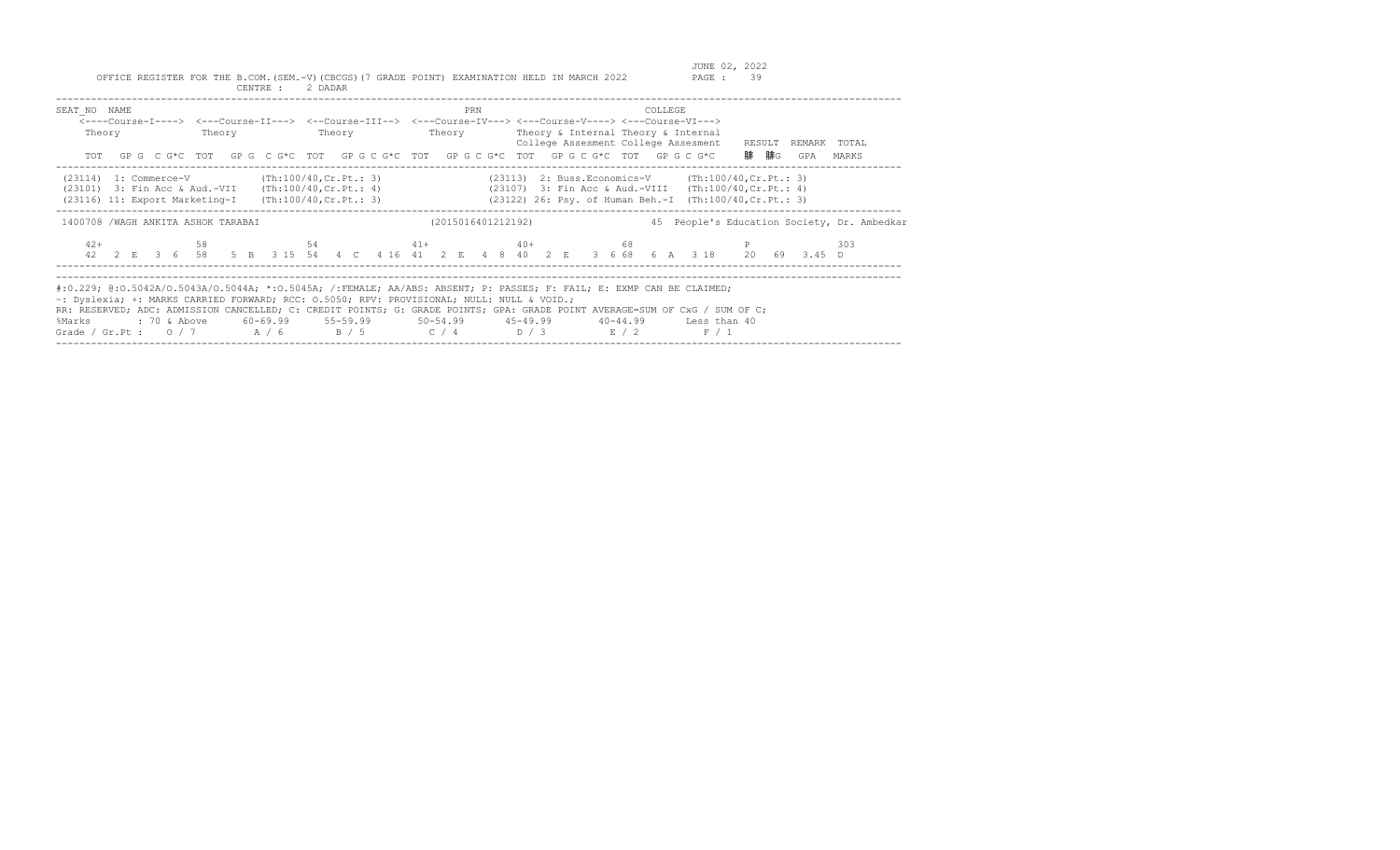| SEAT NO NAME<br>Theory                                                                                                                                                  | Theory | Theory | PRN                | COLLEGE<br><----Course-I----> <---Course-II---> <--Course-III--> <---Course-IV---> <---Course-V----> <---Course-VI---><br>Theory Theory & Internal Theory & Internal<br>College Assesment College Assesment<br>TOT GPG CG*C TOT GPG CG*C TOT GPG CG*C TOT GPG CG*C TOT GPG CG*C TOT GPG CG*C                                                                                                 | RESULT<br>REMARK TOTAL<br>腓  腓G<br>GPA<br>MARKS |
|-------------------------------------------------------------------------------------------------------------------------------------------------------------------------|--------|--------|--------------------|----------------------------------------------------------------------------------------------------------------------------------------------------------------------------------------------------------------------------------------------------------------------------------------------------------------------------------------------------------------------------------------------|-------------------------------------------------|
| $(23114)$ 1: Commerce-V $(Th:100/40, Cr.Pt.: 3)$<br>$(23101)$ 3: Fin Acc & Aud.-VII (Th:100/40, Cr. Pt.: 4)<br>$(23116)$ 11: Export Marketing-I (Th:100/40, Cr. Pt.: 3) |        |        |                    | $(23113)$ 2: Buss. Economics-V $(Th:100/40, Cr.Pt.: 3)$<br>$(23107)$ 3: Fin Acc & Aud.-VIII $(Th:100/40, Cr.Pt.: 4)$<br>(23122) 26: Psy. of Human Beh.-I (Th:100/40, Cr. Pt.: 3)                                                                                                                                                                                                             |                                                 |
| 1400708 / WAGH ANKITA ASHOK TARABAI                                                                                                                                     |        |        | (2015016401212192) |                                                                                                                                                                                                                                                                                                                                                                                              | 45 People's Education Society, Dr. Ambedkar     |
| $42+$                                                                                                                                                                   |        |        |                    | 58 54 54 41 40 40 58<br>42  2  E  3  6  58  5  B  3  15  54  4  C  4  16  41  2  E  4  8  40  2  E  3  6  68  6  A  3  18  20  69  3.45  D                                                                                                                                                                                                                                                   | 303                                             |
| ~: Dyslexia; +: MARKS CARRIED FORWARD; RCC: 0.5050; RPV: PROVISIONAL; NULL: NULL & VOID.;<br>%Marks                                                                     |        |        |                    | #:0.229; @:0.5042A/0.5043A/0.5044A; *:0.5045A; /:FEMALE; AA/ABS: ABSENT; P: PASSES; F: FAIL; E: EXMP CAN BE CLAIMED;<br>RR: RESERVED; ADC: ADMISSION CANCELLED; C: CREDIT POINTS; G: GRADE POINTS; GPA: GRADE POINT AVERAGE=SUM OF CxG / SUM OF C;<br>: 70 & Above 60-69.99 55-59.99 50-54.99 45-49.99 40-44.99 Less than 40<br>Grade / Gr.Pt : $0/7$ $A/6$ $B/5$ $C/4$ $D/3$ $E/2$<br>F / 1 |                                                 |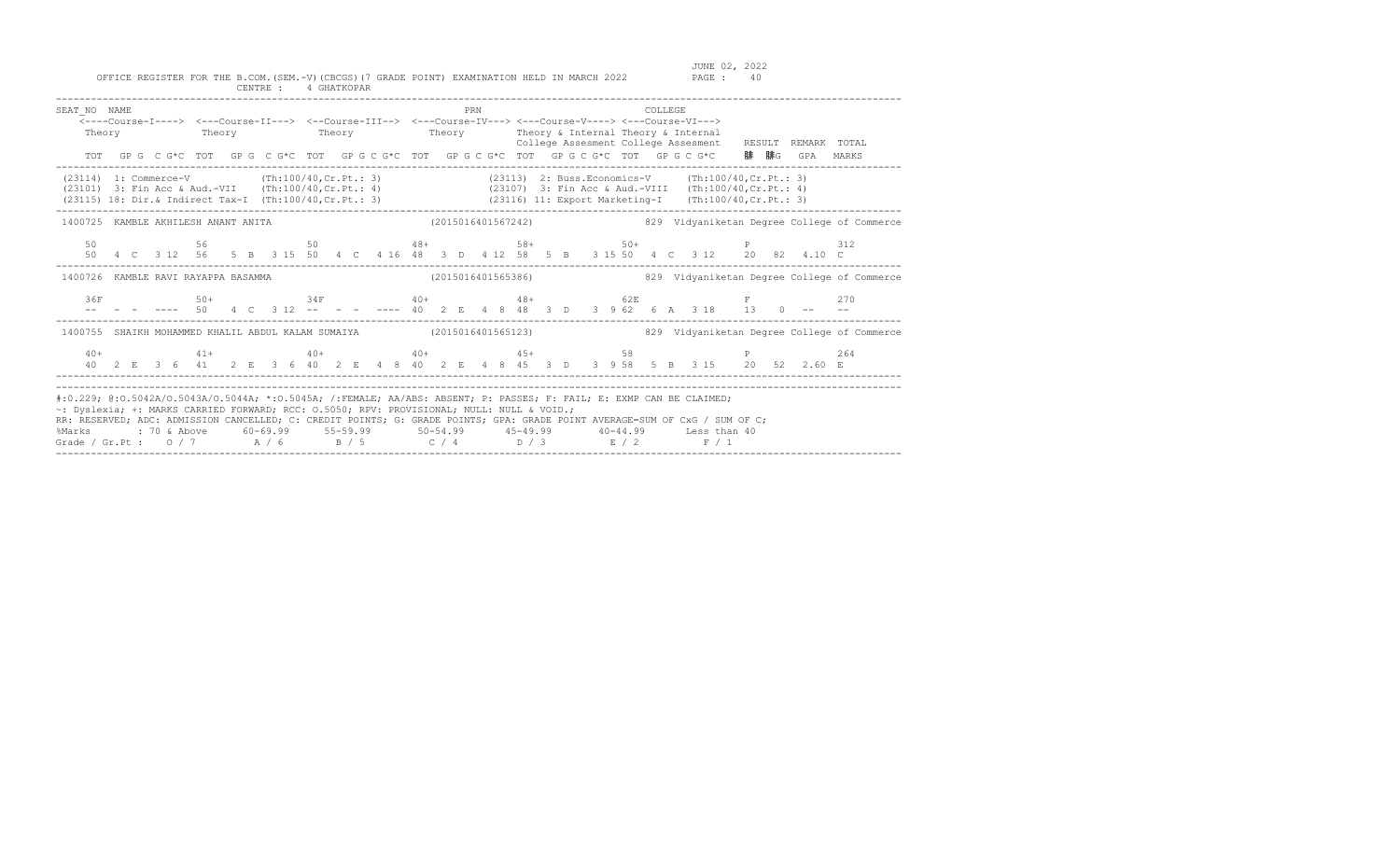| SEAT NO NAME<br>Theory                                                                                                                                                                                                                                                                                                                                                                                                |  |  |  |  |  |  |  |  | PRN |  |  |  | COLLEGE. | <----Course-I----> <---Course-II---> <--Course-III--> <---Course-IV---> <---Course-V----> <---Course-VI---><br>Theory Theory Theory Theory Theory Theory & Internal Theory & Internal |          | College Assesment College Assesment RESULT REMARK TOTAL                                                                                                                                                                                                                              |       |                                                                                                                   |
|-----------------------------------------------------------------------------------------------------------------------------------------------------------------------------------------------------------------------------------------------------------------------------------------------------------------------------------------------------------------------------------------------------------------------|--|--|--|--|--|--|--|--|-----|--|--|--|----------|---------------------------------------------------------------------------------------------------------------------------------------------------------------------------------------|----------|--------------------------------------------------------------------------------------------------------------------------------------------------------------------------------------------------------------------------------------------------------------------------------------|-------|-------------------------------------------------------------------------------------------------------------------|
|                                                                                                                                                                                                                                                                                                                                                                                                                       |  |  |  |  |  |  |  |  |     |  |  |  |          | TOT GP G C G*C TOT GP G C G*C TOT GP G C G*C TOT GP G C G*C TOT GP G C G*C TOT GP G C G*C                                                                                             | - 腓 - 腓G | GPA                                                                                                                                                                                                                                                                                  | MARKS |                                                                                                                   |
| (23114) 1: Commerce-V (Th:100/40, Cr. Pt.: 3) (23113) 2: Buss. Economics-V (Th:100/40, Cr. Pt.: 3)<br>(23101) 3: Fin Acc & Aud.-VII (Th:100/40, Cr. Pt.: 4) (23107) 3: Fin Acc & Aud.-VIII (Th:100/40, Cr. Pt.: 4)<br>(23115) 18: Di                                                                                                                                                                                  |  |  |  |  |  |  |  |  |     |  |  |  |          |                                                                                                                                                                                       |          |                                                                                                                                                                                                                                                                                      |       |                                                                                                                   |
|                                                                                                                                                                                                                                                                                                                                                                                                                       |  |  |  |  |  |  |  |  |     |  |  |  |          |                                                                                                                                                                                       |          |                                                                                                                                                                                                                                                                                      |       | 1400725 KAMBLE AKHILESH ANANT ANITA (2015016401567242) 329 Vidyaniketan Degree College of Commerce                |
|                                                                                                                                                                                                                                                                                                                                                                                                                       |  |  |  |  |  |  |  |  |     |  |  |  |          |                                                                                                                                                                                       |          | $50$<br>$50$<br>$50$<br>$50$<br>$50$<br>$50 +$<br>$50 +$<br>$50 +$<br>$50 +$<br>$50 +$<br>$50 +$<br>$50 +$<br>$50 +$<br>$50 +$<br>$50 +$<br>$50 +$<br>$50 +$<br>$50 +$<br>$50 +$<br>$50 +$<br>$50 +$<br>$50 +$<br>$50 +$<br>$50 +$<br>$50 +$<br>$50 +$<br>$50 +$<br>$50 +$<br>$50 +$ |       |                                                                                                                   |
|                                                                                                                                                                                                                                                                                                                                                                                                                       |  |  |  |  |  |  |  |  |     |  |  |  |          |                                                                                                                                                                                       |          |                                                                                                                                                                                                                                                                                      |       | 1400726 KAMBLE RAVI RAYAPPA BASAMMA (2015016401565386) 829 Vidyaniketan Degree College of Commerce                |
| 36F                                                                                                                                                                                                                                                                                                                                                                                                                   |  |  |  |  |  |  |  |  |     |  |  |  |          | 50+<br>- ---- 50  4  C  3  12  -- - - ---- 40  2  E  4  8  48  3  D  3  9  62  6  A  3  18  13  0  --                                                                                 |          |                                                                                                                                                                                                                                                                                      | 270   |                                                                                                                   |
|                                                                                                                                                                                                                                                                                                                                                                                                                       |  |  |  |  |  |  |  |  |     |  |  |  |          |                                                                                                                                                                                       |          |                                                                                                                                                                                                                                                                                      |       | 1400755 SHAIKH MOHAMMED KHALIL ABDUL KALAM SUMAIYA (2015016401565123) 829 Vidyaniketan Degree College of Commerce |
|                                                                                                                                                                                                                                                                                                                                                                                                                       |  |  |  |  |  |  |  |  |     |  |  |  |          |                                                                                                                                                                                       |          |                                                                                                                                                                                                                                                                                      | 264   |                                                                                                                   |
| #:0.229; @:0.5042A/O.5043A/O.5044A; *:0.5045A; /:FEMALE; AA/ABS: ABSENT; P: PASSES; F: FAIL; E: EXMP CAN BE CLAIMED;<br>~: Dyslexia; +: MARKS CARRIED FORWARD; RCC: 0.5050; RPV: PROVISIONAL; NULL: NULL & VOID.;<br>RR: RESERVED; ADC: ADMISSION CANCELLED; C: CREDIT POINTS; G: GRADE POINTS; GPA: GRADE POINT AVERAGE=SUM OF CxG / SUM OF C;<br>%Marks<br>Grade / Gr.Pt: $0/7$ $A/6$ $B/5$ $C/4$ $D/3$ $E/2$ $F/1$ |  |  |  |  |  |  |  |  |     |  |  |  |          |                                                                                                                                                                                       |          |                                                                                                                                                                                                                                                                                      |       |                                                                                                                   |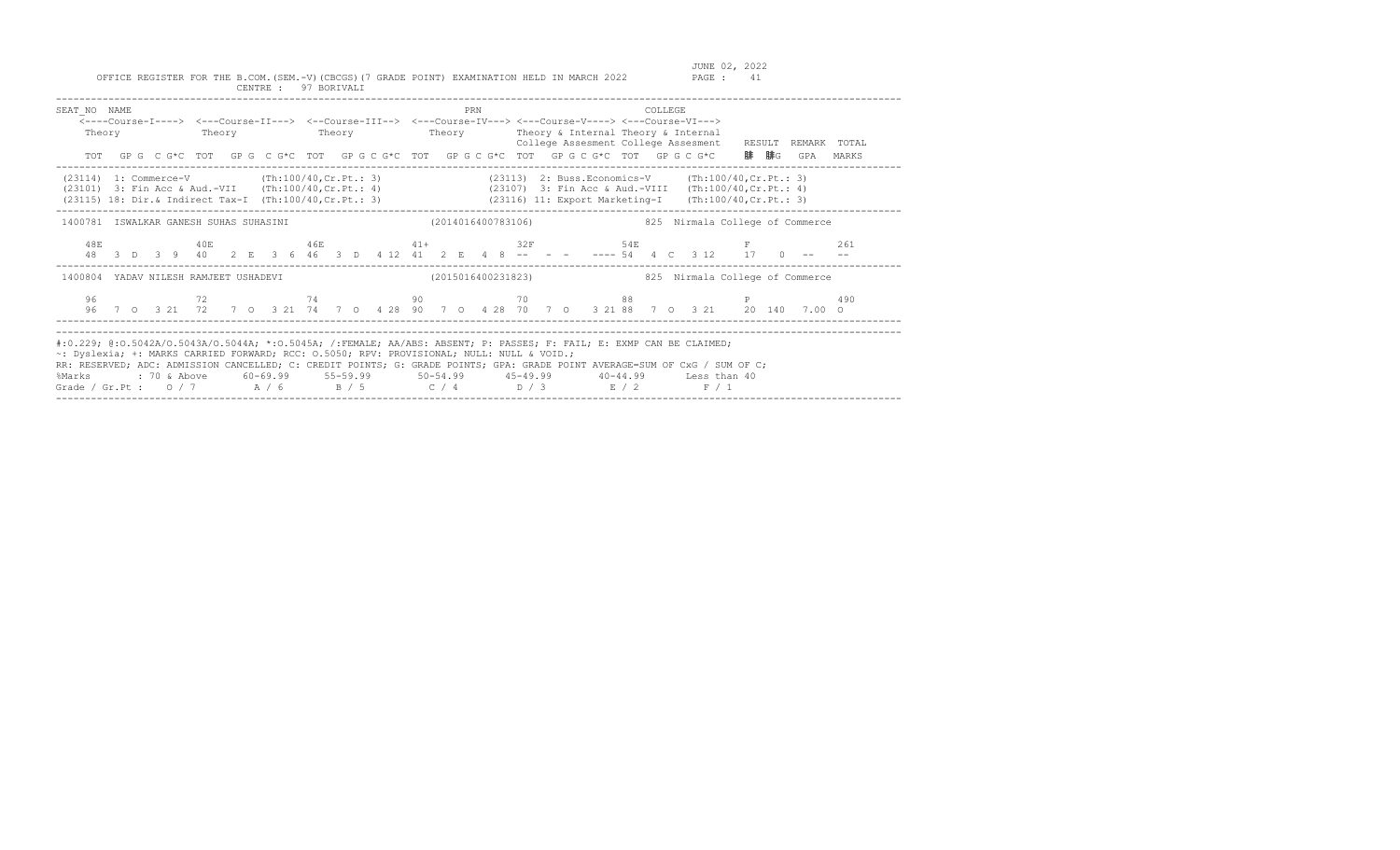| SEAT NO NAME<br>Theory                                                                                                                                                                                                                                                                                                                                                                                                |  |  | <b>Theory</b> |  |  |  |  |  |  | PRN |  |  |                    |  | <b>COLLEGE</b> | <----Course-I----> <---Course-II---> <--Course-III--> <---Course-IV---> <---Course-V----> <---Course-VI---><br>Theory Theory Theory & Internal Theory & Internal<br>TOT GPGCG*CTOT GPGCG*CTOT GPGCG*CTOT GPGCG*CTOT GPGCG*CTOT GPGCG*CTOT GPGCG*C 腓腓GGPA MARKS |  |  | College Assesment College Assesment RESULT REMARK TOTAL |
|-----------------------------------------------------------------------------------------------------------------------------------------------------------------------------------------------------------------------------------------------------------------------------------------------------------------------------------------------------------------------------------------------------------------------|--|--|---------------|--|--|--|--|--|--|-----|--|--|--------------------|--|----------------|----------------------------------------------------------------------------------------------------------------------------------------------------------------------------------------------------------------------------------------------------------------|--|--|---------------------------------------------------------|
| $(23114)$ 1: Commerce-V (Th:100/40, Cr. Pt.: 3)<br>(23101) 3: Fin Acc & Aud.-VII (Th:100/40, Cr. Pt.: 4) (23107) 3: Fin Acc & Aud.-VIII (Th:100/40, Cr. Pt.: 4)<br>(23115) 18: Dir. & Indirect Tax-I (Th:100/40, Cr. Pt.: 3) (23116) 11: Export Marketing-I                                                                                                                                                           |  |  |               |  |  |  |  |  |  |     |  |  |                    |  |                | $(23113)$ 2: Buss. Economics-V $(Th:100/40, Cr.Pt.: 3)$<br>(Th:100/40, Cr.Pt.: 3)                                                                                                                                                                              |  |  |                                                         |
| 1400781 ISWALKAR GANESH SUHAS SUHASINI (2014016400783106)                                                                                                                                                                                                                                                                                                                                                             |  |  |               |  |  |  |  |  |  |     |  |  |                    |  |                | 825 Nirmala College of Commerce                                                                                                                                                                                                                                |  |  |                                                         |
| 48E                                                                                                                                                                                                                                                                                                                                                                                                                   |  |  |               |  |  |  |  |  |  |     |  |  |                    |  |                | $40E$ $46E$ $41+$ $32F$ $54E$ $F$<br><br>48 3 D 3 9 40 2 E 3 6 46 3 D 4 12 41 2 E 4 8 -- - - ---- 54 4 C 3 12 17 0 --                                                                                                                                          |  |  | 261                                                     |
| 1400804 YADAV NILESH RAMJEET USHADEVI                                                                                                                                                                                                                                                                                                                                                                                 |  |  |               |  |  |  |  |  |  |     |  |  | (2015016400231823) |  |                | 825 Nirmala College of Commerce                                                                                                                                                                                                                                |  |  |                                                         |
|                                                                                                                                                                                                                                                                                                                                                                                                                       |  |  |               |  |  |  |  |  |  |     |  |  |                    |  |                | 96 7 0 3 21 72 7 0 3 21 74 7 0 4 28 90 7 0 4 28 70 7 0 3 21 88 7 0 3 21 20 140 7.00 0                                                                                                                                                                          |  |  | 490                                                     |
| #:0.229; @:0.5042A/O.5043A/O.5044A; *:0.5045A; /:FEMALE; AA/ABS: ABSENT; P: PASSES; F: FAIL; E: EXMP CAN BE CLAIMED;<br>~: Dyslexia; +: MARKS CARRIED FORWARD; RCC: 0.5050; RPV: PROVISIONAL; NULL: NULL & VOID.;<br>RR: RESERVED; ADC: ADMISSION CANCELLED; C: CREDIT POINTS; G: GRADE POINTS; GPA: GRADE POINT AVERAGE=SUM OF CxG / SUM OF C;<br>%Marks<br>Grade / Gr.Pt: $0/7$ $A/6$ $B/5$ $C/4$ $D/3$ $E/2$ $F/1$ |  |  |               |  |  |  |  |  |  |     |  |  |                    |  |                | : 70 & Above        60–69.99        55–59.99          50–54.99         45–49.99         40–44.99       Less than 40                                                                                                                                            |  |  |                                                         |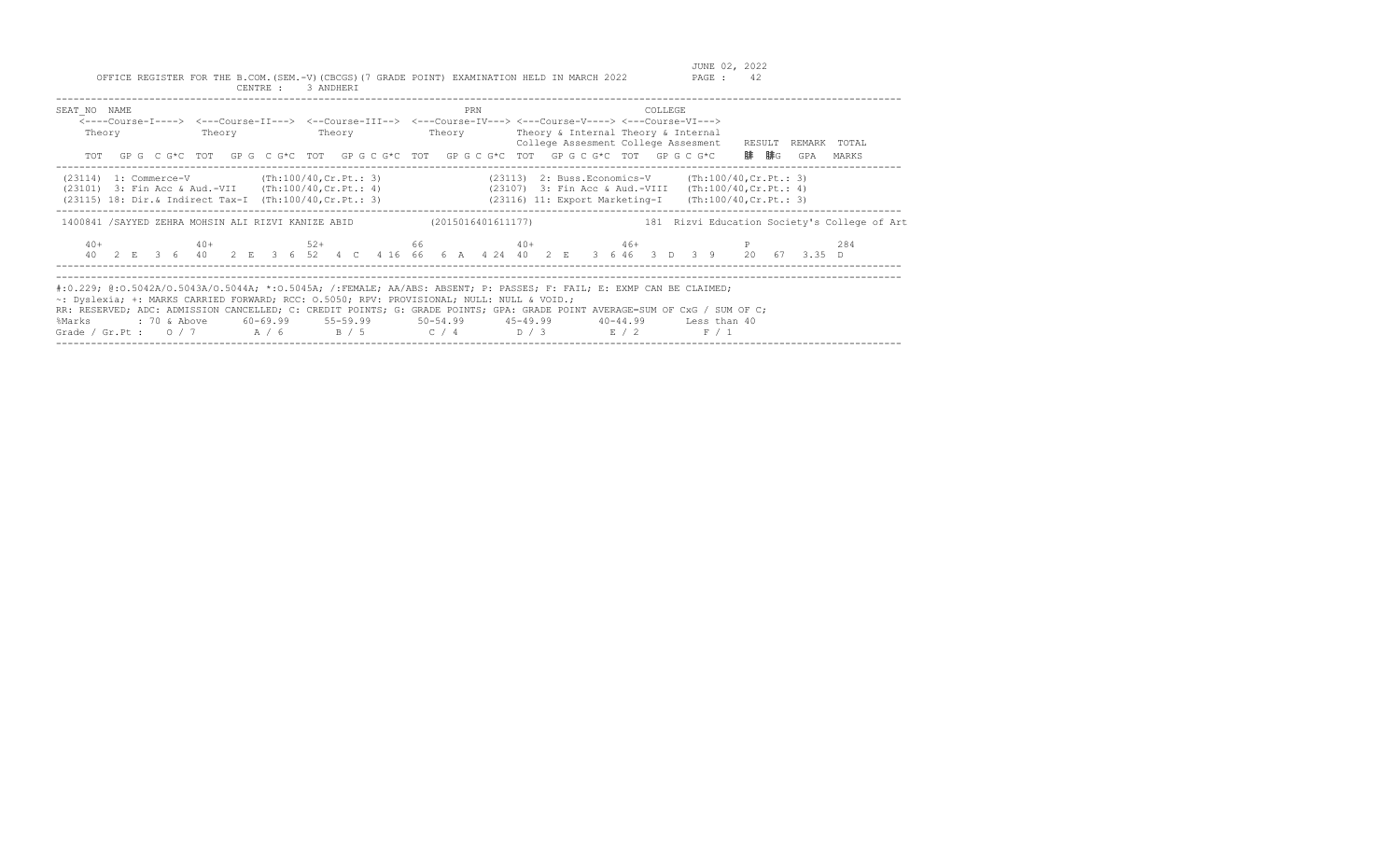| SEAT NO NAME<br>Theory                                                                                    | Theory | <b>Theory</b> | PRN | <b>COLLEGE</b><br><----Course-I----> <---Course-II---> <--Course-III--> <---Course-IV---> <---Course-V----> <---Course-VI---><br>Theory Theory & Internal Theory & Internal<br>TOT GPG CG*C TOT GPG CG*C TOT GPG CG*C TOT GPG CG*C TOT GPG CG*C TOT GPG CG*C                                                                                                                                                               | College Assesment College Assesment RESULT REMARK TOTAL<br>腓  腓G<br>GPA<br>MARKS |
|-----------------------------------------------------------------------------------------------------------|--------|---------------|-----|----------------------------------------------------------------------------------------------------------------------------------------------------------------------------------------------------------------------------------------------------------------------------------------------------------------------------------------------------------------------------------------------------------------------------|----------------------------------------------------------------------------------|
| $(23114)$ 1: Commerce-V $(Th:100/40, Cr.Pt.: 3)$<br>(23101) 3: Fin Acc & Aud.-VII (Th:100/40, Cr. Pt.: 4) |        |               |     | (23113) 2: Buss. Economics-V (Th:100/40, Cr. Pt.: 3)<br>(23107) 3: Fin Acc & Aud.-VIII (Th:100/40, Cr. Pt.: 4)<br>(23115) 18: Dir. & Indirect Tax-I (Th:100/40, Cr. Pt.: 3) (23116) 11: Export Marketing-I (Th:100/40, Cr. Pt.: 3)                                                                                                                                                                                         |                                                                                  |
| 1400841 /SAYYED ZEHRA MOHSIN ALI RIZVI KANIZE ABID (2015016401611177)<br>$40+$                            |        |               |     | $40+$ $52+$ 66 $40+$ $46+$ P<br>40 2 E 3 6 40 2 E 3 6 52 4 C 4 16 66 6 A 4 24 40 2 E 3 6 46 3 D 3 9 20 67 3.35 D                                                                                                                                                                                                                                                                                                           | 181 Rizvi Education Society's College of Art<br>284                              |
| ~: Dyslexia; +: MARKS CARRIED FORWARD; RCC: 0.5050; RPV: PROVISIONAL; NULL: NULL & VOID.;<br>%Marks       |        |               |     | #:0.229; @:0.5042A/O.5043A/O.5044A; *:0.5045A; /:FEMALE; AA/ABS: ABSENT; P: PASSES; F: FAIL; E: EXMP CAN BE CLAIMED;<br>RR: RESERVED; ADC: ADMISSION CANCELLED; C: CREDIT POINTS; G: GRADE POINTS; GPA: GRADE POINT AVERAGE=SUM OF CxG / SUM OF C;<br>: 70 & Above       60–69.99       55–59.99        50–54.99        45–49.99        40–44.99       Less than 40<br>Grade / Gr.Pt : $0/7$ $A/6$ $B/5$ $C/4$ $D/3$ $E/2$ | F / 1                                                                            |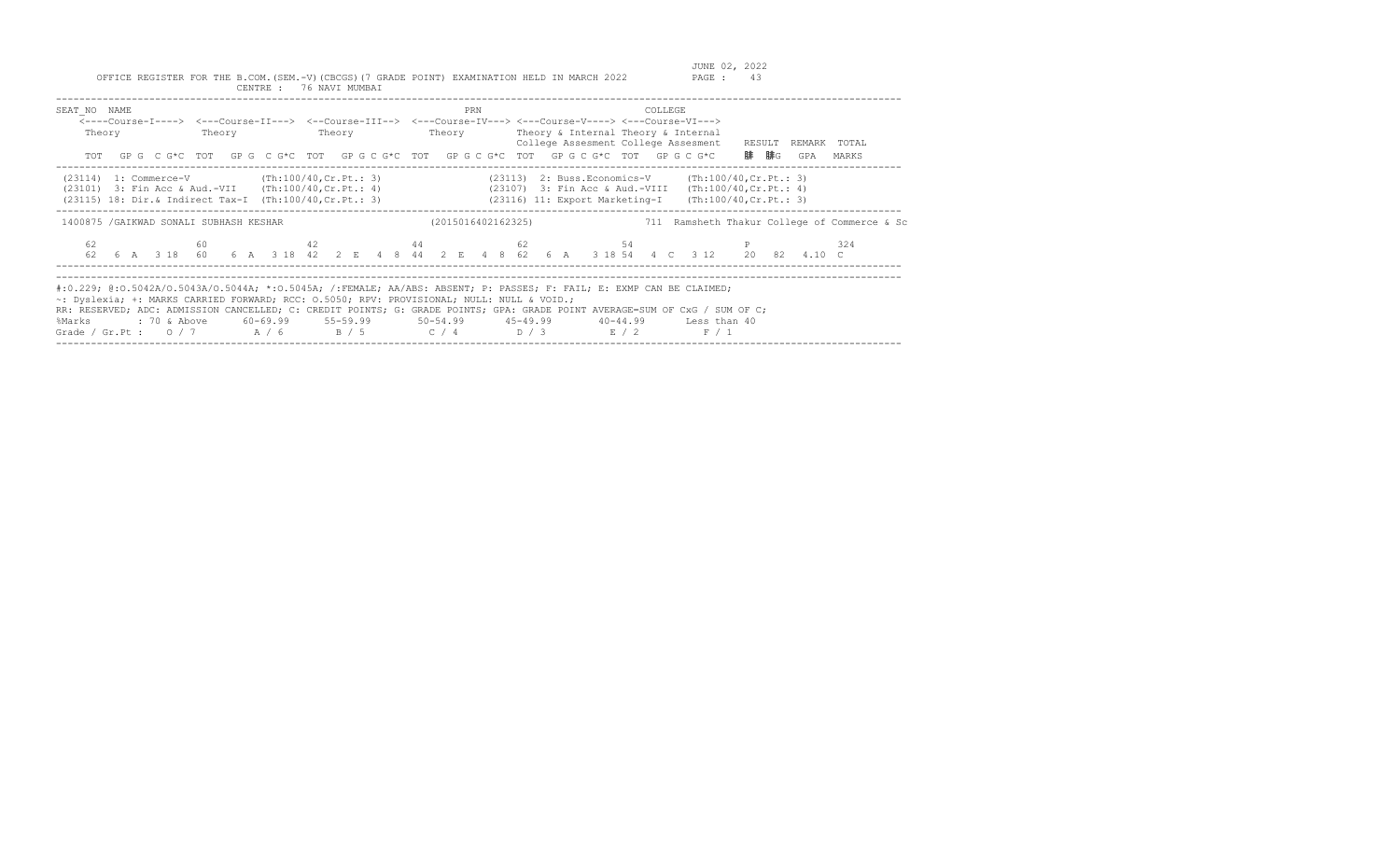| SEAT NO NAME<br>Theory                                                                                    |  | PRN                | COLLEGE<br><----Course-I----> <---Course-II---> <--Course-III--> <---Course-IV---> <---Course-V----> <---Course-VI---><br>Theory Theory Theory Theory Theory Sinternal Theory & Internal<br>College Assesment College Assesment RESULT<br>TOT GPG CG*C TOT GPG CG*C TOT GPGCG*C TOT GPGCG*C TOT GPGCG*C TOT GPGCG*C                                                                          | REMARK TOTAL<br>腓 腓G<br>MARKS<br>GPA         |
|-----------------------------------------------------------------------------------------------------------|--|--------------------|----------------------------------------------------------------------------------------------------------------------------------------------------------------------------------------------------------------------------------------------------------------------------------------------------------------------------------------------------------------------------------------------|----------------------------------------------|
| $(23114)$ 1: Commerce-V $(Th:100/40, Cr.Pt.: 3)$<br>(23101) 3: Fin Acc & Aud.-VII (Th:100/40, Cr. Pt.: 4) |  |                    | $(23113)$ 2: Buss. Economics-V (Th:100/40, Cr. Pt.: 3)<br>(23107) 3: Fin Acc & Aud.-VIII (Th:100/40, Cr. Pt.: 4)<br>(23115) 18: Dir.& Indirect Tax-I (Th:100/40, Cr. Pt.: 3) (23116) 11: Export Marketing-I (Th:100/40, Cr. Pt.: 3)                                                                                                                                                          |                                              |
| 1400875 / GAIKWAD SONALI SUBHASH KESHAR                                                                   |  | (2015016402162325) |                                                                                                                                                                                                                                                                                                                                                                                              | 711 Ramsheth Thakur College of Commerce & Sc |
| 62                                                                                                        |  |                    | 60 and 42 and 44 and 44 and 54 54 and 54 and 54 and 54 and 54 and 54 and 54 and 54 and 54 and 54 and 54 and 55<br>62  6  A  3  18  60  6  A  3  18  42  2  E  4  8  44  2  E  4  8  62  6  A  3  18  54  4  C  3  12  20  82  4.10  C                                                                                                                                                        | 324                                          |
| ~: Dyslexia; +: MARKS CARRIED FORWARD; RCC: 0.5050; RPV: PROVISIONAL; NULL: NULL & VOID.;<br>%Marks       |  |                    | #:0.229; @:0.5042A/O.5043A/O.5044A; *:0.5045A; /:FEMALE; AA/ABS: ABSENT; P: PASSES; F: FAIL; E: EXMP CAN BE CLAIMED;<br>RR: RESERVED; ADC: ADMISSION CANCELLED; C: CREDIT POINTS; G: GRADE POINTS; GPA: GRADE POINT AVERAGE=SUM OF CxG / SUM OF C;<br>: 70 & Above 60-69.99 55-59.99 50-54.99 45-49.99 40-44.99 Less than 40<br>Grade / Gr.Pt : $0/7$ $A/6$ $B/5$ $C/4$ $D/3$ $E/2$<br>F / 1 |                                              |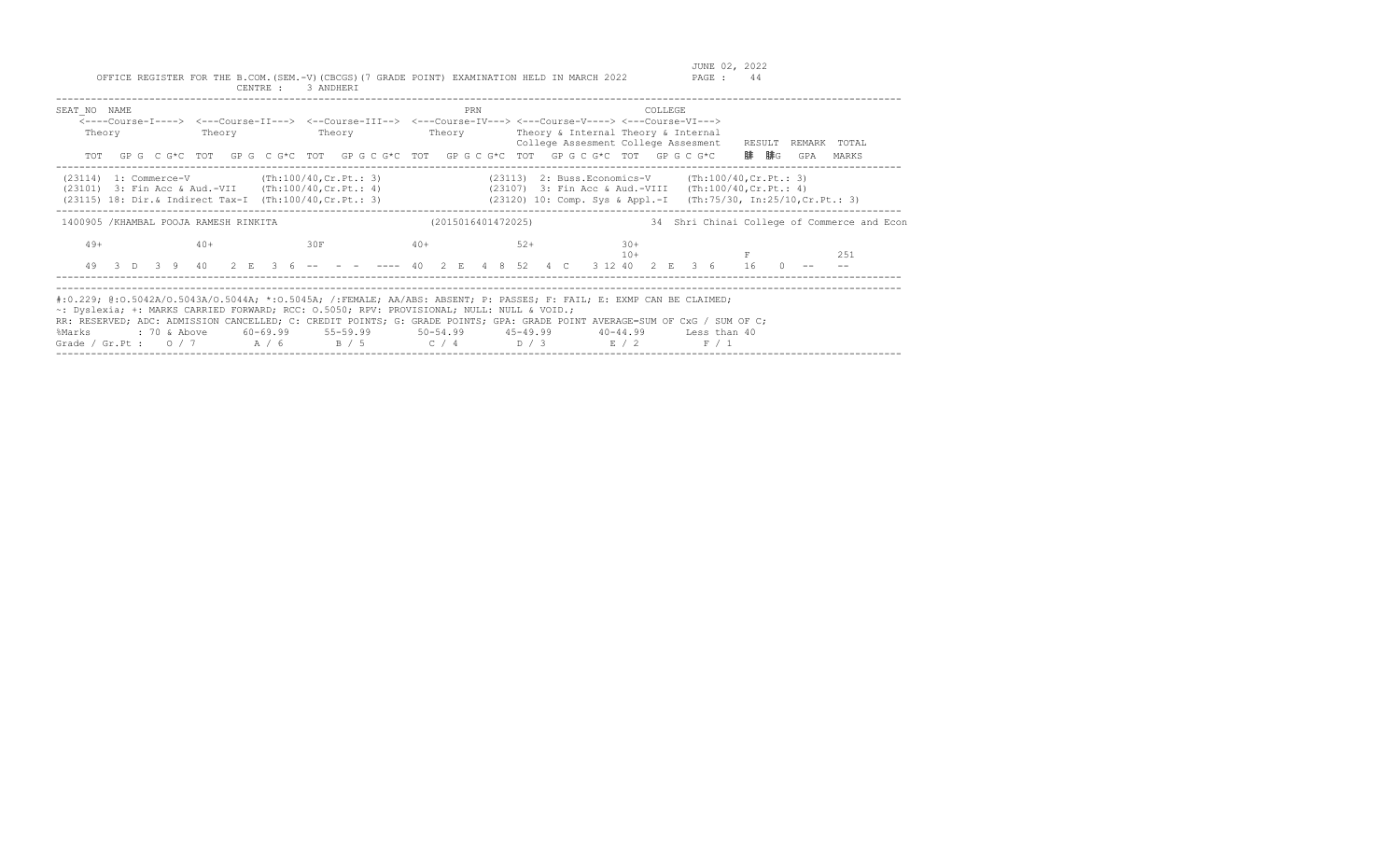| SEAT NO NAME<br>Theory<br>TOT                                                                                                                                                                                                                                                                                                                                                                                    | Theory | Theory | PRN                | <----Course-I----> <---Course-II---> <--Course-III--> <---Course-IV---> <---Course-V----> <---Course-VI---><br>Theory Theory & Internal Theory & Internal<br>College Assesment College Assesment<br>GP G C G*C TOT GP G C G*C TOT GP G C G*C TOT GP G C G*C TOT GP G C G*C TOT GP G C G*C | COLLEGE.<br>RESULT | REMARK<br>TOTAL<br>腓 腓G<br>GPA<br>MARKS     |
|------------------------------------------------------------------------------------------------------------------------------------------------------------------------------------------------------------------------------------------------------------------------------------------------------------------------------------------------------------------------------------------------------------------|--------|--------|--------------------|-------------------------------------------------------------------------------------------------------------------------------------------------------------------------------------------------------------------------------------------------------------------------------------------|--------------------|---------------------------------------------|
| $(23114)$ 1: Commerce-V $(Th:100/40, Cr.Pt.: 3)$<br>$(23101)$ 3: Fin Acc & Aud.-VII $(Th:100/40, Cr.Pt.: 4)$<br>(23115) 18: Dir.& Indirect Tax-I (Th:100/40, Cr. Pt.: 3)                                                                                                                                                                                                                                         |        |        |                    | (23113) 2: Buss.Economics-V (Th:100/40, Cr. Pt.: 3)<br>(23107) 3: Fin Acc & Aud.-VIII (Th:100/40, Cr. Pt.: 4)<br>(23120) 10: Comp. Sys & Appl.-I (Th:75/30, In:25/10, Cr. Pt.: 3)                                                                                                         |                    |                                             |
| 1400905 /KHAMBAL POOJA RAMESH RINKITA                                                                                                                                                                                                                                                                                                                                                                            |        |        | (2015016401472025) |                                                                                                                                                                                                                                                                                           |                    | 34 Shri Chinai College of Commerce and Econ |
| $49+$<br>49                                                                                                                                                                                                                                                                                                                                                                                                      | $40+$  | 30F    | $40+$              | $52+$<br>$30+$<br>$10 +$<br>3 D 3 9 40 2 E 3 6 -- - - --- 40 2 E 4 8 52 4 C 3 12 40 2 E 3 6                                                                                                                                                                                               | 16                 | 251                                         |
| #:0.229; @:0.5042A/O.5043A/O.5044A; *:0.5045A; /:FEMALE; AA/ABS: ABSENT; P: PASSES; F: FAIL; E: EXMP CAN BE CLAIMED;<br>~: Dyslexia; +: MARKS CARRIED FORWARD; RCC: 0.5050; RPV: PROVISIONAL; NULL: NULL & VOID.;<br>RR: RESERVED; ADC: ADMISSION CANCELLED; C: CREDIT POINTS; G: GRADE POINTS; GPA: GRADE POINT AVERAGE=SUM OF CxG / SUM OF C;<br>%Marks<br>Grade / Gr.Pt : $0/7$ A / 6 B / 5 C / 4 D / 3 E / 2 |        |        |                    | : 70 & Above 60-69.99 55-59.99 50-54.99 45-49.99 40-44.99 Less than 40                                                                                                                                                                                                                    | F / 1              |                                             |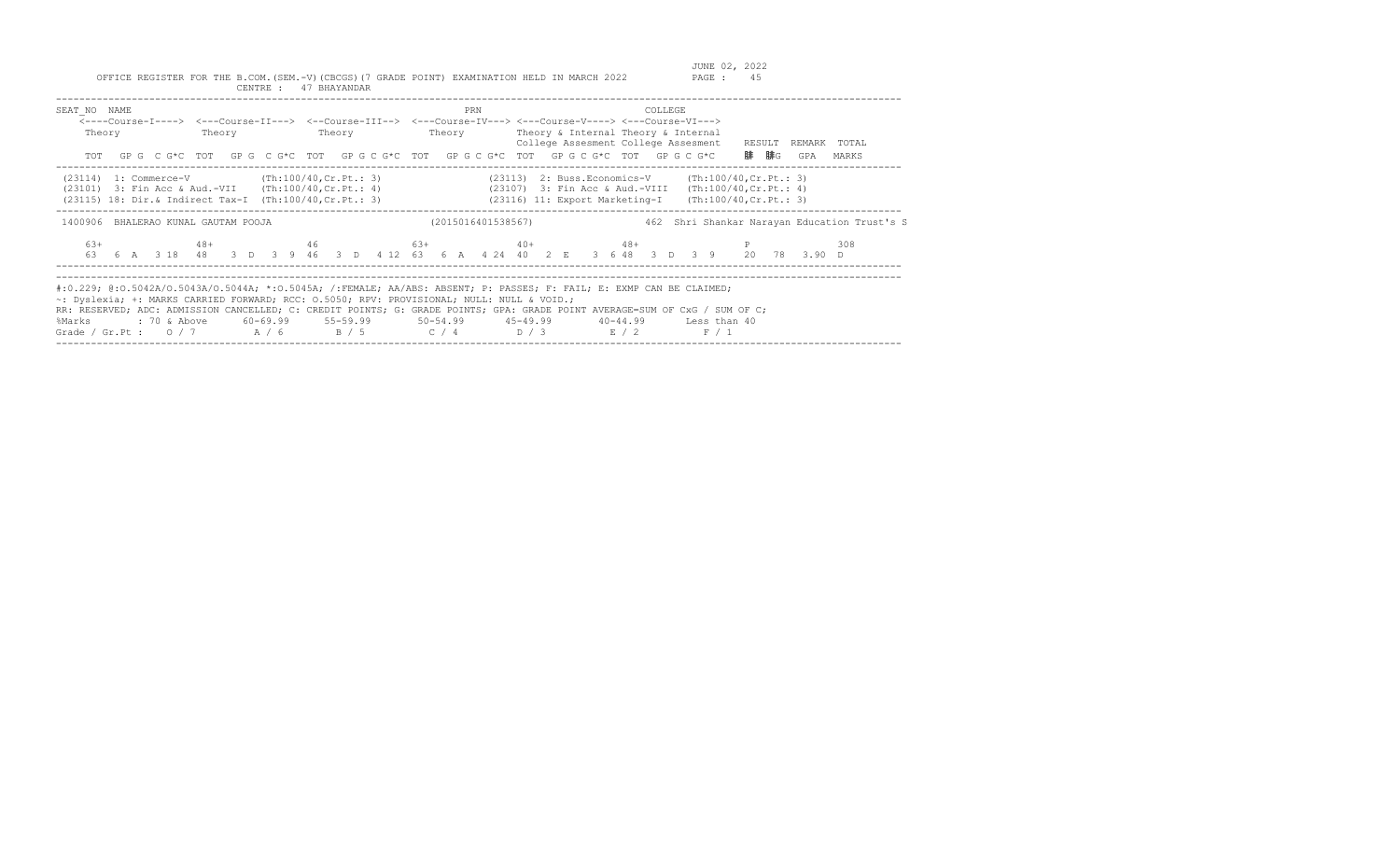| SEAT NO NAME<br>Theory                                                                              |  | PRN | COLLEGE<br><----Course-I----> <---Course-II---> <--Course-III--> <---Course-IV---> <---Course-V----> <---Course-VI---><br>Theory Theory Theory Theory Theory Theory & Internal Theory & Internal<br>College Assesment College Assesment RESULT REMARK TOTAL<br>TOT GPG CG*C TOT GPG CG*C TOT GPG CG*C TOT GPG CG*C TOT GPG CG*C TOT GPG CG*C                                                 | 腓 腓G<br>GPA<br>MARKS                         |
|-----------------------------------------------------------------------------------------------------|--|-----|----------------------------------------------------------------------------------------------------------------------------------------------------------------------------------------------------------------------------------------------------------------------------------------------------------------------------------------------------------------------------------------------|----------------------------------------------|
|                                                                                                     |  |     | (23114) 1: Commerce-V (Th:100/40,Cr.Pt.: 3) (23113) 2: Buss.Economics-V (Th:100/40,Cr.Pt.: 3)<br>(23101) 3: Fin Acc & Aud.-VII (Th:100/40, Cr. Pt.: 4) (23107) 3: Fin Acc & Aud.-VIII (Th:100/40, Cr. Pt.: 4)<br>(23115) 18: Dir.& Indirect Tax-I (Th:100/40, Cr. Pt.: 3) (23116) 11: Export Marketing-I (Th:100/40, Cr. Pt.: 3)                                                             |                                              |
| 1400906 BHALERAO KUNAL GAUTAM POOJA                                                                 |  |     | (2015016401538567)                                                                                                                                                                                                                                                                                                                                                                           | 462 Shri Shankar Narayan Education Trust's S |
| 63+                                                                                                 |  |     | $48+$ $46$ $63+$ $40+$ $48+$ P<br>63   6   A   3   18   48   3   D   3   9   46   3   D   4   12   63   6   A   4   24   40   2   E   3   6   48   3   D   3   9   20   78   3.90   D                                                                                                                                                                                                        | 308                                          |
| ~: Dyslexia; +: MARKS CARRIED FORWARD; RCC: 0.5050; RPV: PROVISIONAL; NULL: NULL & VOID.;<br>%Marks |  |     | #:0.229; @:0.5042A/O.5043A/O.5044A; *:0.5045A; /:FEMALE; AA/ABS: ABSENT; P: PASSES; F: FAIL; E: EXMP CAN BE CLAIMED;<br>RR: RESERVED; ADC: ADMISSION CANCELLED; C: CREDIT POINTS; G: GRADE POINTS; GPA: GRADE POINT AVERAGE=SUM OF CxG / SUM OF C;<br>: 70 & Above 60-69.99 55-59.99 50-54.99 45-49.99 40-44.99 Less than 40<br>Grade / Gr.Pt : $0/7$ $A/6$ $B/5$ $C/4$ $D/3$ $E/2$<br>F / 1 |                                              |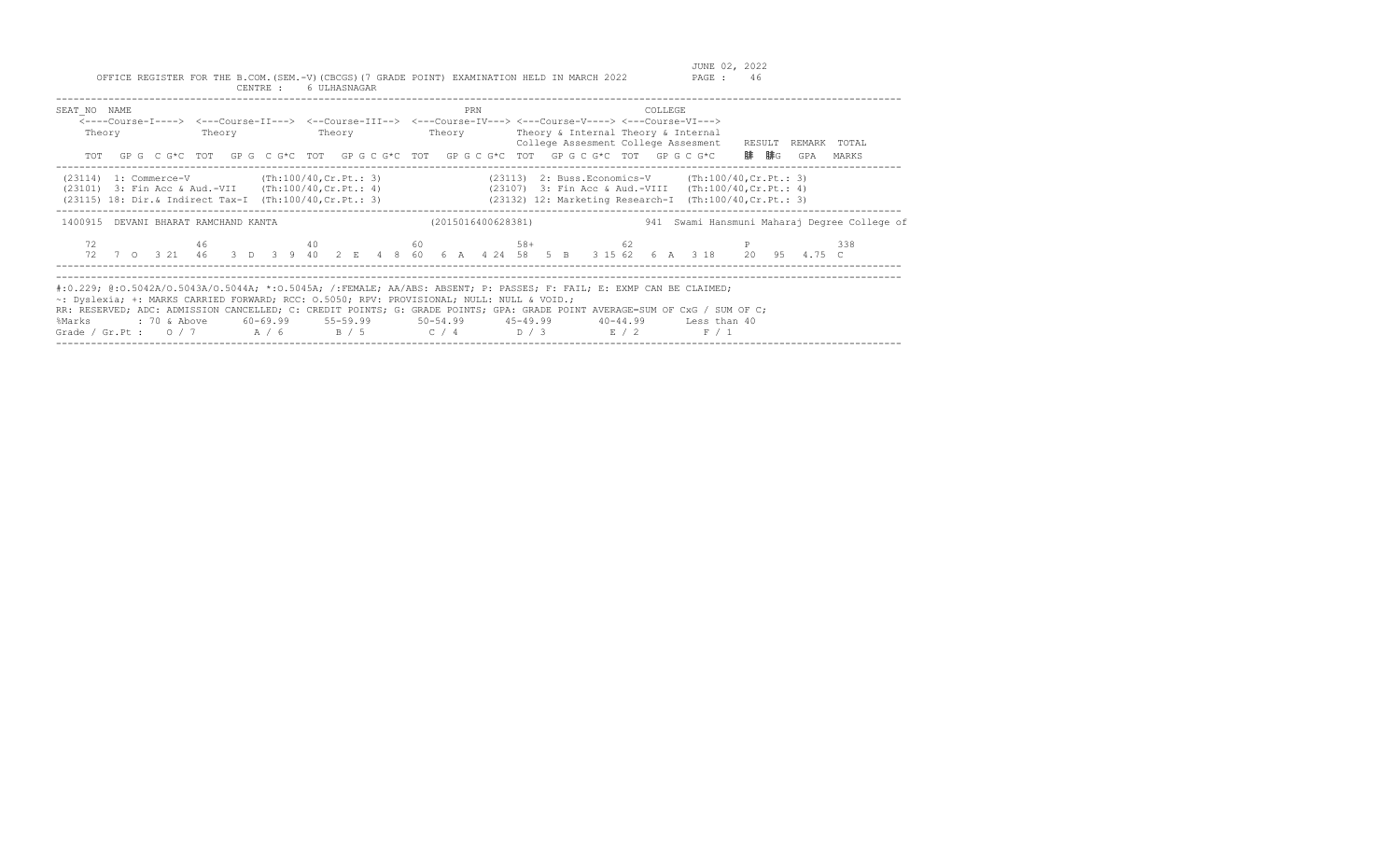| SEAT NO NAME<br>Theory                                                                                   |  | PRN                | COLLEGE<br><----Course-I----> <---Course-II---> <--Course-III--> <---Course-IV---> <---Course-V----> <---Course-VI---><br>Theory Theory Theory Theory Theory & Internal Theory & Internal<br>College Assesment College Assesment RESULT<br>TOT GPG CG*C TOT GPG CG*C TOT GPG CG*C TOT GPG CG*C TOT GPG CG*C TOT GPG CG*C                                                                     | REMARK TOTAL<br>腓 腓G<br>GPA<br>MARKS         |
|----------------------------------------------------------------------------------------------------------|--|--------------------|----------------------------------------------------------------------------------------------------------------------------------------------------------------------------------------------------------------------------------------------------------------------------------------------------------------------------------------------------------------------------------------------|----------------------------------------------|
| $(23114)$ 1: Commerce-V (Th:100/40, Cr. Pt.: 3)<br>(23101) 3: Fin Acc & Aud.-VII (Th:100/40, Cr. Pt.: 4) |  |                    | $(23113)$ 2: Buss. Economics-V $(Th:100/40, Cr.Pt.: 3)$<br>(23107) 3: Fin Acc & Aud.-VIII (Th:100/40, Cr. Pt.: 4)<br>(23115) 18: Dir.& Indirect Tax-I (Th:100/40, Cr. Pt.: 3) (23132) 12: Marketing Research-I (Th:100/40, Cr. Pt.: 3)                                                                                                                                                       |                                              |
| 1400915 DEVANI BHARAT RAMCHAND KANTA                                                                     |  | (2015016400628381) |                                                                                                                                                                                                                                                                                                                                                                                              | 941 Swami Hansmuni Maharaj Degree College of |
| 72                                                                                                       |  |                    | $46$ and $40$ and $60$ and $58+$ $62$ and $58+$ $62$ $58+$ $62$ $58+$ $62$ $58+$ $62$ $58+$ $62$ $58+$ $62$ $58+$ $62+$ $62+$ $62+$ $62+$ $62+$ $62+$ $62+$ $62+$ $62+$ $62+$ $62+$ $62+$ $62+$ $62+$ $62+$ $62+$ $62+$ $62+$<br>72 7 0 3 21 46 3 D 3 9 40 2 E 4 8 60 6 A 4 24 58 5 B 3 15 62 6 A 3 18 20 95 4.75 C                                                                          | 338                                          |
| ~: Dyslexia; +: MARKS CARRIED FORWARD; RCC: 0.5050; RPV: PROVISIONAL; NULL: NULL & VOID.;<br>%Marks      |  |                    | #:0.229; @:0.5042A/0.5043A/0.5044A; *:0.5045A; /:FEMALE; AA/ABS: ABSENT; P: PASSES; F: FAIL; E: EXMP CAN BE CLAIMED;<br>RR: RESERVED; ADC: ADMISSION CANCELLED; C: CREDIT POINTS; G: GRADE POINTS; GPA: GRADE POINT AVERAGE=SUM OF CxG / SUM OF C;<br>: 70 & Above 60-69.99 55-59.99 50-54.99 45-49.99 40-44.99 Less than 40<br>Grade / Gr.Pt : $0/7$ $A/6$ $B/5$ $C/4$ $D/3$ $E/2$<br>F / 1 |                                              |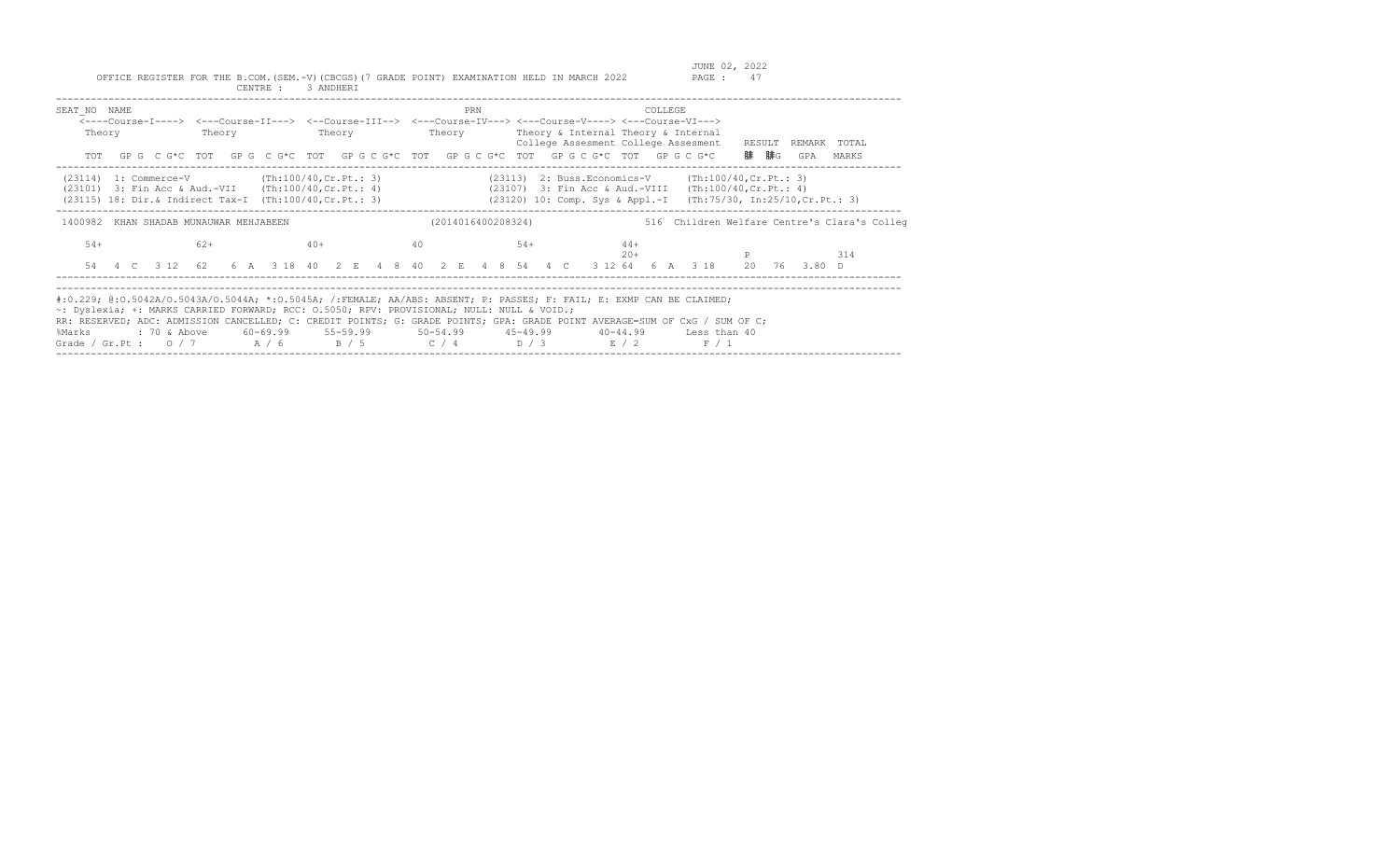| SEAT NO NAME<br>Theory                                                                                                                                                     | Theory | <b>Theory</b> | PRN | <----Course-I----> <---Course-II---> <--Course-III--> <---Course-IV---> <---Course-V----> <---Course-VI---><br>Theory Theory & Internal Theory & Internal<br>College Assesment College Assesment<br>TOT GPG CG*C TOT GPG CG*C TOT GPG CG*C TOT GPG CG*C TOT GPG CG*C TOT GPG CG*C                                                                                                   | COLLEGE<br>RESULT<br>REMARK TOTAL<br>腓 腓G<br>GPA<br>MARKS                                                                                                                           |
|----------------------------------------------------------------------------------------------------------------------------------------------------------------------------|--------|---------------|-----|-------------------------------------------------------------------------------------------------------------------------------------------------------------------------------------------------------------------------------------------------------------------------------------------------------------------------------------------------------------------------------------|-------------------------------------------------------------------------------------------------------------------------------------------------------------------------------------|
| $(23114)$ 1: Commerce-V (Th:100/40, Cr. Pt.: 3)<br>$(23101)$ 3: Fin Acc & Aud.-VII $(Th:100/40, Cr.Pt.: 4)$<br>$(23115)$ 18: Dir. & Indirect Tax-I (Th:100/40, Cr. Pt.: 3) |        |               |     |                                                                                                                                                                                                                                                                                                                                                                                     | (23113) 2: Buss. Economics-V (Th: 100/40, Cr. Pt.: 3)<br>(23107) 3: Fin Acc & Aud.-VIII (Th:100/40, Cr. Pt.: 4)<br>(23120) 10: Comp. Sys & Appl.-I (Th:75/30, In:25/10, Cr. Pt.: 3) |
| 1400982 KHAN SHADAB MUNAUWAR MEHJABEEN                                                                                                                                     |        |               |     | (2014016400208324)                                                                                                                                                                                                                                                                                                                                                                  | 516 Children Welfare Centre's Clara's Colleg                                                                                                                                        |
| $54+$                                                                                                                                                                      | $62+$  | $40+$         | 40  | $54+$<br>$44+$<br>$20+$                                                                                                                                                                                                                                                                                                                                                             | 314<br>54  4  C  3  12  62  6  A  3  18  40  2  E  4  8  40  2  E  4  8  54  4  C  3  12  64  6  A  3  18  20  76  3.80  D                                                          |
| ~: Dyslexia; +: MARKS CARRIED FORWARD; RCC: 0.5050; RPV: PROVISIONAL; NULL: NULL & VOID.;<br>%Marks                                                                        |        |               |     | #:0.229; @:0.5042A/O.5043A/O.5044A; *:0.5045A; /:FEMALE; AA/ABS: ABSENT; P: PASSES; F: FAIL; E: EXMP CAN BE CLAIMED;<br>RR: RESERVED; ADC: ADMISSION CANCELLED; C: CREDIT POINTS; G: GRADE POINTS; GPA: GRADE POINT AVERAGE=SUM OF CxG / SUM OF C;<br>: 70 & Above 60-69.99 55-59.99 50-54.99 45-49.99 40-44.99 Less than 40<br>Grade / Gr.Pt : $0/7$ $A/6$ $B/5$ $C/4$ $D/3$ $E/2$ | F / 1                                                                                                                                                                               |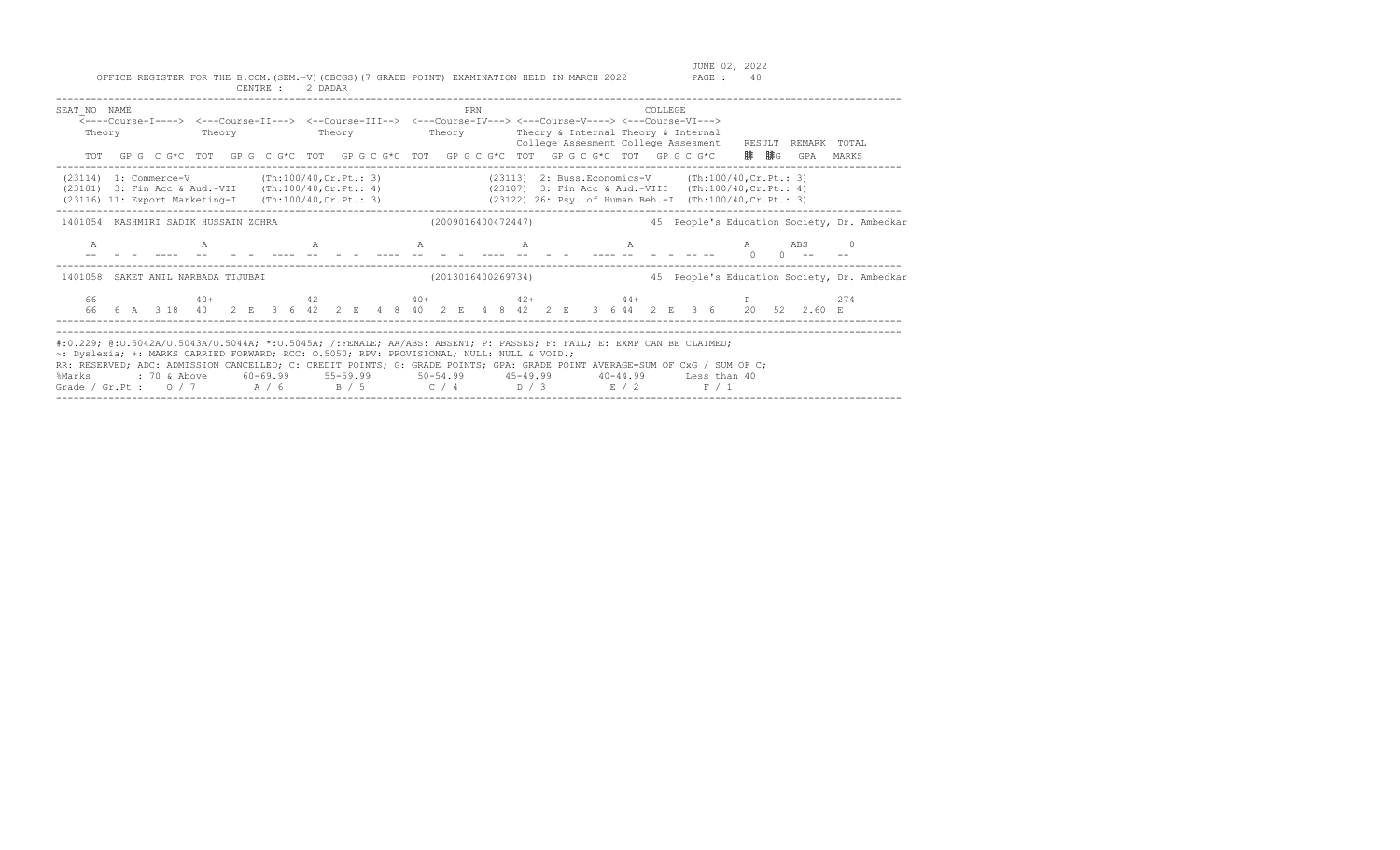| SEAT NO NAME<br>Theory                                                                                                                                                                                                                                                                                                                                                                                                 |  |  | <----Course-I----> <---Course-II---> <--Course-III--> <---Course-IV---> <---Course-V----> <---Course-VI---><br>Theory<br>TOT GPG CG*C TOT GPG CG*C TOT GPGCG*C TOT GPGCG*C TOT GPGCG*C TOT GPGCG*C |  |  |  |  |  |  | PRN | Theory Theory Theory & Internal Theory & Internal      | College Assesment College Assesment |  |  | <b>COLLEGE</b> |                                                                                                                                                                                                                                                                                                                                 |  |                          | 腓  腓G | RESULT REMARK TOTAL<br>GPA                                                                                                                         | MARKS    |                                             |
|------------------------------------------------------------------------------------------------------------------------------------------------------------------------------------------------------------------------------------------------------------------------------------------------------------------------------------------------------------------------------------------------------------------------|--|--|----------------------------------------------------------------------------------------------------------------------------------------------------------------------------------------------------|--|--|--|--|--|--|-----|--------------------------------------------------------|-------------------------------------|--|--|----------------|---------------------------------------------------------------------------------------------------------------------------------------------------------------------------------------------------------------------------------------------------------------------------------------------------------------------------------|--|--------------------------|-------|----------------------------------------------------------------------------------------------------------------------------------------------------|----------|---------------------------------------------|
| $(23114)$ 1: Commerce-V (Th:100/40, Cr. Pt.: 3)<br>(23101) 3: Fin Acc & Aud.-VII (Th:100/40, Cr. Pt.: 4) (23107) 3: Fin Acc & Aud.-VIII (Th:100/40, Cr. Pt.: 4)<br>(23116) 11: Export Marketing-I (Th:100/40, Cr. Pt.: 3) (23122) 26: Psy. of Human Beh.-I (Th:100/40, Cr. Pt.: 3)                                                                                                                                     |  |  |                                                                                                                                                                                                    |  |  |  |  |  |  |     | $(23113)$ 2: Buss. Economics-V (Th:100/40, Cr. Pt.: 3) |                                     |  |  |                |                                                                                                                                                                                                                                                                                                                                 |  |                          |       |                                                                                                                                                    |          |                                             |
| 1401054 KASHMIRI SADIK HUSSAIN ZOHRA                                                                                                                                                                                                                                                                                                                                                                                   |  |  |                                                                                                                                                                                                    |  |  |  |  |  |  |     | (2009016400472447)                                     |                                     |  |  |                |                                                                                                                                                                                                                                                                                                                                 |  |                          |       |                                                                                                                                                    |          | 45 People's Education Society, Dr. Ambedkar |
| $\mathbb{A}$                                                                                                                                                                                                                                                                                                                                                                                                           |  |  |                                                                                                                                                                                                    |  |  |  |  |  |  |     | $A$ and $A$ and $A$ and $A$ and $A$ and $A$            |                                     |  |  |                | $\mathbb A$ and $\mathbb A$ and $\mathbb A$ and $\mathbb A$ and $\mathbb A$ and $\mathbb A$ and $\mathbb A$ and $\mathbb A$ and $\mathbb A$ and $\mathbb A$ and $\mathbb A$ and $\mathbb A$ and $\mathbb A$ and $\mathbb A$ and $\mathbb A$ and $\mathbb A$ and $\mathbb A$ and $\mathbb A$ and $\mathbb A$ and $\mathbb A$ and |  | $\mathbb{A}$<br>$\sim$ 0 |       | ABS                                                                                                                                                | $\Omega$ |                                             |
| 1401058                                                                                                                                                                                                                                                                                                                                                                                                                |  |  | SAKET ANIL NARBADA TIJUBAI                                                                                                                                                                         |  |  |  |  |  |  |     | (2013016400269734)                                     |                                     |  |  |                |                                                                                                                                                                                                                                                                                                                                 |  |                          |       |                                                                                                                                                    |          | 45 People's Education Society, Dr. Ambedkar |
| 66                                                                                                                                                                                                                                                                                                                                                                                                                     |  |  |                                                                                                                                                                                                    |  |  |  |  |  |  |     |                                                        |                                     |  |  |                |                                                                                                                                                                                                                                                                                                                                 |  |                          |       | $40+$ $42$ $40+$ $42+$ $44+$ P<br>66  6  A  3  18  40  2  E  3  6  42  2  E  4  8  40  2  E  4  8  42  2  E  3  6  44  2  E  3  6  20  52  2.60  E | 2.74     |                                             |
| #:0.229; @:0.5042A/O.5043A/O.5044A; *:0.5045A; /:FEMALE; AA/ABS: ABSENT; P: PASSES; F: FAIL; E: EXMP CAN BE CLAIMED;<br>~: Dyslexia; +: MARKS CARRIED FORWARD; RCC: 0.5050; RPV: PROVISIONAL; NULL: NULL & VOID.;<br>RR: RESERVED; ADC: ADMISSION CANCELLED; C: CREDIT POINTS; G: GRADE POINTS; GPA: GRADE POINT AVERAGE=SUM OF CxG / SUM OF C;<br>%Marks<br>Grade / Gr.Pt : $0/7$ $A/6$ $B/5$ $C/4$ $D/3$ $E/2$ $F/1$ |  |  | : 70 & Above 60-69.99 55-59.99 50-54.99 45-49.99 40-44.99 Less than 40                                                                                                                             |  |  |  |  |  |  |     |                                                        |                                     |  |  |                |                                                                                                                                                                                                                                                                                                                                 |  |                          |       |                                                                                                                                                    |          |                                             |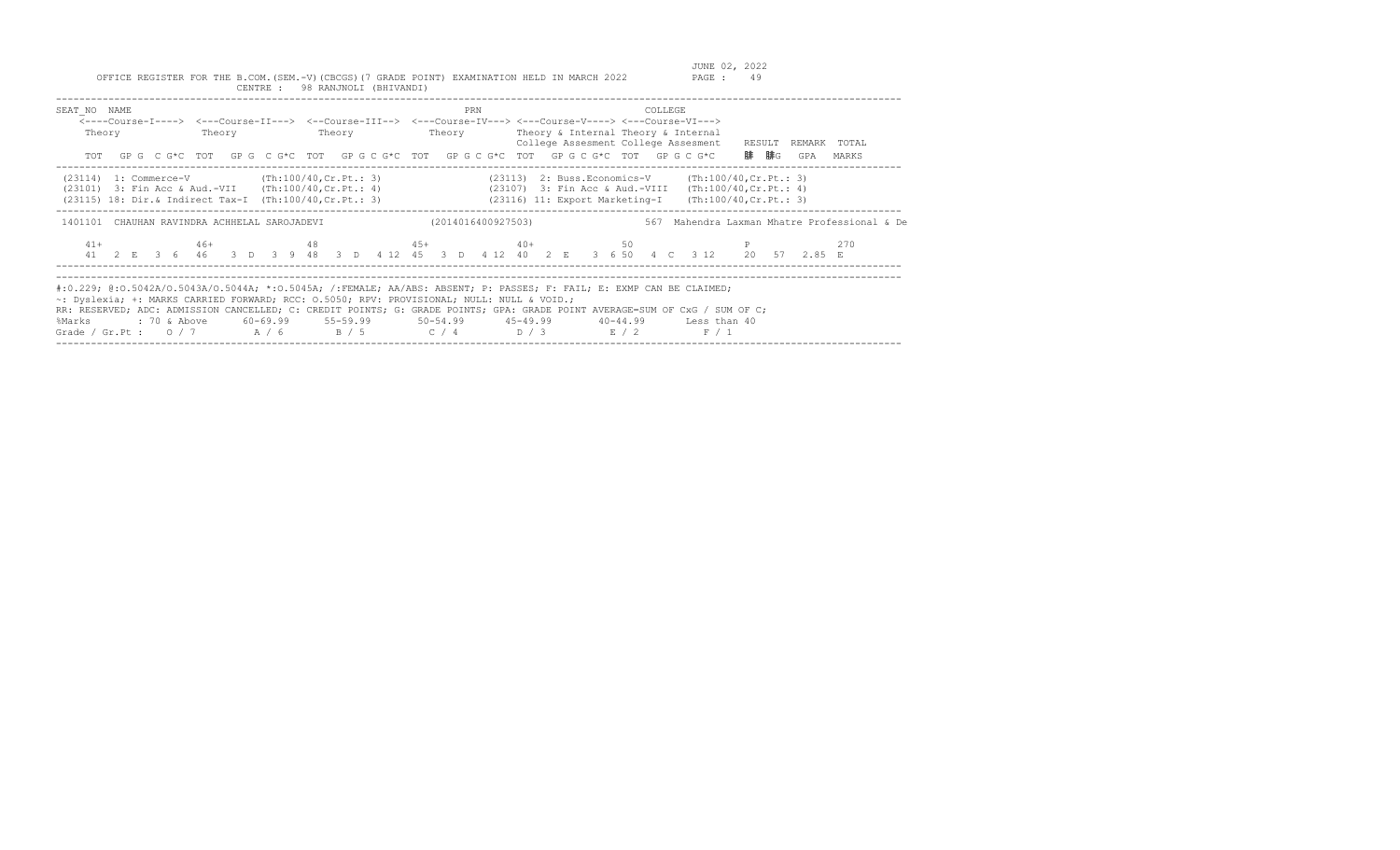| SEAT NO NAME<br>Theory                                                                                                                                                   |  | PRN | COLLEGE<br><----Course-I----> <---Course-II---> <--Course-III--> <---Course-IV---> <---Course-V----> <---Course-VI---><br>Theory Theory Theory Theory Theory Sinternal Theory & Internal<br>College Assesment College Assesment RESULT<br>TOT GPG CG*C TOT GPG CG*C TOT GPG CG*C TOT GPG CG*C TOT GPG CG*C TOT GPG CG*C                                                                      | REMARK TOTAL<br>腓 腓G<br>GPA<br>MARKS         |
|--------------------------------------------------------------------------------------------------------------------------------------------------------------------------|--|-----|----------------------------------------------------------------------------------------------------------------------------------------------------------------------------------------------------------------------------------------------------------------------------------------------------------------------------------------------------------------------------------------------|----------------------------------------------|
| $(23114)$ 1: Commerce-V $(Th:100/40, Cr.Pt.: 3)$<br>$(23101)$ 3: Fin Acc & Aud.-VII $(Th:100/40, Cr.Pt.: 4)$<br>(23115) 18: Dir.& Indirect Tax-I (Th:100/40, Cr. Pt.: 3) |  |     | $(23113)$ 2: Buss. Economics-V $(\text{Th:100/40, Cr.Pt.}: 3)$<br>(23107) 3: Fin Acc & Aud.-VIII (Th:100/40, Cr. Pt.: 4)<br>(23116) 11: Export Marketing-I (Th:100/40, Cr. Pt.: 3)                                                                                                                                                                                                           |                                              |
| 1401101 CHAUHAN RAVINDRA ACHHELAL SAROJADEVI                                                                                                                             |  |     | (2014016400927503)                                                                                                                                                                                                                                                                                                                                                                           | 567 Mahendra Laxman Mhatre Professional & De |
| $41+$                                                                                                                                                                    |  |     | $46+$ $48$ $45+$ $40+$ $50$ P<br>41 2 E 3 6 46 3 D 3 9 48 3 D 4 12 45 3 D 4 12 40 2 E 3 6 50 4 C 3 12 20 57 2.85 E                                                                                                                                                                                                                                                                           | 270                                          |
| ~: Dyslexia; +: MARKS CARRIED FORWARD; RCC: 0.5050; RPV: PROVISIONAL; NULL: NULL & VOID.;<br>%Marks                                                                      |  |     | #:0.229; @:0.5042A/O.5043A/O.5044A; *:0.5045A; /:FEMALE; AA/ABS: ABSENT; P: PASSES; F: FAIL; E: EXMP CAN BE CLAIMED;<br>RR: RESERVED; ADC: ADMISSION CANCELLED; C: CREDIT POINTS; G: GRADE POINTS; GPA: GRADE POINT AVERAGE=SUM OF CxG / SUM OF C;<br>: 70 & Above 60-69.99 55-59.99 50-54.99 45-49.99 40-44.99 Less than 40<br>Grade / Gr.Pt : $0/7$ $A/6$ $B/5$ $C/4$ $D/3$ $E/2$<br>F / 1 |                                              |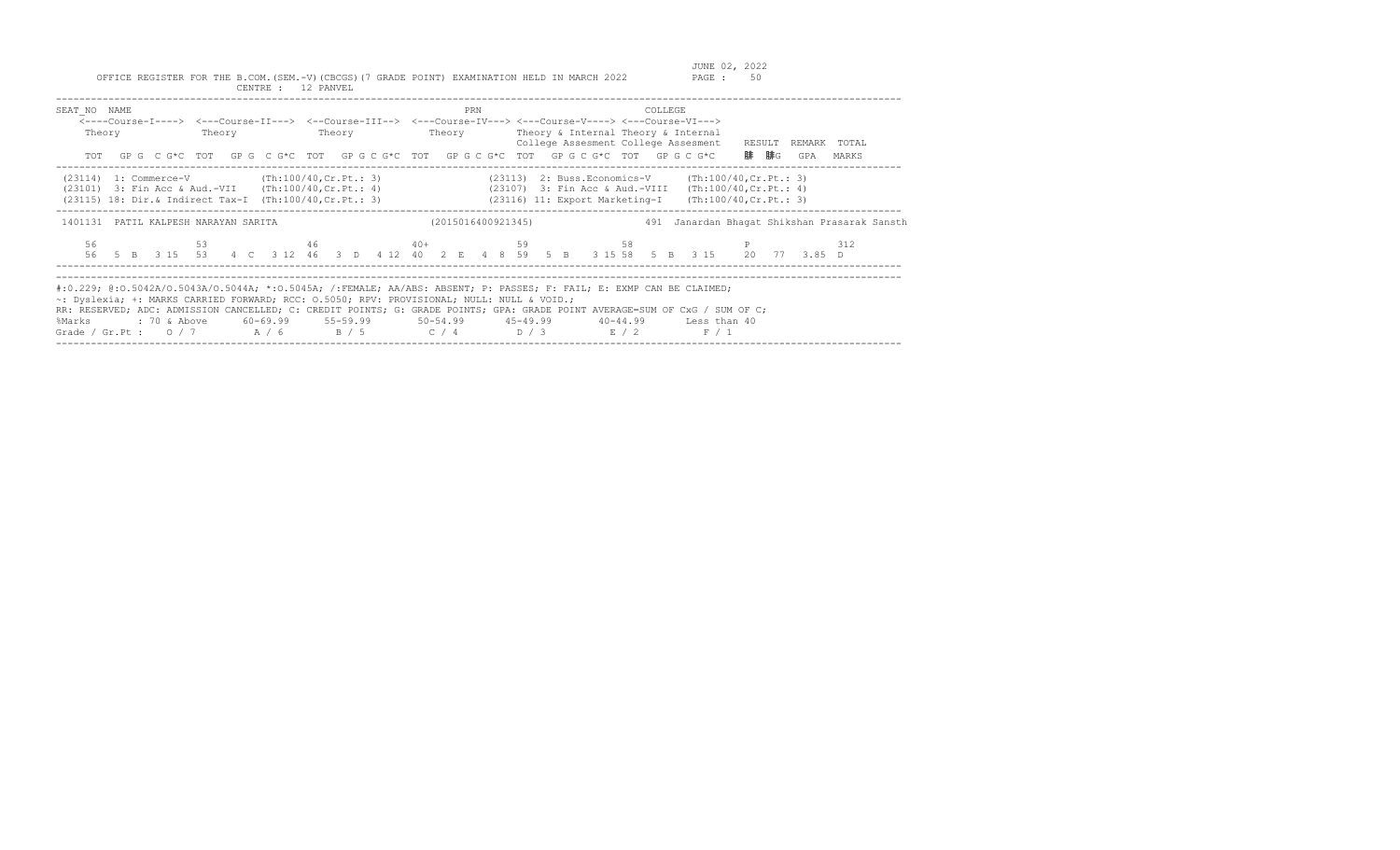| SEAT NO NAME<br>Theory                                                                                       | Theory | <b>Example 19</b> Theory | PRN | COLLEGE<br><----Course-I----> <---Course-II---> <--Course-III--> <---Course-IV---> <---Course-V----> <---Course-VI---><br>Theory Theory & Internal Theory & Internal<br>College Assesment College Assesment<br>TOT GPG CG*C TOT GPG CG*C TOT GPG CG*C TOT GPG CG*C TOT GPG CG*C TOT GPG CG*C                                                                                        | RESULT REMARK TOTAL<br>腓  腓G<br>GPA<br>MARKS |
|--------------------------------------------------------------------------------------------------------------|--------|--------------------------|-----|-------------------------------------------------------------------------------------------------------------------------------------------------------------------------------------------------------------------------------------------------------------------------------------------------------------------------------------------------------------------------------------|----------------------------------------------|
| $(23114)$ 1: Commerce-V $(Th:100/40, Cr.Pt.: 3)$<br>$(23101)$ 3: Fin Acc & Aud.-VII $(Th:100/40, Cr.Pt.: 4)$ |        |                          |     | $(23113)$ 2: Buss. Economics-V $(\text{Th:100/40, Cr.Pt.}: 3)$<br>(23107) 3: Fin Acc & Aud.-VIII (Th:100/40, Cr. Pt.: 4)<br>(23115) 18: Dir. & Indirect Tax-I (Th:100/40, Cr. Pt.: 3) (23116) 11: Export Marketing-I (Th:100/40, Cr. Pt.: 3)                                                                                                                                        |                                              |
| 1401131 PATIL KALPESH NARAYAN SARITA                                                                         |        |                          |     | (2015016400921345)                                                                                                                                                                                                                                                                                                                                                                  | 491 Janardan Bhagat Shikshan Prasarak Sansth |
| 56                                                                                                           |        |                          |     | 53 $46$ 40+ 59 58 P<br>56 5 B 3 15 53 4 C 3 12 46 3 D 4 12 40 2 E 4 8 59 5 B 3 15 58 5 B 3 15 20 77 3.85 D                                                                                                                                                                                                                                                                          | 312                                          |
| ~: Dyslexia; +: MARKS CARRIED FORWARD; RCC: 0.5050; RPV: PROVISIONAL; NULL: NULL & VOID.;<br>%Marks          |        |                          |     | #:0.229; @:0.5042A/O.5043A/O.5044A; *:0.5045A; /:FEMALE; AA/ABS: ABSENT; P: PASSES; F: FAIL; E: EXMP CAN BE CLAIMED;<br>RR: RESERVED; ADC: ADMISSION CANCELLED; C: CREDIT POINTS; G: GRADE POINTS; GPA: GRADE POINT AVERAGE=SUM OF CxG / SUM OF C;<br>: 70 & Above 60-69.99 55-59.99 50-54.99 45-49.99 40-44.99 Less than 40<br>Grade / Gr.Pt : $0/7$ $A/6$ $B/5$ $C/4$ $D/3$ $E/2$ | F / 1                                        |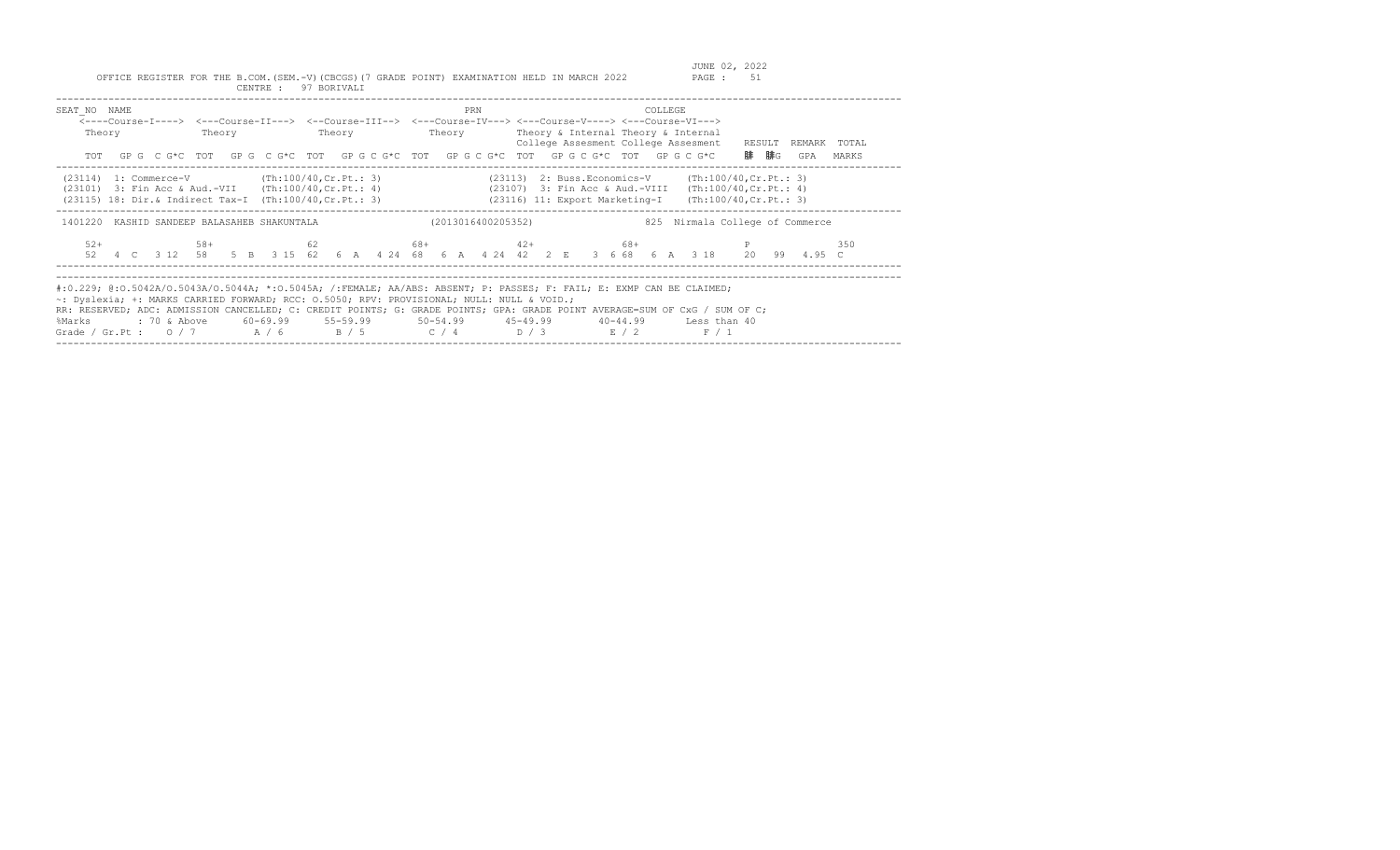| SEAT NO NAME<br>Theory                                                                                      | Theory | Theory | PRN                | COLLEGE<br><----Course-I----> <---Course-II---> <--Course-III--> <---Course-IV---> <---Course-V----> <---Course-VI---><br>Theory Theory & Internal Theory & Internal<br>College Assesment College Assesment RESULT<br>TOT GPG CG*C TOT GPG CG*C TOT GPG CG*C TOT GPG CG*C TOT GPG CG*C TOT GPG CG*C TOT GPG CG*C                                                                             | TOTAL<br>REMARK<br>腓<br>腓G<br>MARKS<br>GPA       |  |  |  |  |  |  |  |  |  |
|-------------------------------------------------------------------------------------------------------------|--------|--------|--------------------|----------------------------------------------------------------------------------------------------------------------------------------------------------------------------------------------------------------------------------------------------------------------------------------------------------------------------------------------------------------------------------------------|--------------------------------------------------|--|--|--|--|--|--|--|--|--|
| $(23114)$ 1: Commerce-V (Th:100/40, Cr. Pt.: 3)<br>$(23101)$ 3: Fin Acc & Aud.-VII $(Th:100/40, Cr.Pt.: 4)$ |        |        |                    | $(23113)$ 2: Buss. Economics-V (Th:100/40, Cr. Pt.: 3)<br>(23107) 3: Fin Acc & Aud.-VIII<br>(23115) 18: Dir.& Indirect Tax-I (Th:100/40, Cr. Pt.: 3) (23116) 11: Export Marketing-I                                                                                                                                                                                                          | (Th:100/40, Cr.Pt.: 4)<br>(Th:100/40, Cr.Pt.: 3) |  |  |  |  |  |  |  |  |  |
| 1401220 KASHID SANDEEP BALASAHEB SHAKUNTALA                                                                 |        |        | (2013016400205352) |                                                                                                                                                                                                                                                                                                                                                                                              | 825 Nirmala College of Commerce                  |  |  |  |  |  |  |  |  |  |
| $52+$                                                                                                       | $58+$  |        |                    | $62$ 68+ $42+$ 68+<br>52  4  C  3  12  58  5  B  3  15  62  6  A  4  24  68  6  A  4  24  42  2  E  3  6  68  6  A  3  18  20  99  4.95  C                                                                                                                                                                                                                                                   | 350                                              |  |  |  |  |  |  |  |  |  |
| ~: Dyslexia; +: MARKS CARRIED FORWARD; RCC: 0.5050; RPV: PROVISIONAL; NULL: NULL & VOID.;<br>%Marks         |        |        |                    | #:0.229; @:0.5042A/0.5043A/0.5044A; *:0.5045A; /:FEMALE; AA/ABS: ABSENT; P: PASSES; F: FAIL; E: EXMP CAN BE CLAIMED;<br>RR: RESERVED; ADC: ADMISSION CANCELLED; C: CREDIT POINTS; G: GRADE POINTS; GPA: GRADE POINT AVERAGE=SUM OF CxG / SUM OF C;<br>: 70 & Above 60-69.99 55-59.99 50-54.99 45-49.99 40-44.99 Less than 40<br>Grade / Gr.Pt : $0/7$ $A/6$ $B/5$ $C/4$ $D/3$ $E/2$<br>F / 1 |                                                  |  |  |  |  |  |  |  |  |  |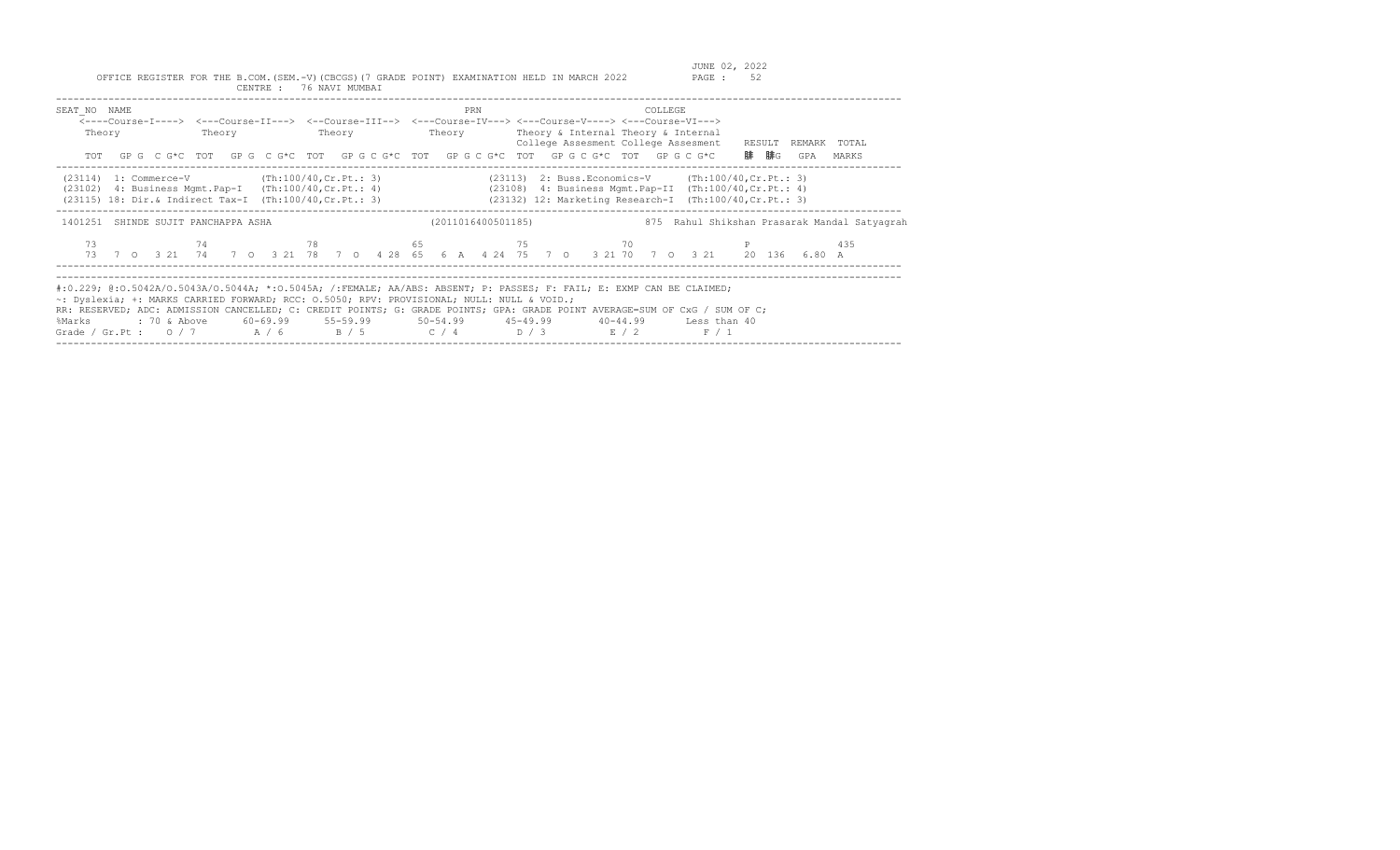| SEAT NO NAME<br>Theory                                                                                         |    | PRN | COLLEGE<br><---Course-I----> <---Course-II---> <--Course-III--> <---Course-IV---> <---Course-V----> <---Course-VI---><br>Theory Theory Theory Theory Theory & Internal Theory & Internal<br>TOT GPG CG*C TOT GPG CG*C TOT GPG CG*C TOT GPG CG*C TOT GPG CG*C TOT GPG CG*C                                                                                                                                                                  | College Assesment College Assesment RESULT REMARK TOTAL<br>腓  腓g<br>GPA<br>MARKS             |
|----------------------------------------------------------------------------------------------------------------|----|-----|--------------------------------------------------------------------------------------------------------------------------------------------------------------------------------------------------------------------------------------------------------------------------------------------------------------------------------------------------------------------------------------------------------------------------------------------|----------------------------------------------------------------------------------------------|
| $(23114)$ 1: Commerce-V $(Th:100/40, Cr.Pt.: 3)$<br>$(23102)$ 4: Business Mgmt. Pap-I $(Th:100/40, Cr.Pt.: 4)$ |    |     | $(23113)$ 2: Buss. Economics-V (Th:100/40, Cr. Pt.: 3)<br>$(23108)$ 4: Business Mgmt. Pap-II $(Th:100/40, Cr.Pt.: 4)$<br>(23115) 18: Dir.& Indirect Tax-I (Th:100/40, Cr. Pt.: 3) (23132) 12: Marketing Research-I (Th:100/40, Cr. Pt.: 3)                                                                                                                                                                                                 |                                                                                              |
| 1401251 SHINDE SUJIT PANCHAPPA ASHA                                                                            |    |     | (2011016400501185)                                                                                                                                                                                                                                                                                                                                                                                                                         | 875 Rahul Shikshan Prasarak Mandal Satyagrah                                                 |
| 73                                                                                                             | 74 |     | $78$ 65 $75$ 70 P                                                                                                                                                                                                                                                                                                                                                                                                                          | 435<br>73 7 0 3 21 74 7 0 3 21 78 7 0 4 28 65 6 A 4 24 75 7 0 3 21 70 7 0 3 21 20 136 6.80 A |
| ~: Dyslexia; +: MARKS CARRIED FORWARD; RCC: 0.5050; RPV: PROVISIONAL; NULL: NULL & VOID.;<br>%Marks            |    |     | #:0.229; @:0.5042A/O.5043A/O.5044A; *:0.5045A; /:FEMALE; AA/ABS: ABSENT; P: PASSES; F: FAIL; E: EXMP CAN BE CLAIMED;<br>RR: RESERVED; ADC: ADMISSION CANCELLED; C: CREDIT POINTS; G: GRADE POINTS; GPA: GRADE POINT AVERAGE=SUM OF CxG / SUM OF C;<br>: 70 & Above         60-69.99          55-59.99           50-54.99          45-49.99           40-44.99          Less than 40<br>Grade / Gr.Pt : $0/7$ $A/6$ $B/5$ $C/4$ $D/3$ $E/2$ | F / 1                                                                                        |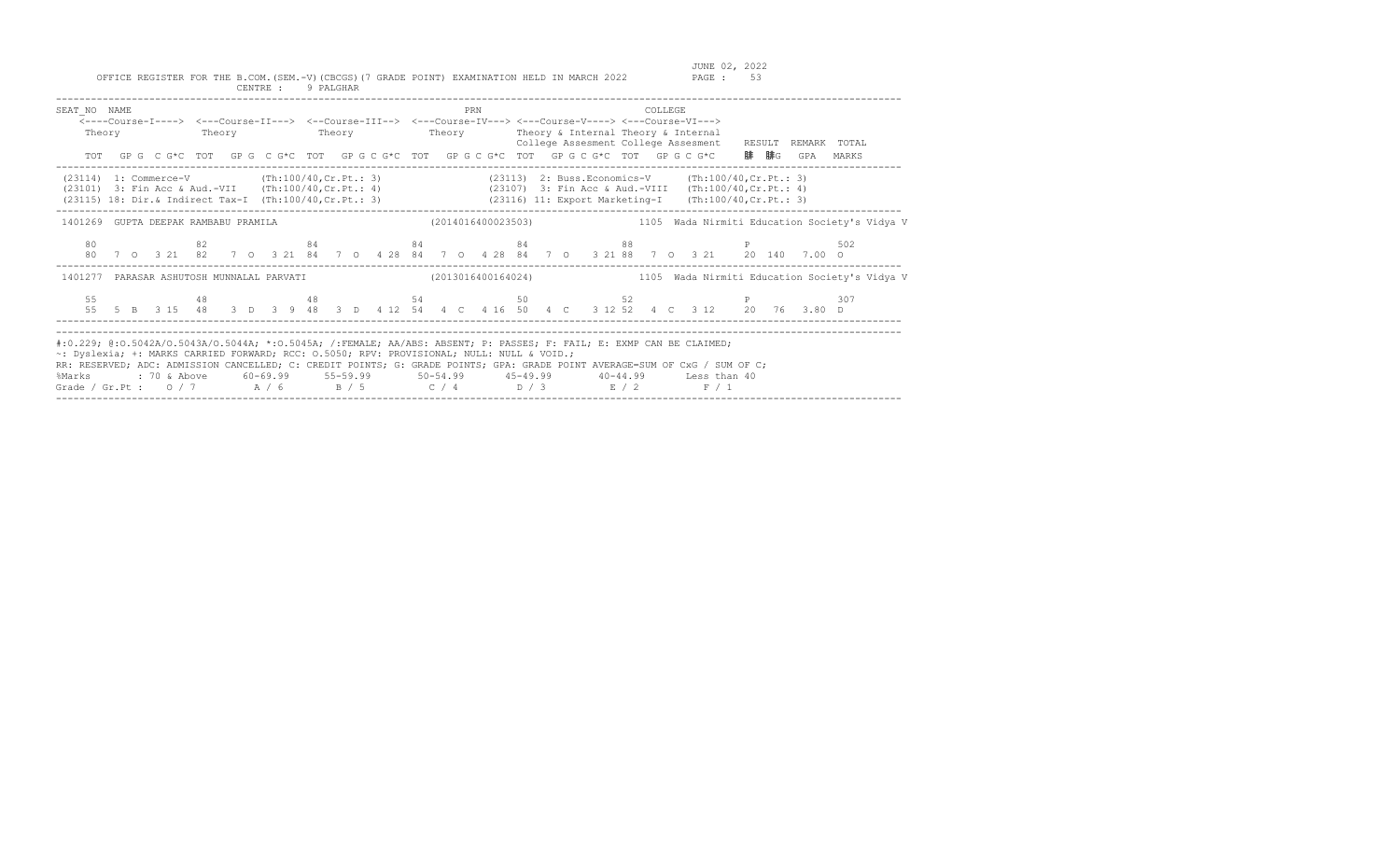JUNE 02, 2022<br>PAGE : 53

| SEAT NO NAME                                                                                                                                                                                                                                                                                                                                                                                                                                                                                 |  | <---Course-I----> <---Course-II---> <--Course-III--> <---Course-IV---> <---Course-V----> <---Course-VI---><br>Theory Theory Theory Theory Theory Theory Subsetternal Theory & Internal<br>TOT GPG CG*C TOT GPG CG*C TOT GPG CG*C TOT GPG CG*C TOT GPG CG*C TOT GPG CG*C 腓腓G GPA MARKS |  |  |  |  |  |  |  |  |  |  | PRN |  |  |  |  |  |  |  | COLLEGE<br>College Assesment College Assesment RESULT REMARK TOTAL |  |  |  |  |  |  |  |                                                                                                                 |                                                                                                            |
|----------------------------------------------------------------------------------------------------------------------------------------------------------------------------------------------------------------------------------------------------------------------------------------------------------------------------------------------------------------------------------------------------------------------------------------------------------------------------------------------|--|---------------------------------------------------------------------------------------------------------------------------------------------------------------------------------------------------------------------------------------------------------------------------------------|--|--|--|--|--|--|--|--|--|--|-----|--|--|--|--|--|--|--|--------------------------------------------------------------------|--|--|--|--|--|--|--|-----------------------------------------------------------------------------------------------------------------|------------------------------------------------------------------------------------------------------------|
| (23114) 1: Commerce-V (Th:100/40, Cr. Pt.: 3) (23113) 2: Buss. Economics-V (Th:100/40, Cr. Pt.: 3)<br>(23101) 3: Fin Acc & Aud.-VII (Th:100/40, Cr. Pt.: 4) (23107) 3: Fin Acc & Aud.-VIII (Th:100/40, Cr. Pt.: 4)<br>(23115) 18: Dir.& Indirect Tax-I (Th:100/40, Cr. Pt.: 3) (23116) 11: Export Marketing-I (Th:100/40, Cr. Pt.: 3)                                                                                                                                                        |  |                                                                                                                                                                                                                                                                                       |  |  |  |  |  |  |  |  |  |  |     |  |  |  |  |  |  |  |                                                                    |  |  |  |  |  |  |  |                                                                                                                 |                                                                                                            |
|                                                                                                                                                                                                                                                                                                                                                                                                                                                                                              |  |                                                                                                                                                                                                                                                                                       |  |  |  |  |  |  |  |  |  |  |     |  |  |  |  |  |  |  |                                                                    |  |  |  |  |  |  |  |                                                                                                                 | 1401269 GUPTA DEEPAK RAMBABU PRAMILA (2014016400023503) 1105 Wada Nirmiti Education Society's Vidya V      |
|                                                                                                                                                                                                                                                                                                                                                                                                                                                                                              |  |                                                                                                                                                                                                                                                                                       |  |  |  |  |  |  |  |  |  |  |     |  |  |  |  |  |  |  |                                                                    |  |  |  |  |  |  |  | 80 62 64 84 84 84 8502<br>80 7 0 3 21 82 7 0 3 21 84 7 0 4 28 84 7 0 4 28 84 7 0 3 21 88 7 0 3 21 20 140 7.00 0 |                                                                                                            |
|                                                                                                                                                                                                                                                                                                                                                                                                                                                                                              |  |                                                                                                                                                                                                                                                                                       |  |  |  |  |  |  |  |  |  |  |     |  |  |  |  |  |  |  |                                                                    |  |  |  |  |  |  |  |                                                                                                                 | 1401277 PARASAR ASHUTOSH MUNNALAL PARVATI (2013016400164024) 1105 Wada Nirmiti Education Society's Vidya V |
|                                                                                                                                                                                                                                                                                                                                                                                                                                                                                              |  |                                                                                                                                                                                                                                                                                       |  |  |  |  |  |  |  |  |  |  |     |  |  |  |  |  |  |  |                                                                    |  |  |  |  |  |  |  | 55 55 48 48 54 50 52 P<br>55 5 B 3 15 48 3 D 3 9 48 3 D 4 12 54 4 C 4 16 50 4 C 3 12 52 4 C 3 12 20 76 3.80 D   | 307                                                                                                        |
| #:0.229; @:0.5042A/0.5043A/0.5044A; *:0.5045A; /:FEMALE; AA/ABS: ABSENT; P: PASSES; F: FAIL; E: EXMP CAN BE CLAIMED;<br>~: Dyslexia; +: MARKS CARRIED FORWARD; RCC: 0.5050; RPV: PROVISIONAL; NULL: NULL & VOID.;<br>RR: RESERVED; ADC: ADMISSION CANCELLED; C: CREDIT POINTS; G: GRADE POINTS; GPA: GRADE POINT AVERAGE=SUM OF CxG / SUM OF C;<br>%Marks : 70 & Above 60-69.99 55-59.99 50-54.99 45-49.99 40-44.99 Less than 40<br>Grade / Gr.Pt: $0/7$ $A/6$ $B/5$ $C/4$ $D/3$ $E/2$ $F/1$ |  |                                                                                                                                                                                                                                                                                       |  |  |  |  |  |  |  |  |  |  |     |  |  |  |  |  |  |  |                                                                    |  |  |  |  |  |  |  |                                                                                                                 |                                                                                                            |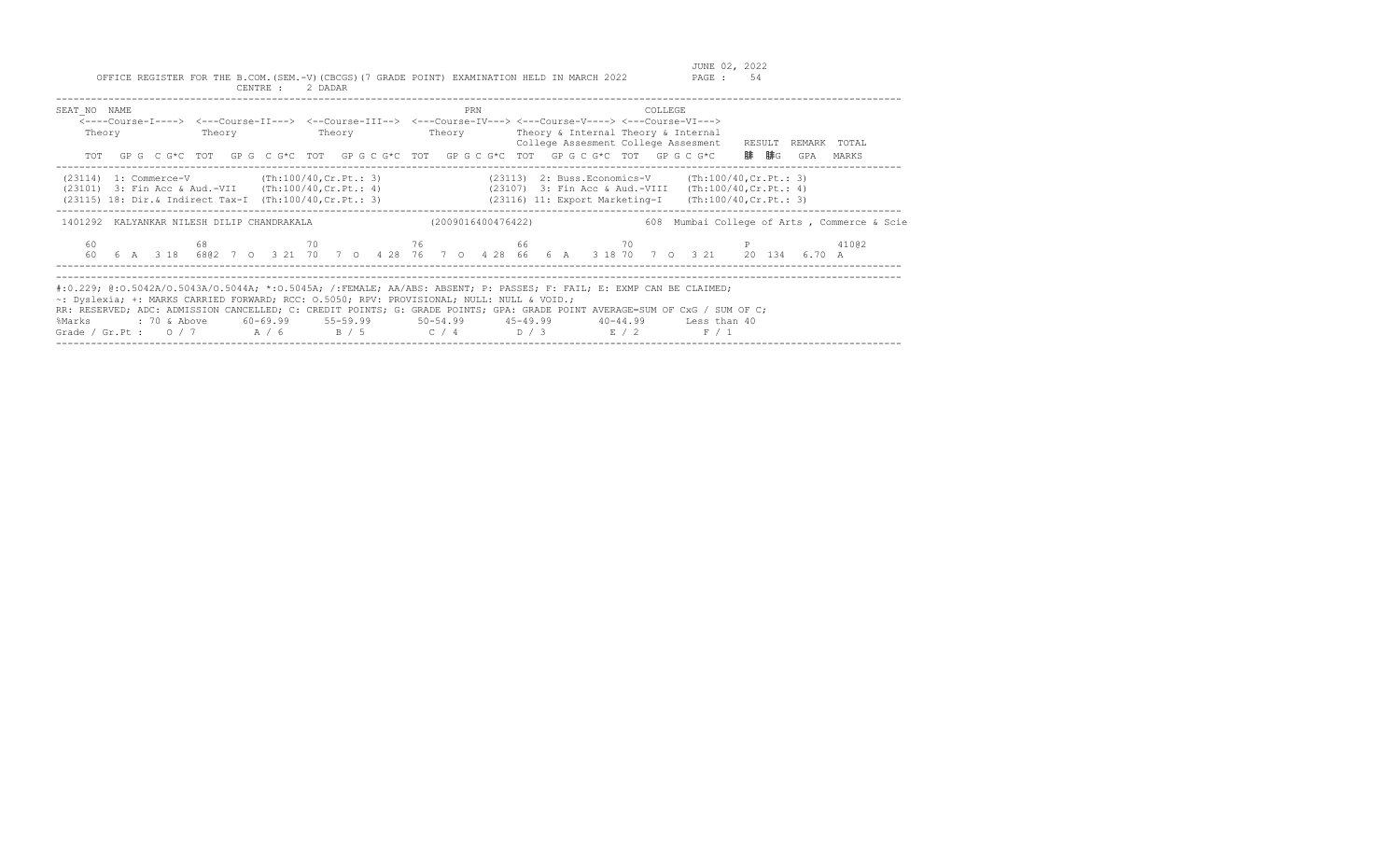| SEAT NO NAME<br>Theory                                                                                                                                                |      | PRN                | COLLEGE<br><----Course-I----> <---Course-II---> <--Course-III--> <---Course-IV---> <---Course-V----> <---Course-VI---><br>Theory Theory Theory Theory Theory Sinternal Theory & Internal<br>College Assesment College Assesment RESULT<br>TOT GPG CG*C TOT GPG CG*C TOT GPG CG*C TOT GPG CG*C TOT GPG CG*C TOT GPG CG*C                                                                     | REMARK TOTAL<br>腓 腓G<br>GPA<br>MARKS        |
|-----------------------------------------------------------------------------------------------------------------------------------------------------------------------|------|--------------------|---------------------------------------------------------------------------------------------------------------------------------------------------------------------------------------------------------------------------------------------------------------------------------------------------------------------------------------------------------------------------------------------|---------------------------------------------|
| $(23114)$ 1: Commerce-V $(Th:100/40, Cr.Pt.: 3)$<br>(23101) 3: Fin Acc & Aud.-VII (Th:100/40, Cr. Pt.: 4)<br>(23115) 18: Dir.& Indirect Tax-I (Th:100/40, Cr. Pt.: 3) |      |                    | $(23113)$ 2: Buss. Economics-V (Th:100/40, Cr. Pt.: 3)<br>(23107) 3: Fin Acc & Aud.-VIII (Th:100/40, Cr. Pt.: 4)<br>$(23116)$ 11: Export Marketing-I (Th:100/40, Cr. Pt.: 3)                                                                                                                                                                                                                |                                             |
| 1401292 KALYANKAR NILESH DILIP CHANDRAKALA                                                                                                                            |      | (2009016400476422) |                                                                                                                                                                                                                                                                                                                                                                                             | 608 Mumbai College of Arts, Commerce & Scie |
| 60                                                                                                                                                                    | 68 — |                    | $70$ and $76$ and $66$ and $70$ and $70$ and $70$ and $70$ and $70$ and $70$ and $70$ and $70$ and $70$ and $70$ and $70$ and $70$ and $70$ and $70$ and $70$ and $70$ and $70$ and $70$ and $70$ and $70$ and $70$ and $70$<br>60  6  A  3  18  680  7  0  3  21  70  7  0  4  28  76  7  0  4  28  66  6  A  3  18  70  7  0  3  21  20  134  6.70  A                                     |                                             |
| ~: Dyslexia; +: MARKS CARRIED FORWARD; RCC: 0.5050; RPV: PROVISIONAL; NULL: NULL & VOID.;<br>%Marks                                                                   |      |                    | #:0.229; @:0.5042A/0.5043A/0.5044A; *:0.5045A; /:FEMALE; AA/ABS: ABSENT; P: PASSES; F: FAIL; E: EXMP CAN BE CLAIMED;<br>RR: RESERVED; ADC: ADMISSION CANCELLED; C: CREDIT POINTS; G: GRADE POINTS; GPA: GRADE POINT AVERAGE=SUM OF CxG / SUM OF C;<br>: 70 & Above 60-69.99 55-59.99 50-54.99 45-49.99 40-44.99 Less than 40<br>Grade / Gr.Pt: $0/7$ $A/6$ $B/5$ $C/4$ $D/3$ $E/2$<br>F / 1 |                                             |